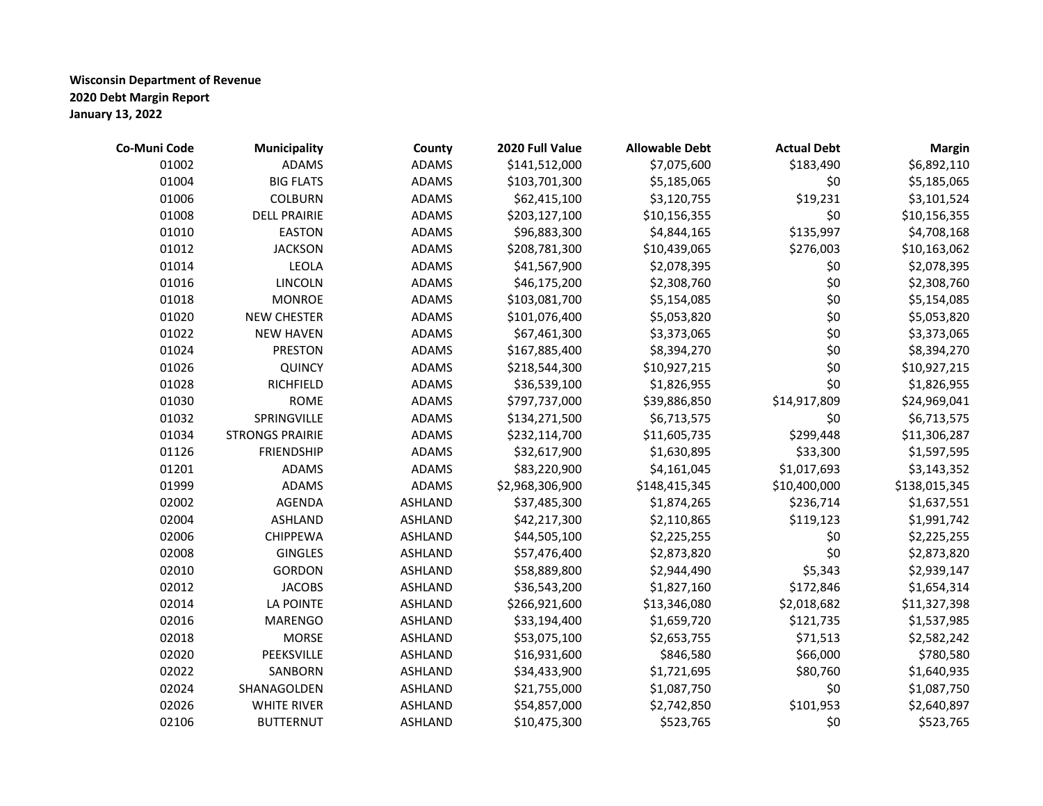| Co-Muni Code | <b>Municipality</b>    | County         | 2020 Full Value | <b>Allowable Debt</b> | <b>Actual Debt</b> | <b>Margin</b> |
|--------------|------------------------|----------------|-----------------|-----------------------|--------------------|---------------|
| 01002        | <b>ADAMS</b>           | <b>ADAMS</b>   | \$141,512,000   | \$7,075,600           | \$183,490          | \$6,892,110   |
| 01004        | <b>BIG FLATS</b>       | <b>ADAMS</b>   | \$103,701,300   | \$5,185,065           | \$0                | \$5,185,065   |
| 01006        | <b>COLBURN</b>         | <b>ADAMS</b>   | \$62,415,100    | \$3,120,755           | \$19,231           | \$3,101,524   |
| 01008        | <b>DELL PRAIRIE</b>    | <b>ADAMS</b>   | \$203,127,100   | \$10,156,355          | \$0                | \$10,156,355  |
| 01010        | <b>EASTON</b>          | <b>ADAMS</b>   | \$96,883,300    | \$4,844,165           | \$135,997          | \$4,708,168   |
| 01012        | <b>JACKSON</b>         | <b>ADAMS</b>   | \$208,781,300   | \$10,439,065          | \$276,003          | \$10,163,062  |
| 01014        | <b>LEOLA</b>           | <b>ADAMS</b>   | \$41,567,900    | \$2,078,395           | \$0                | \$2,078,395   |
| 01016        | LINCOLN                | <b>ADAMS</b>   | \$46,175,200    | \$2,308,760           | \$0                | \$2,308,760   |
| 01018        | <b>MONROE</b>          | <b>ADAMS</b>   | \$103,081,700   | \$5,154,085           | \$0                | \$5,154,085   |
| 01020        | <b>NEW CHESTER</b>     | <b>ADAMS</b>   | \$101,076,400   | \$5,053,820           | \$0                | \$5,053,820   |
| 01022        | <b>NEW HAVEN</b>       | <b>ADAMS</b>   | \$67,461,300    | \$3,373,065           | \$0                | \$3,373,065   |
| 01024        | <b>PRESTON</b>         | <b>ADAMS</b>   | \$167,885,400   | \$8,394,270           | \$0                | \$8,394,270   |
| 01026        | <b>QUINCY</b>          | <b>ADAMS</b>   | \$218,544,300   | \$10,927,215          | \$0                | \$10,927,215  |
| 01028        | RICHFIELD              | <b>ADAMS</b>   | \$36,539,100    | \$1,826,955           | \$0                | \$1,826,955   |
| 01030        | <b>ROME</b>            | <b>ADAMS</b>   | \$797,737,000   | \$39,886,850          | \$14,917,809       | \$24,969,041  |
| 01032        | SPRINGVILLE            | <b>ADAMS</b>   | \$134,271,500   | \$6,713,575           | \$0                | \$6,713,575   |
| 01034        | <b>STRONGS PRAIRIE</b> | <b>ADAMS</b>   | \$232,114,700   | \$11,605,735          | \$299,448          | \$11,306,287  |
| 01126        | <b>FRIENDSHIP</b>      | <b>ADAMS</b>   | \$32,617,900    | \$1,630,895           | \$33,300           | \$1,597,595   |
| 01201        | <b>ADAMS</b>           | <b>ADAMS</b>   | \$83,220,900    | \$4,161,045           | \$1,017,693        | \$3,143,352   |
| 01999        | <b>ADAMS</b>           | <b>ADAMS</b>   | \$2,968,306,900 | \$148,415,345         | \$10,400,000       | \$138,015,345 |
| 02002        | <b>AGENDA</b>          | <b>ASHLAND</b> | \$37,485,300    | \$1,874,265           | \$236,714          | \$1,637,551   |
| 02004        | <b>ASHLAND</b>         | <b>ASHLAND</b> | \$42,217,300    | \$2,110,865           | \$119,123          | \$1,991,742   |
| 02006        | <b>CHIPPEWA</b>        | <b>ASHLAND</b> | \$44,505,100    | \$2,225,255           | \$0                | \$2,225,255   |
| 02008        | <b>GINGLES</b>         | <b>ASHLAND</b> | \$57,476,400    | \$2,873,820           | \$0                | \$2,873,820   |
| 02010        | <b>GORDON</b>          | <b>ASHLAND</b> | \$58,889,800    | \$2,944,490           | \$5,343            | \$2,939,147   |
| 02012        | <b>JACOBS</b>          | <b>ASHLAND</b> | \$36,543,200    | \$1,827,160           | \$172,846          | \$1,654,314   |
| 02014        | LA POINTE              | <b>ASHLAND</b> | \$266,921,600   | \$13,346,080          | \$2,018,682        | \$11,327,398  |
| 02016        | <b>MARENGO</b>         | <b>ASHLAND</b> | \$33,194,400    | \$1,659,720           | \$121,735          | \$1,537,985   |
| 02018        | <b>MORSE</b>           | <b>ASHLAND</b> | \$53,075,100    | \$2,653,755           | \$71,513           | \$2,582,242   |
| 02020        | PEEKSVILLE             | <b>ASHLAND</b> | \$16,931,600    | \$846,580             | \$66,000           | \$780,580     |
| 02022        | SANBORN                | <b>ASHLAND</b> | \$34,433,900    | \$1,721,695           | \$80,760           | \$1,640,935   |
| 02024        | SHANAGOLDEN            | <b>ASHLAND</b> | \$21,755,000    | \$1,087,750           | \$0                | \$1,087,750   |
| 02026        | <b>WHITE RIVER</b>     | <b>ASHLAND</b> | \$54,857,000    | \$2,742,850           | \$101,953          | \$2,640,897   |
| 02106        | <b>BUTTERNUT</b>       | <b>ASHLAND</b> | \$10,475,300    | \$523,765             | \$0                | \$523,765     |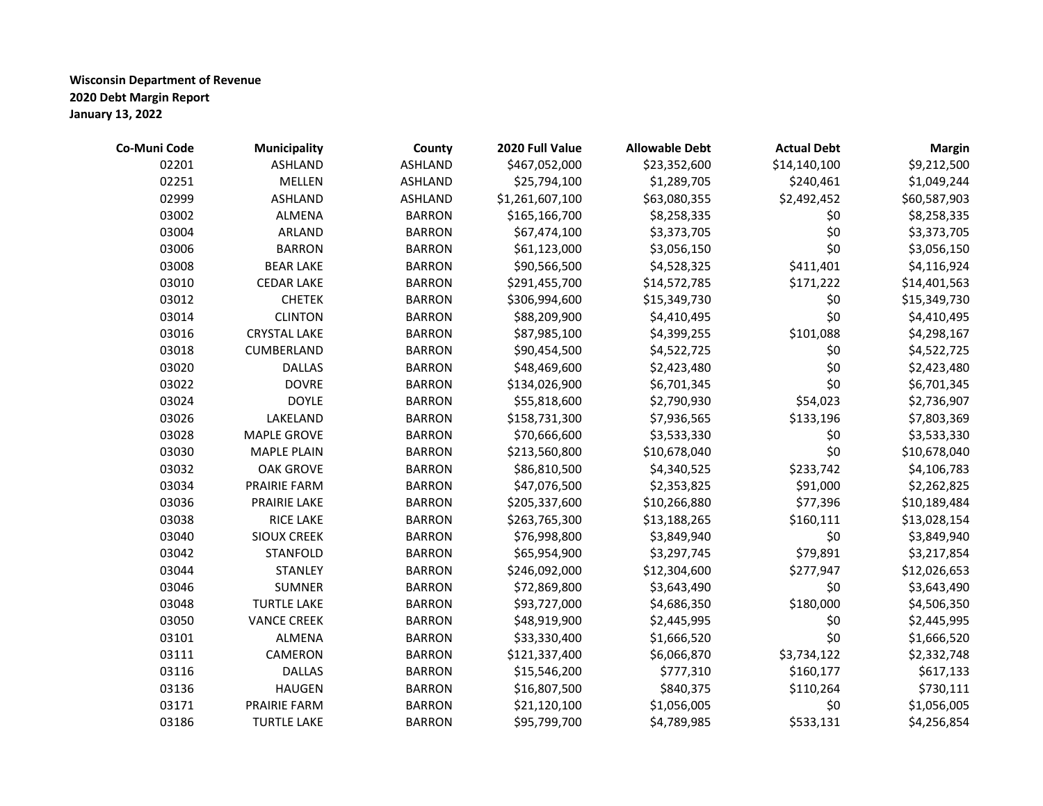| Co-Muni Code | <b>Municipality</b> | County         | 2020 Full Value | <b>Allowable Debt</b> | <b>Actual Debt</b> | <b>Margin</b> |
|--------------|---------------------|----------------|-----------------|-----------------------|--------------------|---------------|
| 02201        | <b>ASHLAND</b>      | <b>ASHLAND</b> | \$467,052,000   | \$23,352,600          | \$14,140,100       | \$9,212,500   |
| 02251        | <b>MELLEN</b>       | <b>ASHLAND</b> | \$25,794,100    | \$1,289,705           | \$240,461          | \$1,049,244   |
| 02999        | <b>ASHLAND</b>      | ASHLAND        | \$1,261,607,100 | \$63,080,355          | \$2,492,452        | \$60,587,903  |
| 03002        | ALMENA              | <b>BARRON</b>  | \$165,166,700   | \$8,258,335           | \$0                | \$8,258,335   |
| 03004        | ARLAND              | <b>BARRON</b>  | \$67,474,100    | \$3,373,705           | \$0                | \$3,373,705   |
| 03006        | <b>BARRON</b>       | <b>BARRON</b>  | \$61,123,000    | \$3,056,150           | \$0                | \$3,056,150   |
| 03008        | <b>BEAR LAKE</b>    | <b>BARRON</b>  | \$90,566,500    | \$4,528,325           | \$411,401          | \$4,116,924   |
| 03010        | <b>CEDAR LAKE</b>   | <b>BARRON</b>  | \$291,455,700   | \$14,572,785          | \$171,222          | \$14,401,563  |
| 03012        | <b>CHETEK</b>       | <b>BARRON</b>  | \$306,994,600   | \$15,349,730          | \$0                | \$15,349,730  |
| 03014        | <b>CLINTON</b>      | <b>BARRON</b>  | \$88,209,900    | \$4,410,495           | \$0                | \$4,410,495   |
| 03016        | <b>CRYSTAL LAKE</b> | <b>BARRON</b>  | \$87,985,100    | \$4,399,255           | \$101,088          | \$4,298,167   |
| 03018        | CUMBERLAND          | <b>BARRON</b>  | \$90,454,500    | \$4,522,725           | \$0                | \$4,522,725   |
| 03020        | <b>DALLAS</b>       | <b>BARRON</b>  | \$48,469,600    | \$2,423,480           | \$0                | \$2,423,480   |
| 03022        | <b>DOVRE</b>        | <b>BARRON</b>  | \$134,026,900   | \$6,701,345           | \$0                | \$6,701,345   |
| 03024        | <b>DOYLE</b>        | <b>BARRON</b>  | \$55,818,600    | \$2,790,930           | \$54,023           | \$2,736,907   |
| 03026        | LAKELAND            | <b>BARRON</b>  | \$158,731,300   | \$7,936,565           | \$133,196          | \$7,803,369   |
| 03028        | <b>MAPLE GROVE</b>  | <b>BARRON</b>  | \$70,666,600    | \$3,533,330           | \$0                | \$3,533,330   |
| 03030        | <b>MAPLE PLAIN</b>  | <b>BARRON</b>  | \$213,560,800   | \$10,678,040          | \$0                | \$10,678,040  |
| 03032        | <b>OAK GROVE</b>    | <b>BARRON</b>  | \$86,810,500    | \$4,340,525           | \$233,742          | \$4,106,783   |
| 03034        | <b>PRAIRIE FARM</b> | <b>BARRON</b>  | \$47,076,500    | \$2,353,825           | \$91,000           | \$2,262,825   |
| 03036        | PRAIRIE LAKE        | <b>BARRON</b>  | \$205,337,600   | \$10,266,880          | \$77,396           | \$10,189,484  |
| 03038        | <b>RICE LAKE</b>    | <b>BARRON</b>  | \$263,765,300   | \$13,188,265          | \$160,111          | \$13,028,154  |
| 03040        | <b>SIOUX CREEK</b>  | <b>BARRON</b>  | \$76,998,800    | \$3,849,940           | \$0                | \$3,849,940   |
| 03042        | <b>STANFOLD</b>     | <b>BARRON</b>  | \$65,954,900    | \$3,297,745           | \$79,891           | \$3,217,854   |
| 03044        | <b>STANLEY</b>      | <b>BARRON</b>  | \$246,092,000   | \$12,304,600          | \$277,947          | \$12,026,653  |
| 03046        | <b>SUMNER</b>       | <b>BARRON</b>  | \$72,869,800    | \$3,643,490           | \$0                | \$3,643,490   |
| 03048        | <b>TURTLE LAKE</b>  | <b>BARRON</b>  | \$93,727,000    | \$4,686,350           | \$180,000          | \$4,506,350   |
| 03050        | <b>VANCE CREEK</b>  | <b>BARRON</b>  | \$48,919,900    | \$2,445,995           | \$0                | \$2,445,995   |
| 03101        | <b>ALMENA</b>       | <b>BARRON</b>  | \$33,330,400    | \$1,666,520           | \$0                | \$1,666,520   |
| 03111        | CAMERON             | <b>BARRON</b>  | \$121,337,400   | \$6,066,870           | \$3,734,122        | \$2,332,748   |
| 03116        | <b>DALLAS</b>       | <b>BARRON</b>  | \$15,546,200    | \$777,310             | \$160,177          | \$617,133     |
| 03136        | <b>HAUGEN</b>       | <b>BARRON</b>  | \$16,807,500    | \$840,375             | \$110,264          | \$730,111     |
| 03171        | <b>PRAIRIE FARM</b> | <b>BARRON</b>  | \$21,120,100    | \$1,056,005           | \$0                | \$1,056,005   |
| 03186        | <b>TURTLE LAKE</b>  | <b>BARRON</b>  | \$95,799,700    | \$4,789,985           | \$533,131          | \$4,256,854   |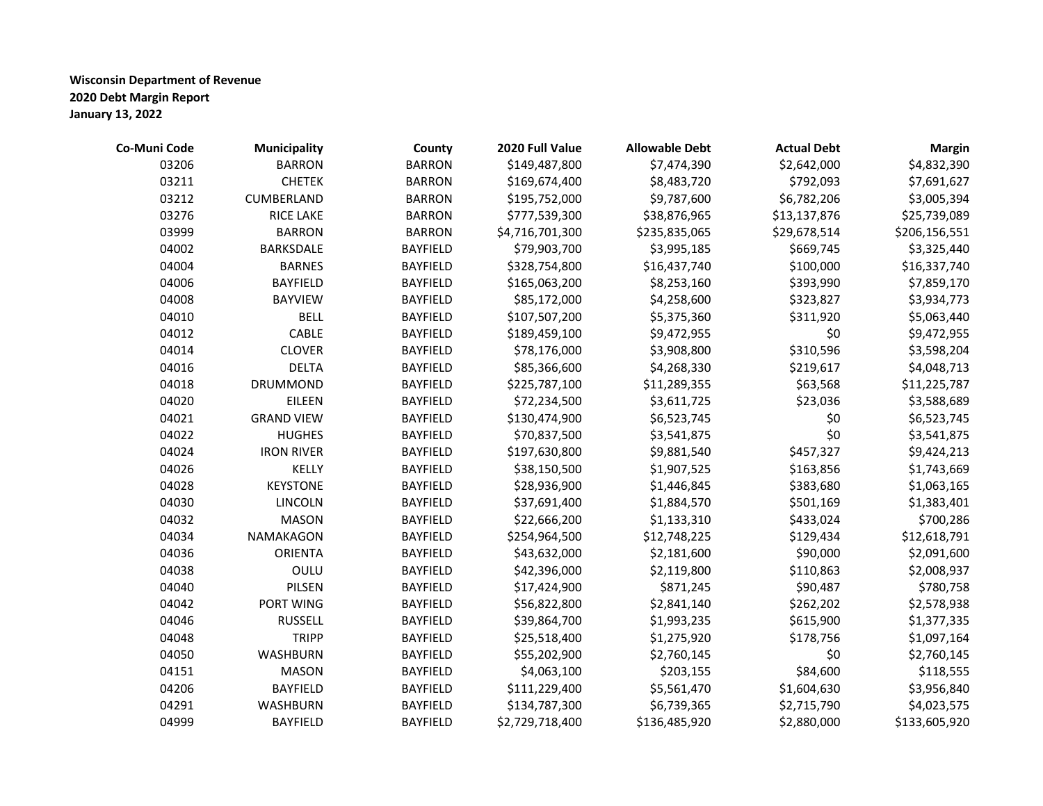| Co-Muni Code | <b>Municipality</b> | County          | 2020 Full Value | <b>Allowable Debt</b> | <b>Actual Debt</b> | <b>Margin</b> |
|--------------|---------------------|-----------------|-----------------|-----------------------|--------------------|---------------|
| 03206        | <b>BARRON</b>       | <b>BARRON</b>   | \$149,487,800   | \$7,474,390           | \$2,642,000        | \$4,832,390   |
| 03211        | <b>CHETEK</b>       | <b>BARRON</b>   | \$169,674,400   | \$8,483,720           | \$792,093          | \$7,691,627   |
| 03212        | CUMBERLAND          | <b>BARRON</b>   | \$195,752,000   | \$9,787,600           | \$6,782,206        | \$3,005,394   |
| 03276        | RICE LAKE           | <b>BARRON</b>   | \$777,539,300   | \$38,876,965          | \$13,137,876       | \$25,739,089  |
| 03999        | <b>BARRON</b>       | <b>BARRON</b>   | \$4,716,701,300 | \$235,835,065         | \$29,678,514       | \$206,156,551 |
| 04002        | BARKSDALE           | BAYFIELD        | \$79,903,700    | \$3,995,185           | \$669,745          | \$3,325,440   |
| 04004        | <b>BARNES</b>       | <b>BAYFIELD</b> | \$328,754,800   | \$16,437,740          | \$100,000          | \$16,337,740  |
| 04006        | <b>BAYFIELD</b>     | <b>BAYFIELD</b> | \$165,063,200   | \$8,253,160           | \$393,990          | \$7,859,170   |
| 04008        | <b>BAYVIEW</b>      | <b>BAYFIELD</b> | \$85,172,000    | \$4,258,600           | \$323,827          | \$3,934,773   |
| 04010        | <b>BELL</b>         | <b>BAYFIELD</b> | \$107,507,200   | \$5,375,360           | \$311,920          | \$5,063,440   |
| 04012        | CABLE               | <b>BAYFIELD</b> | \$189,459,100   | \$9,472,955           | \$0                | \$9,472,955   |
| 04014        | <b>CLOVER</b>       | <b>BAYFIELD</b> | \$78,176,000    | \$3,908,800           | \$310,596          | \$3,598,204   |
| 04016        | <b>DELTA</b>        | <b>BAYFIELD</b> | \$85,366,600    | \$4,268,330           | \$219,617          | \$4,048,713   |
| 04018        | DRUMMOND            | <b>BAYFIELD</b> | \$225,787,100   | \$11,289,355          | \$63,568           | \$11,225,787  |
| 04020        | EILEEN              | <b>BAYFIELD</b> | \$72,234,500    | \$3,611,725           | \$23,036           | \$3,588,689   |
| 04021        | <b>GRAND VIEW</b>   | <b>BAYFIELD</b> | \$130,474,900   | \$6,523,745           | \$0                | \$6,523,745   |
| 04022        | <b>HUGHES</b>       | <b>BAYFIELD</b> | \$70,837,500    | \$3,541,875           | \$0                | \$3,541,875   |
| 04024        | <b>IRON RIVER</b>   | <b>BAYFIELD</b> | \$197,630,800   | \$9,881,540           | \$457,327          | \$9,424,213   |
| 04026        | KELLY               | <b>BAYFIELD</b> | \$38,150,500    | \$1,907,525           | \$163,856          | \$1,743,669   |
| 04028        | <b>KEYSTONE</b>     | <b>BAYFIELD</b> | \$28,936,900    | \$1,446,845           | \$383,680          | \$1,063,165   |
| 04030        | LINCOLN             | <b>BAYFIELD</b> | \$37,691,400    | \$1,884,570           | \$501,169          | \$1,383,401   |
| 04032        | <b>MASON</b>        | BAYFIELD        | \$22,666,200    | \$1,133,310           | \$433,024          | \$700,286     |
| 04034        | NAMAKAGON           | <b>BAYFIELD</b> | \$254,964,500   | \$12,748,225          | \$129,434          | \$12,618,791  |
| 04036        | <b>ORIENTA</b>      | <b>BAYFIELD</b> | \$43,632,000    | \$2,181,600           | \$90,000           | \$2,091,600   |
| 04038        | OULU                | <b>BAYFIELD</b> | \$42,396,000    | \$2,119,800           | \$110,863          | \$2,008,937   |
| 04040        | PILSEN              | <b>BAYFIELD</b> | \$17,424,900    | \$871,245             | \$90,487           | \$780,758     |
| 04042        | PORT WING           | <b>BAYFIELD</b> | \$56,822,800    | \$2,841,140           | \$262,202          | \$2,578,938   |
| 04046        | <b>RUSSELL</b>      | BAYFIELD        | \$39,864,700    | \$1,993,235           | \$615,900          | \$1,377,335   |
| 04048        | <b>TRIPP</b>        | <b>BAYFIELD</b> | \$25,518,400    | \$1,275,920           | \$178,756          | \$1,097,164   |
| 04050        | <b>WASHBURN</b>     | <b>BAYFIELD</b> | \$55,202,900    | \$2,760,145           | \$0                | \$2,760,145   |
| 04151        | <b>MASON</b>        | <b>BAYFIELD</b> | \$4,063,100     | \$203,155             | \$84,600           | \$118,555     |
| 04206        | <b>BAYFIELD</b>     | <b>BAYFIELD</b> | \$111,229,400   | \$5,561,470           | \$1,604,630        | \$3,956,840   |
| 04291        | WASHBURN            | <b>BAYFIELD</b> | \$134,787,300   | \$6,739,365           | \$2,715,790        | \$4,023,575   |
| 04999        | <b>BAYFIELD</b>     | <b>BAYFIELD</b> | \$2,729,718,400 | \$136,485,920         | \$2,880,000        | \$133,605,920 |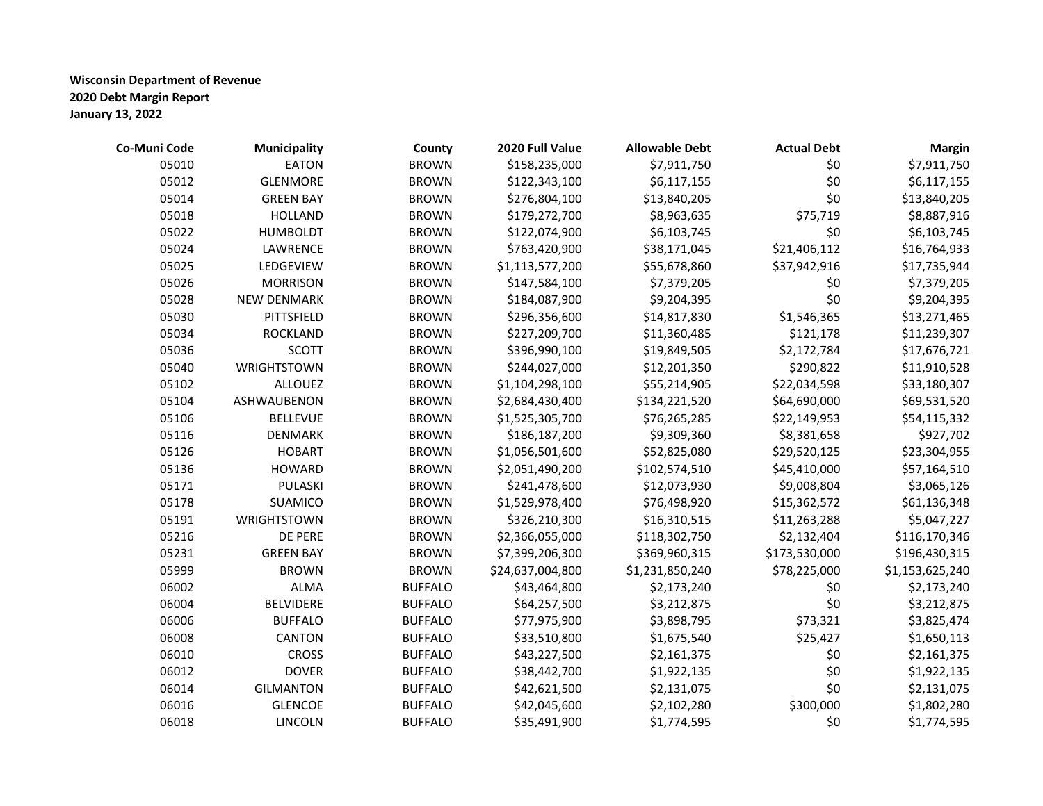| Co-Muni Code | <b>Municipality</b> | County         | 2020 Full Value  | <b>Allowable Debt</b> | <b>Actual Debt</b> | <b>Margin</b>   |
|--------------|---------------------|----------------|------------------|-----------------------|--------------------|-----------------|
| 05010        | <b>EATON</b>        | <b>BROWN</b>   | \$158,235,000    | \$7,911,750           | \$0                | \$7,911,750     |
| 05012        | <b>GLENMORE</b>     | <b>BROWN</b>   | \$122,343,100    | \$6,117,155           | \$0                | \$6,117,155     |
| 05014        | <b>GREEN BAY</b>    | <b>BROWN</b>   | \$276,804,100    | \$13,840,205          | \$0                | \$13,840,205    |
| 05018        | <b>HOLLAND</b>      | <b>BROWN</b>   | \$179,272,700    | \$8,963,635           | \$75,719           | \$8,887,916     |
| 05022        | <b>HUMBOLDT</b>     | <b>BROWN</b>   | \$122,074,900    | \$6,103,745           | \$0                | \$6,103,745     |
| 05024        | LAWRENCE            | <b>BROWN</b>   | \$763,420,900    | \$38,171,045          | \$21,406,112       | \$16,764,933    |
| 05025        | LEDGEVIEW           | <b>BROWN</b>   | \$1,113,577,200  | \$55,678,860          | \$37,942,916       | \$17,735,944    |
| 05026        | <b>MORRISON</b>     | <b>BROWN</b>   | \$147,584,100    | \$7,379,205           | \$0                | \$7,379,205     |
| 05028        | NEW DENMARK         | <b>BROWN</b>   | \$184,087,900    | \$9,204,395           | \$0                | \$9,204,395     |
| 05030        | <b>PITTSFIELD</b>   | <b>BROWN</b>   | \$296,356,600    | \$14,817,830          | \$1,546,365        | \$13,271,465    |
| 05034        | <b>ROCKLAND</b>     | <b>BROWN</b>   | \$227,209,700    | \$11,360,485          | \$121,178          | \$11,239,307    |
| 05036        | <b>SCOTT</b>        | <b>BROWN</b>   | \$396,990,100    | \$19,849,505          | \$2,172,784        | \$17,676,721    |
| 05040        | WRIGHTSTOWN         | <b>BROWN</b>   | \$244,027,000    | \$12,201,350          | \$290,822          | \$11,910,528    |
| 05102        | <b>ALLOUEZ</b>      | <b>BROWN</b>   | \$1,104,298,100  | \$55,214,905          | \$22,034,598       | \$33,180,307    |
| 05104        | ASHWAUBENON         | <b>BROWN</b>   | \$2,684,430,400  | \$134,221,520         | \$64,690,000       | \$69,531,520    |
| 05106        | <b>BELLEVUE</b>     | <b>BROWN</b>   | \$1,525,305,700  | \$76,265,285          | \$22,149,953       | \$54,115,332    |
| 05116        | <b>DENMARK</b>      | <b>BROWN</b>   | \$186,187,200    | \$9,309,360           | \$8,381,658        | \$927,702       |
| 05126        | <b>HOBART</b>       | <b>BROWN</b>   | \$1,056,501,600  | \$52,825,080          | \$29,520,125       | \$23,304,955    |
| 05136        | <b>HOWARD</b>       | <b>BROWN</b>   | \$2,051,490,200  | \$102,574,510         | \$45,410,000       | \$57,164,510    |
| 05171        | PULASKI             | <b>BROWN</b>   | \$241,478,600    | \$12,073,930          | \$9,008,804        | \$3,065,126     |
| 05178        | <b>SUAMICO</b>      | <b>BROWN</b>   | \$1,529,978,400  | \$76,498,920          | \$15,362,572       | \$61,136,348    |
| 05191        | <b>WRIGHTSTOWN</b>  | <b>BROWN</b>   | \$326,210,300    | \$16,310,515          | \$11,263,288       | \$5,047,227     |
| 05216        | DE PERE             | <b>BROWN</b>   | \$2,366,055,000  | \$118,302,750         | \$2,132,404        | \$116,170,346   |
| 05231        | <b>GREEN BAY</b>    | <b>BROWN</b>   | \$7,399,206,300  | \$369,960,315         | \$173,530,000      | \$196,430,315   |
| 05999        | <b>BROWN</b>        | <b>BROWN</b>   | \$24,637,004,800 | \$1,231,850,240       | \$78,225,000       | \$1,153,625,240 |
| 06002        | <b>ALMA</b>         | <b>BUFFALO</b> | \$43,464,800     | \$2,173,240           | \$0                | \$2,173,240     |
| 06004        | <b>BELVIDERE</b>    | <b>BUFFALO</b> | \$64,257,500     | \$3,212,875           | \$0                | \$3,212,875     |
| 06006        | <b>BUFFALO</b>      | <b>BUFFALO</b> | \$77,975,900     | \$3,898,795           | \$73,321           | \$3,825,474     |
| 06008        | CANTON              | <b>BUFFALO</b> | \$33,510,800     | \$1,675,540           | \$25,427           | \$1,650,113     |
| 06010        | <b>CROSS</b>        | <b>BUFFALO</b> | \$43,227,500     | \$2,161,375           | \$0                | \$2,161,375     |
| 06012        | <b>DOVER</b>        | <b>BUFFALO</b> | \$38,442,700     | \$1,922,135           | \$0                | \$1,922,135     |
| 06014        | <b>GILMANTON</b>    | <b>BUFFALO</b> | \$42,621,500     | \$2,131,075           | \$0                | \$2,131,075     |
| 06016        | <b>GLENCOE</b>      | <b>BUFFALO</b> | \$42,045,600     | \$2,102,280           | \$300,000          | \$1,802,280     |
| 06018        | <b>LINCOLN</b>      | <b>BUFFALO</b> | \$35,491,900     | \$1,774,595           | \$0                | \$1,774,595     |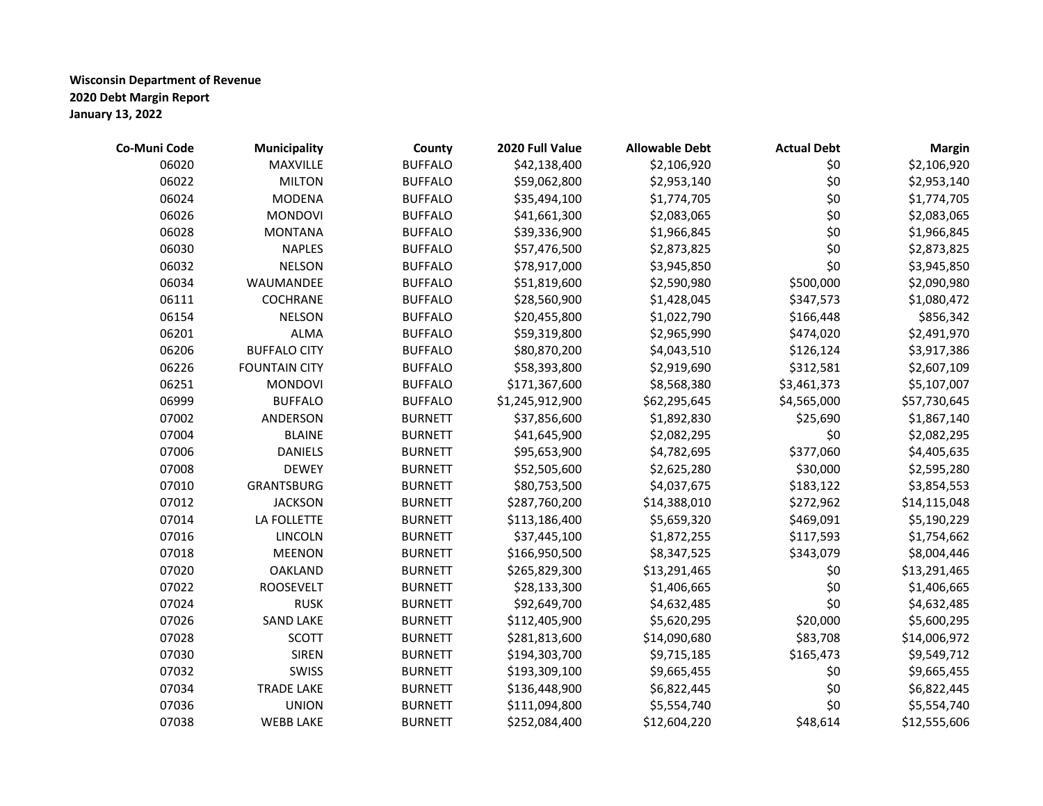| Co-Muni Code | <b>Municipality</b>  | County         | 2020 Full Value | <b>Allowable Debt</b> | <b>Actual Debt</b> | <b>Margin</b> |
|--------------|----------------------|----------------|-----------------|-----------------------|--------------------|---------------|
| 06020        | MAXVILLE             | <b>BUFFALO</b> | \$42,138,400    | \$2,106,920           | \$0                | \$2,106,920   |
| 06022        | <b>MILTON</b>        | <b>BUFFALO</b> | \$59,062,800    | \$2,953,140           | \$0                | \$2,953,140   |
| 06024        | <b>MODENA</b>        | <b>BUFFALO</b> | \$35,494,100    | \$1,774,705           | \$0                | \$1,774,705   |
| 06026        | <b>MONDOVI</b>       | <b>BUFFALO</b> | \$41,661,300    | \$2,083,065           | \$0                | \$2,083,065   |
| 06028        | <b>MONTANA</b>       | <b>BUFFALO</b> | \$39,336,900    | \$1,966,845           | \$0                | \$1,966,845   |
| 06030        | <b>NAPLES</b>        | <b>BUFFALO</b> | \$57,476,500    | \$2,873,825           | \$0                | \$2,873,825   |
| 06032        | <b>NELSON</b>        | <b>BUFFALO</b> | \$78,917,000    | \$3,945,850           | \$0                | \$3,945,850   |
| 06034        | WAUMANDEE            | <b>BUFFALO</b> | \$51,819,600    | \$2,590,980           | \$500,000          | \$2,090,980   |
| 06111        | COCHRANE             | <b>BUFFALO</b> | \$28,560,900    | \$1,428,045           | \$347,573          | \$1,080,472   |
| 06154        | <b>NELSON</b>        | <b>BUFFALO</b> | \$20,455,800    | \$1,022,790           | \$166,448          | \$856,342     |
| 06201        | <b>ALMA</b>          | <b>BUFFALO</b> | \$59,319,800    | \$2,965,990           | \$474,020          | \$2,491,970   |
| 06206        | <b>BUFFALO CITY</b>  | <b>BUFFALO</b> | \$80,870,200    | \$4,043,510           | \$126,124          | \$3,917,386   |
| 06226        | <b>FOUNTAIN CITY</b> | <b>BUFFALO</b> | \$58,393,800    | \$2,919,690           | \$312,581          | \$2,607,109   |
| 06251        | <b>MONDOVI</b>       | <b>BUFFALO</b> | \$171,367,600   | \$8,568,380           | \$3,461,373        | \$5,107,007   |
| 06999        | <b>BUFFALO</b>       | <b>BUFFALO</b> | \$1,245,912,900 | \$62,295,645          | \$4,565,000        | \$57,730,645  |
| 07002        | ANDERSON             | <b>BURNETT</b> | \$37,856,600    | \$1,892,830           | \$25,690           | \$1,867,140   |
| 07004        | <b>BLAINE</b>        | <b>BURNETT</b> | \$41,645,900    | \$2,082,295           | \$0                | \$2,082,295   |
| 07006        | <b>DANIELS</b>       | <b>BURNETT</b> | \$95,653,900    | \$4,782,695           | \$377,060          | \$4,405,635   |
| 07008        | <b>DEWEY</b>         | <b>BURNETT</b> | \$52,505,600    | \$2,625,280           | \$30,000           | \$2,595,280   |
| 07010        | <b>GRANTSBURG</b>    | <b>BURNETT</b> | \$80,753,500    | \$4,037,675           | \$183,122          | \$3,854,553   |
| 07012        | <b>JACKSON</b>       | <b>BURNETT</b> | \$287,760,200   | \$14,388,010          | \$272,962          | \$14,115,048  |
| 07014        | LA FOLLETTE          | <b>BURNETT</b> | \$113,186,400   | \$5,659,320           | \$469,091          | \$5,190,229   |
| 07016        | <b>LINCOLN</b>       | <b>BURNETT</b> | \$37,445,100    | \$1,872,255           | \$117,593          | \$1,754,662   |
| 07018        | <b>MEENON</b>        | <b>BURNETT</b> | \$166,950,500   | \$8,347,525           | \$343,079          | \$8,004,446   |
| 07020        | <b>OAKLAND</b>       | <b>BURNETT</b> | \$265,829,300   | \$13,291,465          | \$0                | \$13,291,465  |
| 07022        | <b>ROOSEVELT</b>     | <b>BURNETT</b> | \$28,133,300    | \$1,406,665           | \$0                | \$1,406,665   |
| 07024        | <b>RUSK</b>          | <b>BURNETT</b> | \$92,649,700    | \$4,632,485           | \$0                | \$4,632,485   |
| 07026        | <b>SAND LAKE</b>     | <b>BURNETT</b> | \$112,405,900   | \$5,620,295           | \$20,000           | \$5,600,295   |
| 07028        | <b>SCOTT</b>         | <b>BURNETT</b> | \$281,813,600   | \$14,090,680          | \$83,708           | \$14,006,972  |
| 07030        | <b>SIREN</b>         | <b>BURNETT</b> | \$194,303,700   | \$9,715,185           | \$165,473          | \$9,549,712   |
| 07032        | SWISS                | <b>BURNETT</b> | \$193,309,100   | \$9,665,455           | \$0                | \$9,665,455   |
| 07034        | <b>TRADE LAKE</b>    | <b>BURNETT</b> | \$136,448,900   | \$6,822,445           | \$0                | \$6,822,445   |
| 07036        | <b>UNION</b>         | <b>BURNETT</b> | \$111,094,800   | \$5,554,740           | \$0                | \$5,554,740   |
| 07038        | <b>WEBB LAKE</b>     | <b>BURNETT</b> | \$252,084,400   | \$12,604,220          | \$48,614           | \$12,555,606  |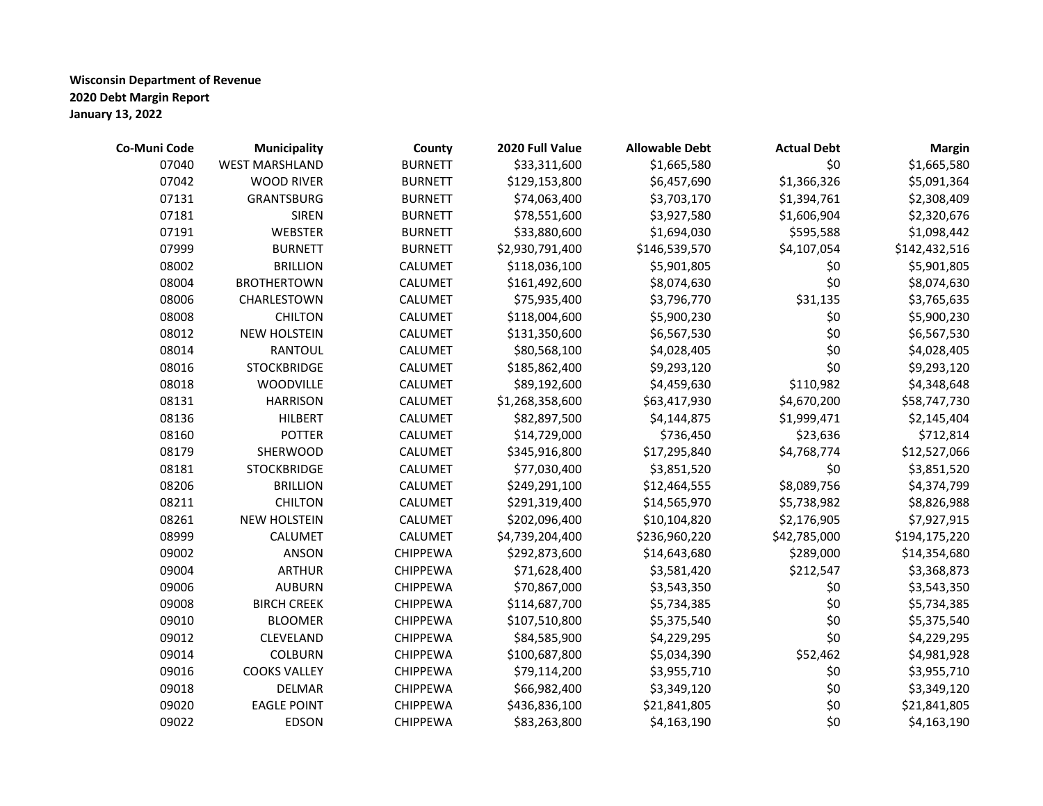| Co-Muni Code | Municipality          | County          | 2020 Full Value | <b>Allowable Debt</b> | <b>Actual Debt</b> | <b>Margin</b> |
|--------------|-----------------------|-----------------|-----------------|-----------------------|--------------------|---------------|
| 07040        | <b>WEST MARSHLAND</b> | <b>BURNETT</b>  | \$33,311,600    | \$1,665,580           | \$0                | \$1,665,580   |
| 07042        | <b>WOOD RIVER</b>     | <b>BURNETT</b>  | \$129,153,800   | \$6,457,690           | \$1,366,326        | \$5,091,364   |
| 07131        | <b>GRANTSBURG</b>     | <b>BURNETT</b>  | \$74,063,400    | \$3,703,170           | \$1,394,761        | \$2,308,409   |
| 07181        | <b>SIREN</b>          | <b>BURNETT</b>  | \$78,551,600    | \$3,927,580           | \$1,606,904        | \$2,320,676   |
| 07191        | <b>WEBSTER</b>        | <b>BURNETT</b>  | \$33,880,600    | \$1,694,030           | \$595,588          | \$1,098,442   |
| 07999        | <b>BURNETT</b>        | <b>BURNETT</b>  | \$2,930,791,400 | \$146,539,570         | \$4,107,054        | \$142,432,516 |
| 08002        | <b>BRILLION</b>       | CALUMET         | \$118,036,100   | \$5,901,805           | \$0                | \$5,901,805   |
| 08004        | <b>BROTHERTOWN</b>    | CALUMET         | \$161,492,600   | \$8,074,630           | \$0                | \$8,074,630   |
| 08006        | CHARLESTOWN           | CALUMET         | \$75,935,400    | \$3,796,770           | \$31,135           | \$3,765,635   |
| 08008        | <b>CHILTON</b>        | CALUMET         | \$118,004,600   | \$5,900,230           | \$0                | \$5,900,230   |
| 08012        | <b>NEW HOLSTEIN</b>   | CALUMET         | \$131,350,600   | \$6,567,530           | \$0                | \$6,567,530   |
| 08014        | <b>RANTOUL</b>        | <b>CALUMET</b>  | \$80,568,100    | \$4,028,405           | \$0                | \$4,028,405   |
| 08016        | <b>STOCKBRIDGE</b>    | <b>CALUMET</b>  | \$185,862,400   | \$9,293,120           | \$0                | \$9,293,120   |
| 08018        | <b>WOODVILLE</b>      | <b>CALUMET</b>  | \$89,192,600    | \$4,459,630           | \$110,982          | \$4,348,648   |
| 08131        | <b>HARRISON</b>       | <b>CALUMET</b>  | \$1,268,358,600 | \$63,417,930          | \$4,670,200        | \$58,747,730  |
| 08136        | <b>HILBERT</b>        | CALUMET         | \$82,897,500    | \$4,144,875           | \$1,999,471        | \$2,145,404   |
| 08160        | <b>POTTER</b>         | CALUMET         | \$14,729,000    | \$736,450             | \$23,636           | \$712,814     |
| 08179        | SHERWOOD              | CALUMET         | \$345,916,800   | \$17,295,840          | \$4,768,774        | \$12,527,066  |
| 08181        | <b>STOCKBRIDGE</b>    | <b>CALUMET</b>  | \$77,030,400    | \$3,851,520           | \$0                | \$3,851,520   |
| 08206        | <b>BRILLION</b>       | <b>CALUMET</b>  | \$249,291,100   | \$12,464,555          | \$8,089,756        | \$4,374,799   |
| 08211        | <b>CHILTON</b>        | <b>CALUMET</b>  | \$291,319,400   | \$14,565,970          | \$5,738,982        | \$8,826,988   |
| 08261        | <b>NEW HOLSTEIN</b>   | <b>CALUMET</b>  | \$202,096,400   | \$10,104,820          | \$2,176,905        | \$7,927,915   |
| 08999        | <b>CALUMET</b>        | <b>CALUMET</b>  | \$4,739,204,400 | \$236,960,220         | \$42,785,000       | \$194,175,220 |
| 09002        | <b>ANSON</b>          | <b>CHIPPEWA</b> | \$292,873,600   | \$14,643,680          | \$289,000          | \$14,354,680  |
| 09004        | <b>ARTHUR</b>         | <b>CHIPPEWA</b> | \$71,628,400    | \$3,581,420           | \$212,547          | \$3,368,873   |
| 09006        | <b>AUBURN</b>         | <b>CHIPPEWA</b> | \$70,867,000    | \$3,543,350           | \$0                | \$3,543,350   |
| 09008        | <b>BIRCH CREEK</b>    | <b>CHIPPEWA</b> | \$114,687,700   | \$5,734,385           | \$0                | \$5,734,385   |
| 09010        | <b>BLOOMER</b>        | <b>CHIPPEWA</b> | \$107,510,800   | \$5,375,540           | \$0                | \$5,375,540   |
| 09012        | CLEVELAND             | <b>CHIPPEWA</b> | \$84,585,900    | \$4,229,295           | \$0                | \$4,229,295   |
| 09014        | <b>COLBURN</b>        | <b>CHIPPEWA</b> | \$100,687,800   | \$5,034,390           | \$52,462           | \$4,981,928   |
| 09016        | <b>COOKS VALLEY</b>   | <b>CHIPPEWA</b> | \$79,114,200    | \$3,955,710           | \$0                | \$3,955,710   |
| 09018        | <b>DELMAR</b>         | <b>CHIPPEWA</b> | \$66,982,400    | \$3,349,120           | \$0                | \$3,349,120   |
| 09020        | <b>EAGLE POINT</b>    | <b>CHIPPEWA</b> | \$436,836,100   | \$21,841,805          | \$0                | \$21,841,805  |
| 09022        | <b>EDSON</b>          | <b>CHIPPEWA</b> | \$83,263,800    | \$4,163,190           | \$0                | \$4,163,190   |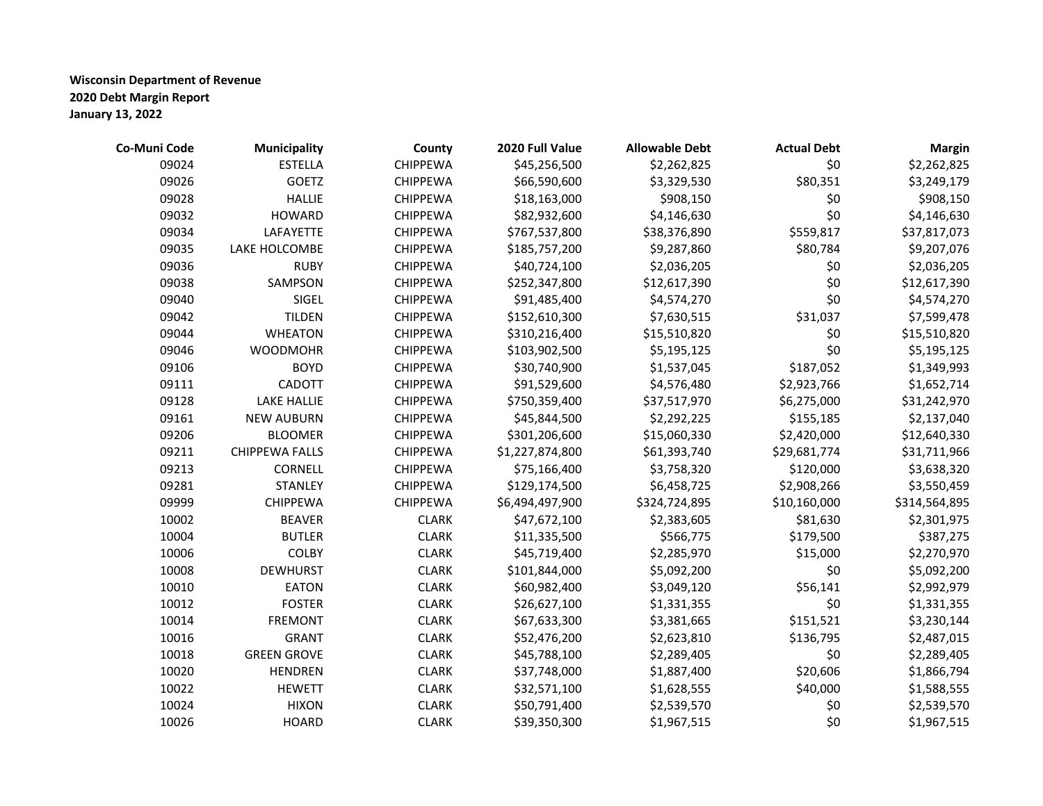| Co-Muni Code | <b>Municipality</b>   | County          | 2020 Full Value | <b>Allowable Debt</b> | <b>Actual Debt</b> | <b>Margin</b> |
|--------------|-----------------------|-----------------|-----------------|-----------------------|--------------------|---------------|
| 09024        | <b>ESTELLA</b>        | <b>CHIPPEWA</b> | \$45,256,500    | \$2,262,825           | \$0                | \$2,262,825   |
| 09026        | GOETZ                 | <b>CHIPPEWA</b> | \$66,590,600    | \$3,329,530           | \$80,351           | \$3,249,179   |
| 09028        | <b>HALLIE</b>         | <b>CHIPPEWA</b> | \$18,163,000    | \$908,150             | \$0                | \$908,150     |
| 09032        | <b>HOWARD</b>         | <b>CHIPPEWA</b> | \$82,932,600    | \$4,146,630           | \$0                | \$4,146,630   |
| 09034        | LAFAYETTE             | <b>CHIPPEWA</b> | \$767,537,800   | \$38,376,890          | \$559,817          | \$37,817,073  |
| 09035        | LAKE HOLCOMBE         | <b>CHIPPEWA</b> | \$185,757,200   | \$9,287,860           | \$80,784           | \$9,207,076   |
| 09036        | <b>RUBY</b>           | <b>CHIPPEWA</b> | \$40,724,100    | \$2,036,205           | \$0                | \$2,036,205   |
| 09038        | SAMPSON               | CHIPPEWA        | \$252,347,800   | \$12,617,390          | \$0                | \$12,617,390  |
| 09040        | SIGEL                 | <b>CHIPPEWA</b> | \$91,485,400    | \$4,574,270           | \$0                | \$4,574,270   |
| 09042        | <b>TILDEN</b>         | <b>CHIPPEWA</b> | \$152,610,300   | \$7,630,515           | \$31,037           | \$7,599,478   |
| 09044        | <b>WHEATON</b>        | <b>CHIPPEWA</b> | \$310,216,400   | \$15,510,820          | \$0                | \$15,510,820  |
| 09046        | <b>WOODMOHR</b>       | <b>CHIPPEWA</b> | \$103,902,500   | \$5,195,125           | \$0                | \$5,195,125   |
| 09106        | <b>BOYD</b>           | <b>CHIPPEWA</b> | \$30,740,900    | \$1,537,045           | \$187,052          | \$1,349,993   |
| 09111        | CADOTT                | <b>CHIPPEWA</b> | \$91,529,600    | \$4,576,480           | \$2,923,766        | \$1,652,714   |
| 09128        | <b>LAKE HALLIE</b>    | <b>CHIPPEWA</b> | \$750,359,400   | \$37,517,970          | \$6,275,000        | \$31,242,970  |
| 09161        | <b>NEW AUBURN</b>     | <b>CHIPPEWA</b> | \$45,844,500    | \$2,292,225           | \$155,185          | \$2,137,040   |
| 09206        | <b>BLOOMER</b>        | <b>CHIPPEWA</b> | \$301,206,600   | \$15,060,330          | \$2,420,000        | \$12,640,330  |
| 09211        | <b>CHIPPEWA FALLS</b> | <b>CHIPPEWA</b> | \$1,227,874,800 | \$61,393,740          | \$29,681,774       | \$31,711,966  |
| 09213        | CORNELL               | <b>CHIPPEWA</b> | \$75,166,400    | \$3,758,320           | \$120,000          | \$3,638,320   |
| 09281        | <b>STANLEY</b>        | <b>CHIPPEWA</b> | \$129,174,500   | \$6,458,725           | \$2,908,266        | \$3,550,459   |
| 09999        | <b>CHIPPEWA</b>       | <b>CHIPPEWA</b> | \$6,494,497,900 | \$324,724,895         | \$10,160,000       | \$314,564,895 |
| 10002        | <b>BEAVER</b>         | <b>CLARK</b>    | \$47,672,100    | \$2,383,605           | \$81,630           | \$2,301,975   |
| 10004        | <b>BUTLER</b>         | <b>CLARK</b>    | \$11,335,500    | \$566,775             | \$179,500          | \$387,275     |
| 10006        | <b>COLBY</b>          | <b>CLARK</b>    | \$45,719,400    | \$2,285,970           | \$15,000           | \$2,270,970   |
| 10008        | <b>DEWHURST</b>       | <b>CLARK</b>    | \$101,844,000   | \$5,092,200           | \$0                | \$5,092,200   |
| 10010        | <b>EATON</b>          | <b>CLARK</b>    | \$60,982,400    | \$3,049,120           | \$56,141           | \$2,992,979   |
| 10012        | <b>FOSTER</b>         | <b>CLARK</b>    | \$26,627,100    | \$1,331,355           | \$0                | \$1,331,355   |
| 10014        | <b>FREMONT</b>        | <b>CLARK</b>    | \$67,633,300    | \$3,381,665           | \$151,521          | \$3,230,144   |
| 10016        | <b>GRANT</b>          | <b>CLARK</b>    | \$52,476,200    | \$2,623,810           | \$136,795          | \$2,487,015   |
| 10018        | <b>GREEN GROVE</b>    | <b>CLARK</b>    | \$45,788,100    | \$2,289,405           | \$0                | \$2,289,405   |
| 10020        | <b>HENDREN</b>        | <b>CLARK</b>    | \$37,748,000    | \$1,887,400           | \$20,606           | \$1,866,794   |
| 10022        | <b>HEWETT</b>         | <b>CLARK</b>    | \$32,571,100    | \$1,628,555           | \$40,000           | \$1,588,555   |
| 10024        | <b>HIXON</b>          | <b>CLARK</b>    | \$50,791,400    | \$2,539,570           | \$0                | \$2,539,570   |
| 10026        | <b>HOARD</b>          | <b>CLARK</b>    | \$39,350,300    | \$1,967,515           | \$0                | \$1,967,515   |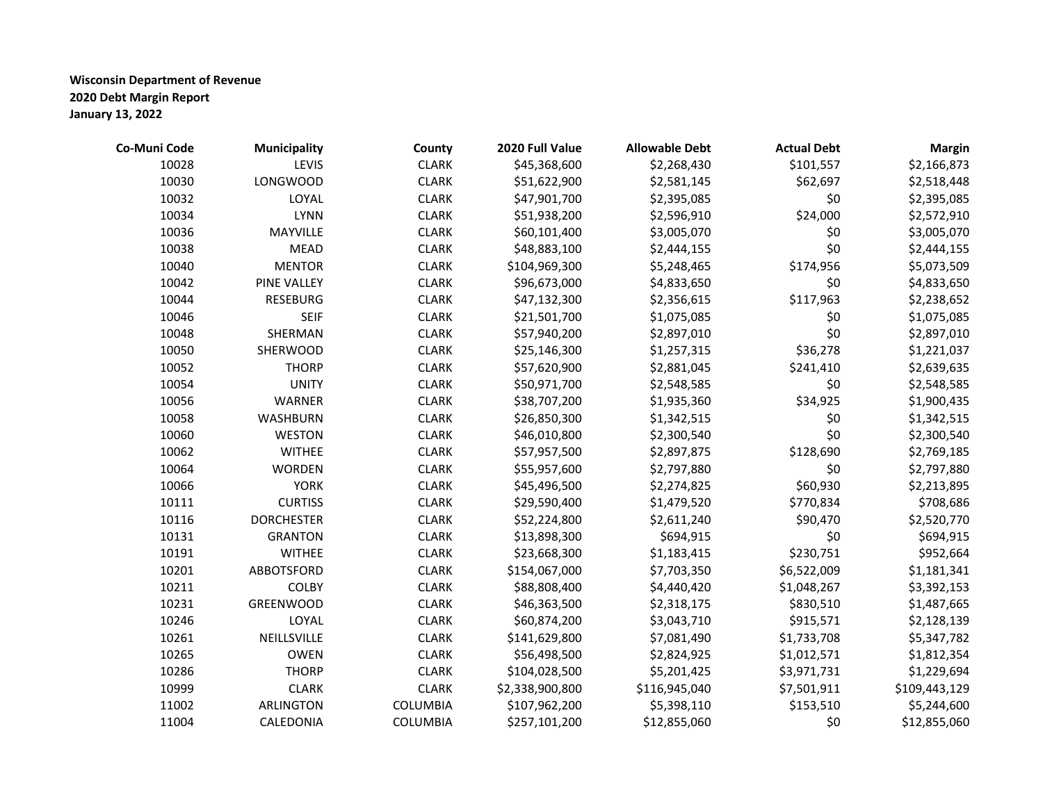| Co-Muni Code | Municipality       | County          | 2020 Full Value | <b>Allowable Debt</b> | <b>Actual Debt</b> | <b>Margin</b> |
|--------------|--------------------|-----------------|-----------------|-----------------------|--------------------|---------------|
| 10028        | LEVIS              | <b>CLARK</b>    | \$45,368,600    | \$2,268,430           | \$101,557          | \$2,166,873   |
| 10030        | <b>LONGWOOD</b>    | <b>CLARK</b>    | \$51,622,900    | \$2,581,145           | \$62,697           | \$2,518,448   |
| 10032        | LOYAL              | <b>CLARK</b>    | \$47,901,700    | \$2,395,085           | \$0                | \$2,395,085   |
| 10034        | <b>LYNN</b>        | <b>CLARK</b>    | \$51,938,200    | \$2,596,910           | \$24,000           | \$2,572,910   |
| 10036        | MAYVILLE           | <b>CLARK</b>    | \$60,101,400    | \$3,005,070           | \$0                | \$3,005,070   |
| 10038        | <b>MEAD</b>        | <b>CLARK</b>    | \$48,883,100    | \$2,444,155           | \$0                | \$2,444,155   |
| 10040        | <b>MENTOR</b>      | <b>CLARK</b>    | \$104,969,300   | \$5,248,465           | \$174,956          | \$5,073,509   |
| 10042        | <b>PINE VALLEY</b> | <b>CLARK</b>    | \$96,673,000    | \$4,833,650           | \$0                | \$4,833,650   |
| 10044        | <b>RESEBURG</b>    | <b>CLARK</b>    | \$47,132,300    | \$2,356,615           | \$117,963          | \$2,238,652   |
| 10046        | <b>SEIF</b>        | <b>CLARK</b>    | \$21,501,700    | \$1,075,085           | \$0                | \$1,075,085   |
| 10048        | SHERMAN            | <b>CLARK</b>    | \$57,940,200    | \$2,897,010           | \$0                | \$2,897,010   |
| 10050        | SHERWOOD           | <b>CLARK</b>    | \$25,146,300    | \$1,257,315           | \$36,278           | \$1,221,037   |
| 10052        | <b>THORP</b>       | <b>CLARK</b>    | \$57,620,900    | \$2,881,045           | \$241,410          | \$2,639,635   |
| 10054        | <b>UNITY</b>       | <b>CLARK</b>    | \$50,971,700    | \$2,548,585           | \$0                | \$2,548,585   |
| 10056        | <b>WARNER</b>      | <b>CLARK</b>    | \$38,707,200    | \$1,935,360           | \$34,925           | \$1,900,435   |
| 10058        | <b>WASHBURN</b>    | <b>CLARK</b>    | \$26,850,300    | \$1,342,515           | \$0                | \$1,342,515   |
| 10060        | <b>WESTON</b>      | <b>CLARK</b>    | \$46,010,800    | \$2,300,540           | \$0                | \$2,300,540   |
| 10062        | <b>WITHEE</b>      | <b>CLARK</b>    | \$57,957,500    | \$2,897,875           | \$128,690          | \$2,769,185   |
| 10064        | <b>WORDEN</b>      | <b>CLARK</b>    | \$55,957,600    | \$2,797,880           | \$0                | \$2,797,880   |
| 10066        | <b>YORK</b>        | <b>CLARK</b>    | \$45,496,500    | \$2,274,825           | \$60,930           | \$2,213,895   |
| 10111        | <b>CURTISS</b>     | <b>CLARK</b>    | \$29,590,400    | \$1,479,520           | \$770,834          | \$708,686     |
| 10116        | <b>DORCHESTER</b>  | <b>CLARK</b>    | \$52,224,800    | \$2,611,240           | \$90,470           | \$2,520,770   |
| 10131        | <b>GRANTON</b>     | <b>CLARK</b>    | \$13,898,300    | \$694,915             | \$0                | \$694,915     |
| 10191        | <b>WITHEE</b>      | <b>CLARK</b>    | \$23,668,300    | \$1,183,415           | \$230,751          | \$952,664     |
| 10201        | ABBOTSFORD         | <b>CLARK</b>    | \$154,067,000   | \$7,703,350           | \$6,522,009        | \$1,181,341   |
| 10211        | <b>COLBY</b>       | <b>CLARK</b>    | \$88,808,400    | \$4,440,420           | \$1,048,267        | \$3,392,153   |
| 10231        | <b>GREENWOOD</b>   | <b>CLARK</b>    | \$46,363,500    | \$2,318,175           | \$830,510          | \$1,487,665   |
| 10246        | LOYAL              | <b>CLARK</b>    | \$60,874,200    | \$3,043,710           | \$915,571          | \$2,128,139   |
| 10261        | NEILLSVILLE        | <b>CLARK</b>    | \$141,629,800   | \$7,081,490           | \$1,733,708        | \$5,347,782   |
| 10265        | <b>OWEN</b>        | <b>CLARK</b>    | \$56,498,500    | \$2,824,925           | \$1,012,571        | \$1,812,354   |
| 10286        | <b>THORP</b>       | <b>CLARK</b>    | \$104,028,500   | \$5,201,425           | \$3,971,731        | \$1,229,694   |
| 10999        | <b>CLARK</b>       | <b>CLARK</b>    | \$2,338,900,800 | \$116,945,040         | \$7,501,911        | \$109,443,129 |
| 11002        | <b>ARLINGTON</b>   | <b>COLUMBIA</b> | \$107,962,200   | \$5,398,110           | \$153,510          | \$5,244,600   |
| 11004        | CALEDONIA          | <b>COLUMBIA</b> | \$257,101,200   | \$12,855,060          | \$0                | \$12,855,060  |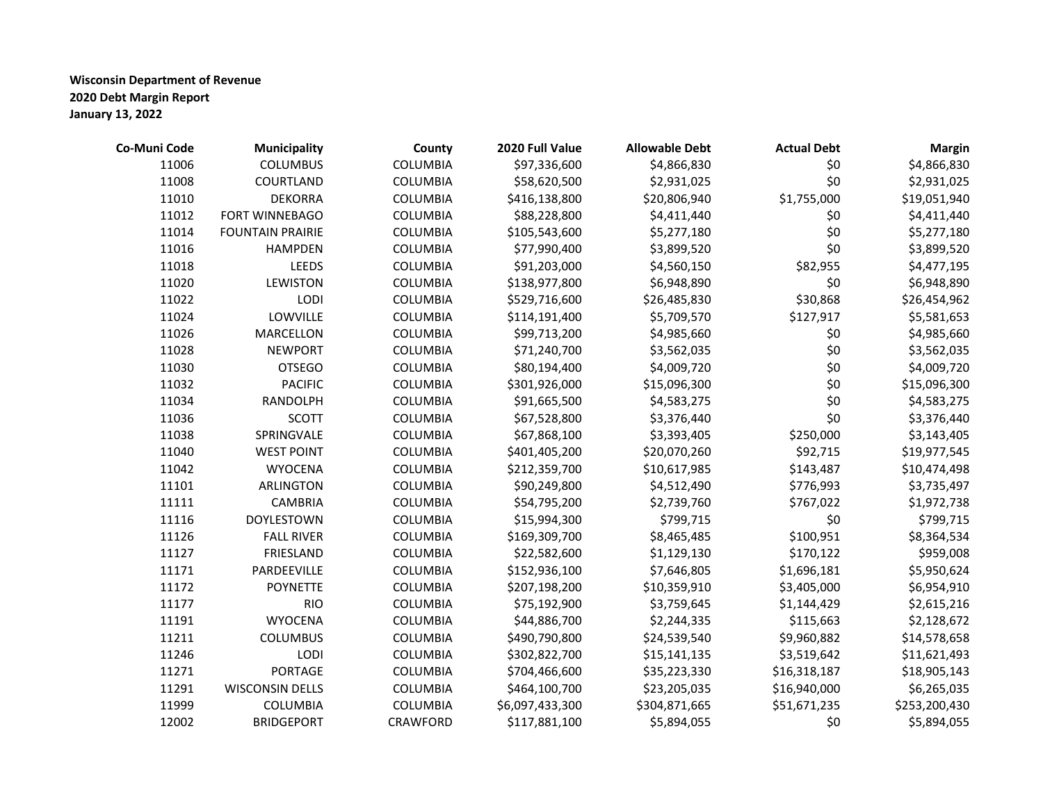| Co-Muni Code | <b>Municipality</b>     | County          | 2020 Full Value | <b>Allowable Debt</b> | <b>Actual Debt</b> | <b>Margin</b> |
|--------------|-------------------------|-----------------|-----------------|-----------------------|--------------------|---------------|
| 11006        | <b>COLUMBUS</b>         | <b>COLUMBIA</b> | \$97,336,600    | \$4,866,830           | \$0                | \$4,866,830   |
| 11008        | COURTLAND               | <b>COLUMBIA</b> | \$58,620,500    | \$2,931,025           | \$0                | \$2,931,025   |
| 11010        | <b>DEKORRA</b>          | <b>COLUMBIA</b> | \$416,138,800   | \$20,806,940          | \$1,755,000        | \$19,051,940  |
| 11012        | FORT WINNEBAGO          | <b>COLUMBIA</b> | \$88,228,800    | \$4,411,440           | \$0                | \$4,411,440   |
| 11014        | <b>FOUNTAIN PRAIRIE</b> | <b>COLUMBIA</b> | \$105,543,600   | \$5,277,180           | \$0                | \$5,277,180   |
| 11016        | <b>HAMPDEN</b>          | <b>COLUMBIA</b> | \$77,990,400    | \$3,899,520           | \$0                | \$3,899,520   |
| 11018        | <b>LEEDS</b>            | <b>COLUMBIA</b> | \$91,203,000    | \$4,560,150           | \$82,955           | \$4,477,195   |
| 11020        | <b>LEWISTON</b>         | <b>COLUMBIA</b> | \$138,977,800   | \$6,948,890           | \$0                | \$6,948,890   |
| 11022        | LODI                    | COLUMBIA        | \$529,716,600   | \$26,485,830          | \$30,868           | \$26,454,962  |
| 11024        | LOWVILLE                | <b>COLUMBIA</b> | \$114,191,400   | \$5,709,570           | \$127,917          | \$5,581,653   |
| 11026        | <b>MARCELLON</b>        | <b>COLUMBIA</b> | \$99,713,200    | \$4,985,660           | \$0                | \$4,985,660   |
| 11028        | <b>NEWPORT</b>          | <b>COLUMBIA</b> | \$71,240,700    | \$3,562,035           | \$0                | \$3,562,035   |
| 11030        | <b>OTSEGO</b>           | <b>COLUMBIA</b> | \$80,194,400    | \$4,009,720           | \$0                | \$4,009,720   |
| 11032        | <b>PACIFIC</b>          | <b>COLUMBIA</b> | \$301,926,000   | \$15,096,300          | \$0                | \$15,096,300  |
| 11034        | RANDOLPH                | <b>COLUMBIA</b> | \$91,665,500    | \$4,583,275           | \$0                | \$4,583,275   |
| 11036        | <b>SCOTT</b>            | <b>COLUMBIA</b> | \$67,528,800    | \$3,376,440           | \$0                | \$3,376,440   |
| 11038        | SPRINGVALE              | <b>COLUMBIA</b> | \$67,868,100    | \$3,393,405           | \$250,000          | \$3,143,405   |
| 11040        | <b>WEST POINT</b>       | <b>COLUMBIA</b> | \$401,405,200   | \$20,070,260          | \$92,715           | \$19,977,545  |
| 11042        | <b>WYOCENA</b>          | <b>COLUMBIA</b> | \$212,359,700   | \$10,617,985          | \$143,487          | \$10,474,498  |
| 11101        | <b>ARLINGTON</b>        | <b>COLUMBIA</b> | \$90,249,800    | \$4,512,490           | \$776,993          | \$3,735,497   |
| 11111        | <b>CAMBRIA</b>          | <b>COLUMBIA</b> | \$54,795,200    | \$2,739,760           | \$767,022          | \$1,972,738   |
| 11116        | <b>DOYLESTOWN</b>       | <b>COLUMBIA</b> | \$15,994,300    | \$799,715             | \$0                | \$799,715     |
| 11126        | <b>FALL RIVER</b>       | <b>COLUMBIA</b> | \$169,309,700   | \$8,465,485           | \$100,951          | \$8,364,534   |
| 11127        | FRIESLAND               | COLUMBIA        | \$22,582,600    | \$1,129,130           | \$170,122          | \$959,008     |
| 11171        | PARDEEVILLE             | <b>COLUMBIA</b> | \$152,936,100   | \$7,646,805           | \$1,696,181        | \$5,950,624   |
| 11172        | <b>POYNETTE</b>         | <b>COLUMBIA</b> | \$207,198,200   | \$10,359,910          | \$3,405,000        | \$6,954,910   |
| 11177        | <b>RIO</b>              | <b>COLUMBIA</b> | \$75,192,900    | \$3,759,645           | \$1,144,429        | \$2,615,216   |
| 11191        | <b>WYOCENA</b>          | COLUMBIA        | \$44,886,700    | \$2,244,335           | \$115,663          | \$2,128,672   |
| 11211        | <b>COLUMBUS</b>         | COLUMBIA        | \$490,790,800   | \$24,539,540          | \$9,960,882        | \$14,578,658  |
| 11246        | LODI                    | <b>COLUMBIA</b> | \$302,822,700   | \$15,141,135          | \$3,519,642        | \$11,621,493  |
| 11271        | <b>PORTAGE</b>          | <b>COLUMBIA</b> | \$704,466,600   | \$35,223,330          | \$16,318,187       | \$18,905,143  |
| 11291        | <b>WISCONSIN DELLS</b>  | <b>COLUMBIA</b> | \$464,100,700   | \$23,205,035          | \$16,940,000       | \$6,265,035   |
| 11999        | COLUMBIA                | COLUMBIA        | \$6,097,433,300 | \$304,871,665         | \$51,671,235       | \$253,200,430 |
| 12002        | <b>BRIDGEPORT</b>       | CRAWFORD        | \$117,881,100   | \$5,894,055           | \$0                | \$5,894,055   |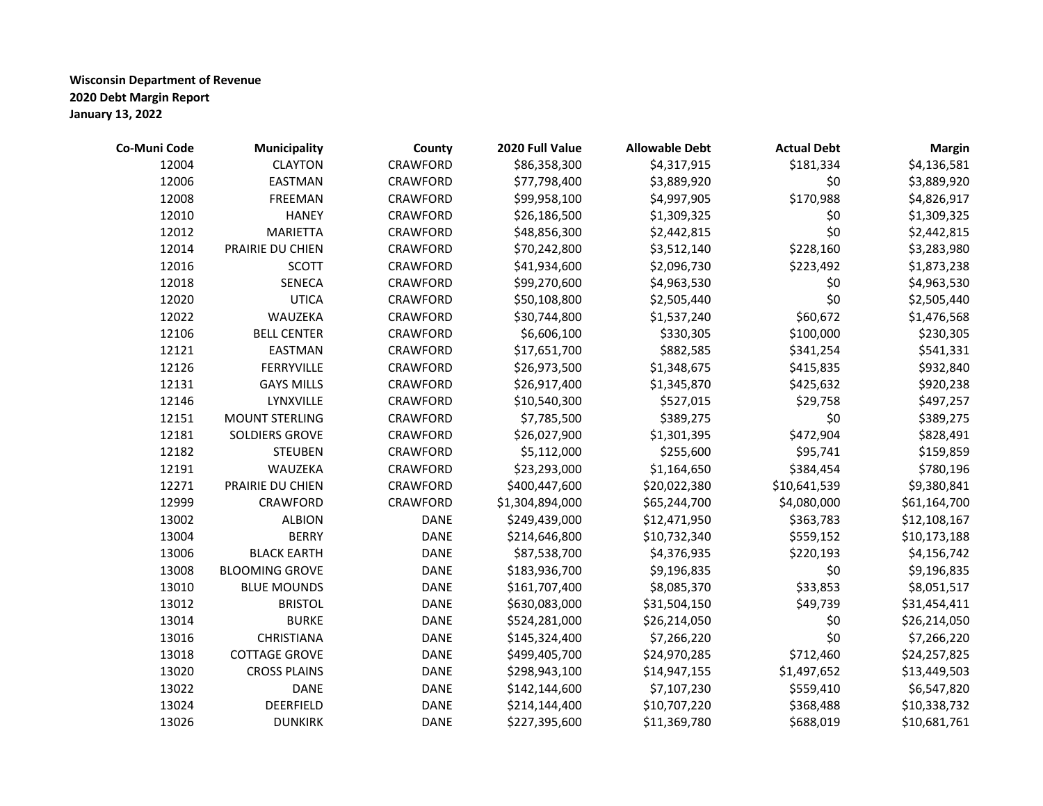| Co-Muni Code | Municipality          | County      | 2020 Full Value | <b>Allowable Debt</b> | <b>Actual Debt</b> | <b>Margin</b> |
|--------------|-----------------------|-------------|-----------------|-----------------------|--------------------|---------------|
| 12004        | <b>CLAYTON</b>        | CRAWFORD    | \$86,358,300    | \$4,317,915           | \$181,334          | \$4,136,581   |
| 12006        | <b>EASTMAN</b>        | CRAWFORD    | \$77,798,400    | \$3,889,920           | \$0                | \$3,889,920   |
| 12008        | FREEMAN               | CRAWFORD    | \$99,958,100    | \$4,997,905           | \$170,988          | \$4,826,917   |
| 12010        | <b>HANEY</b>          | CRAWFORD    | \$26,186,500    | \$1,309,325           | \$0                | \$1,309,325   |
| 12012        | <b>MARIETTA</b>       | CRAWFORD    | \$48,856,300    | \$2,442,815           | \$0                | \$2,442,815   |
| 12014        | PRAIRIE DU CHIEN      | CRAWFORD    | \$70,242,800    | \$3,512,140           | \$228,160          | \$3,283,980   |
| 12016        | <b>SCOTT</b>          | CRAWFORD    | \$41,934,600    | \$2,096,730           | \$223,492          | \$1,873,238   |
| 12018        | <b>SENECA</b>         | CRAWFORD    | \$99,270,600    | \$4,963,530           | \$0                | \$4,963,530   |
| 12020        | <b>UTICA</b>          | CRAWFORD    | \$50,108,800    | \$2,505,440           | \$0                | \$2,505,440   |
| 12022        | WAUZEKA               | CRAWFORD    | \$30,744,800    | \$1,537,240           | \$60,672           | \$1,476,568   |
| 12106        | <b>BELL CENTER</b>    | CRAWFORD    | \$6,606,100     | \$330,305             | \$100,000          | \$230,305     |
| 12121        | <b>EASTMAN</b>        | CRAWFORD    | \$17,651,700    | \$882,585             | \$341,254          | \$541,331     |
| 12126        | FERRYVILLE            | CRAWFORD    | \$26,973,500    | \$1,348,675           | \$415,835          | \$932,840     |
| 12131        | <b>GAYS MILLS</b>     | CRAWFORD    | \$26,917,400    | \$1,345,870           | \$425,632          | \$920,238     |
| 12146        | LYNXVILLE             | CRAWFORD    | \$10,540,300    | \$527,015             | \$29,758           | \$497,257     |
| 12151        | <b>MOUNT STERLING</b> | CRAWFORD    | \$7,785,500     | \$389,275             | \$0                | \$389,275     |
| 12181        | SOLDIERS GROVE        | CRAWFORD    | \$26,027,900    | \$1,301,395           | \$472,904          | \$828,491     |
| 12182        | <b>STEUBEN</b>        | CRAWFORD    | \$5,112,000     | \$255,600             | \$95,741           | \$159,859     |
| 12191        | WAUZEKA               | CRAWFORD    | \$23,293,000    | \$1,164,650           | \$384,454          | \$780,196     |
| 12271        | PRAIRIE DU CHIEN      | CRAWFORD    | \$400,447,600   | \$20,022,380          | \$10,641,539       | \$9,380,841   |
| 12999        | CRAWFORD              | CRAWFORD    | \$1,304,894,000 | \$65,244,700          | \$4,080,000        | \$61,164,700  |
| 13002        | <b>ALBION</b>         | <b>DANE</b> | \$249,439,000   | \$12,471,950          | \$363,783          | \$12,108,167  |
| 13004        | <b>BERRY</b>          | <b>DANE</b> | \$214,646,800   | \$10,732,340          | \$559,152          | \$10,173,188  |
| 13006        | <b>BLACK EARTH</b>    | <b>DANE</b> | \$87,538,700    | \$4,376,935           | \$220,193          | \$4,156,742   |
| 13008        | <b>BLOOMING GROVE</b> | <b>DANE</b> | \$183,936,700   | \$9,196,835           | \$0                | \$9,196,835   |
| 13010        | <b>BLUE MOUNDS</b>    | <b>DANE</b> | \$161,707,400   | \$8,085,370           | \$33,853           | \$8,051,517   |
| 13012        | <b>BRISTOL</b>        | <b>DANE</b> | \$630,083,000   | \$31,504,150          | \$49,739           | \$31,454,411  |
| 13014        | <b>BURKE</b>          | <b>DANE</b> | \$524,281,000   | \$26,214,050          | \$0                | \$26,214,050  |
| 13016        | CHRISTIANA            | <b>DANE</b> | \$145,324,400   | \$7,266,220           | \$0                | \$7,266,220   |
| 13018        | <b>COTTAGE GROVE</b>  | <b>DANE</b> | \$499,405,700   | \$24,970,285          | \$712,460          | \$24,257,825  |
| 13020        | <b>CROSS PLAINS</b>   | <b>DANE</b> | \$298,943,100   | \$14,947,155          | \$1,497,652        | \$13,449,503  |
| 13022        | <b>DANE</b>           | <b>DANE</b> | \$142,144,600   | \$7,107,230           | \$559,410          | \$6,547,820   |
| 13024        | <b>DEERFIELD</b>      | <b>DANE</b> | \$214,144,400   | \$10,707,220          | \$368,488          | \$10,338,732  |
| 13026        | <b>DUNKIRK</b>        | <b>DANE</b> | \$227,395,600   | \$11,369,780          | \$688,019          | \$10,681,761  |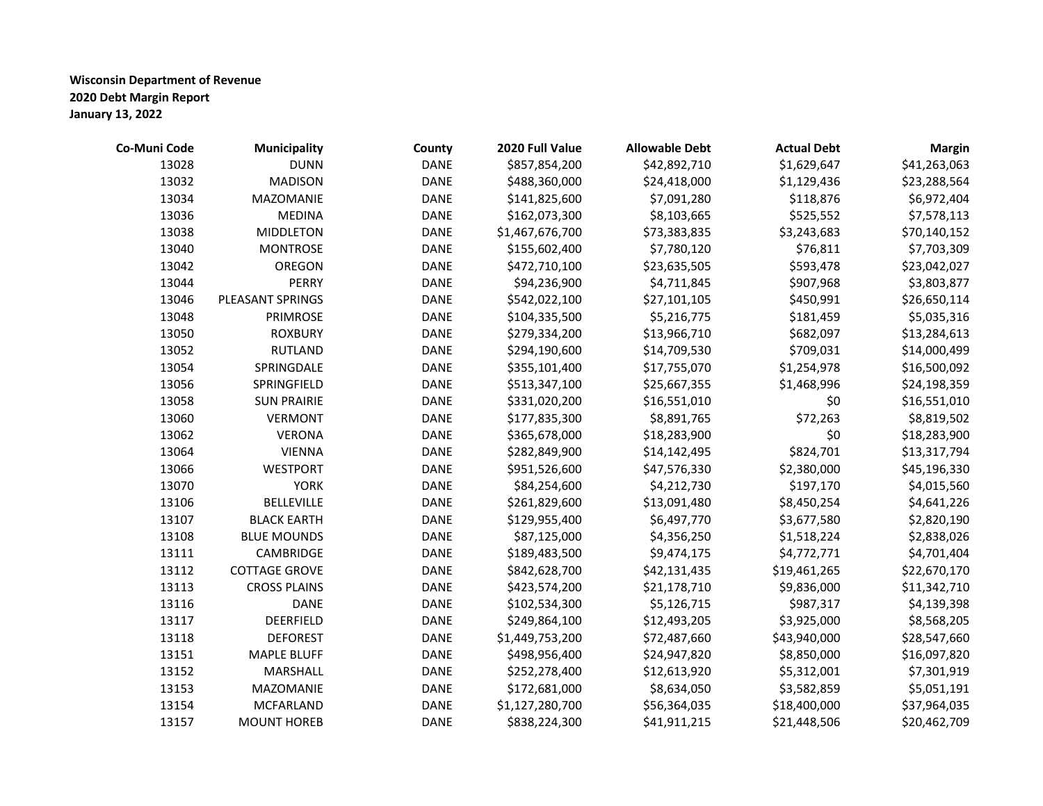| Co-Muni Code | <b>Municipality</b>  | County      | 2020 Full Value | <b>Allowable Debt</b> | <b>Actual Debt</b> | <b>Margin</b> |
|--------------|----------------------|-------------|-----------------|-----------------------|--------------------|---------------|
| 13028        | <b>DUNN</b>          | <b>DANE</b> | \$857,854,200   | \$42,892,710          | \$1,629,647        | \$41,263,063  |
| 13032        | <b>MADISON</b>       | <b>DANE</b> | \$488,360,000   | \$24,418,000          | \$1,129,436        | \$23,288,564  |
| 13034        | MAZOMANIE            | <b>DANE</b> | \$141,825,600   | \$7,091,280           | \$118,876          | \$6,972,404   |
| 13036        | <b>MEDINA</b>        | <b>DANE</b> | \$162,073,300   | \$8,103,665           | \$525,552          | \$7,578,113   |
| 13038        | <b>MIDDLETON</b>     | <b>DANE</b> | \$1,467,676,700 | \$73,383,835          | \$3,243,683        | \$70,140,152  |
| 13040        | <b>MONTROSE</b>      | <b>DANE</b> | \$155,602,400   | \$7,780,120           | \$76,811           | \$7,703,309   |
| 13042        | OREGON               | <b>DANE</b> | \$472,710,100   | \$23,635,505          | \$593,478          | \$23,042,027  |
| 13044        | <b>PERRY</b>         | <b>DANE</b> | \$94,236,900    | \$4,711,845           | \$907,968          | \$3,803,877   |
| 13046        | PLEASANT SPRINGS     | <b>DANE</b> | \$542,022,100   | \$27,101,105          | \$450,991          | \$26,650,114  |
| 13048        | PRIMROSE             | <b>DANE</b> | \$104,335,500   | \$5,216,775           | \$181,459          | \$5,035,316   |
| 13050        | <b>ROXBURY</b>       | <b>DANE</b> | \$279,334,200   | \$13,966,710          | \$682,097          | \$13,284,613  |
| 13052        | <b>RUTLAND</b>       | <b>DANE</b> | \$294,190,600   | \$14,709,530          | \$709,031          | \$14,000,499  |
| 13054        | SPRINGDALE           | <b>DANE</b> | \$355,101,400   | \$17,755,070          | \$1,254,978        | \$16,500,092  |
| 13056        | SPRINGFIELD          | <b>DANE</b> | \$513,347,100   | \$25,667,355          | \$1,468,996        | \$24,198,359  |
| 13058        | <b>SUN PRAIRIE</b>   | <b>DANE</b> | \$331,020,200   | \$16,551,010          | \$0                | \$16,551,010  |
| 13060        | <b>VERMONT</b>       | <b>DANE</b> | \$177,835,300   | \$8,891,765           | \$72,263           | \$8,819,502   |
| 13062        | <b>VERONA</b>        | <b>DANE</b> | \$365,678,000   | \$18,283,900          | \$0                | \$18,283,900  |
| 13064        | <b>VIENNA</b>        | <b>DANE</b> | \$282,849,900   | \$14,142,495          | \$824,701          | \$13,317,794  |
| 13066        | <b>WESTPORT</b>      | <b>DANE</b> | \$951,526,600   | \$47,576,330          | \$2,380,000        | \$45,196,330  |
| 13070        | <b>YORK</b>          | <b>DANE</b> | \$84,254,600    | \$4,212,730           | \$197,170          | \$4,015,560   |
| 13106        | <b>BELLEVILLE</b>    | <b>DANE</b> | \$261,829,600   | \$13,091,480          | \$8,450,254        | \$4,641,226   |
| 13107        | <b>BLACK EARTH</b>   | <b>DANE</b> | \$129,955,400   | \$6,497,770           | \$3,677,580        | \$2,820,190   |
| 13108        | <b>BLUE MOUNDS</b>   | <b>DANE</b> | \$87,125,000    | \$4,356,250           | \$1,518,224        | \$2,838,026   |
| 13111        | CAMBRIDGE            | <b>DANE</b> | \$189,483,500   | \$9,474,175           | \$4,772,771        | \$4,701,404   |
| 13112        | <b>COTTAGE GROVE</b> | <b>DANE</b> | \$842,628,700   | \$42,131,435          | \$19,461,265       | \$22,670,170  |
| 13113        | <b>CROSS PLAINS</b>  | <b>DANE</b> | \$423,574,200   | \$21,178,710          | \$9,836,000        | \$11,342,710  |
| 13116        | <b>DANE</b>          | <b>DANE</b> | \$102,534,300   | \$5,126,715           | \$987,317          | \$4,139,398   |
| 13117        | DEERFIELD            | <b>DANE</b> | \$249,864,100   | \$12,493,205          | \$3,925,000        | \$8,568,205   |
| 13118        | <b>DEFOREST</b>      | <b>DANE</b> | \$1,449,753,200 | \$72,487,660          | \$43,940,000       | \$28,547,660  |
| 13151        | <b>MAPLE BLUFF</b>   | <b>DANE</b> | \$498,956,400   | \$24,947,820          | \$8,850,000        | \$16,097,820  |
| 13152        | MARSHALL             | <b>DANE</b> | \$252,278,400   | \$12,613,920          | \$5,312,001        | \$7,301,919   |
| 13153        | MAZOMANIE            | <b>DANE</b> | \$172,681,000   | \$8,634,050           | \$3,582,859        | \$5,051,191   |
| 13154        | <b>MCFARLAND</b>     | <b>DANE</b> | \$1,127,280,700 | \$56,364,035          | \$18,400,000       | \$37,964,035  |
| 13157        | <b>MOUNT HOREB</b>   | <b>DANE</b> | \$838,224,300   | \$41,911,215          | \$21,448,506       | \$20,462,709  |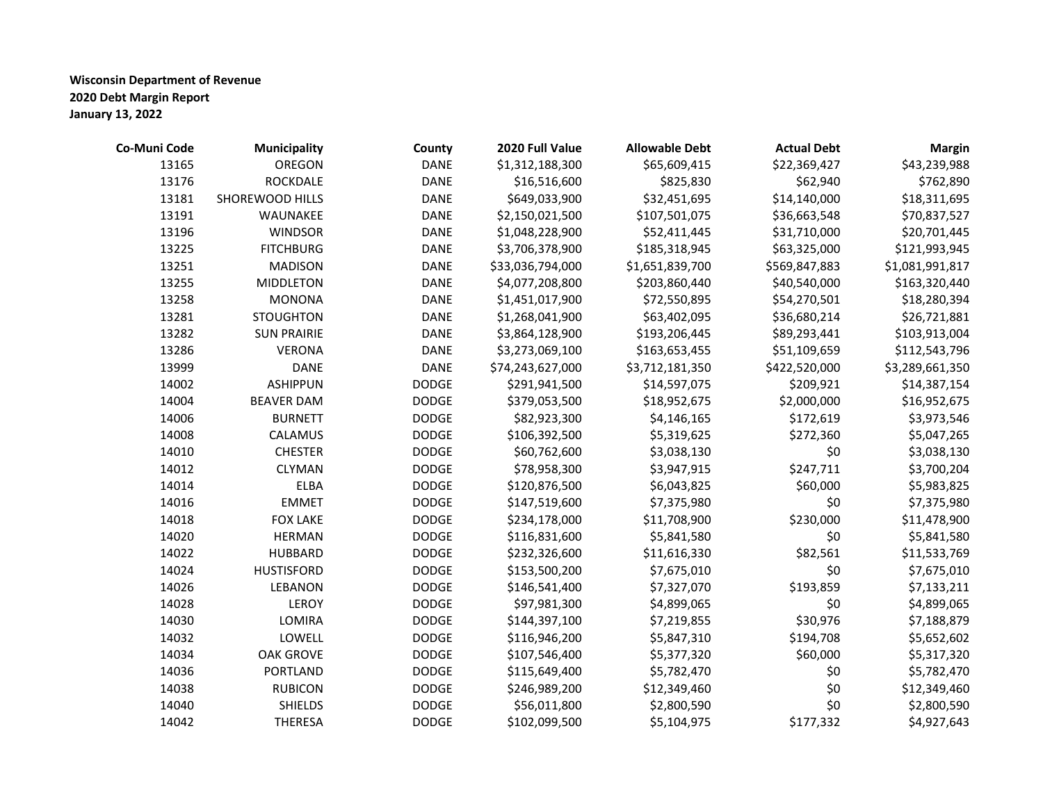| Co-Muni Code | <b>Municipality</b> | County       | 2020 Full Value  | <b>Allowable Debt</b> | <b>Actual Debt</b> | <b>Margin</b>   |
|--------------|---------------------|--------------|------------------|-----------------------|--------------------|-----------------|
| 13165        | <b>OREGON</b>       | <b>DANE</b>  | \$1,312,188,300  | \$65,609,415          | \$22,369,427       | \$43,239,988    |
| 13176        | <b>ROCKDALE</b>     | <b>DANE</b>  | \$16,516,600     | \$825,830             | \$62,940           | \$762,890       |
| 13181        | SHOREWOOD HILLS     | <b>DANE</b>  | \$649,033,900    | \$32,451,695          | \$14,140,000       | \$18,311,695    |
| 13191        | WAUNAKEE            | <b>DANE</b>  | \$2,150,021,500  | \$107,501,075         | \$36,663,548       | \$70,837,527    |
| 13196        | <b>WINDSOR</b>      | <b>DANE</b>  | \$1,048,228,900  | \$52,411,445          | \$31,710,000       | \$20,701,445    |
| 13225        | <b>FITCHBURG</b>    | <b>DANE</b>  | \$3,706,378,900  | \$185,318,945         | \$63,325,000       | \$121,993,945   |
| 13251        | <b>MADISON</b>      | <b>DANE</b>  | \$33,036,794,000 | \$1,651,839,700       | \$569,847,883      | \$1,081,991,817 |
| 13255        | <b>MIDDLETON</b>    | <b>DANE</b>  | \$4,077,208,800  | \$203,860,440         | \$40,540,000       | \$163,320,440   |
| 13258        | <b>MONONA</b>       | <b>DANE</b>  | \$1,451,017,900  | \$72,550,895          | \$54,270,501       | \$18,280,394    |
| 13281        | <b>STOUGHTON</b>    | <b>DANE</b>  | \$1,268,041,900  | \$63,402,095          | \$36,680,214       | \$26,721,881    |
| 13282        | <b>SUN PRAIRIE</b>  | <b>DANE</b>  | \$3,864,128,900  | \$193,206,445         | \$89,293,441       | \$103,913,004   |
| 13286        | <b>VERONA</b>       | <b>DANE</b>  | \$3,273,069,100  | \$163,653,455         | \$51,109,659       | \$112,543,796   |
| 13999        | <b>DANE</b>         | <b>DANE</b>  | \$74,243,627,000 | \$3,712,181,350       | \$422,520,000      | \$3,289,661,350 |
| 14002        | <b>ASHIPPUN</b>     | <b>DODGE</b> | \$291,941,500    | \$14,597,075          | \$209,921          | \$14,387,154    |
| 14004        | <b>BEAVER DAM</b>   | <b>DODGE</b> | \$379,053,500    | \$18,952,675          | \$2,000,000        | \$16,952,675    |
| 14006        | <b>BURNETT</b>      | <b>DODGE</b> | \$82,923,300     | \$4,146,165           | \$172,619          | \$3,973,546     |
| 14008        | CALAMUS             | <b>DODGE</b> | \$106,392,500    | \$5,319,625           | \$272,360          | \$5,047,265     |
| 14010        | <b>CHESTER</b>      | <b>DODGE</b> | \$60,762,600     | \$3,038,130           | \$0                | \$3,038,130     |
| 14012        | <b>CLYMAN</b>       | <b>DODGE</b> | \$78,958,300     | \$3,947,915           | \$247,711          | \$3,700,204     |
| 14014        | <b>ELBA</b>         | <b>DODGE</b> | \$120,876,500    | \$6,043,825           | \$60,000           | \$5,983,825     |
| 14016        | <b>EMMET</b>        | <b>DODGE</b> | \$147,519,600    | \$7,375,980           | \$0                | \$7,375,980     |
| 14018        | <b>FOX LAKE</b>     | <b>DODGE</b> | \$234,178,000    | \$11,708,900          | \$230,000          | \$11,478,900    |
| 14020        | <b>HERMAN</b>       | <b>DODGE</b> | \$116,831,600    | \$5,841,580           | \$0                | \$5,841,580     |
| 14022        | <b>HUBBARD</b>      | <b>DODGE</b> | \$232,326,600    | \$11,616,330          | \$82,561           | \$11,533,769    |
| 14024        | <b>HUSTISFORD</b>   | <b>DODGE</b> | \$153,500,200    | \$7,675,010           | \$0                | \$7,675,010     |
| 14026        | LEBANON             | <b>DODGE</b> | \$146,541,400    | \$7,327,070           | \$193,859          | \$7,133,211     |
| 14028        | LEROY               | <b>DODGE</b> | \$97,981,300     | \$4,899,065           | \$0                | \$4,899,065     |
| 14030        | LOMIRA              | <b>DODGE</b> | \$144,397,100    | \$7,219,855           | \$30,976           | \$7,188,879     |
| 14032        | LOWELL              | <b>DODGE</b> | \$116,946,200    | \$5,847,310           | \$194,708          | \$5,652,602     |
| 14034        | <b>OAK GROVE</b>    | <b>DODGE</b> | \$107,546,400    | \$5,377,320           | \$60,000           | \$5,317,320     |
| 14036        | <b>PORTLAND</b>     | <b>DODGE</b> | \$115,649,400    | \$5,782,470           | \$0                | \$5,782,470     |
| 14038        | <b>RUBICON</b>      | <b>DODGE</b> | \$246,989,200    | \$12,349,460          | \$0                | \$12,349,460    |
| 14040        | <b>SHIELDS</b>      | <b>DODGE</b> | \$56,011,800     | \$2,800,590           | \$0                | \$2,800,590     |
| 14042        | <b>THERESA</b>      | <b>DODGE</b> | \$102,099,500    | \$5,104,975           | \$177,332          | \$4,927,643     |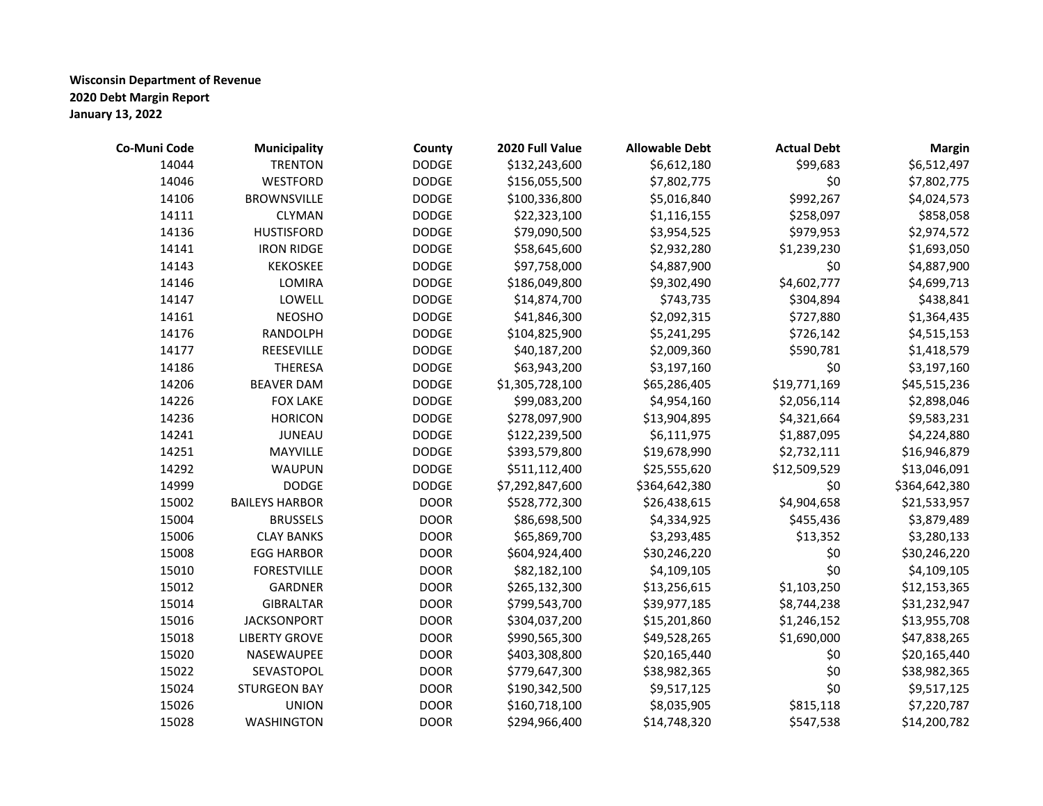| Co-Muni Code | <b>Municipality</b>   | County       | 2020 Full Value | <b>Allowable Debt</b> | <b>Actual Debt</b> | <b>Margin</b> |
|--------------|-----------------------|--------------|-----------------|-----------------------|--------------------|---------------|
| 14044        | <b>TRENTON</b>        | <b>DODGE</b> | \$132,243,600   | \$6,612,180           | \$99,683           | \$6,512,497   |
| 14046        | <b>WESTFORD</b>       | <b>DODGE</b> | \$156,055,500   | \$7,802,775           | \$0                | \$7,802,775   |
| 14106        | <b>BROWNSVILLE</b>    | <b>DODGE</b> | \$100,336,800   | \$5,016,840           | \$992,267          | \$4,024,573   |
| 14111        | <b>CLYMAN</b>         | <b>DODGE</b> | \$22,323,100    | \$1,116,155           | \$258,097          | \$858,058     |
| 14136        | <b>HUSTISFORD</b>     | <b>DODGE</b> | \$79,090,500    | \$3,954,525           | \$979,953          | \$2,974,572   |
| 14141        | <b>IRON RIDGE</b>     | <b>DODGE</b> | \$58,645,600    | \$2,932,280           | \$1,239,230        | \$1,693,050   |
| 14143        | <b>KEKOSKEE</b>       | <b>DODGE</b> | \$97,758,000    | \$4,887,900           | \$0                | \$4,887,900   |
| 14146        | LOMIRA                | <b>DODGE</b> | \$186,049,800   | \$9,302,490           | \$4,602,777        | \$4,699,713   |
| 14147        | LOWELL                | <b>DODGE</b> | \$14,874,700    | \$743,735             | \$304,894          | \$438,841     |
| 14161        | <b>NEOSHO</b>         | <b>DODGE</b> | \$41,846,300    | \$2,092,315           | \$727,880          | \$1,364,435   |
| 14176        | RANDOLPH              | <b>DODGE</b> | \$104,825,900   | \$5,241,295           | \$726,142          | \$4,515,153   |
| 14177        | REESEVILLE            | <b>DODGE</b> | \$40,187,200    | \$2,009,360           | \$590,781          | \$1,418,579   |
| 14186        | <b>THERESA</b>        | <b>DODGE</b> | \$63,943,200    | \$3,197,160           | \$0                | \$3,197,160   |
| 14206        | <b>BEAVER DAM</b>     | <b>DODGE</b> | \$1,305,728,100 | \$65,286,405          | \$19,771,169       | \$45,515,236  |
| 14226        | <b>FOX LAKE</b>       | <b>DODGE</b> | \$99,083,200    | \$4,954,160           | \$2,056,114        | \$2,898,046   |
| 14236        | <b>HORICON</b>        | <b>DODGE</b> | \$278,097,900   | \$13,904,895          | \$4,321,664        | \$9,583,231   |
| 14241        | <b>JUNEAU</b>         | <b>DODGE</b> | \$122,239,500   | \$6,111,975           | \$1,887,095        | \$4,224,880   |
| 14251        | MAYVILLE              | <b>DODGE</b> | \$393,579,800   | \$19,678,990          | \$2,732,111        | \$16,946,879  |
| 14292        | <b>WAUPUN</b>         | <b>DODGE</b> | \$511,112,400   | \$25,555,620          | \$12,509,529       | \$13,046,091  |
| 14999        | <b>DODGE</b>          | <b>DODGE</b> | \$7,292,847,600 | \$364,642,380         | \$0                | \$364,642,380 |
| 15002        | <b>BAILEYS HARBOR</b> | <b>DOOR</b>  | \$528,772,300   | \$26,438,615          | \$4,904,658        | \$21,533,957  |
| 15004        | <b>BRUSSELS</b>       | <b>DOOR</b>  | \$86,698,500    | \$4,334,925           | \$455,436          | \$3,879,489   |
| 15006        | <b>CLAY BANKS</b>     | <b>DOOR</b>  | \$65,869,700    | \$3,293,485           | \$13,352           | \$3,280,133   |
| 15008        | <b>EGG HARBOR</b>     | <b>DOOR</b>  | \$604,924,400   | \$30,246,220          | \$0                | \$30,246,220  |
| 15010        | <b>FORESTVILLE</b>    | <b>DOOR</b>  | \$82,182,100    | \$4,109,105           | \$0                | \$4,109,105   |
| 15012        | <b>GARDNER</b>        | <b>DOOR</b>  | \$265,132,300   | \$13,256,615          | \$1,103,250        | \$12,153,365  |
| 15014        | <b>GIBRALTAR</b>      | <b>DOOR</b>  | \$799,543,700   | \$39,977,185          | \$8,744,238        | \$31,232,947  |
| 15016        | <b>JACKSONPORT</b>    | <b>DOOR</b>  | \$304,037,200   | \$15,201,860          | \$1,246,152        | \$13,955,708  |
| 15018        | <b>LIBERTY GROVE</b>  | <b>DOOR</b>  | \$990,565,300   | \$49,528,265          | \$1,690,000        | \$47,838,265  |
| 15020        | NASEWAUPEE            | <b>DOOR</b>  | \$403,308,800   | \$20,165,440          | \$0                | \$20,165,440  |
| 15022        | SEVASTOPOL            | <b>DOOR</b>  | \$779,647,300   | \$38,982,365          | \$0                | \$38,982,365  |
| 15024        | <b>STURGEON BAY</b>   | <b>DOOR</b>  | \$190,342,500   | \$9,517,125           | \$0                | \$9,517,125   |
| 15026        | <b>UNION</b>          | <b>DOOR</b>  | \$160,718,100   | \$8,035,905           | \$815,118          | \$7,220,787   |
| 15028        | <b>WASHINGTON</b>     | <b>DOOR</b>  | \$294,966,400   | \$14,748,320          | \$547,538          | \$14,200,782  |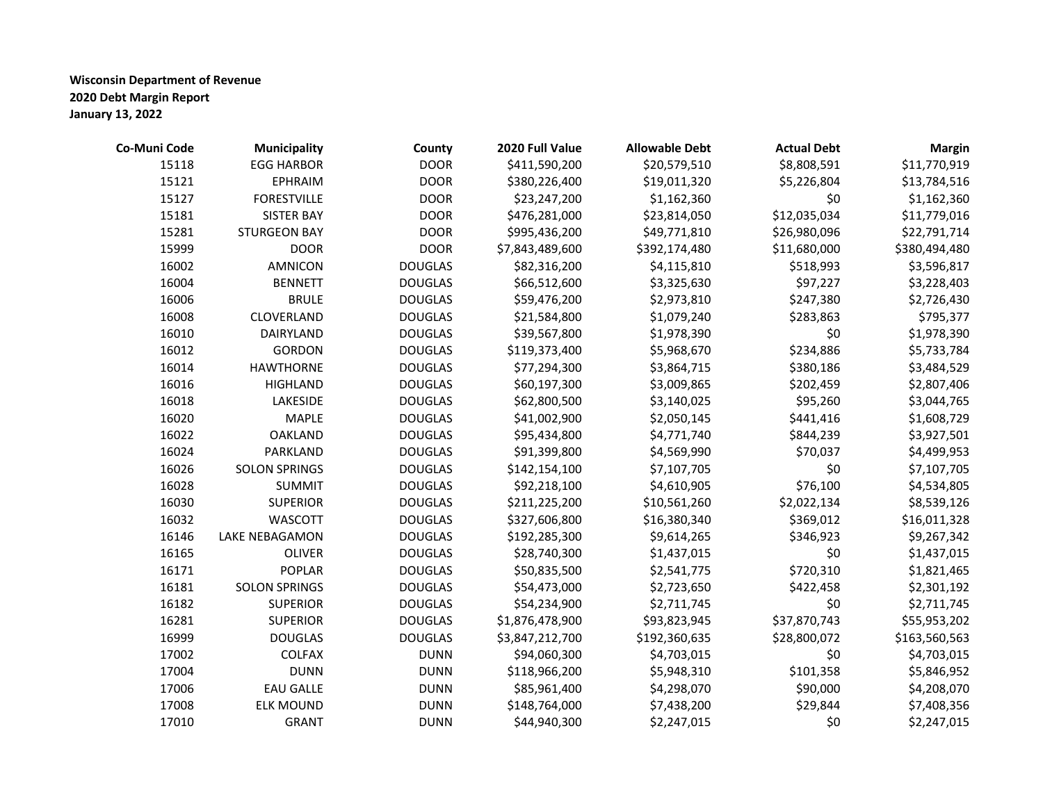| Co-Muni Code | <b>Municipality</b>   | County         | 2020 Full Value | <b>Allowable Debt</b> | <b>Actual Debt</b> | <b>Margin</b> |
|--------------|-----------------------|----------------|-----------------|-----------------------|--------------------|---------------|
| 15118        | <b>EGG HARBOR</b>     | <b>DOOR</b>    | \$411,590,200   | \$20,579,510          | \$8,808,591        | \$11,770,919  |
| 15121        | <b>EPHRAIM</b>        | <b>DOOR</b>    | \$380,226,400   | \$19,011,320          | \$5,226,804        | \$13,784,516  |
| 15127        | <b>FORESTVILLE</b>    | <b>DOOR</b>    | \$23,247,200    | \$1,162,360           | \$0                | \$1,162,360   |
| 15181        | <b>SISTER BAY</b>     | <b>DOOR</b>    | \$476,281,000   | \$23,814,050          | \$12,035,034       | \$11,779,016  |
| 15281        | <b>STURGEON BAY</b>   | <b>DOOR</b>    | \$995,436,200   | \$49,771,810          | \$26,980,096       | \$22,791,714  |
| 15999        | <b>DOOR</b>           | <b>DOOR</b>    | \$7,843,489,600 | \$392,174,480         | \$11,680,000       | \$380,494,480 |
| 16002        | <b>AMNICON</b>        | <b>DOUGLAS</b> | \$82,316,200    | \$4,115,810           | \$518,993          | \$3,596,817   |
| 16004        | <b>BENNETT</b>        | <b>DOUGLAS</b> | \$66,512,600    | \$3,325,630           | \$97,227           | \$3,228,403   |
| 16006        | <b>BRULE</b>          | <b>DOUGLAS</b> | \$59,476,200    | \$2,973,810           | \$247,380          | \$2,726,430   |
| 16008        | CLOVERLAND            | <b>DOUGLAS</b> | \$21,584,800    | \$1,079,240           | \$283,863          | \$795,377     |
| 16010        | DAIRYLAND             | <b>DOUGLAS</b> | \$39,567,800    | \$1,978,390           | \$0                | \$1,978,390   |
| 16012        | <b>GORDON</b>         | <b>DOUGLAS</b> | \$119,373,400   | \$5,968,670           | \$234,886          | \$5,733,784   |
| 16014        | <b>HAWTHORNE</b>      | <b>DOUGLAS</b> | \$77,294,300    | \$3,864,715           | \$380,186          | \$3,484,529   |
| 16016        | <b>HIGHLAND</b>       | <b>DOUGLAS</b> | \$60,197,300    | \$3,009,865           | \$202,459          | \$2,807,406   |
| 16018        | LAKESIDE              | <b>DOUGLAS</b> | \$62,800,500    | \$3,140,025           | \$95,260           | \$3,044,765   |
| 16020        | <b>MAPLE</b>          | <b>DOUGLAS</b> | \$41,002,900    | \$2,050,145           | \$441,416          | \$1,608,729   |
| 16022        | <b>OAKLAND</b>        | <b>DOUGLAS</b> | \$95,434,800    | \$4,771,740           | \$844,239          | \$3,927,501   |
| 16024        | PARKLAND              | <b>DOUGLAS</b> | \$91,399,800    | \$4,569,990           | \$70,037           | \$4,499,953   |
| 16026        | <b>SOLON SPRINGS</b>  | <b>DOUGLAS</b> | \$142,154,100   | \$7,107,705           | \$0                | \$7,107,705   |
| 16028        | <b>SUMMIT</b>         | <b>DOUGLAS</b> | \$92,218,100    | \$4,610,905           | \$76,100           | \$4,534,805   |
| 16030        | <b>SUPERIOR</b>       | <b>DOUGLAS</b> | \$211,225,200   | \$10,561,260          | \$2,022,134        | \$8,539,126   |
| 16032        | <b>WASCOTT</b>        | <b>DOUGLAS</b> | \$327,606,800   | \$16,380,340          | \$369,012          | \$16,011,328  |
| 16146        | <b>LAKE NEBAGAMON</b> | <b>DOUGLAS</b> | \$192,285,300   | \$9,614,265           | \$346,923          | \$9,267,342   |
| 16165        | <b>OLIVER</b>         | <b>DOUGLAS</b> | \$28,740,300    | \$1,437,015           | \$0                | \$1,437,015   |
| 16171        | <b>POPLAR</b>         | <b>DOUGLAS</b> | \$50,835,500    | \$2,541,775           | \$720,310          | \$1,821,465   |
| 16181        | <b>SOLON SPRINGS</b>  | <b>DOUGLAS</b> | \$54,473,000    | \$2,723,650           | \$422,458          | \$2,301,192   |
| 16182        | <b>SUPERIOR</b>       | <b>DOUGLAS</b> | \$54,234,900    | \$2,711,745           | \$0                | \$2,711,745   |
| 16281        | <b>SUPERIOR</b>       | <b>DOUGLAS</b> | \$1,876,478,900 | \$93,823,945          | \$37,870,743       | \$55,953,202  |
| 16999        | <b>DOUGLAS</b>        | <b>DOUGLAS</b> | \$3,847,212,700 | \$192,360,635         | \$28,800,072       | \$163,560,563 |
| 17002        | COLFAX                | <b>DUNN</b>    | \$94,060,300    | \$4,703,015           | \$0                | \$4,703,015   |
| 17004        | <b>DUNN</b>           | <b>DUNN</b>    | \$118,966,200   | \$5,948,310           | \$101,358          | \$5,846,952   |
| 17006        | <b>EAU GALLE</b>      | <b>DUNN</b>    | \$85,961,400    | \$4,298,070           | \$90,000           | \$4,208,070   |
| 17008        | <b>ELK MOUND</b>      | <b>DUNN</b>    | \$148,764,000   | \$7,438,200           | \$29,844           | \$7,408,356   |
| 17010        | <b>GRANT</b>          | <b>DUNN</b>    | \$44,940,300    | \$2,247,015           | \$0                | \$2,247,015   |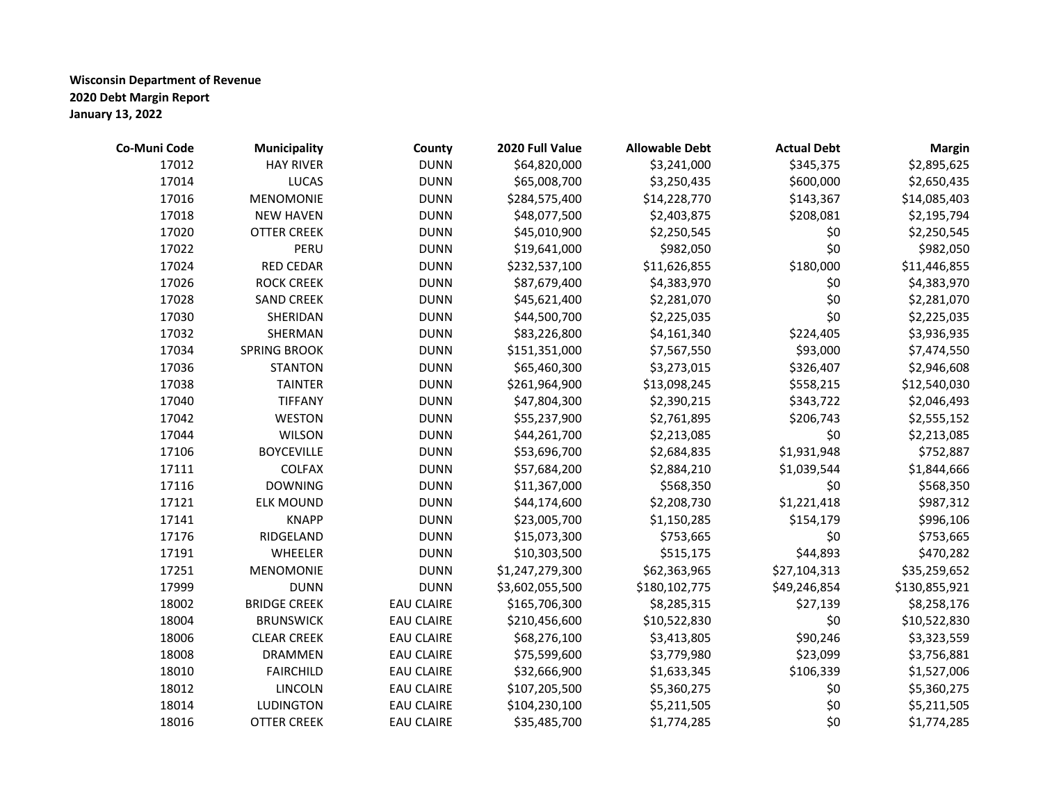| Co-Muni Code | <b>Municipality</b> | County            | 2020 Full Value | <b>Allowable Debt</b> | <b>Actual Debt</b> | <b>Margin</b> |
|--------------|---------------------|-------------------|-----------------|-----------------------|--------------------|---------------|
| 17012        | <b>HAY RIVER</b>    | <b>DUNN</b>       | \$64,820,000    | \$3,241,000           | \$345,375          | \$2,895,625   |
| 17014        | <b>LUCAS</b>        | <b>DUNN</b>       | \$65,008,700    | \$3,250,435           | \$600,000          | \$2,650,435   |
| 17016        | <b>MENOMONIE</b>    | <b>DUNN</b>       | \$284,575,400   | \$14,228,770          | \$143,367          | \$14,085,403  |
| 17018        | <b>NEW HAVEN</b>    | <b>DUNN</b>       | \$48,077,500    | \$2,403,875           | \$208,081          | \$2,195,794   |
| 17020        | <b>OTTER CREEK</b>  | <b>DUNN</b>       | \$45,010,900    | \$2,250,545           | \$0                | \$2,250,545   |
| 17022        | PERU                | <b>DUNN</b>       | \$19,641,000    | \$982,050             | \$0                | \$982,050     |
| 17024        | <b>RED CEDAR</b>    | <b>DUNN</b>       | \$232,537,100   | \$11,626,855          | \$180,000          | \$11,446,855  |
| 17026        | <b>ROCK CREEK</b>   | <b>DUNN</b>       | \$87,679,400    | \$4,383,970           | \$0                | \$4,383,970   |
| 17028        | <b>SAND CREEK</b>   | <b>DUNN</b>       | \$45,621,400    | \$2,281,070           | \$0                | \$2,281,070   |
| 17030        | SHERIDAN            | <b>DUNN</b>       | \$44,500,700    | \$2,225,035           | \$0                | \$2,225,035   |
| 17032        | SHERMAN             | <b>DUNN</b>       | \$83,226,800    | \$4,161,340           | \$224,405          | \$3,936,935   |
| 17034        | <b>SPRING BROOK</b> | <b>DUNN</b>       | \$151,351,000   | \$7,567,550           | \$93,000           | \$7,474,550   |
| 17036        | <b>STANTON</b>      | <b>DUNN</b>       | \$65,460,300    | \$3,273,015           | \$326,407          | \$2,946,608   |
| 17038        | <b>TAINTER</b>      | <b>DUNN</b>       | \$261,964,900   | \$13,098,245          | \$558,215          | \$12,540,030  |
| 17040        | <b>TIFFANY</b>      | <b>DUNN</b>       | \$47,804,300    | \$2,390,215           | \$343,722          | \$2,046,493   |
| 17042        | <b>WESTON</b>       | <b>DUNN</b>       | \$55,237,900    | \$2,761,895           | \$206,743          | \$2,555,152   |
| 17044        | <b>WILSON</b>       | <b>DUNN</b>       | \$44,261,700    | \$2,213,085           | \$0                | \$2,213,085   |
| 17106        | <b>BOYCEVILLE</b>   | <b>DUNN</b>       | \$53,696,700    | \$2,684,835           | \$1,931,948        | \$752,887     |
| 17111        | <b>COLFAX</b>       | <b>DUNN</b>       | \$57,684,200    | \$2,884,210           | \$1,039,544        | \$1,844,666   |
| 17116        | <b>DOWNING</b>      | <b>DUNN</b>       | \$11,367,000    | \$568,350             | \$0                | \$568,350     |
| 17121        | <b>ELK MOUND</b>    | <b>DUNN</b>       | \$44,174,600    | \$2,208,730           | \$1,221,418        | \$987,312     |
| 17141        | <b>KNAPP</b>        | <b>DUNN</b>       | \$23,005,700    | \$1,150,285           | \$154,179          | \$996,106     |
| 17176        | RIDGELAND           | <b>DUNN</b>       | \$15,073,300    | \$753,665             | \$0                | \$753,665     |
| 17191        | WHEELER             | <b>DUNN</b>       | \$10,303,500    | \$515,175             | \$44,893           | \$470,282     |
| 17251        | <b>MENOMONIE</b>    | <b>DUNN</b>       | \$1,247,279,300 | \$62,363,965          | \$27,104,313       | \$35,259,652  |
| 17999        | <b>DUNN</b>         | <b>DUNN</b>       | \$3,602,055,500 | \$180,102,775         | \$49,246,854       | \$130,855,921 |
| 18002        | <b>BRIDGE CREEK</b> | <b>EAU CLAIRE</b> | \$165,706,300   | \$8,285,315           | \$27,139           | \$8,258,176   |
| 18004        | <b>BRUNSWICK</b>    | <b>EAU CLAIRE</b> | \$210,456,600   | \$10,522,830          | \$0                | \$10,522,830  |
| 18006        | <b>CLEAR CREEK</b>  | <b>EAU CLAIRE</b> | \$68,276,100    | \$3,413,805           | \$90,246           | \$3,323,559   |
| 18008        | <b>DRAMMEN</b>      | <b>EAU CLAIRE</b> | \$75,599,600    | \$3,779,980           | \$23,099           | \$3,756,881   |
| 18010        | <b>FAIRCHILD</b>    | <b>EAU CLAIRE</b> | \$32,666,900    | \$1,633,345           | \$106,339          | \$1,527,006   |
| 18012        | LINCOLN             | <b>EAU CLAIRE</b> | \$107,205,500   | \$5,360,275           | \$0                | \$5,360,275   |
| 18014        | <b>LUDINGTON</b>    | <b>EAU CLAIRE</b> | \$104,230,100   | \$5,211,505           | \$0                | \$5,211,505   |
| 18016        | <b>OTTER CREEK</b>  | <b>EAU CLAIRE</b> | \$35,485,700    | \$1,774,285           | \$0                | \$1,774,285   |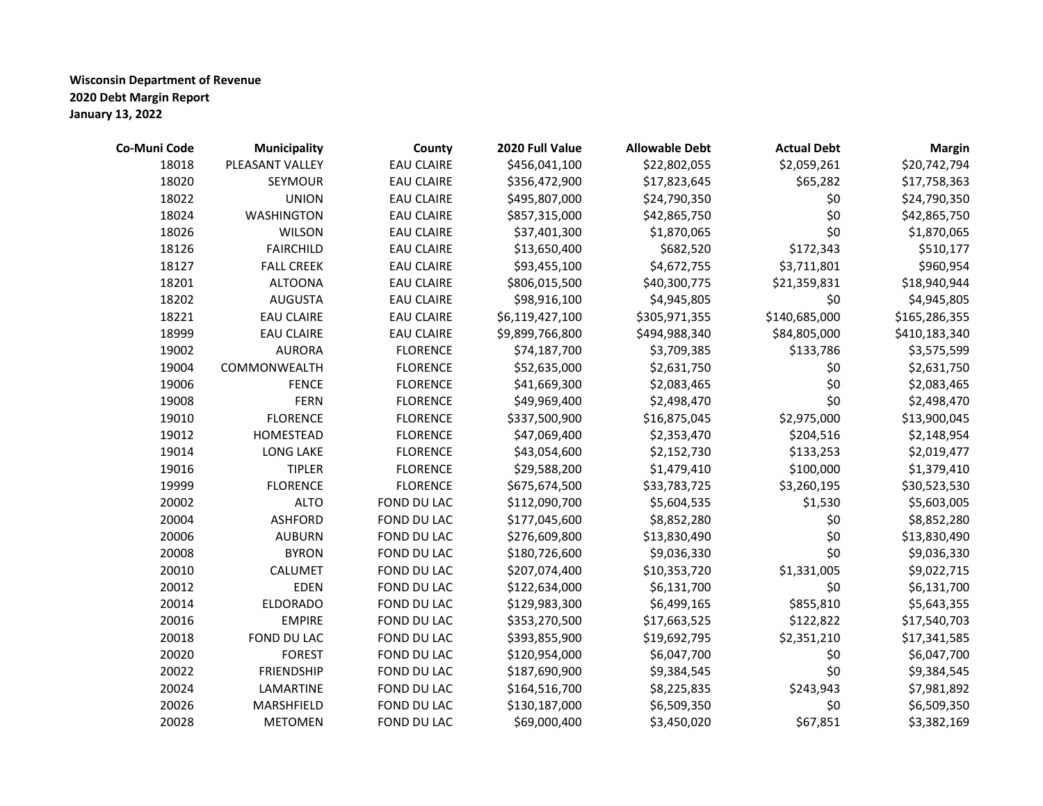| Co-Muni Code | Municipality      | County            | 2020 Full Value | <b>Allowable Debt</b> | <b>Actual Debt</b> | <b>Margin</b> |
|--------------|-------------------|-------------------|-----------------|-----------------------|--------------------|---------------|
| 18018        | PLEASANT VALLEY   | <b>EAU CLAIRE</b> | \$456,041,100   | \$22,802,055          | \$2,059,261        | \$20,742,794  |
| 18020        | <b>SEYMOUR</b>    | <b>EAU CLAIRE</b> | \$356,472,900   | \$17,823,645          | \$65,282           | \$17,758,363  |
| 18022        | <b>UNION</b>      | <b>EAU CLAIRE</b> | \$495,807,000   | \$24,790,350          | \$0                | \$24,790,350  |
| 18024        | <b>WASHINGTON</b> | <b>EAU CLAIRE</b> | \$857,315,000   | \$42,865,750          | \$0                | \$42,865,750  |
| 18026        | <b>WILSON</b>     | <b>EAU CLAIRE</b> | \$37,401,300    | \$1,870,065           | \$0                | \$1,870,065   |
| 18126        | <b>FAIRCHILD</b>  | <b>EAU CLAIRE</b> | \$13,650,400    | \$682,520             | \$172,343          | \$510,177     |
| 18127        | <b>FALL CREEK</b> | <b>EAU CLAIRE</b> | \$93,455,100    | \$4,672,755           | \$3,711,801        | \$960,954     |
| 18201        | <b>ALTOONA</b>    | <b>EAU CLAIRE</b> | \$806,015,500   | \$40,300,775          | \$21,359,831       | \$18,940,944  |
| 18202        | <b>AUGUSTA</b>    | <b>EAU CLAIRE</b> | \$98,916,100    | \$4,945,805           | \$0                | \$4,945,805   |
| 18221        | <b>EAU CLAIRE</b> | <b>EAU CLAIRE</b> | \$6,119,427,100 | \$305,971,355         | \$140,685,000      | \$165,286,355 |
| 18999        | <b>EAU CLAIRE</b> | <b>EAU CLAIRE</b> | \$9,899,766,800 | \$494,988,340         | \$84,805,000       | \$410,183,340 |
| 19002        | <b>AURORA</b>     | <b>FLORENCE</b>   | \$74,187,700    | \$3,709,385           | \$133,786          | \$3,575,599   |
| 19004        | COMMONWEALTH      | <b>FLORENCE</b>   | \$52,635,000    | \$2,631,750           | \$0                | \$2,631,750   |
| 19006        | <b>FENCE</b>      | <b>FLORENCE</b>   | \$41,669,300    | \$2,083,465           | \$0                | \$2,083,465   |
| 19008        | <b>FERN</b>       | <b>FLORENCE</b>   | \$49,969,400    | \$2,498,470           | \$0                | \$2,498,470   |
| 19010        | <b>FLORENCE</b>   | <b>FLORENCE</b>   | \$337,500,900   | \$16,875,045          | \$2,975,000        | \$13,900,045  |
| 19012        | HOMESTEAD         | <b>FLORENCE</b>   | \$47,069,400    | \$2,353,470           | \$204,516          | \$2,148,954   |
| 19014        | LONG LAKE         | <b>FLORENCE</b>   | \$43,054,600    | \$2,152,730           | \$133,253          | \$2,019,477   |
| 19016        | <b>TIPLER</b>     | <b>FLORENCE</b>   | \$29,588,200    | \$1,479,410           | \$100,000          | \$1,379,410   |
| 19999        | <b>FLORENCE</b>   | <b>FLORENCE</b>   | \$675,674,500   | \$33,783,725          | \$3,260,195        | \$30,523,530  |
| 20002        | <b>ALTO</b>       | FOND DU LAC       | \$112,090,700   | \$5,604,535           | \$1,530            | \$5,603,005   |
| 20004        | <b>ASHFORD</b>    | FOND DU LAC       | \$177,045,600   | \$8,852,280           | \$0                | \$8,852,280   |
| 20006        | <b>AUBURN</b>     | FOND DU LAC       | \$276,609,800   | \$13,830,490          | \$0                | \$13,830,490  |
| 20008        | <b>BYRON</b>      | FOND DU LAC       | \$180,726,600   | \$9,036,330           | \$0                | \$9,036,330   |
| 20010        | CALUMET           | FOND DU LAC       | \$207,074,400   | \$10,353,720          | \$1,331,005        | \$9,022,715   |
| 20012        | <b>EDEN</b>       | FOND DU LAC       | \$122,634,000   | \$6,131,700           | \$0                | \$6,131,700   |
| 20014        | <b>ELDORADO</b>   | FOND DU LAC       | \$129,983,300   | \$6,499,165           | \$855,810          | \$5,643,355   |
| 20016        | <b>EMPIRE</b>     | FOND DU LAC       | \$353,270,500   | \$17,663,525          | \$122,822          | \$17,540,703  |
| 20018        | FOND DU LAC       | FOND DU LAC       | \$393,855,900   | \$19,692,795          | \$2,351,210        | \$17,341,585  |
| 20020        | <b>FOREST</b>     | FOND DU LAC       | \$120,954,000   | \$6,047,700           | \$0                | \$6,047,700   |
| 20022        | <b>FRIENDSHIP</b> | FOND DU LAC       | \$187,690,900   | \$9,384,545           | \$0                | \$9,384,545   |
| 20024        | LAMARTINE         | FOND DU LAC       | \$164,516,700   | \$8,225,835           | \$243,943          | \$7,981,892   |
| 20026        | MARSHFIELD        | FOND DU LAC       | \$130,187,000   | \$6,509,350           | \$0                | \$6,509,350   |
| 20028        | <b>METOMEN</b>    | FOND DU LAC       | \$69,000,400    | \$3,450,020           | \$67,851           | \$3,382,169   |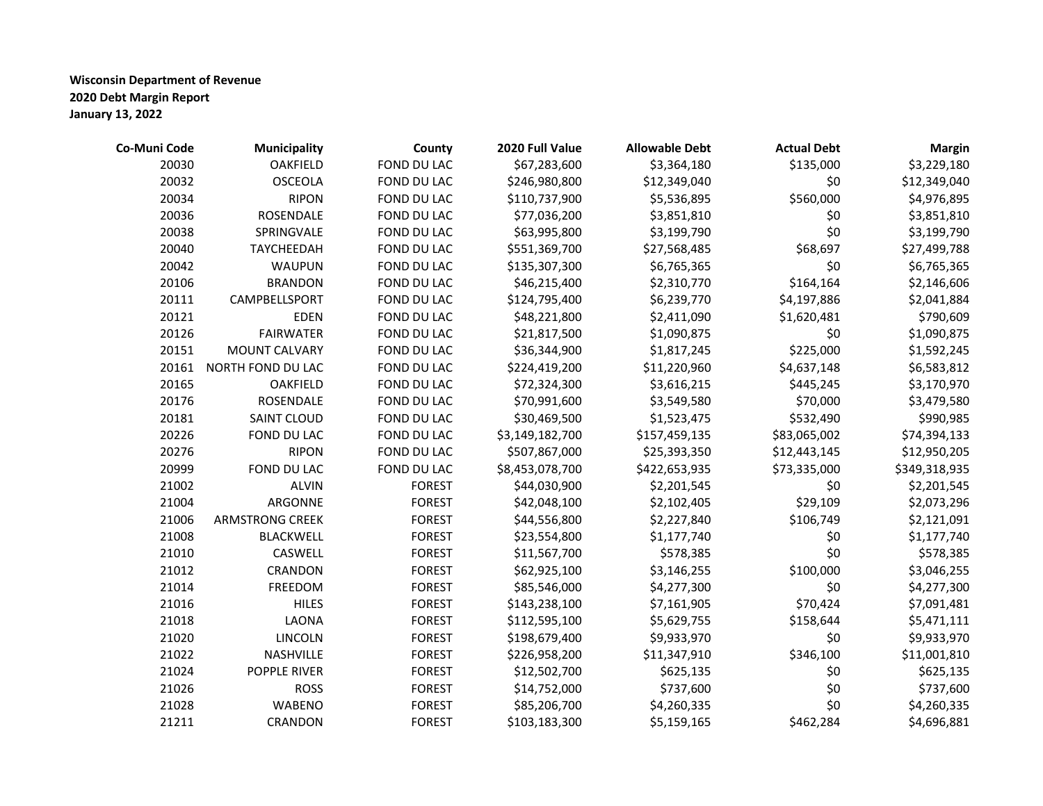| Co-Muni Code | <b>Municipality</b>    | County        | 2020 Full Value | <b>Allowable Debt</b> | <b>Actual Debt</b> | <b>Margin</b> |
|--------------|------------------------|---------------|-----------------|-----------------------|--------------------|---------------|
| 20030        | <b>OAKFIELD</b>        | FOND DU LAC   | \$67,283,600    | \$3,364,180           | \$135,000          | \$3,229,180   |
| 20032        | <b>OSCEOLA</b>         | FOND DU LAC   | \$246,980,800   | \$12,349,040          | \$0                | \$12,349,040  |
| 20034        | <b>RIPON</b>           | FOND DU LAC   | \$110,737,900   | \$5,536,895           | \$560,000          | \$4,976,895   |
| 20036        | ROSENDALE              | FOND DU LAC   | \$77,036,200    | \$3,851,810           | \$0                | \$3,851,810   |
| 20038        | SPRINGVALE             | FOND DU LAC   | \$63,995,800    | \$3,199,790           | \$0                | \$3,199,790   |
| 20040        | TAYCHEEDAH             | FOND DU LAC   | \$551,369,700   | \$27,568,485          | \$68,697           | \$27,499,788  |
| 20042        | WAUPUN                 | FOND DU LAC   | \$135,307,300   | \$6,765,365           | \$0                | \$6,765,365   |
| 20106        | <b>BRANDON</b>         | FOND DU LAC   | \$46,215,400    | \$2,310,770           | \$164,164          | \$2,146,606   |
| 20111        | CAMPBELLSPORT          | FOND DU LAC   | \$124,795,400   | \$6,239,770           | \$4,197,886        | \$2,041,884   |
| 20121        | <b>EDEN</b>            | FOND DU LAC   | \$48,221,800    | \$2,411,090           | \$1,620,481        | \$790,609     |
| 20126        | <b>FAIRWATER</b>       | FOND DU LAC   | \$21,817,500    | \$1,090,875           | \$0                | \$1,090,875   |
| 20151        | <b>MOUNT CALVARY</b>   | FOND DU LAC   | \$36,344,900    | \$1,817,245           | \$225,000          | \$1,592,245   |
| 20161        | NORTH FOND DU LAC      | FOND DU LAC   | \$224,419,200   | \$11,220,960          | \$4,637,148        | \$6,583,812   |
| 20165        | <b>OAKFIELD</b>        | FOND DU LAC   | \$72,324,300    | \$3,616,215           | \$445,245          | \$3,170,970   |
| 20176        | ROSENDALE              | FOND DU LAC   | \$70,991,600    | \$3,549,580           | \$70,000           | \$3,479,580   |
| 20181        | SAINT CLOUD            | FOND DU LAC   | \$30,469,500    | \$1,523,475           | \$532,490          | \$990,985     |
| 20226        | FOND DU LAC            | FOND DU LAC   | \$3,149,182,700 | \$157,459,135         | \$83,065,002       | \$74,394,133  |
| 20276        | <b>RIPON</b>           | FOND DU LAC   | \$507,867,000   | \$25,393,350          | \$12,443,145       | \$12,950,205  |
| 20999        | FOND DU LAC            | FOND DU LAC   | \$8,453,078,700 | \$422,653,935         | \$73,335,000       | \$349,318,935 |
| 21002        | <b>ALVIN</b>           | <b>FOREST</b> | \$44,030,900    | \$2,201,545           | \$0                | \$2,201,545   |
| 21004        | ARGONNE                | <b>FOREST</b> | \$42,048,100    | \$2,102,405           | \$29,109           | \$2,073,296   |
| 21006        | <b>ARMSTRONG CREEK</b> | <b>FOREST</b> | \$44,556,800    | \$2,227,840           | \$106,749          | \$2,121,091   |
| 21008        | <b>BLACKWELL</b>       | <b>FOREST</b> | \$23,554,800    | \$1,177,740           | \$0                | \$1,177,740   |
| 21010        | CASWELL                | <b>FOREST</b> | \$11,567,700    | \$578,385             | \$0                | \$578,385     |
| 21012        | CRANDON                | <b>FOREST</b> | \$62,925,100    | \$3,146,255           | \$100,000          | \$3,046,255   |
| 21014        | FREEDOM                | <b>FOREST</b> | \$85,546,000    | \$4,277,300           | \$0                | \$4,277,300   |
| 21016        | <b>HILES</b>           | <b>FOREST</b> | \$143,238,100   | \$7,161,905           | \$70,424           | \$7,091,481   |
| 21018        | LAONA                  | <b>FOREST</b> | \$112,595,100   | \$5,629,755           | \$158,644          | \$5,471,111   |
| 21020        | <b>LINCOLN</b>         | <b>FOREST</b> | \$198,679,400   | \$9,933,970           | \$0                | \$9,933,970   |
| 21022        | NASHVILLE              | <b>FOREST</b> | \$226,958,200   | \$11,347,910          | \$346,100          | \$11,001,810  |
| 21024        | POPPLE RIVER           | <b>FOREST</b> | \$12,502,700    | \$625,135             | \$0                | \$625,135     |
| 21026        | <b>ROSS</b>            | <b>FOREST</b> | \$14,752,000    | \$737,600             | \$0                | \$737,600     |
| 21028        | <b>WABENO</b>          | <b>FOREST</b> | \$85,206,700    | \$4,260,335           | \$0                | \$4,260,335   |
| 21211        | CRANDON                | <b>FOREST</b> | \$103,183,300   | \$5,159,165           | \$462,284          | \$4,696,881   |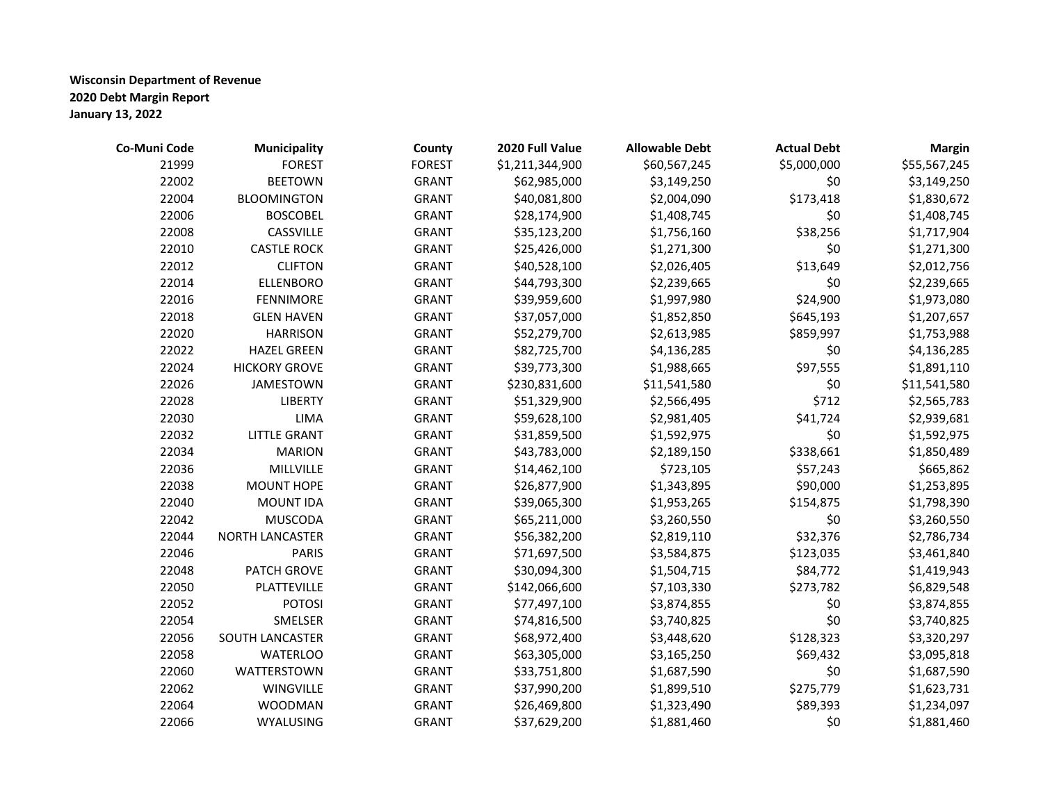| Co-Muni Code | <b>Municipality</b>    | County        | 2020 Full Value | <b>Allowable Debt</b> | <b>Actual Debt</b> | <b>Margin</b> |
|--------------|------------------------|---------------|-----------------|-----------------------|--------------------|---------------|
| 21999        | <b>FOREST</b>          | <b>FOREST</b> | \$1,211,344,900 | \$60,567,245          | \$5,000,000        | \$55,567,245  |
| 22002        | <b>BEETOWN</b>         | <b>GRANT</b>  | \$62,985,000    | \$3,149,250           | \$0                | \$3,149,250   |
| 22004        | <b>BLOOMINGTON</b>     | <b>GRANT</b>  | \$40,081,800    | \$2,004,090           | \$173,418          | \$1,830,672   |
| 22006        | <b>BOSCOBEL</b>        | <b>GRANT</b>  | \$28,174,900    | \$1,408,745           | \$0                | \$1,408,745   |
| 22008        | CASSVILLE              | <b>GRANT</b>  | \$35,123,200    | \$1,756,160           | \$38,256           | \$1,717,904   |
| 22010        | <b>CASTLE ROCK</b>     | <b>GRANT</b>  | \$25,426,000    | \$1,271,300           | \$0                | \$1,271,300   |
| 22012        | <b>CLIFTON</b>         | <b>GRANT</b>  | \$40,528,100    | \$2,026,405           | \$13,649           | \$2,012,756   |
| 22014        | <b>ELLENBORO</b>       | <b>GRANT</b>  | \$44,793,300    | \$2,239,665           | \$0                | \$2,239,665   |
| 22016        | <b>FENNIMORE</b>       | <b>GRANT</b>  | \$39,959,600    | \$1,997,980           | \$24,900           | \$1,973,080   |
| 22018        | <b>GLEN HAVEN</b>      | <b>GRANT</b>  | \$37,057,000    | \$1,852,850           | \$645,193          | \$1,207,657   |
| 22020        | <b>HARRISON</b>        | <b>GRANT</b>  | \$52,279,700    | \$2,613,985           | \$859,997          | \$1,753,988   |
| 22022        | <b>HAZEL GREEN</b>     | <b>GRANT</b>  | \$82,725,700    | \$4,136,285           | \$0                | \$4,136,285   |
| 22024        | <b>HICKORY GROVE</b>   | <b>GRANT</b>  | \$39,773,300    | \$1,988,665           | \$97,555           | \$1,891,110   |
| 22026        | <b>JAMESTOWN</b>       | <b>GRANT</b>  | \$230,831,600   | \$11,541,580          | \$0                | \$11,541,580  |
| 22028        | <b>LIBERTY</b>         | <b>GRANT</b>  | \$51,329,900    | \$2,566,495           | \$712              | \$2,565,783   |
| 22030        | LIMA                   | <b>GRANT</b>  | \$59,628,100    | \$2,981,405           | \$41,724           | \$2,939,681   |
| 22032        | <b>LITTLE GRANT</b>    | <b>GRANT</b>  | \$31,859,500    | \$1,592,975           | \$0                | \$1,592,975   |
| 22034        | <b>MARION</b>          | <b>GRANT</b>  | \$43,783,000    | \$2,189,150           | \$338,661          | \$1,850,489   |
| 22036        | MILLVILLE              | <b>GRANT</b>  | \$14,462,100    | \$723,105             | \$57,243           | \$665,862     |
| 22038        | <b>MOUNT HOPE</b>      | <b>GRANT</b>  | \$26,877,900    | \$1,343,895           | \$90,000           | \$1,253,895   |
| 22040        | <b>MOUNT IDA</b>       | <b>GRANT</b>  | \$39,065,300    | \$1,953,265           | \$154,875          | \$1,798,390   |
| 22042        | <b>MUSCODA</b>         | <b>GRANT</b>  | \$65,211,000    | \$3,260,550           | \$0                | \$3,260,550   |
| 22044        | <b>NORTH LANCASTER</b> | <b>GRANT</b>  | \$56,382,200    | \$2,819,110           | \$32,376           | \$2,786,734   |
| 22046        | <b>PARIS</b>           | <b>GRANT</b>  | \$71,697,500    | \$3,584,875           | \$123,035          | \$3,461,840   |
| 22048        | PATCH GROVE            | <b>GRANT</b>  | \$30,094,300    | \$1,504,715           | \$84,772           | \$1,419,943   |
| 22050        | PLATTEVILLE            | <b>GRANT</b>  | \$142,066,600   | \$7,103,330           | \$273,782          | \$6,829,548   |
| 22052        | <b>POTOSI</b>          | <b>GRANT</b>  | \$77,497,100    | \$3,874,855           | \$0                | \$3,874,855   |
| 22054        | SMELSER                | <b>GRANT</b>  | \$74,816,500    | \$3,740,825           | \$0                | \$3,740,825   |
| 22056        | SOUTH LANCASTER        | <b>GRANT</b>  | \$68,972,400    | \$3,448,620           | \$128,323          | \$3,320,297   |
| 22058        | <b>WATERLOO</b>        | <b>GRANT</b>  | \$63,305,000    | \$3,165,250           | \$69,432           | \$3,095,818   |
| 22060        | WATTERSTOWN            | <b>GRANT</b>  | \$33,751,800    | \$1,687,590           | \$0                | \$1,687,590   |
| 22062        | <b>WINGVILLE</b>       | <b>GRANT</b>  | \$37,990,200    | \$1,899,510           | \$275,779          | \$1,623,731   |
| 22064        | <b>WOODMAN</b>         | <b>GRANT</b>  | \$26,469,800    | \$1,323,490           | \$89,393           | \$1,234,097   |
| 22066        | WYALUSING              | <b>GRANT</b>  | \$37,629,200    | \$1,881,460           | \$0                | \$1,881,460   |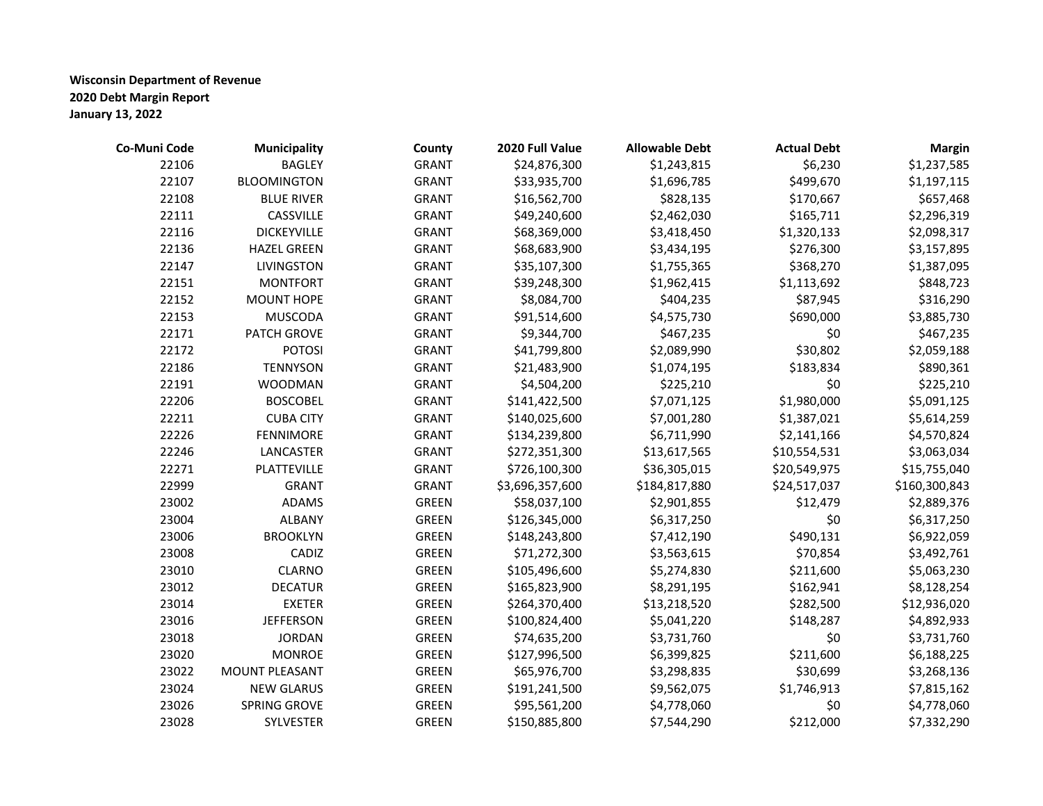| Co-Muni Code | <b>Municipality</b>   | County       | 2020 Full Value | <b>Allowable Debt</b> | <b>Actual Debt</b> | <b>Margin</b> |
|--------------|-----------------------|--------------|-----------------|-----------------------|--------------------|---------------|
| 22106        | <b>BAGLEY</b>         | <b>GRANT</b> | \$24,876,300    | \$1,243,815           | \$6,230            | \$1,237,585   |
| 22107        | <b>BLOOMINGTON</b>    | <b>GRANT</b> | \$33,935,700    | \$1,696,785           | \$499,670          | \$1,197,115   |
| 22108        | <b>BLUE RIVER</b>     | <b>GRANT</b> | \$16,562,700    | \$828,135             | \$170,667          | \$657,468     |
| 22111        | CASSVILLE             | <b>GRANT</b> | \$49,240,600    | \$2,462,030           | \$165,711          | \$2,296,319   |
| 22116        | <b>DICKEYVILLE</b>    | <b>GRANT</b> | \$68,369,000    | \$3,418,450           | \$1,320,133        | \$2,098,317   |
| 22136        | <b>HAZEL GREEN</b>    | <b>GRANT</b> | \$68,683,900    | \$3,434,195           | \$276,300          | \$3,157,895   |
| 22147        | <b>LIVINGSTON</b>     | <b>GRANT</b> | \$35,107,300    | \$1,755,365           | \$368,270          | \$1,387,095   |
| 22151        | <b>MONTFORT</b>       | <b>GRANT</b> | \$39,248,300    | \$1,962,415           | \$1,113,692        | \$848,723     |
| 22152        | MOUNT HOPE            | <b>GRANT</b> | \$8,084,700     | \$404,235             | \$87,945           | \$316,290     |
| 22153        | <b>MUSCODA</b>        | <b>GRANT</b> | \$91,514,600    | \$4,575,730           | \$690,000          | \$3,885,730   |
| 22171        | PATCH GROVE           | <b>GRANT</b> | \$9,344,700     | \$467,235             | \$0                | \$467,235     |
| 22172        | <b>POTOSI</b>         | <b>GRANT</b> | \$41,799,800    | \$2,089,990           | \$30,802           | \$2,059,188   |
| 22186        | <b>TENNYSON</b>       | <b>GRANT</b> | \$21,483,900    | \$1,074,195           | \$183,834          | \$890,361     |
| 22191        | <b>WOODMAN</b>        | <b>GRANT</b> | \$4,504,200     | \$225,210             | \$0                | \$225,210     |
| 22206        | <b>BOSCOBEL</b>       | <b>GRANT</b> | \$141,422,500   | \$7,071,125           | \$1,980,000        | \$5,091,125   |
| 22211        | <b>CUBA CITY</b>      | <b>GRANT</b> | \$140,025,600   | \$7,001,280           | \$1,387,021        | \$5,614,259   |
| 22226        | <b>FENNIMORE</b>      | <b>GRANT</b> | \$134,239,800   | \$6,711,990           | \$2,141,166        | \$4,570,824   |
| 22246        | LANCASTER             | <b>GRANT</b> | \$272,351,300   | \$13,617,565          | \$10,554,531       | \$3,063,034   |
| 22271        | PLATTEVILLE           | <b>GRANT</b> | \$726,100,300   | \$36,305,015          | \$20,549,975       | \$15,755,040  |
| 22999        | <b>GRANT</b>          | <b>GRANT</b> | \$3,696,357,600 | \$184,817,880         | \$24,517,037       | \$160,300,843 |
| 23002        | ADAMS                 | <b>GREEN</b> | \$58,037,100    | \$2,901,855           | \$12,479           | \$2,889,376   |
| 23004        | <b>ALBANY</b>         | <b>GREEN</b> | \$126,345,000   | \$6,317,250           | \$0                | \$6,317,250   |
| 23006        | <b>BROOKLYN</b>       | <b>GREEN</b> | \$148,243,800   | \$7,412,190           | \$490,131          | \$6,922,059   |
| 23008        | CADIZ                 | <b>GREEN</b> | \$71,272,300    | \$3,563,615           | \$70,854           | \$3,492,761   |
| 23010        | <b>CLARNO</b>         | <b>GREEN</b> | \$105,496,600   | \$5,274,830           | \$211,600          | \$5,063,230   |
| 23012        | <b>DECATUR</b>        | <b>GREEN</b> | \$165,823,900   | \$8,291,195           | \$162,941          | \$8,128,254   |
| 23014        | <b>EXETER</b>         | <b>GREEN</b> | \$264,370,400   | \$13,218,520          | \$282,500          | \$12,936,020  |
| 23016        | <b>JEFFERSON</b>      | <b>GREEN</b> | \$100,824,400   | \$5,041,220           | \$148,287          | \$4,892,933   |
| 23018        | <b>JORDAN</b>         | <b>GREEN</b> | \$74,635,200    | \$3,731,760           | \$0                | \$3,731,760   |
| 23020        | <b>MONROE</b>         | <b>GREEN</b> | \$127,996,500   | \$6,399,825           | \$211,600          | \$6,188,225   |
| 23022        | <b>MOUNT PLEASANT</b> | <b>GREEN</b> | \$65,976,700    | \$3,298,835           | \$30,699           | \$3,268,136   |
| 23024        | <b>NEW GLARUS</b>     | <b>GREEN</b> | \$191,241,500   | \$9,562,075           | \$1,746,913        | \$7,815,162   |
| 23026        | SPRING GROVE          | <b>GREEN</b> | \$95,561,200    | \$4,778,060           | \$0                | \$4,778,060   |
| 23028        | SYLVESTER             | <b>GREEN</b> | \$150,885,800   | \$7,544,290           | \$212,000          | \$7,332,290   |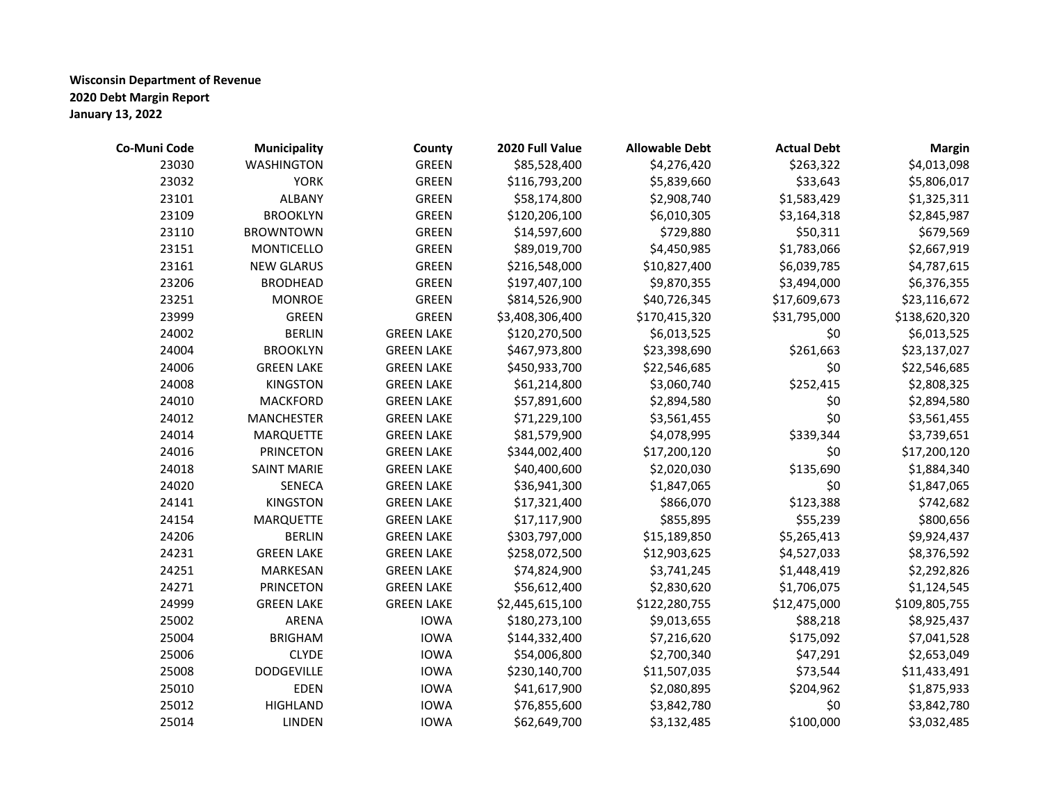| Co-Muni Code | <b>Municipality</b> | County            | 2020 Full Value | <b>Allowable Debt</b> | <b>Actual Debt</b> | <b>Margin</b> |
|--------------|---------------------|-------------------|-----------------|-----------------------|--------------------|---------------|
| 23030        | <b>WASHINGTON</b>   | <b>GREEN</b>      | \$85,528,400    | \$4,276,420           | \$263,322          | \$4,013,098   |
| 23032        | <b>YORK</b>         | <b>GREEN</b>      | \$116,793,200   | \$5,839,660           | \$33,643           | \$5,806,017   |
| 23101        | <b>ALBANY</b>       | <b>GREEN</b>      | \$58,174,800    | \$2,908,740           | \$1,583,429        | \$1,325,311   |
| 23109        | <b>BROOKLYN</b>     | <b>GREEN</b>      | \$120,206,100   | \$6,010,305           | \$3,164,318        | \$2,845,987   |
| 23110        | <b>BROWNTOWN</b>    | <b>GREEN</b>      | \$14,597,600    | \$729,880             | \$50,311           | \$679,569     |
| 23151        | <b>MONTICELLO</b>   | <b>GREEN</b>      | \$89,019,700    | \$4,450,985           | \$1,783,066        | \$2,667,919   |
| 23161        | <b>NEW GLARUS</b>   | <b>GREEN</b>      | \$216,548,000   | \$10,827,400          | \$6,039,785        | \$4,787,615   |
| 23206        | <b>BRODHEAD</b>     | <b>GREEN</b>      | \$197,407,100   | \$9,870,355           | \$3,494,000        | \$6,376,355   |
| 23251        | <b>MONROE</b>       | <b>GREEN</b>      | \$814,526,900   | \$40,726,345          | \$17,609,673       | \$23,116,672  |
| 23999        | <b>GREEN</b>        | <b>GREEN</b>      | \$3,408,306,400 | \$170,415,320         | \$31,795,000       | \$138,620,320 |
| 24002        | <b>BERLIN</b>       | <b>GREEN LAKE</b> | \$120,270,500   | \$6,013,525           | \$0                | \$6,013,525   |
| 24004        | <b>BROOKLYN</b>     | <b>GREEN LAKE</b> | \$467,973,800   | \$23,398,690          | \$261,663          | \$23,137,027  |
| 24006        | <b>GREEN LAKE</b>   | <b>GREEN LAKE</b> | \$450,933,700   | \$22,546,685          | \$0                | \$22,546,685  |
| 24008        | <b>KINGSTON</b>     | <b>GREEN LAKE</b> | \$61,214,800    | \$3,060,740           | \$252,415          | \$2,808,325   |
| 24010        | <b>MACKFORD</b>     | <b>GREEN LAKE</b> | \$57,891,600    | \$2,894,580           | \$0                | \$2,894,580   |
| 24012        | <b>MANCHESTER</b>   | <b>GREEN LAKE</b> | \$71,229,100    | \$3,561,455           | \$0                | \$3,561,455   |
| 24014        | MARQUETTE           | <b>GREEN LAKE</b> | \$81,579,900    | \$4,078,995           | \$339,344          | \$3,739,651   |
| 24016        | <b>PRINCETON</b>    | <b>GREEN LAKE</b> | \$344,002,400   | \$17,200,120          | \$0                | \$17,200,120  |
| 24018        | <b>SAINT MARIE</b>  | <b>GREEN LAKE</b> | \$40,400,600    | \$2,020,030           | \$135,690          | \$1,884,340   |
| 24020        | <b>SENECA</b>       | <b>GREEN LAKE</b> | \$36,941,300    | \$1,847,065           | \$0                | \$1,847,065   |
| 24141        | <b>KINGSTON</b>     | <b>GREEN LAKE</b> | \$17,321,400    | \$866,070             | \$123,388          | \$742,682     |
| 24154        | MARQUETTE           | <b>GREEN LAKE</b> | \$17,117,900    | \$855,895             | \$55,239           | \$800,656     |
| 24206        | <b>BERLIN</b>       | <b>GREEN LAKE</b> | \$303,797,000   | \$15,189,850          | \$5,265,413        | \$9,924,437   |
| 24231        | <b>GREEN LAKE</b>   | <b>GREEN LAKE</b> | \$258,072,500   | \$12,903,625          | \$4,527,033        | \$8,376,592   |
| 24251        | MARKESAN            | <b>GREEN LAKE</b> | \$74,824,900    | \$3,741,245           | \$1,448,419        | \$2,292,826   |
| 24271        | <b>PRINCETON</b>    | <b>GREEN LAKE</b> | \$56,612,400    | \$2,830,620           | \$1,706,075        | \$1,124,545   |
| 24999        | <b>GREEN LAKE</b>   | <b>GREEN LAKE</b> | \$2,445,615,100 | \$122,280,755         | \$12,475,000       | \$109,805,755 |
| 25002        | ARENA               | <b>IOWA</b>       | \$180,273,100   | \$9,013,655           | \$88,218           | \$8,925,437   |
| 25004        | <b>BRIGHAM</b>      | <b>IOWA</b>       | \$144,332,400   | \$7,216,620           | \$175,092          | \$7,041,528   |
| 25006        | <b>CLYDE</b>        | <b>IOWA</b>       | \$54,006,800    | \$2,700,340           | \$47,291           | \$2,653,049   |
| 25008        | <b>DODGEVILLE</b>   | <b>IOWA</b>       | \$230,140,700   | \$11,507,035          | \$73,544           | \$11,433,491  |
| 25010        | <b>EDEN</b>         | <b>IOWA</b>       | \$41,617,900    | \$2,080,895           | \$204,962          | \$1,875,933   |
| 25012        | <b>HIGHLAND</b>     | <b>IOWA</b>       | \$76,855,600    | \$3,842,780           | \$0                | \$3,842,780   |
| 25014        | <b>LINDEN</b>       | <b>IOWA</b>       | \$62,649,700    | \$3,132,485           | \$100,000          | \$3,032,485   |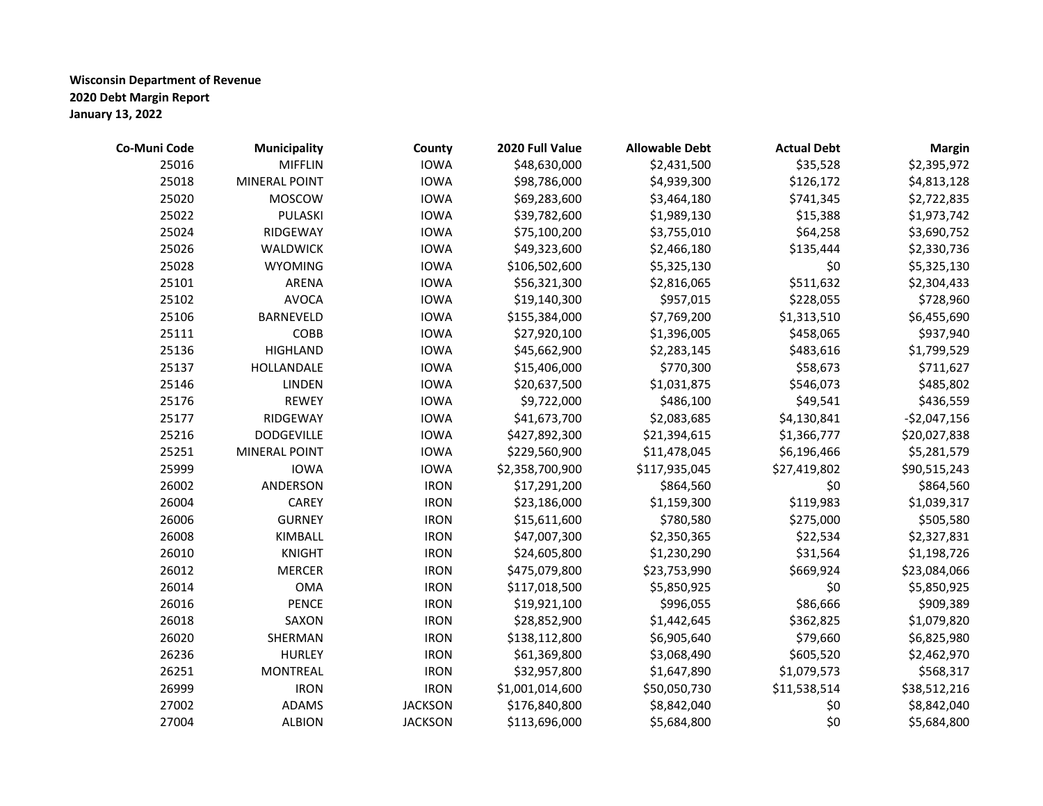| Co-Muni Code | <b>Municipality</b>  | County         | 2020 Full Value | <b>Allowable Debt</b> | <b>Actual Debt</b> | <b>Margin</b> |
|--------------|----------------------|----------------|-----------------|-----------------------|--------------------|---------------|
| 25016        | <b>MIFFLIN</b>       | <b>IOWA</b>    | \$48,630,000    | \$2,431,500           | \$35,528           | \$2,395,972   |
| 25018        | <b>MINERAL POINT</b> | <b>IOWA</b>    | \$98,786,000    | \$4,939,300           | \$126,172          | \$4,813,128   |
| 25020        | MOSCOW               | <b>IOWA</b>    | \$69,283,600    | \$3,464,180           | \$741,345          | \$2,722,835   |
| 25022        | PULASKI              | <b>IOWA</b>    | \$39,782,600    | \$1,989,130           | \$15,388           | \$1,973,742   |
| 25024        | RIDGEWAY             | <b>IOWA</b>    | \$75,100,200    | \$3,755,010           | \$64,258           | \$3,690,752   |
| 25026        | <b>WALDWICK</b>      | <b>IOWA</b>    | \$49,323,600    | \$2,466,180           | \$135,444          | \$2,330,736   |
| 25028        | <b>WYOMING</b>       | <b>IOWA</b>    | \$106,502,600   | \$5,325,130           | \$0                | \$5,325,130   |
| 25101        | ARENA                | <b>IOWA</b>    | \$56,321,300    | \$2,816,065           | \$511,632          | \$2,304,433   |
| 25102        | <b>AVOCA</b>         | <b>IOWA</b>    | \$19,140,300    | \$957,015             | \$228,055          | \$728,960     |
| 25106        | <b>BARNEVELD</b>     | <b>IOWA</b>    | \$155,384,000   | \$7,769,200           | \$1,313,510        | \$6,455,690   |
| 25111        | COBB                 | <b>IOWA</b>    | \$27,920,100    | \$1,396,005           | \$458,065          | \$937,940     |
| 25136        | <b>HIGHLAND</b>      | <b>IOWA</b>    | \$45,662,900    | \$2,283,145           | \$483,616          | \$1,799,529   |
| 25137        | HOLLANDALE           | <b>IOWA</b>    | \$15,406,000    | \$770,300             | \$58,673           | \$711,627     |
| 25146        | LINDEN               | <b>IOWA</b>    | \$20,637,500    | \$1,031,875           | \$546,073          | \$485,802     |
| 25176        | <b>REWEY</b>         | <b>IOWA</b>    | \$9,722,000     | \$486,100             | \$49,541           | \$436,559     |
| 25177        | RIDGEWAY             | <b>IOWA</b>    | \$41,673,700    | \$2,083,685           | \$4,130,841        | $-$2,047,156$ |
| 25216        | <b>DODGEVILLE</b>    | <b>IOWA</b>    | \$427,892,300   | \$21,394,615          | \$1,366,777        | \$20,027,838  |
| 25251        | <b>MINERAL POINT</b> | <b>IOWA</b>    | \$229,560,900   | \$11,478,045          | \$6,196,466        | \$5,281,579   |
| 25999        | <b>IOWA</b>          | <b>IOWA</b>    | \$2,358,700,900 | \$117,935,045         | \$27,419,802       | \$90,515,243  |
| 26002        | ANDERSON             | <b>IRON</b>    | \$17,291,200    | \$864,560             | \$0                | \$864,560     |
| 26004        | CAREY                | <b>IRON</b>    | \$23,186,000    | \$1,159,300           | \$119,983          | \$1,039,317   |
| 26006        | <b>GURNEY</b>        | <b>IRON</b>    | \$15,611,600    | \$780,580             | \$275,000          | \$505,580     |
| 26008        | KIMBALL              | <b>IRON</b>    | \$47,007,300    | \$2,350,365           | \$22,534           | \$2,327,831   |
| 26010        | <b>KNIGHT</b>        | <b>IRON</b>    | \$24,605,800    | \$1,230,290           | \$31,564           | \$1,198,726   |
| 26012        | <b>MERCER</b>        | <b>IRON</b>    | \$475,079,800   | \$23,753,990          | \$669,924          | \$23,084,066  |
| 26014        | <b>OMA</b>           | <b>IRON</b>    | \$117,018,500   | \$5,850,925           | \$0                | \$5,850,925   |
| 26016        | <b>PENCE</b>         | <b>IRON</b>    | \$19,921,100    | \$996,055             | \$86,666           | \$909,389     |
| 26018        | SAXON                | <b>IRON</b>    | \$28,852,900    | \$1,442,645           | \$362,825          | \$1,079,820   |
| 26020        | SHERMAN              | <b>IRON</b>    | \$138,112,800   | \$6,905,640           | \$79,660           | \$6,825,980   |
| 26236        | <b>HURLEY</b>        | <b>IRON</b>    | \$61,369,800    | \$3,068,490           | \$605,520          | \$2,462,970   |
| 26251        | <b>MONTREAL</b>      | <b>IRON</b>    | \$32,957,800    | \$1,647,890           | \$1,079,573        | \$568,317     |
| 26999        | <b>IRON</b>          | <b>IRON</b>    | \$1,001,014,600 | \$50,050,730          | \$11,538,514       | \$38,512,216  |
| 27002        | ADAMS                | <b>JACKSON</b> | \$176,840,800   | \$8,842,040           | \$0                | \$8,842,040   |
| 27004        | <b>ALBION</b>        | <b>JACKSON</b> | \$113,696,000   | \$5,684,800           | \$0                | \$5,684,800   |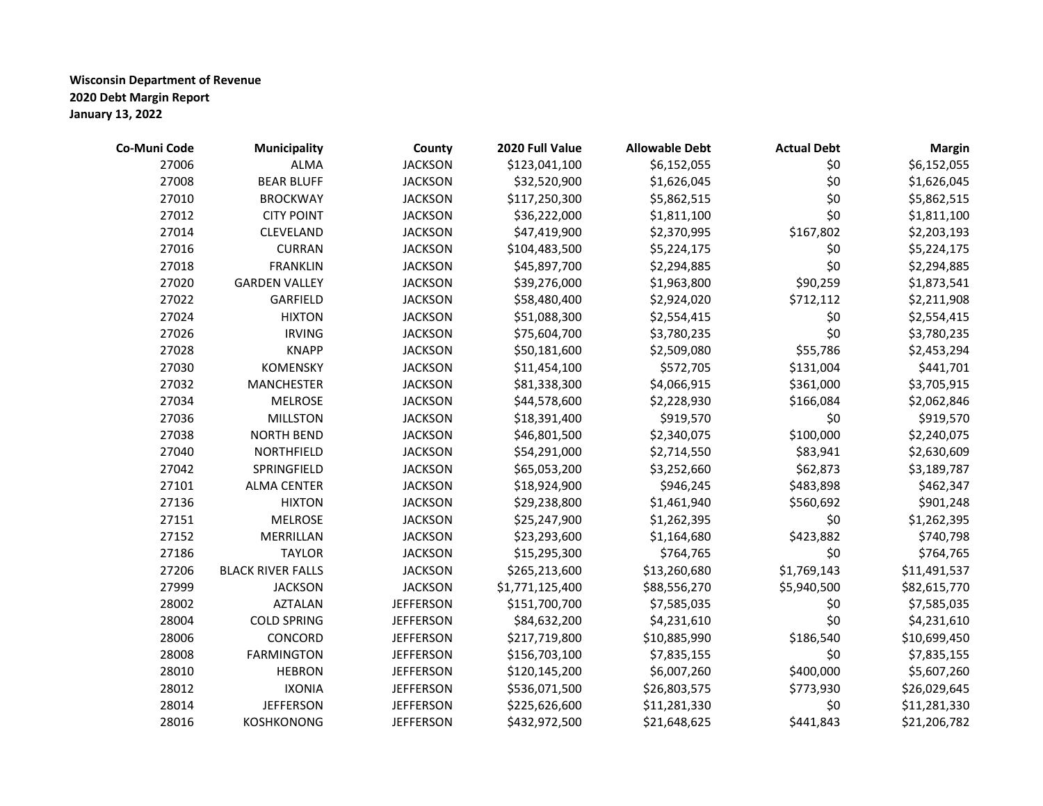| Co-Muni Code | Municipality             | County           | 2020 Full Value | <b>Allowable Debt</b> | <b>Actual Debt</b> | <b>Margin</b> |
|--------------|--------------------------|------------------|-----------------|-----------------------|--------------------|---------------|
| 27006        | <b>ALMA</b>              | <b>JACKSON</b>   | \$123,041,100   | \$6,152,055           | \$0                | \$6,152,055   |
| 27008        | <b>BEAR BLUFF</b>        | <b>JACKSON</b>   | \$32,520,900    | \$1,626,045           | \$0                | \$1,626,045   |
| 27010        | <b>BROCKWAY</b>          | <b>JACKSON</b>   | \$117,250,300   | \$5,862,515           | \$0                | \$5,862,515   |
| 27012        | <b>CITY POINT</b>        | <b>JACKSON</b>   | \$36,222,000    | \$1,811,100           | \$0                | \$1,811,100   |
| 27014        | CLEVELAND                | <b>JACKSON</b>   | \$47,419,900    | \$2,370,995           | \$167,802          | \$2,203,193   |
| 27016        | <b>CURRAN</b>            | <b>JACKSON</b>   | \$104,483,500   | \$5,224,175           | \$0                | \$5,224,175   |
| 27018        | <b>FRANKLIN</b>          | <b>JACKSON</b>   | \$45,897,700    | \$2,294,885           | \$0                | \$2,294,885   |
| 27020        | <b>GARDEN VALLEY</b>     | <b>JACKSON</b>   | \$39,276,000    | \$1,963,800           | \$90,259           | \$1,873,541   |
| 27022        | GARFIELD                 | <b>JACKSON</b>   | \$58,480,400    | \$2,924,020           | \$712,112          | \$2,211,908   |
| 27024        | <b>HIXTON</b>            | <b>JACKSON</b>   | \$51,088,300    | \$2,554,415           | \$0                | \$2,554,415   |
| 27026        | <b>IRVING</b>            | <b>JACKSON</b>   | \$75,604,700    | \$3,780,235           | \$0                | \$3,780,235   |
| 27028        | <b>KNAPP</b>             | <b>JACKSON</b>   | \$50,181,600    | \$2,509,080           | \$55,786           | \$2,453,294   |
| 27030        | <b>KOMENSKY</b>          | <b>JACKSON</b>   | \$11,454,100    | \$572,705             | \$131,004          | \$441,701     |
| 27032        | <b>MANCHESTER</b>        | <b>JACKSON</b>   | \$81,338,300    | \$4,066,915           | \$361,000          | \$3,705,915   |
| 27034        | <b>MELROSE</b>           | <b>JACKSON</b>   | \$44,578,600    | \$2,228,930           | \$166,084          | \$2,062,846   |
| 27036        | <b>MILLSTON</b>          | <b>JACKSON</b>   | \$18,391,400    | \$919,570             | \$0                | \$919,570     |
| 27038        | <b>NORTH BEND</b>        | <b>JACKSON</b>   | \$46,801,500    | \$2,340,075           | \$100,000          | \$2,240,075   |
| 27040        | NORTHFIELD               | <b>JACKSON</b>   | \$54,291,000    | \$2,714,550           | \$83,941           | \$2,630,609   |
| 27042        | SPRINGFIELD              | <b>JACKSON</b>   | \$65,053,200    | \$3,252,660           | \$62,873           | \$3,189,787   |
| 27101        | <b>ALMA CENTER</b>       | <b>JACKSON</b>   | \$18,924,900    | \$946,245             | \$483,898          | \$462,347     |
| 27136        | <b>HIXTON</b>            | <b>JACKSON</b>   | \$29,238,800    | \$1,461,940           | \$560,692          | \$901,248     |
| 27151        | MELROSE                  | <b>JACKSON</b>   | \$25,247,900    | \$1,262,395           | \$0                | \$1,262,395   |
| 27152        | MERRILLAN                | <b>JACKSON</b>   | \$23,293,600    | \$1,164,680           | \$423,882          | \$740,798     |
| 27186        | <b>TAYLOR</b>            | <b>JACKSON</b>   | \$15,295,300    | \$764,765             | \$0                | \$764,765     |
| 27206        | <b>BLACK RIVER FALLS</b> | <b>JACKSON</b>   | \$265,213,600   | \$13,260,680          | \$1,769,143        | \$11,491,537  |
| 27999        | <b>JACKSON</b>           | <b>JACKSON</b>   | \$1,771,125,400 | \$88,556,270          | \$5,940,500        | \$82,615,770  |
| 28002        | <b>AZTALAN</b>           | <b>JEFFERSON</b> | \$151,700,700   | \$7,585,035           | \$0                | \$7,585,035   |
| 28004        | <b>COLD SPRING</b>       | <b>JEFFERSON</b> | \$84,632,200    | \$4,231,610           | \$0                | \$4,231,610   |
| 28006        | CONCORD                  | <b>JEFFERSON</b> | \$217,719,800   | \$10,885,990          | \$186,540          | \$10,699,450  |
| 28008        | <b>FARMINGTON</b>        | <b>JEFFERSON</b> | \$156,703,100   | \$7,835,155           | \$0                | \$7,835,155   |
| 28010        | <b>HEBRON</b>            | <b>JEFFERSON</b> | \$120,145,200   | \$6,007,260           | \$400,000          | \$5,607,260   |
| 28012        | <b>IXONIA</b>            | <b>JEFFERSON</b> | \$536,071,500   | \$26,803,575          | \$773,930          | \$26,029,645  |
| 28014        | <b>JEFFERSON</b>         | <b>JEFFERSON</b> | \$225,626,600   | \$11,281,330          | \$0                | \$11,281,330  |
| 28016        | <b>KOSHKONONG</b>        | <b>JEFFERSON</b> | \$432,972,500   | \$21,648,625          | \$441,843          | \$21,206,782  |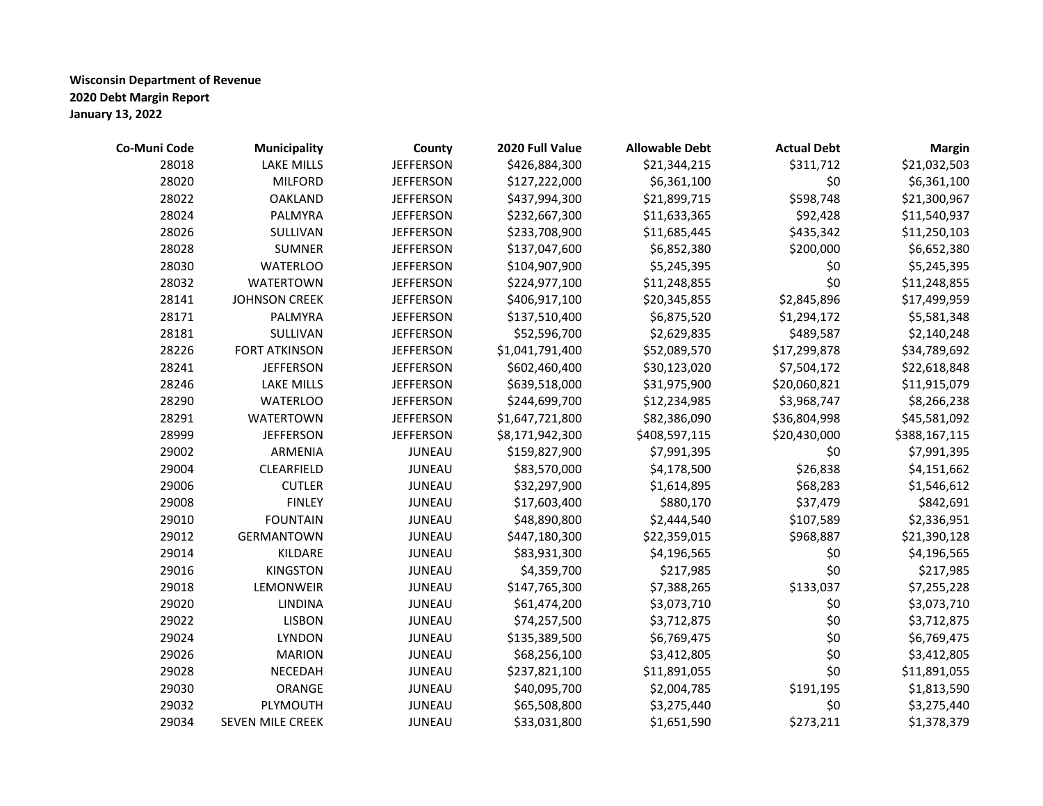| Co-Muni Code | Municipality            | County           | 2020 Full Value | <b>Allowable Debt</b> | <b>Actual Debt</b> | <b>Margin</b> |
|--------------|-------------------------|------------------|-----------------|-----------------------|--------------------|---------------|
| 28018        | <b>LAKE MILLS</b>       | <b>JEFFERSON</b> | \$426,884,300   | \$21,344,215          | \$311,712          | \$21,032,503  |
| 28020        | <b>MILFORD</b>          | <b>JEFFERSON</b> | \$127,222,000   | \$6,361,100           | \$0                | \$6,361,100   |
| 28022        | <b>OAKLAND</b>          | <b>JEFFERSON</b> | \$437,994,300   | \$21,899,715          | \$598,748          | \$21,300,967  |
| 28024        | PALMYRA                 | <b>JEFFERSON</b> | \$232,667,300   | \$11,633,365          | \$92,428           | \$11,540,937  |
| 28026        | SULLIVAN                | <b>JEFFERSON</b> | \$233,708,900   | \$11,685,445          | \$435,342          | \$11,250,103  |
| 28028        | <b>SUMNER</b>           | <b>JEFFERSON</b> | \$137,047,600   | \$6,852,380           | \$200,000          | \$6,652,380   |
| 28030        | <b>WATERLOO</b>         | <b>JEFFERSON</b> | \$104,907,900   | \$5,245,395           | \$0                | \$5,245,395   |
| 28032        | <b>WATERTOWN</b>        | <b>JEFFERSON</b> | \$224,977,100   | \$11,248,855          | \$0                | \$11,248,855  |
| 28141        | <b>JOHNSON CREEK</b>    | <b>JEFFERSON</b> | \$406,917,100   | \$20,345,855          | \$2,845,896        | \$17,499,959  |
| 28171        | PALMYRA                 | <b>JEFFERSON</b> | \$137,510,400   | \$6,875,520           | \$1,294,172        | \$5,581,348   |
| 28181        | SULLIVAN                | <b>JEFFERSON</b> | \$52,596,700    | \$2,629,835           | \$489,587          | \$2,140,248   |
| 28226        | <b>FORT ATKINSON</b>    | <b>JEFFERSON</b> | \$1,041,791,400 | \$52,089,570          | \$17,299,878       | \$34,789,692  |
| 28241        | <b>JEFFERSON</b>        | <b>JEFFERSON</b> | \$602,460,400   | \$30,123,020          | \$7,504,172        | \$22,618,848  |
| 28246        | <b>LAKE MILLS</b>       | <b>JEFFERSON</b> | \$639,518,000   | \$31,975,900          | \$20,060,821       | \$11,915,079  |
| 28290        | <b>WATERLOO</b>         | <b>JEFFERSON</b> | \$244,699,700   | \$12,234,985          | \$3,968,747        | \$8,266,238   |
| 28291        | <b>WATERTOWN</b>        | <b>JEFFERSON</b> | \$1,647,721,800 | \$82,386,090          | \$36,804,998       | \$45,581,092  |
| 28999        | <b>JEFFERSON</b>        | <b>JEFFERSON</b> | \$8,171,942,300 | \$408,597,115         | \$20,430,000       | \$388,167,115 |
| 29002        | ARMENIA                 | <b>JUNEAU</b>    | \$159,827,900   | \$7,991,395           | \$0                | \$7,991,395   |
| 29004        | CLEARFIELD              | <b>JUNEAU</b>    | \$83,570,000    | \$4,178,500           | \$26,838           | \$4,151,662   |
| 29006        | <b>CUTLER</b>           | JUNEAU           | \$32,297,900    | \$1,614,895           | \$68,283           | \$1,546,612   |
| 29008        | <b>FINLEY</b>           | JUNEAU           | \$17,603,400    | \$880,170             | \$37,479           | \$842,691     |
| 29010        | <b>FOUNTAIN</b>         | JUNEAU           | \$48,890,800    | \$2,444,540           | \$107,589          | \$2,336,951   |
| 29012        | GERMANTOWN              | <b>JUNEAU</b>    | \$447,180,300   | \$22,359,015          | \$968,887          | \$21,390,128  |
| 29014        | KILDARE                 | <b>JUNEAU</b>    | \$83,931,300    | \$4,196,565           | \$0                | \$4,196,565   |
| 29016        | <b>KINGSTON</b>         | JUNEAU           | \$4,359,700     | \$217,985             | \$0                | \$217,985     |
| 29018        | LEMONWEIR               | JUNEAU           | \$147,765,300   | \$7,388,265           | \$133,037          | \$7,255,228   |
| 29020        | <b>LINDINA</b>          | JUNEAU           | \$61,474,200    | \$3,073,710           | \$0                | \$3,073,710   |
| 29022        | <b>LISBON</b>           | <b>JUNEAU</b>    | \$74,257,500    | \$3,712,875           | \$0                | \$3,712,875   |
| 29024        | <b>LYNDON</b>           | <b>JUNEAU</b>    | \$135,389,500   | \$6,769,475           | \$0                | \$6,769,475   |
| 29026        | <b>MARION</b>           | JUNEAU           | \$68,256,100    | \$3,412,805           | \$0                | \$3,412,805   |
| 29028        | NECEDAH                 | JUNEAU           | \$237,821,100   | \$11,891,055          | \$0                | \$11,891,055  |
| 29030        | ORANGE                  | JUNEAU           | \$40,095,700    | \$2,004,785           | \$191,195          | \$1,813,590   |
| 29032        | PLYMOUTH                | JUNEAU           | \$65,508,800    | \$3,275,440           | \$0                | \$3,275,440   |
| 29034        | <b>SEVEN MILE CREEK</b> | <b>JUNEAU</b>    | \$33,031,800    | \$1,651,590           | \$273,211          | \$1,378,379   |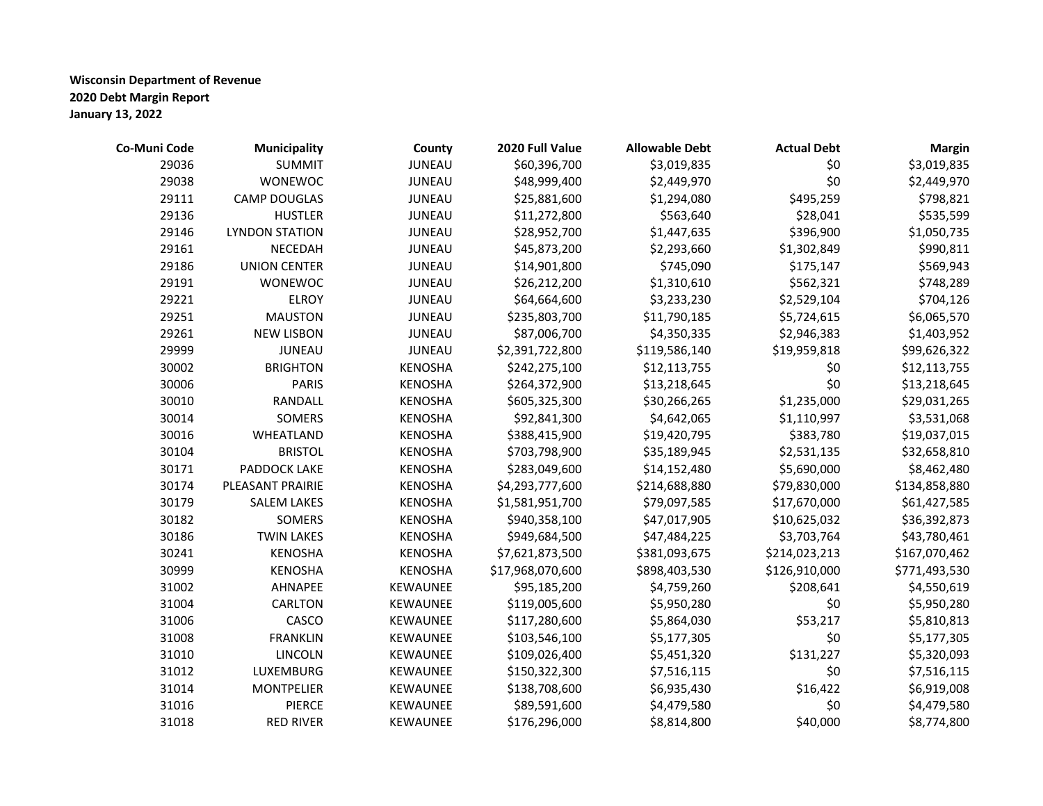| Co-Muni Code | <b>Municipality</b>   | County          | 2020 Full Value  | <b>Allowable Debt</b> | <b>Actual Debt</b> | <b>Margin</b> |
|--------------|-----------------------|-----------------|------------------|-----------------------|--------------------|---------------|
| 29036        | <b>SUMMIT</b>         | JUNEAU          | \$60,396,700     | \$3,019,835           | \$0                | \$3,019,835   |
| 29038        | WONEWOC               | JUNEAU          | \$48,999,400     | \$2,449,970           | \$0                | \$2,449,970   |
| 29111        | <b>CAMP DOUGLAS</b>   | <b>JUNEAU</b>   | \$25,881,600     | \$1,294,080           | \$495,259          | \$798,821     |
| 29136        | <b>HUSTLER</b>        | JUNEAU          | \$11,272,800     | \$563,640             | \$28,041           | \$535,599     |
| 29146        | <b>LYNDON STATION</b> | JUNEAU          | \$28,952,700     | \$1,447,635           | \$396,900          | \$1,050,735   |
| 29161        | NECEDAH               | JUNEAU          | \$45,873,200     | \$2,293,660           | \$1,302,849        | \$990,811     |
| 29186        | <b>UNION CENTER</b>   | JUNEAU          | \$14,901,800     | \$745,090             | \$175,147          | \$569,943     |
| 29191        | WONEWOC               | JUNEAU          | \$26,212,200     | \$1,310,610           | \$562,321          | \$748,289     |
| 29221        | <b>ELROY</b>          | JUNEAU          | \$64,664,600     | \$3,233,230           | \$2,529,104        | \$704,126     |
| 29251        | <b>MAUSTON</b>        | JUNEAU          | \$235,803,700    | \$11,790,185          | \$5,724,615        | \$6,065,570   |
| 29261        | <b>NEW LISBON</b>     | <b>JUNEAU</b>   | \$87,006,700     | \$4,350,335           | \$2,946,383        | \$1,403,952   |
| 29999        | <b>JUNEAU</b>         | JUNEAU          | \$2,391,722,800  | \$119,586,140         | \$19,959,818       | \$99,626,322  |
| 30002        | <b>BRIGHTON</b>       | <b>KENOSHA</b>  | \$242,275,100    | \$12,113,755          | \$0                | \$12,113,755  |
| 30006        | <b>PARIS</b>          | <b>KENOSHA</b>  | \$264,372,900    | \$13,218,645          | \$0                | \$13,218,645  |
| 30010        | RANDALL               | <b>KENOSHA</b>  | \$605,325,300    | \$30,266,265          | \$1,235,000        | \$29,031,265  |
| 30014        | SOMERS                | <b>KENOSHA</b>  | \$92,841,300     | \$4,642,065           | \$1,110,997        | \$3,531,068   |
| 30016        | WHEATLAND             | <b>KENOSHA</b>  | \$388,415,900    | \$19,420,795          | \$383,780          | \$19,037,015  |
| 30104        | <b>BRISTOL</b>        | <b>KENOSHA</b>  | \$703,798,900    | \$35,189,945          | \$2,531,135        | \$32,658,810  |
| 30171        | PADDOCK LAKE          | <b>KENOSHA</b>  | \$283,049,600    | \$14,152,480          | \$5,690,000        | \$8,462,480   |
| 30174        | PLEASANT PRAIRIE      | <b>KENOSHA</b>  | \$4,293,777,600  | \$214,688,880         | \$79,830,000       | \$134,858,880 |
| 30179        | <b>SALEM LAKES</b>    | <b>KENOSHA</b>  | \$1,581,951,700  | \$79,097,585          | \$17,670,000       | \$61,427,585  |
| 30182        | SOMERS                | <b>KENOSHA</b>  | \$940,358,100    | \$47,017,905          | \$10,625,032       | \$36,392,873  |
| 30186        | <b>TWIN LAKES</b>     | <b>KENOSHA</b>  | \$949,684,500    | \$47,484,225          | \$3,703,764        | \$43,780,461  |
| 30241        | <b>KENOSHA</b>        | <b>KENOSHA</b>  | \$7,621,873,500  | \$381,093,675         | \$214,023,213      | \$167,070,462 |
| 30999        | <b>KENOSHA</b>        | <b>KENOSHA</b>  | \$17,968,070,600 | \$898,403,530         | \$126,910,000      | \$771,493,530 |
| 31002        | AHNAPEE               | KEWAUNEE        | \$95,185,200     | \$4,759,260           | \$208,641          | \$4,550,619   |
| 31004        | CARLTON               | KEWAUNEE        | \$119,005,600    | \$5,950,280           | \$0                | \$5,950,280   |
| 31006        | CASCO                 | KEWAUNEE        | \$117,280,600    | \$5,864,030           | \$53,217           | \$5,810,813   |
| 31008        | <b>FRANKLIN</b>       | KEWAUNEE        | \$103,546,100    | \$5,177,305           | \$0                | \$5,177,305   |
| 31010        | <b>LINCOLN</b>        | <b>KEWAUNEE</b> | \$109,026,400    | \$5,451,320           | \$131,227          | \$5,320,093   |
| 31012        | LUXEMBURG             | KEWAUNEE        | \$150,322,300    | \$7,516,115           | \$0                | \$7,516,115   |
| 31014        | <b>MONTPELIER</b>     | KEWAUNEE        | \$138,708,600    | \$6,935,430           | \$16,422           | \$6,919,008   |
| 31016        | <b>PIERCE</b>         | KEWAUNEE        | \$89,591,600     | \$4,479,580           | \$0                | \$4,479,580   |
| 31018        | <b>RED RIVER</b>      | <b>KEWAUNEE</b> | \$176,296,000    | \$8,814,800           | \$40,000           | \$8,774,800   |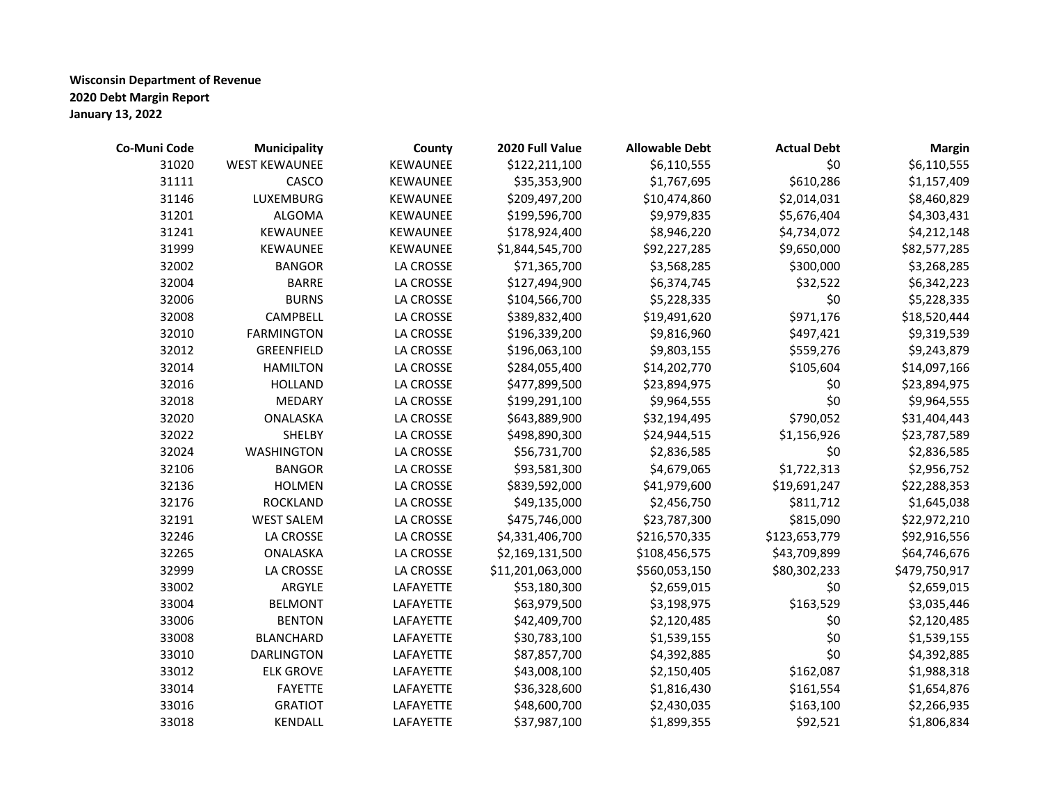| Co-Muni Code | Municipality         | County           | 2020 Full Value  | <b>Allowable Debt</b> | <b>Actual Debt</b> | <b>Margin</b> |
|--------------|----------------------|------------------|------------------|-----------------------|--------------------|---------------|
| 31020        | <b>WEST KEWAUNEE</b> | KEWAUNEE         | \$122,211,100    | \$6,110,555           | \$0                | \$6,110,555   |
| 31111        | CASCO                | KEWAUNEE         | \$35,353,900     | \$1,767,695           | \$610,286          | \$1,157,409   |
| 31146        | LUXEMBURG            | KEWAUNEE         | \$209,497,200    | \$10,474,860          | \$2,014,031        | \$8,460,829   |
| 31201        | ALGOMA               | KEWAUNEE         | \$199,596,700    | \$9,979,835           | \$5,676,404        | \$4,303,431   |
| 31241        | KEWAUNEE             | KEWAUNEE         | \$178,924,400    | \$8,946,220           | \$4,734,072        | \$4,212,148   |
| 31999        | KEWAUNEE             | KEWAUNEE         | \$1,844,545,700  | \$92,227,285          | \$9,650,000        | \$82,577,285  |
| 32002        | <b>BANGOR</b>        | <b>LA CROSSE</b> | \$71,365,700     | \$3,568,285           | \$300,000          | \$3,268,285   |
| 32004        | <b>BARRE</b>         | LA CROSSE        | \$127,494,900    | \$6,374,745           | \$32,522           | \$6,342,223   |
| 32006        | <b>BURNS</b>         | LA CROSSE        | \$104,566,700    | \$5,228,335           | \$0                | \$5,228,335   |
| 32008        | CAMPBELL             | <b>LA CROSSE</b> | \$389,832,400    | \$19,491,620          | \$971,176          | \$18,520,444  |
| 32010        | <b>FARMINGTON</b>    | <b>LA CROSSE</b> | \$196,339,200    | \$9,816,960           | \$497,421          | \$9,319,539   |
| 32012        | GREENFIELD           | <b>LA CROSSE</b> | \$196,063,100    | \$9,803,155           | \$559,276          | \$9,243,879   |
| 32014        | <b>HAMILTON</b>      | <b>LA CROSSE</b> | \$284,055,400    | \$14,202,770          | \$105,604          | \$14,097,166  |
| 32016        | <b>HOLLAND</b>       | <b>LA CROSSE</b> | \$477,899,500    | \$23,894,975          | \$0                | \$23,894,975  |
| 32018        | <b>MEDARY</b>        | <b>LA CROSSE</b> | \$199,291,100    | \$9,964,555           | \$0                | \$9,964,555   |
| 32020        | ONALASKA             | <b>LA CROSSE</b> | \$643,889,900    | \$32,194,495          | \$790,052          | \$31,404,443  |
| 32022        | SHELBY               | <b>LA CROSSE</b> | \$498,890,300    | \$24,944,515          | \$1,156,926        | \$23,787,589  |
| 32024        | <b>WASHINGTON</b>    | <b>LA CROSSE</b> | \$56,731,700     | \$2,836,585           | \$0                | \$2,836,585   |
| 32106        | <b>BANGOR</b>        | LA CROSSE        | \$93,581,300     | \$4,679,065           | \$1,722,313        | \$2,956,752   |
| 32136        | <b>HOLMEN</b>        | <b>LA CROSSE</b> | \$839,592,000    | \$41,979,600          | \$19,691,247       | \$22,288,353  |
| 32176        | <b>ROCKLAND</b>      | <b>LA CROSSE</b> | \$49,135,000     | \$2,456,750           | \$811,712          | \$1,645,038   |
| 32191        | <b>WEST SALEM</b>    | LA CROSSE        | \$475,746,000    | \$23,787,300          | \$815,090          | \$22,972,210  |
| 32246        | LA CROSSE            | LA CROSSE        | \$4,331,406,700  | \$216,570,335         | \$123,653,779      | \$92,916,556  |
| 32265        | ONALASKA             | LA CROSSE        | \$2,169,131,500  | \$108,456,575         | \$43,709,899       | \$64,746,676  |
| 32999        | <b>LA CROSSE</b>     | <b>LA CROSSE</b> | \$11,201,063,000 | \$560,053,150         | \$80,302,233       | \$479,750,917 |
| 33002        | ARGYLE               | LAFAYETTE        | \$53,180,300     | \$2,659,015           | \$0                | \$2,659,015   |
| 33004        | <b>BELMONT</b>       | LAFAYETTE        | \$63,979,500     | \$3,198,975           | \$163,529          | \$3,035,446   |
| 33006        | <b>BENTON</b>        | LAFAYETTE        | \$42,409,700     | \$2,120,485           | \$0                | \$2,120,485   |
| 33008        | <b>BLANCHARD</b>     | LAFAYETTE        | \$30,783,100     | \$1,539,155           | \$0                | \$1,539,155   |
| 33010        | <b>DARLINGTON</b>    | LAFAYETTE        | \$87,857,700     | \$4,392,885           | \$0                | \$4,392,885   |
| 33012        | <b>ELK GROVE</b>     | LAFAYETTE        | \$43,008,100     | \$2,150,405           | \$162,087          | \$1,988,318   |
| 33014        | <b>FAYETTE</b>       | LAFAYETTE        | \$36,328,600     | \$1,816,430           | \$161,554          | \$1,654,876   |
| 33016        | <b>GRATIOT</b>       | LAFAYETTE        | \$48,600,700     | \$2,430,035           | \$163,100          | \$2,266,935   |
| 33018        | KENDALL              | LAFAYETTE        | \$37,987,100     | \$1,899,355           | \$92,521           | \$1,806,834   |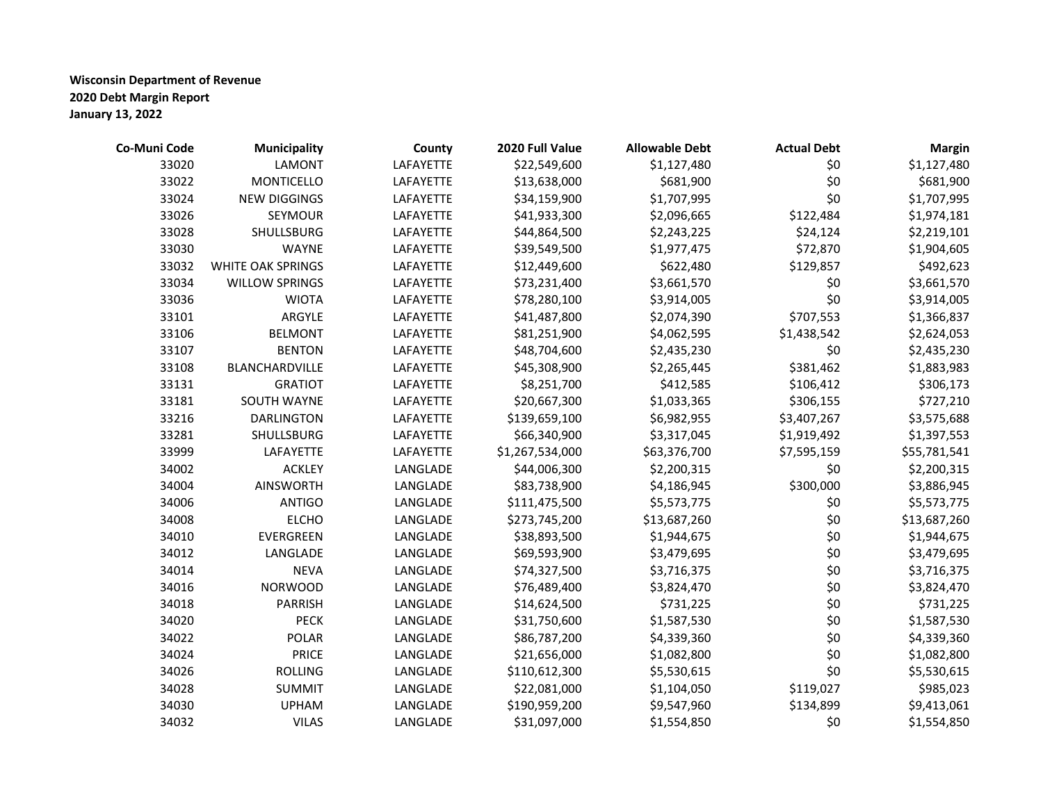| Co-Muni Code | <b>Municipality</b>      | County    | 2020 Full Value | <b>Allowable Debt</b> | <b>Actual Debt</b> | <b>Margin</b> |
|--------------|--------------------------|-----------|-----------------|-----------------------|--------------------|---------------|
| 33020        | <b>LAMONT</b>            | LAFAYETTE | \$22,549,600    | \$1,127,480           | \$0                | \$1,127,480   |
| 33022        | <b>MONTICELLO</b>        | LAFAYETTE | \$13,638,000    | \$681,900             | \$0                | \$681,900     |
| 33024        | <b>NEW DIGGINGS</b>      | LAFAYETTE | \$34,159,900    | \$1,707,995           | \$0                | \$1,707,995   |
| 33026        | SEYMOUR                  | LAFAYETTE | \$41,933,300    | \$2,096,665           | \$122,484          | \$1,974,181   |
| 33028        | SHULLSBURG               | LAFAYETTE | \$44,864,500    | \$2,243,225           | \$24,124           | \$2,219,101   |
| 33030        | <b>WAYNE</b>             | LAFAYETTE | \$39,549,500    | \$1,977,475           | \$72,870           | \$1,904,605   |
| 33032        | <b>WHITE OAK SPRINGS</b> | LAFAYETTE | \$12,449,600    | \$622,480             | \$129,857          | \$492,623     |
| 33034        | <b>WILLOW SPRINGS</b>    | LAFAYETTE | \$73,231,400    | \$3,661,570           | \$0                | \$3,661,570   |
| 33036        | <b>WIOTA</b>             | LAFAYETTE | \$78,280,100    | \$3,914,005           | \$0                | \$3,914,005   |
| 33101        | ARGYLE                   | LAFAYETTE | \$41,487,800    | \$2,074,390           | \$707,553          | \$1,366,837   |
| 33106        | <b>BELMONT</b>           | LAFAYETTE | \$81,251,900    | \$4,062,595           | \$1,438,542        | \$2,624,053   |
| 33107        | <b>BENTON</b>            | LAFAYETTE | \$48,704,600    | \$2,435,230           | \$0                | \$2,435,230   |
| 33108        | BLANCHARDVILLE           | LAFAYETTE | \$45,308,900    | \$2,265,445           | \$381,462          | \$1,883,983   |
| 33131        | <b>GRATIOT</b>           | LAFAYETTE | \$8,251,700     | \$412,585             | \$106,412          | \$306,173     |
| 33181        | SOUTH WAYNE              | LAFAYETTE | \$20,667,300    | \$1,033,365           | \$306,155          | \$727,210     |
| 33216        | <b>DARLINGTON</b>        | LAFAYETTE | \$139,659,100   | \$6,982,955           | \$3,407,267        | \$3,575,688   |
| 33281        | <b>SHULLSBURG</b>        | LAFAYETTE | \$66,340,900    | \$3,317,045           | \$1,919,492        | \$1,397,553   |
| 33999        | LAFAYETTE                | LAFAYETTE | \$1,267,534,000 | \$63,376,700          | \$7,595,159        | \$55,781,541  |
| 34002        | <b>ACKLEY</b>            | LANGLADE  | \$44,006,300    | \$2,200,315           | \$0                | \$2,200,315   |
| 34004        | <b>AINSWORTH</b>         | LANGLADE  | \$83,738,900    | \$4,186,945           | \$300,000          | \$3,886,945   |
| 34006        | <b>ANTIGO</b>            | LANGLADE  | \$111,475,500   | \$5,573,775           | \$0                | \$5,573,775   |
| 34008        | <b>ELCHO</b>             | LANGLADE  | \$273,745,200   | \$13,687,260          | \$0                | \$13,687,260  |
| 34010        | EVERGREEN                | LANGLADE  | \$38,893,500    | \$1,944,675           | \$0                | \$1,944,675   |
| 34012        | LANGLADE                 | LANGLADE  | \$69,593,900    | \$3,479,695           | \$0                | \$3,479,695   |
| 34014        | <b>NEVA</b>              | LANGLADE  | \$74,327,500    | \$3,716,375           | \$0                | \$3,716,375   |
| 34016        | <b>NORWOOD</b>           | LANGLADE  | \$76,489,400    | \$3,824,470           | \$0                | \$3,824,470   |
| 34018        | <b>PARRISH</b>           | LANGLADE  | \$14,624,500    | \$731,225             | \$0                | \$731,225     |
| 34020        | <b>PECK</b>              | LANGLADE  | \$31,750,600    | \$1,587,530           | \$0                | \$1,587,530   |
| 34022        | <b>POLAR</b>             | LANGLADE  | \$86,787,200    | \$4,339,360           | \$0                | \$4,339,360   |
| 34024        | <b>PRICE</b>             | LANGLADE  | \$21,656,000    | \$1,082,800           | \$0                | \$1,082,800   |
| 34026        | <b>ROLLING</b>           | LANGLADE  | \$110,612,300   | \$5,530,615           | \$0                | \$5,530,615   |
| 34028        | <b>SUMMIT</b>            | LANGLADE  | \$22,081,000    | \$1,104,050           | \$119,027          | \$985,023     |
| 34030        | <b>UPHAM</b>             | LANGLADE  | \$190,959,200   | \$9,547,960           | \$134,899          | \$9,413,061   |
| 34032        | <b>VILAS</b>             | LANGLADE  | \$31,097,000    | \$1,554,850           | \$0                | \$1,554,850   |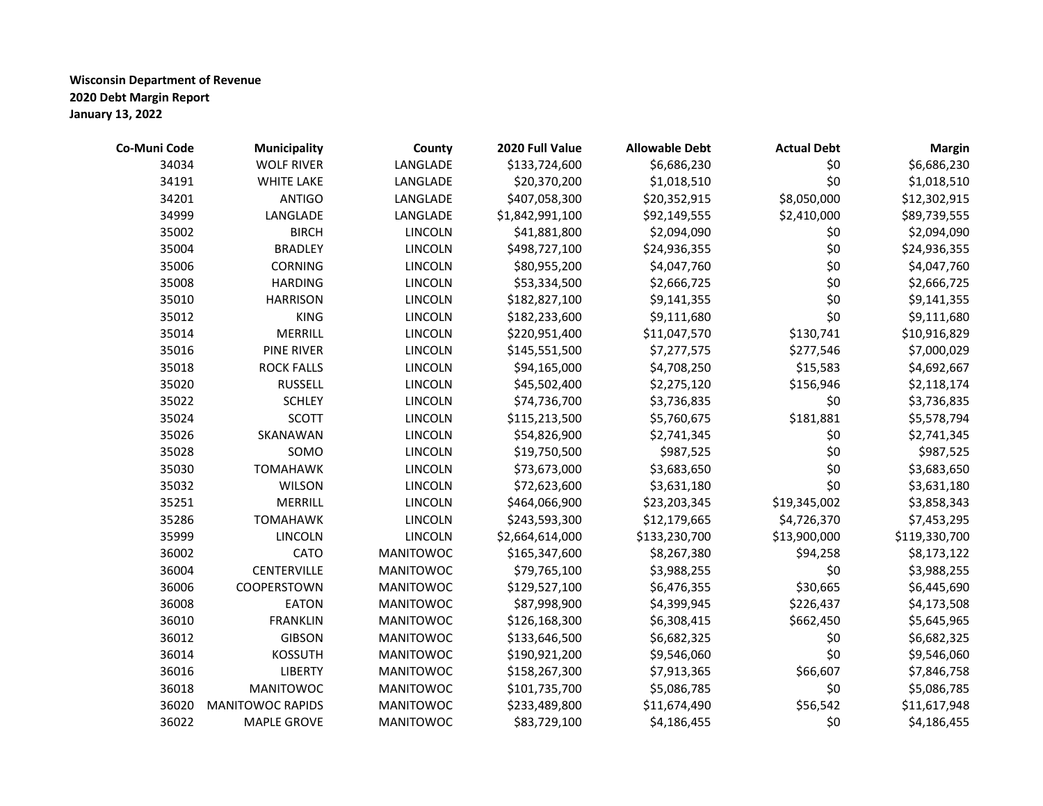| Co-Muni Code | <b>Municipality</b>     | County           | 2020 Full Value | <b>Allowable Debt</b> | <b>Actual Debt</b> | <b>Margin</b> |
|--------------|-------------------------|------------------|-----------------|-----------------------|--------------------|---------------|
| 34034        | <b>WOLF RIVER</b>       | LANGLADE         | \$133,724,600   | \$6,686,230           | \$0                | \$6,686,230   |
| 34191        | <b>WHITE LAKE</b>       | LANGLADE         | \$20,370,200    | \$1,018,510           | \$0                | \$1,018,510   |
| 34201        | <b>ANTIGO</b>           | LANGLADE         | \$407,058,300   | \$20,352,915          | \$8,050,000        | \$12,302,915  |
| 34999        | LANGLADE                | LANGLADE         | \$1,842,991,100 | \$92,149,555          | \$2,410,000        | \$89,739,555  |
| 35002        | <b>BIRCH</b>            | <b>LINCOLN</b>   | \$41,881,800    | \$2,094,090           | \$0                | \$2,094,090   |
| 35004        | <b>BRADLEY</b>          | <b>LINCOLN</b>   | \$498,727,100   | \$24,936,355          | \$0                | \$24,936,355  |
| 35006        | <b>CORNING</b>          | <b>LINCOLN</b>   | \$80,955,200    | \$4,047,760           | \$0                | \$4,047,760   |
| 35008        | <b>HARDING</b>          | <b>LINCOLN</b>   | \$53,334,500    | \$2,666,725           | \$0                | \$2,666,725   |
| 35010        | <b>HARRISON</b>         | <b>LINCOLN</b>   | \$182,827,100   | \$9,141,355           | \$0                | \$9,141,355   |
| 35012        | <b>KING</b>             | <b>LINCOLN</b>   | \$182,233,600   | \$9,111,680           | \$0                | \$9,111,680   |
| 35014        | <b>MERRILL</b>          | <b>LINCOLN</b>   | \$220,951,400   | \$11,047,570          | \$130,741          | \$10,916,829  |
| 35016        | <b>PINE RIVER</b>       | <b>LINCOLN</b>   | \$145,551,500   | \$7,277,575           | \$277,546          | \$7,000,029   |
| 35018        | <b>ROCK FALLS</b>       | <b>LINCOLN</b>   | \$94,165,000    | \$4,708,250           | \$15,583           | \$4,692,667   |
| 35020        | <b>RUSSELL</b>          | <b>LINCOLN</b>   | \$45,502,400    | \$2,275,120           | \$156,946          | \$2,118,174   |
| 35022        | <b>SCHLEY</b>           | <b>LINCOLN</b>   | \$74,736,700    | \$3,736,835           | \$0                | \$3,736,835   |
| 35024        | <b>SCOTT</b>            | <b>LINCOLN</b>   | \$115,213,500   | \$5,760,675           | \$181,881          | \$5,578,794   |
| 35026        | SKANAWAN                | <b>LINCOLN</b>   | \$54,826,900    | \$2,741,345           | \$0                | \$2,741,345   |
| 35028        | SOMO                    | <b>LINCOLN</b>   | \$19,750,500    | \$987,525             | \$0                | \$987,525     |
| 35030        | <b>TOMAHAWK</b>         | <b>LINCOLN</b>   | \$73,673,000    | \$3,683,650           | \$0                | \$3,683,650   |
| 35032        | <b>WILSON</b>           | <b>LINCOLN</b>   | \$72,623,600    | \$3,631,180           | \$0                | \$3,631,180   |
| 35251        | <b>MERRILL</b>          | <b>LINCOLN</b>   | \$464,066,900   | \$23,203,345          | \$19,345,002       | \$3,858,343   |
| 35286        | <b>TOMAHAWK</b>         | <b>LINCOLN</b>   | \$243,593,300   | \$12,179,665          | \$4,726,370        | \$7,453,295   |
| 35999        | <b>LINCOLN</b>          | <b>LINCOLN</b>   | \$2,664,614,000 | \$133,230,700         | \$13,900,000       | \$119,330,700 |
| 36002        | CATO                    | <b>MANITOWOC</b> | \$165,347,600   | \$8,267,380           | \$94,258           | \$8,173,122   |
| 36004        | CENTERVILLE             | <b>MANITOWOC</b> | \$79,765,100    | \$3,988,255           | \$0                | \$3,988,255   |
| 36006        | COOPERSTOWN             | <b>MANITOWOC</b> | \$129,527,100   | \$6,476,355           | \$30,665           | \$6,445,690   |
| 36008        | <b>EATON</b>            | <b>MANITOWOC</b> | \$87,998,900    | \$4,399,945           | \$226,437          | \$4,173,508   |
| 36010        | <b>FRANKLIN</b>         | <b>MANITOWOC</b> | \$126,168,300   | \$6,308,415           | \$662,450          | \$5,645,965   |
| 36012        | <b>GIBSON</b>           | <b>MANITOWOC</b> | \$133,646,500   | \$6,682,325           | \$0                | \$6,682,325   |
| 36014        | <b>KOSSUTH</b>          | <b>MANITOWOC</b> | \$190,921,200   | \$9,546,060           | \$0                | \$9,546,060   |
| 36016        | <b>LIBERTY</b>          | <b>MANITOWOC</b> | \$158,267,300   | \$7,913,365           | \$66,607           | \$7,846,758   |
| 36018        | <b>MANITOWOC</b>        | <b>MANITOWOC</b> | \$101,735,700   | \$5,086,785           | \$0                | \$5,086,785   |
| 36020        | <b>MANITOWOC RAPIDS</b> | <b>MANITOWOC</b> | \$233,489,800   | \$11,674,490          | \$56,542           | \$11,617,948  |
| 36022        | <b>MAPLE GROVE</b>      | <b>MANITOWOC</b> | \$83,729,100    | \$4,186,455           | \$0                | \$4,186,455   |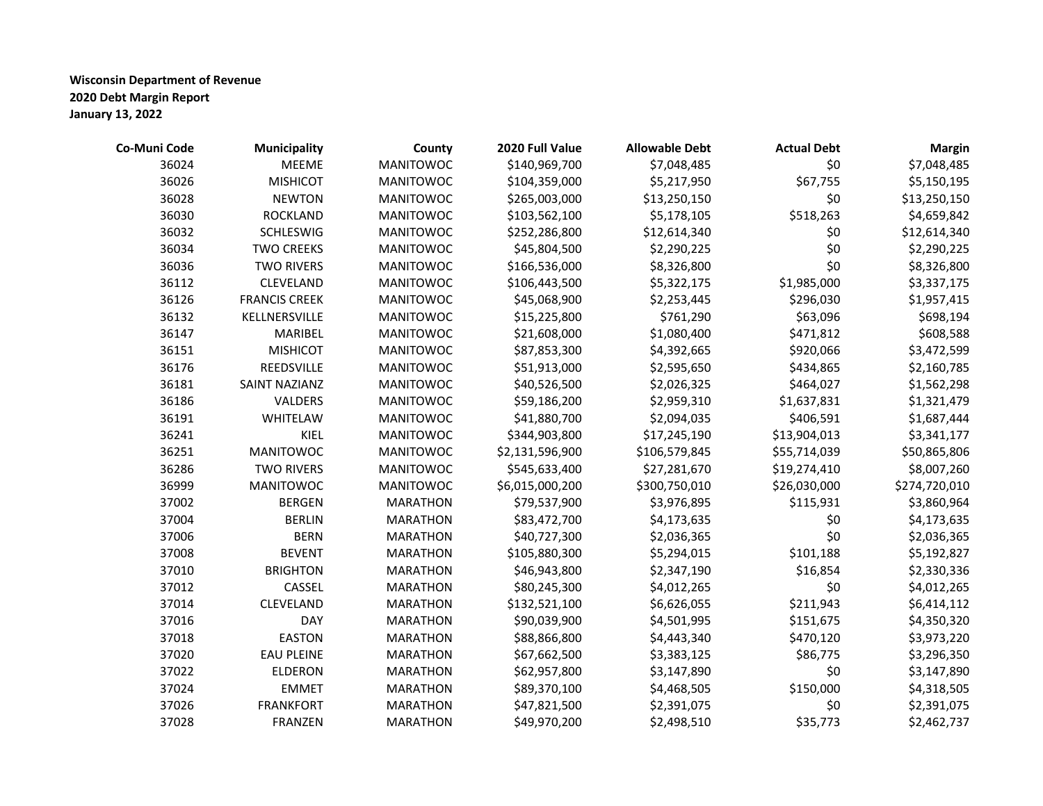| Co-Muni Code | <b>Municipality</b>  | County           | 2020 Full Value | <b>Allowable Debt</b> | <b>Actual Debt</b> | <b>Margin</b> |
|--------------|----------------------|------------------|-----------------|-----------------------|--------------------|---------------|
| 36024        | <b>MEEME</b>         | <b>MANITOWOC</b> | \$140,969,700   | \$7,048,485           | \$0                | \$7,048,485   |
| 36026        | <b>MISHICOT</b>      | <b>MANITOWOC</b> | \$104,359,000   | \$5,217,950           | \$67,755           | \$5,150,195   |
| 36028        | <b>NEWTON</b>        | <b>MANITOWOC</b> | \$265,003,000   | \$13,250,150          | \$0                | \$13,250,150  |
| 36030        | <b>ROCKLAND</b>      | <b>MANITOWOC</b> | \$103,562,100   | \$5,178,105           | \$518,263          | \$4,659,842   |
| 36032        | <b>SCHLESWIG</b>     | <b>MANITOWOC</b> | \$252,286,800   | \$12,614,340          | \$0                | \$12,614,340  |
| 36034        | <b>TWO CREEKS</b>    | <b>MANITOWOC</b> | \$45,804,500    | \$2,290,225           | \$0                | \$2,290,225   |
| 36036        | <b>TWO RIVERS</b>    | <b>MANITOWOC</b> | \$166,536,000   | \$8,326,800           | \$0                | \$8,326,800   |
| 36112        | CLEVELAND            | <b>MANITOWOC</b> | \$106,443,500   | \$5,322,175           | \$1,985,000        | \$3,337,175   |
| 36126        | <b>FRANCIS CREEK</b> | <b>MANITOWOC</b> | \$45,068,900    | \$2,253,445           | \$296,030          | \$1,957,415   |
| 36132        | KELLNERSVILLE        | <b>MANITOWOC</b> | \$15,225,800    | \$761,290             | \$63,096           | \$698,194     |
| 36147        | MARIBEL              | <b>MANITOWOC</b> | \$21,608,000    | \$1,080,400           | \$471,812          | \$608,588     |
| 36151        | <b>MISHICOT</b>      | <b>MANITOWOC</b> | \$87,853,300    | \$4,392,665           | \$920,066          | \$3,472,599   |
| 36176        | REEDSVILLE           | <b>MANITOWOC</b> | \$51,913,000    | \$2,595,650           | \$434,865          | \$2,160,785   |
| 36181        | SAINT NAZIANZ        | <b>MANITOWOC</b> | \$40,526,500    | \$2,026,325           | \$464,027          | \$1,562,298   |
| 36186        | VALDERS              | <b>MANITOWOC</b> | \$59,186,200    | \$2,959,310           | \$1,637,831        | \$1,321,479   |
| 36191        | WHITELAW             | <b>MANITOWOC</b> | \$41,880,700    | \$2,094,035           | \$406,591          | \$1,687,444   |
| 36241        | KIEL                 | <b>MANITOWOC</b> | \$344,903,800   | \$17,245,190          | \$13,904,013       | \$3,341,177   |
| 36251        | <b>MANITOWOC</b>     | <b>MANITOWOC</b> | \$2,131,596,900 | \$106,579,845         | \$55,714,039       | \$50,865,806  |
| 36286        | <b>TWO RIVERS</b>    | <b>MANITOWOC</b> | \$545,633,400   | \$27,281,670          | \$19,274,410       | \$8,007,260   |
| 36999        | <b>MANITOWOC</b>     | <b>MANITOWOC</b> | \$6,015,000,200 | \$300,750,010         | \$26,030,000       | \$274,720,010 |
| 37002        | <b>BERGEN</b>        | <b>MARATHON</b>  | \$79,537,900    | \$3,976,895           | \$115,931          | \$3,860,964   |
| 37004        | <b>BERLIN</b>        | <b>MARATHON</b>  | \$83,472,700    | \$4,173,635           | \$0                | \$4,173,635   |
| 37006        | <b>BERN</b>          | <b>MARATHON</b>  | \$40,727,300    | \$2,036,365           | \$0                | \$2,036,365   |
| 37008        | <b>BEVENT</b>        | <b>MARATHON</b>  | \$105,880,300   | \$5,294,015           | \$101,188          | \$5,192,827   |
| 37010        | <b>BRIGHTON</b>      | <b>MARATHON</b>  | \$46,943,800    | \$2,347,190           | \$16,854           | \$2,330,336   |
| 37012        | CASSEL               | <b>MARATHON</b>  | \$80,245,300    | \$4,012,265           | \$0                | \$4,012,265   |
| 37014        | CLEVELAND            | <b>MARATHON</b>  | \$132,521,100   | \$6,626,055           | \$211,943          | \$6,414,112   |
| 37016        | <b>DAY</b>           | <b>MARATHON</b>  | \$90,039,900    | \$4,501,995           | \$151,675          | \$4,350,320   |
| 37018        | <b>EASTON</b>        | <b>MARATHON</b>  | \$88,866,800    | \$4,443,340           | \$470,120          | \$3,973,220   |
| 37020        | <b>EAU PLEINE</b>    | <b>MARATHON</b>  | \$67,662,500    | \$3,383,125           | \$86,775           | \$3,296,350   |
| 37022        | <b>ELDERON</b>       | <b>MARATHON</b>  | \$62,957,800    | \$3,147,890           | \$0                | \$3,147,890   |
| 37024        | <b>EMMET</b>         | <b>MARATHON</b>  | \$89,370,100    | \$4,468,505           | \$150,000          | \$4,318,505   |
| 37026        | <b>FRANKFORT</b>     | <b>MARATHON</b>  | \$47,821,500    | \$2,391,075           | \$0                | \$2,391,075   |
| 37028        | <b>FRANZEN</b>       | <b>MARATHON</b>  | \$49,970,200    | \$2,498,510           | \$35,773           | \$2,462,737   |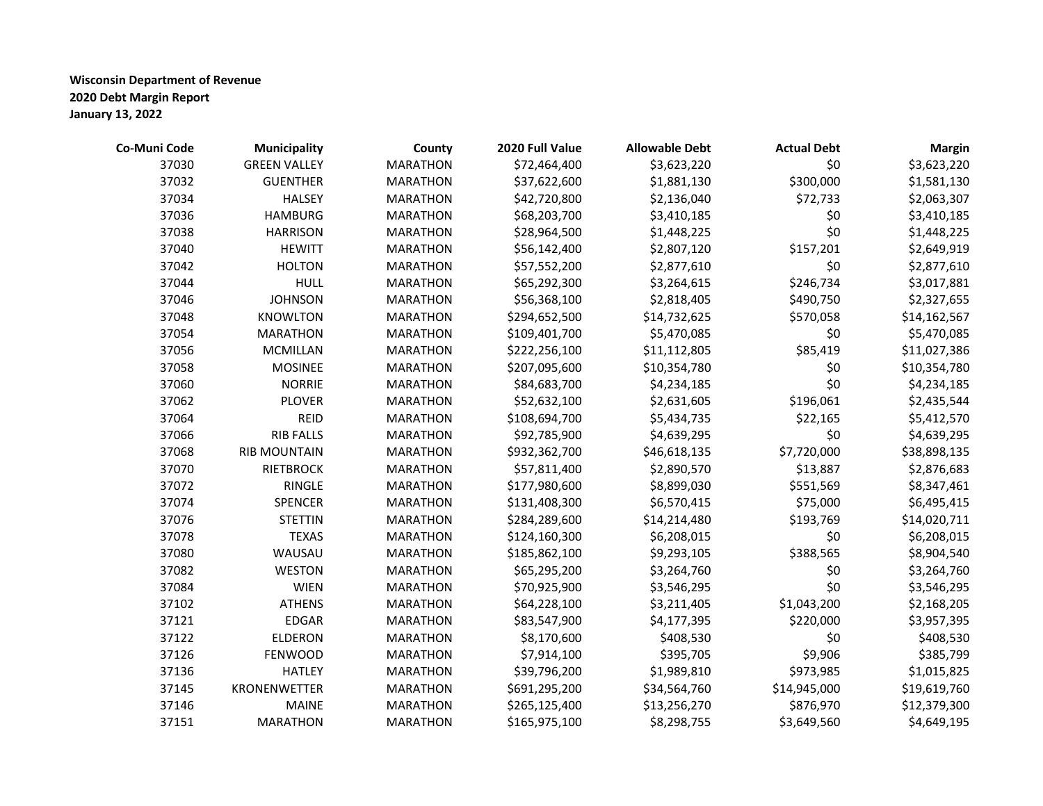| Co-Muni Code | <b>Municipality</b> | County          | 2020 Full Value | <b>Allowable Debt</b> | <b>Actual Debt</b> | <b>Margin</b> |
|--------------|---------------------|-----------------|-----------------|-----------------------|--------------------|---------------|
| 37030        | <b>GREEN VALLEY</b> | <b>MARATHON</b> | \$72,464,400    | \$3,623,220           | \$0                | \$3,623,220   |
| 37032        | <b>GUENTHER</b>     | <b>MARATHON</b> | \$37,622,600    | \$1,881,130           | \$300,000          | \$1,581,130   |
| 37034        | <b>HALSEY</b>       | <b>MARATHON</b> | \$42,720,800    | \$2,136,040           | \$72,733           | \$2,063,307   |
| 37036        | <b>HAMBURG</b>      | <b>MARATHON</b> | \$68,203,700    | \$3,410,185           | \$0                | \$3,410,185   |
| 37038        | <b>HARRISON</b>     | <b>MARATHON</b> | \$28,964,500    | \$1,448,225           | \$0                | \$1,448,225   |
| 37040        | <b>HEWITT</b>       | <b>MARATHON</b> | \$56,142,400    | \$2,807,120           | \$157,201          | \$2,649,919   |
| 37042        | <b>HOLTON</b>       | <b>MARATHON</b> | \$57,552,200    | \$2,877,610           | \$0                | \$2,877,610   |
| 37044        | <b>HULL</b>         | <b>MARATHON</b> | \$65,292,300    | \$3,264,615           | \$246,734          | \$3,017,881   |
| 37046        | <b>JOHNSON</b>      | <b>MARATHON</b> | \$56,368,100    | \$2,818,405           | \$490,750          | \$2,327,655   |
| 37048        | <b>KNOWLTON</b>     | <b>MARATHON</b> | \$294,652,500   | \$14,732,625          | \$570,058          | \$14,162,567  |
| 37054        | <b>MARATHON</b>     | <b>MARATHON</b> | \$109,401,700   | \$5,470,085           | \$0                | \$5,470,085   |
| 37056        | <b>MCMILLAN</b>     | <b>MARATHON</b> | \$222,256,100   | \$11,112,805          | \$85,419           | \$11,027,386  |
| 37058        | <b>MOSINEE</b>      | <b>MARATHON</b> | \$207,095,600   | \$10,354,780          | \$0                | \$10,354,780  |
| 37060        | <b>NORRIE</b>       | <b>MARATHON</b> | \$84,683,700    | \$4,234,185           | \$0                | \$4,234,185   |
| 37062        | <b>PLOVER</b>       | <b>MARATHON</b> | \$52,632,100    | \$2,631,605           | \$196,061          | \$2,435,544   |
| 37064        | <b>REID</b>         | <b>MARATHON</b> | \$108,694,700   | \$5,434,735           | \$22,165           | \$5,412,570   |
| 37066        | <b>RIB FALLS</b>    | <b>MARATHON</b> | \$92,785,900    | \$4,639,295           | \$0                | \$4,639,295   |
| 37068        | <b>RIB MOUNTAIN</b> | <b>MARATHON</b> | \$932,362,700   | \$46,618,135          | \$7,720,000        | \$38,898,135  |
| 37070        | RIETBROCK           | <b>MARATHON</b> | \$57,811,400    | \$2,890,570           | \$13,887           | \$2,876,683   |
| 37072        | RINGLE              | <b>MARATHON</b> | \$177,980,600   | \$8,899,030           | \$551,569          | \$8,347,461   |
| 37074        | SPENCER             | <b>MARATHON</b> | \$131,408,300   | \$6,570,415           | \$75,000           | \$6,495,415   |
| 37076        | <b>STETTIN</b>      | <b>MARATHON</b> | \$284,289,600   | \$14,214,480          | \$193,769          | \$14,020,711  |
| 37078        | <b>TEXAS</b>        | <b>MARATHON</b> | \$124,160,300   | \$6,208,015           | \$0                | \$6,208,015   |
| 37080        | WAUSAU              | <b>MARATHON</b> | \$185,862,100   | \$9,293,105           | \$388,565          | \$8,904,540   |
| 37082        | <b>WESTON</b>       | <b>MARATHON</b> | \$65,295,200    | \$3,264,760           | \$0                | \$3,264,760   |
| 37084        | <b>WIEN</b>         | <b>MARATHON</b> | \$70,925,900    | \$3,546,295           | \$0                | \$3,546,295   |
| 37102        | <b>ATHENS</b>       | <b>MARATHON</b> | \$64,228,100    | \$3,211,405           | \$1,043,200        | \$2,168,205   |
| 37121        | <b>EDGAR</b>        | <b>MARATHON</b> | \$83,547,900    | \$4,177,395           | \$220,000          | \$3,957,395   |
| 37122        | <b>ELDERON</b>      | <b>MARATHON</b> | \$8,170,600     | \$408,530             | \$0                | \$408,530     |
| 37126        | <b>FENWOOD</b>      | <b>MARATHON</b> | \$7,914,100     | \$395,705             | \$9,906            | \$385,799     |
| 37136        | <b>HATLEY</b>       | <b>MARATHON</b> | \$39,796,200    | \$1,989,810           | \$973,985          | \$1,015,825   |
| 37145        | KRONENWETTER        | <b>MARATHON</b> | \$691,295,200   | \$34,564,760          | \$14,945,000       | \$19,619,760  |
| 37146        | <b>MAINE</b>        | <b>MARATHON</b> | \$265,125,400   | \$13,256,270          | \$876,970          | \$12,379,300  |
| 37151        | <b>MARATHON</b>     | <b>MARATHON</b> | \$165,975,100   | \$8,298,755           | \$3,649,560        | \$4,649,195   |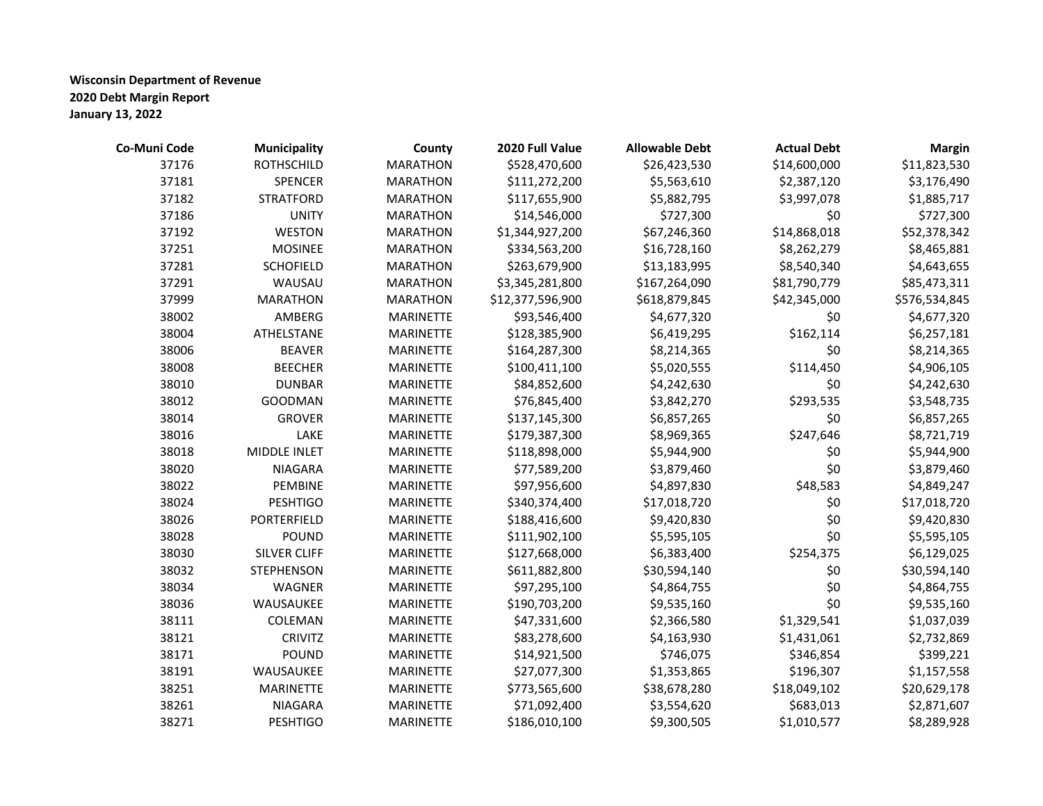| Co-Muni Code | <b>Municipality</b> | County           | 2020 Full Value  | <b>Allowable Debt</b> | <b>Actual Debt</b> | <b>Margin</b> |
|--------------|---------------------|------------------|------------------|-----------------------|--------------------|---------------|
| 37176        | <b>ROTHSCHILD</b>   | <b>MARATHON</b>  | \$528,470,600    | \$26,423,530          | \$14,600,000       | \$11,823,530  |
| 37181        | SPENCER             | <b>MARATHON</b>  | \$111,272,200    | \$5,563,610           | \$2,387,120        | \$3,176,490   |
| 37182        | <b>STRATFORD</b>    | <b>MARATHON</b>  | \$117,655,900    | \$5,882,795           | \$3,997,078        | \$1,885,717   |
| 37186        | <b>UNITY</b>        | <b>MARATHON</b>  | \$14,546,000     | \$727,300             | \$0                | \$727,300     |
| 37192        | <b>WESTON</b>       | <b>MARATHON</b>  | \$1,344,927,200  | \$67,246,360          | \$14,868,018       | \$52,378,342  |
| 37251        | <b>MOSINEE</b>      | <b>MARATHON</b>  | \$334,563,200    | \$16,728,160          | \$8,262,279        | \$8,465,881   |
| 37281        | <b>SCHOFIELD</b>    | <b>MARATHON</b>  | \$263,679,900    | \$13,183,995          | \$8,540,340        | \$4,643,655   |
| 37291        | WAUSAU              | <b>MARATHON</b>  | \$3,345,281,800  | \$167,264,090         | \$81,790,779       | \$85,473,311  |
| 37999        | <b>MARATHON</b>     | <b>MARATHON</b>  | \$12,377,596,900 | \$618,879,845         | \$42,345,000       | \$576,534,845 |
| 38002        | AMBERG              | <b>MARINETTE</b> | \$93,546,400     | \$4,677,320           | \$0                | \$4,677,320   |
| 38004        | ATHELSTANE          | <b>MARINETTE</b> | \$128,385,900    | \$6,419,295           | \$162,114          | \$6,257,181   |
| 38006        | <b>BEAVER</b>       | <b>MARINETTE</b> | \$164,287,300    | \$8,214,365           | \$0                | \$8,214,365   |
| 38008        | <b>BEECHER</b>      | <b>MARINETTE</b> | \$100,411,100    | \$5,020,555           | \$114,450          | \$4,906,105   |
| 38010        | <b>DUNBAR</b>       | <b>MARINETTE</b> | \$84,852,600     | \$4,242,630           | \$0                | \$4,242,630   |
| 38012        | <b>GOODMAN</b>      | <b>MARINETTE</b> | \$76,845,400     | \$3,842,270           | \$293,535          | \$3,548,735   |
| 38014        | <b>GROVER</b>       | <b>MARINETTE</b> | \$137,145,300    | \$6,857,265           | \$0                | \$6,857,265   |
| 38016        | LAKE                | <b>MARINETTE</b> | \$179,387,300    | \$8,969,365           | \$247,646          | \$8,721,719   |
| 38018        | MIDDLE INLET        | <b>MARINETTE</b> | \$118,898,000    | \$5,944,900           | \$0                | \$5,944,900   |
| 38020        | <b>NIAGARA</b>      | <b>MARINETTE</b> | \$77,589,200     | \$3,879,460           | \$0                | \$3,879,460   |
| 38022        | PEMBINE             | <b>MARINETTE</b> | \$97,956,600     | \$4,897,830           | \$48,583           | \$4,849,247   |
| 38024        | <b>PESHTIGO</b>     | <b>MARINETTE</b> | \$340,374,400    | \$17,018,720          | \$0                | \$17,018,720  |
| 38026        | PORTERFIELD         | <b>MARINETTE</b> | \$188,416,600    | \$9,420,830           | \$0                | \$9,420,830   |
| 38028        | <b>POUND</b>        | <b>MARINETTE</b> | \$111,902,100    | \$5,595,105           | \$0                | \$5,595,105   |
| 38030        | SILVER CLIFF        | <b>MARINETTE</b> | \$127,668,000    | \$6,383,400           | \$254,375          | \$6,129,025   |
| 38032        | <b>STEPHENSON</b>   | MARINETTE        | \$611,882,800    | \$30,594,140          | \$0                | \$30,594,140  |
| 38034        | <b>WAGNER</b>       | <b>MARINETTE</b> | \$97,295,100     | \$4,864,755           | \$0                | \$4,864,755   |
| 38036        | WAUSAUKEE           | <b>MARINETTE</b> | \$190,703,200    | \$9,535,160           | \$0                | \$9,535,160   |
| 38111        | COLEMAN             | <b>MARINETTE</b> | \$47,331,600     | \$2,366,580           | \$1,329,541        | \$1,037,039   |
| 38121        | <b>CRIVITZ</b>      | <b>MARINETTE</b> | \$83,278,600     | \$4,163,930           | \$1,431,061        | \$2,732,869   |
| 38171        | <b>POUND</b>        | <b>MARINETTE</b> | \$14,921,500     | \$746,075             | \$346,854          | \$399,221     |
| 38191        | WAUSAUKEE           | <b>MARINETTE</b> | \$27,077,300     | \$1,353,865           | \$196,307          | \$1,157,558   |
| 38251        | <b>MARINETTE</b>    | <b>MARINETTE</b> | \$773,565,600    | \$38,678,280          | \$18,049,102       | \$20,629,178  |
| 38261        | <b>NIAGARA</b>      | <b>MARINETTE</b> | \$71,092,400     | \$3,554,620           | \$683,013          | \$2,871,607   |
| 38271        | <b>PESHTIGO</b>     | <b>MARINETTE</b> | \$186,010,100    | \$9,300,505           | \$1,010,577        | \$8,289,928   |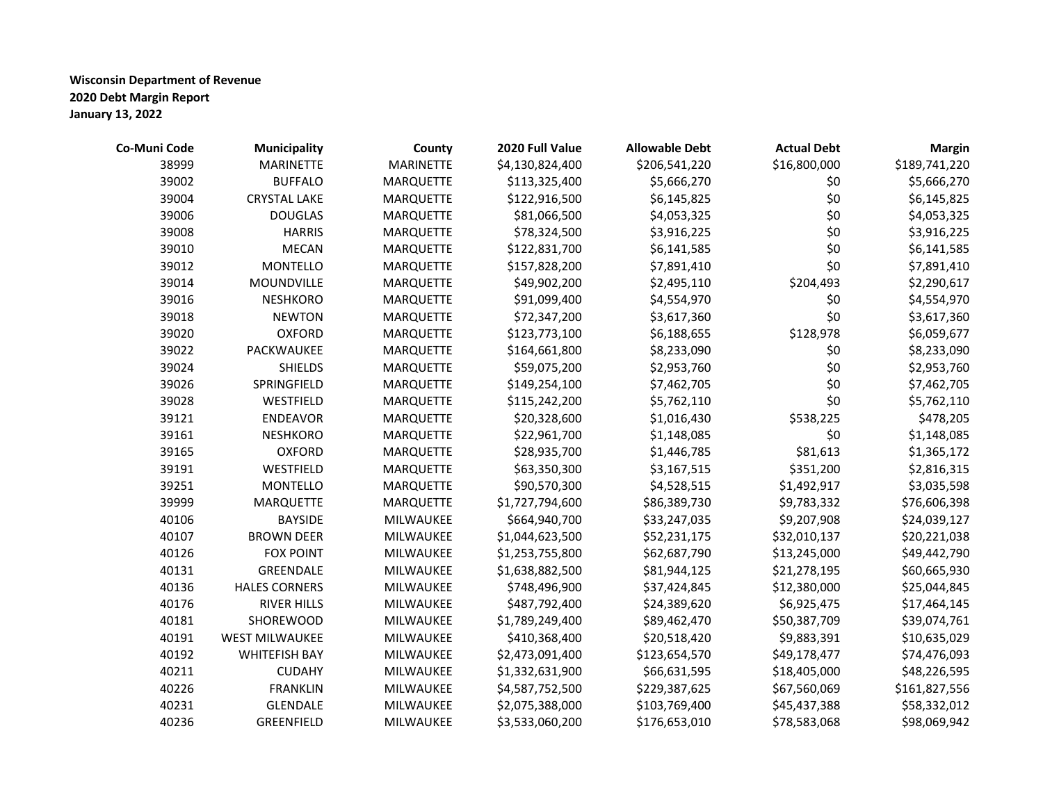| Co-Muni Code | <b>Municipality</b>   | County           | 2020 Full Value | <b>Allowable Debt</b> | <b>Actual Debt</b> | <b>Margin</b> |
|--------------|-----------------------|------------------|-----------------|-----------------------|--------------------|---------------|
| 38999        | <b>MARINETTE</b>      | <b>MARINETTE</b> | \$4,130,824,400 | \$206,541,220         | \$16,800,000       | \$189,741,220 |
| 39002        | <b>BUFFALO</b>        | <b>MARQUETTE</b> | \$113,325,400   | \$5,666,270           | \$0                | \$5,666,270   |
| 39004        | CRYSTAL LAKE          | MARQUETTE        | \$122,916,500   | \$6,145,825           | \$0                | \$6,145,825   |
| 39006        | <b>DOUGLAS</b>        | <b>MARQUETTE</b> | \$81,066,500    | \$4,053,325           | \$0                | \$4,053,325   |
| 39008        | <b>HARRIS</b>         | <b>MARQUETTE</b> | \$78,324,500    | \$3,916,225           | \$0                | \$3,916,225   |
| 39010        | <b>MECAN</b>          | <b>MARQUETTE</b> | \$122,831,700   | \$6,141,585           | \$0                | \$6,141,585   |
| 39012        | <b>MONTELLO</b>       | <b>MARQUETTE</b> | \$157,828,200   | \$7,891,410           | \$0                | \$7,891,410   |
| 39014        | MOUNDVILLE            | <b>MARQUETTE</b> | \$49,902,200    | \$2,495,110           | \$204,493          | \$2,290,617   |
| 39016        | <b>NESHKORO</b>       | <b>MARQUETTE</b> | \$91,099,400    | \$4,554,970           | \$0                | \$4,554,970   |
| 39018        | <b>NEWTON</b>         | <b>MARQUETTE</b> | \$72,347,200    | \$3,617,360           | \$0                | \$3,617,360   |
| 39020        | <b>OXFORD</b>         | <b>MARQUETTE</b> | \$123,773,100   | \$6,188,655           | \$128,978          | \$6,059,677   |
| 39022        | PACKWAUKEE            | <b>MARQUETTE</b> | \$164,661,800   | \$8,233,090           | \$0                | \$8,233,090   |
| 39024        | <b>SHIELDS</b>        | <b>MARQUETTE</b> | \$59,075,200    | \$2,953,760           | \$0                | \$2,953,760   |
| 39026        | SPRINGFIELD           | <b>MARQUETTE</b> | \$149,254,100   | \$7,462,705           | \$0                | \$7,462,705   |
| 39028        | WESTFIELD             | MARQUETTE        | \$115,242,200   | \$5,762,110           | \$0                | \$5,762,110   |
| 39121        | ENDEAVOR              | MARQUETTE        | \$20,328,600    | \$1,016,430           | \$538,225          | \$478,205     |
| 39161        | <b>NESHKORO</b>       | <b>MARQUETTE</b> | \$22,961,700    | \$1,148,085           | \$0                | \$1,148,085   |
| 39165        | <b>OXFORD</b>         | <b>MARQUETTE</b> | \$28,935,700    | \$1,446,785           | \$81,613           | \$1,365,172   |
| 39191        | WESTFIELD             | <b>MARQUETTE</b> | \$63,350,300    | \$3,167,515           | \$351,200          | \$2,816,315   |
| 39251        | <b>MONTELLO</b>       | <b>MARQUETTE</b> | \$90,570,300    | \$4,528,515           | \$1,492,917        | \$3,035,598   |
| 39999        | MARQUETTE             | <b>MARQUETTE</b> | \$1,727,794,600 | \$86,389,730          | \$9,783,332        | \$76,606,398  |
| 40106        | <b>BAYSIDE</b>        | MILWAUKEE        | \$664,940,700   | \$33,247,035          | \$9,207,908        | \$24,039,127  |
| 40107        | <b>BROWN DEER</b>     | MILWAUKEE        | \$1,044,623,500 | \$52,231,175          | \$32,010,137       | \$20,221,038  |
| 40126        | <b>FOX POINT</b>      | MILWAUKEE        | \$1,253,755,800 | \$62,687,790          | \$13,245,000       | \$49,442,790  |
| 40131        | GREENDALE             | MILWAUKEE        | \$1,638,882,500 | \$81,944,125          | \$21,278,195       | \$60,665,930  |
| 40136        | <b>HALES CORNERS</b>  | MILWAUKEE        | \$748,496,900   | \$37,424,845          | \$12,380,000       | \$25,044,845  |
| 40176        | <b>RIVER HILLS</b>    | MILWAUKEE        | \$487,792,400   | \$24,389,620          | \$6,925,475        | \$17,464,145  |
| 40181        | SHOREWOOD             | MILWAUKEE        | \$1,789,249,400 | \$89,462,470          | \$50,387,709       | \$39,074,761  |
| 40191        | <b>WEST MILWAUKEE</b> | MILWAUKEE        | \$410,368,400   | \$20,518,420          | \$9,883,391        | \$10,635,029  |
| 40192        | <b>WHITEFISH BAY</b>  | MILWAUKEE        | \$2,473,091,400 | \$123,654,570         | \$49,178,477       | \$74,476,093  |
| 40211        | <b>CUDAHY</b>         | MILWAUKEE        | \$1,332,631,900 | \$66,631,595          | \$18,405,000       | \$48,226,595  |
| 40226        | <b>FRANKLIN</b>       | MILWAUKEE        | \$4,587,752,500 | \$229,387,625         | \$67,560,069       | \$161,827,556 |
| 40231        | <b>GLENDALE</b>       | MILWAUKEE        | \$2,075,388,000 | \$103,769,400         | \$45,437,388       | \$58,332,012  |
| 40236        | GREENFIELD            | MILWAUKEE        | \$3,533,060,200 | \$176,653,010         | \$78,583,068       | \$98,069,942  |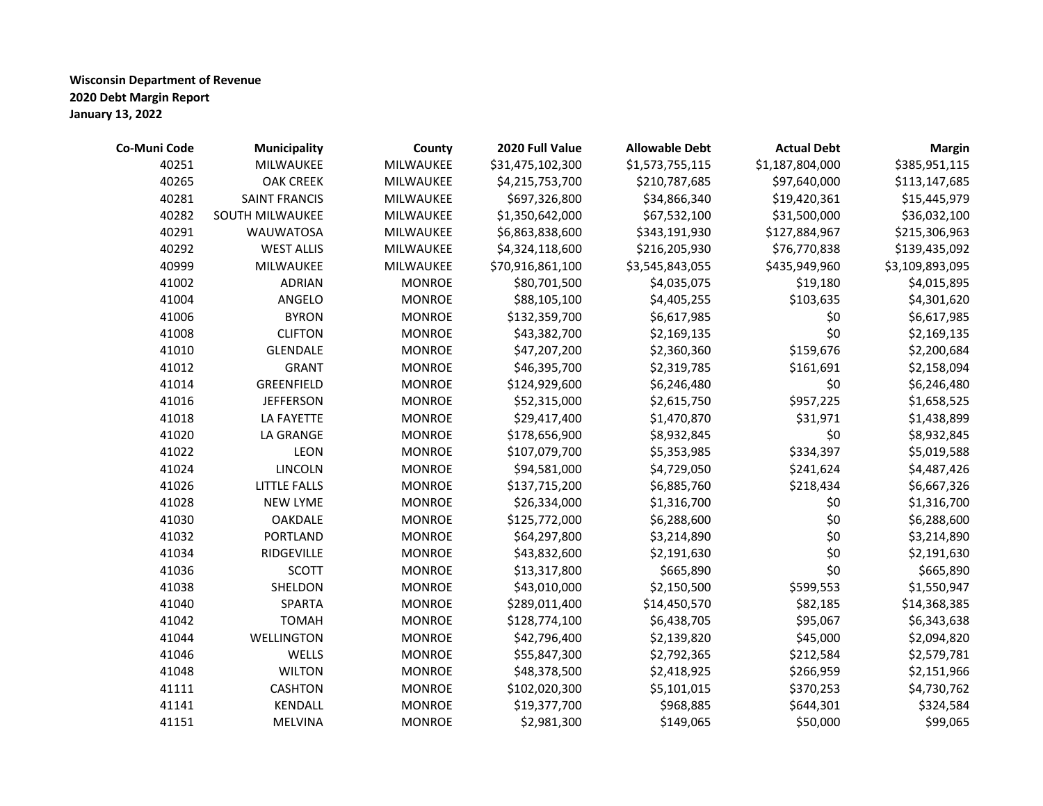| Co-Muni Code | Municipality         | County        | 2020 Full Value  | <b>Allowable Debt</b> | <b>Actual Debt</b> | <b>Margin</b>   |
|--------------|----------------------|---------------|------------------|-----------------------|--------------------|-----------------|
| 40251        | MILWAUKEE            | MILWAUKEE     | \$31,475,102,300 | \$1,573,755,115       | \$1,187,804,000    | \$385,951,115   |
| 40265        | <b>OAK CREEK</b>     | MILWAUKEE     | \$4,215,753,700  | \$210,787,685         | \$97,640,000       | \$113,147,685   |
| 40281        | <b>SAINT FRANCIS</b> | MILWAUKEE     | \$697,326,800    | \$34,866,340          | \$19,420,361       | \$15,445,979    |
| 40282        | SOUTH MILWAUKEE      | MILWAUKEE     | \$1,350,642,000  | \$67,532,100          | \$31,500,000       | \$36,032,100    |
| 40291        | <b>WAUWATOSA</b>     | MILWAUKEE     | \$6,863,838,600  | \$343,191,930         | \$127,884,967      | \$215,306,963   |
| 40292        | <b>WEST ALLIS</b>    | MILWAUKEE     | \$4,324,118,600  | \$216,205,930         | \$76,770,838       | \$139,435,092   |
| 40999        | MILWAUKEE            | MILWAUKEE     | \$70,916,861,100 | \$3,545,843,055       | \$435,949,960      | \$3,109,893,095 |
| 41002        | <b>ADRIAN</b>        | <b>MONROE</b> | \$80,701,500     | \$4,035,075           | \$19,180           | \$4,015,895     |
| 41004        | ANGELO               | <b>MONROE</b> | \$88,105,100     | \$4,405,255           | \$103,635          | \$4,301,620     |
| 41006        | <b>BYRON</b>         | <b>MONROE</b> | \$132,359,700    | \$6,617,985           | \$0                | \$6,617,985     |
| 41008        | <b>CLIFTON</b>       | <b>MONROE</b> | \$43,382,700     | \$2,169,135           | \$0                | \$2,169,135     |
| 41010        | GLENDALE             | <b>MONROE</b> | \$47,207,200     | \$2,360,360           | \$159,676          | \$2,200,684     |
| 41012        | <b>GRANT</b>         | <b>MONROE</b> | \$46,395,700     | \$2,319,785           | \$161,691          | \$2,158,094     |
| 41014        | GREENFIELD           | <b>MONROE</b> | \$124,929,600    | \$6,246,480           | \$0                | \$6,246,480     |
| 41016        | <b>JEFFERSON</b>     | <b>MONROE</b> | \$52,315,000     | \$2,615,750           | \$957,225          | \$1,658,525     |
| 41018        | LA FAYETTE           | <b>MONROE</b> | \$29,417,400     | \$1,470,870           | \$31,971           | \$1,438,899     |
| 41020        | LA GRANGE            | <b>MONROE</b> | \$178,656,900    | \$8,932,845           | \$0                | \$8,932,845     |
| 41022        | LEON                 | <b>MONROE</b> | \$107,079,700    | \$5,353,985           | \$334,397          | \$5,019,588     |
| 41024        | <b>LINCOLN</b>       | <b>MONROE</b> | \$94,581,000     | \$4,729,050           | \$241,624          | \$4,487,426     |
| 41026        | <b>LITTLE FALLS</b>  | <b>MONROE</b> | \$137,715,200    | \$6,885,760           | \$218,434          | \$6,667,326     |
| 41028        | <b>NEW LYME</b>      | <b>MONROE</b> | \$26,334,000     | \$1,316,700           | \$0                | \$1,316,700     |
| 41030        | <b>OAKDALE</b>       | <b>MONROE</b> | \$125,772,000    | \$6,288,600           | \$0                | \$6,288,600     |
| 41032        | <b>PORTLAND</b>      | <b>MONROE</b> | \$64,297,800     | \$3,214,890           | \$0                | \$3,214,890     |
| 41034        | RIDGEVILLE           | <b>MONROE</b> | \$43,832,600     | \$2,191,630           | \$0                | \$2,191,630     |
| 41036        | <b>SCOTT</b>         | <b>MONROE</b> | \$13,317,800     | \$665,890             | \$0                | \$665,890       |
| 41038        | SHELDON              | <b>MONROE</b> | \$43,010,000     | \$2,150,500           | \$599,553          | \$1,550,947     |
| 41040        | SPARTA               | <b>MONROE</b> | \$289,011,400    | \$14,450,570          | \$82,185           | \$14,368,385    |
| 41042        | <b>TOMAH</b>         | <b>MONROE</b> | \$128,774,100    | \$6,438,705           | \$95,067           | \$6,343,638     |
| 41044        | WELLINGTON           | <b>MONROE</b> | \$42,796,400     | \$2,139,820           | \$45,000           | \$2,094,820     |
| 41046        | WELLS                | <b>MONROE</b> | \$55,847,300     | \$2,792,365           | \$212,584          | \$2,579,781     |
| 41048        | <b>WILTON</b>        | <b>MONROE</b> | \$48,378,500     | \$2,418,925           | \$266,959          | \$2,151,966     |
| 41111        | <b>CASHTON</b>       | <b>MONROE</b> | \$102,020,300    | \$5,101,015           | \$370,253          | \$4,730,762     |
| 41141        | KENDALL              | <b>MONROE</b> | \$19,377,700     | \$968,885             | \$644,301          | \$324,584       |
| 41151        | <b>MELVINA</b>       | <b>MONROE</b> | \$2,981,300      | \$149,065             | \$50,000           | \$99,065        |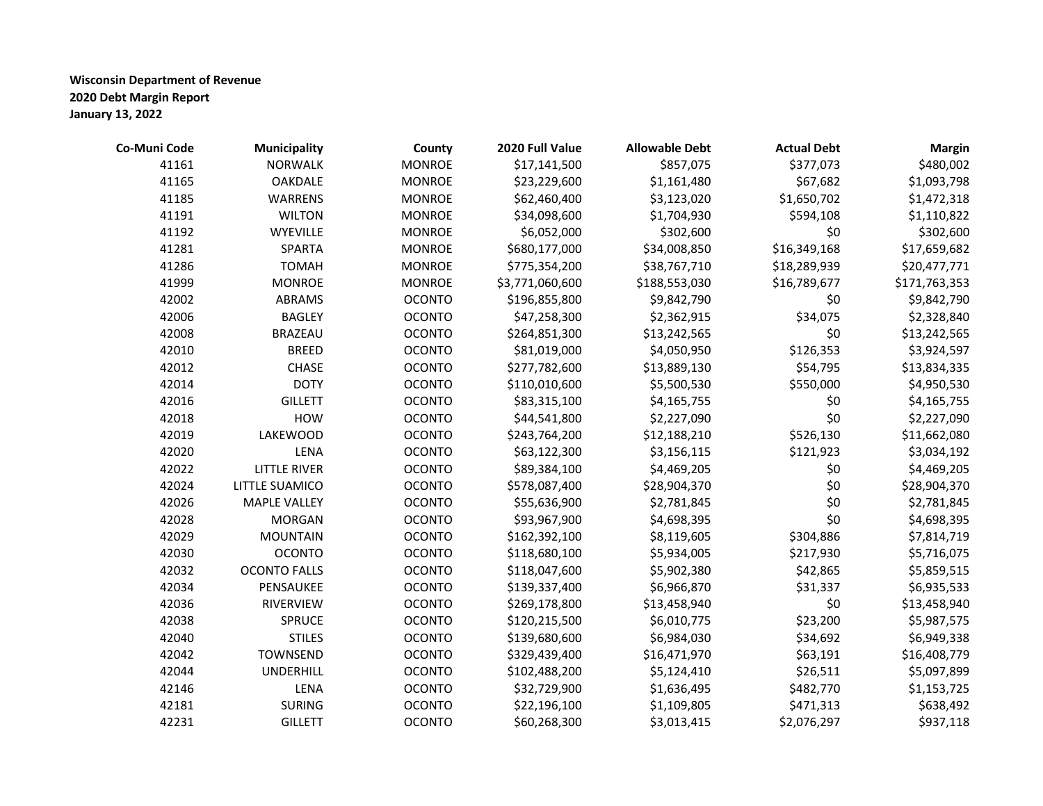| Co-Muni Code | <b>Municipality</b> | County        | 2020 Full Value | <b>Allowable Debt</b> | <b>Actual Debt</b> | <b>Margin</b> |
|--------------|---------------------|---------------|-----------------|-----------------------|--------------------|---------------|
| 41161        | <b>NORWALK</b>      | <b>MONROE</b> | \$17,141,500    | \$857,075             | \$377,073          | \$480,002     |
| 41165        | OAKDALE             | <b>MONROE</b> | \$23,229,600    | \$1,161,480           | \$67,682           | \$1,093,798   |
| 41185        | <b>WARRENS</b>      | <b>MONROE</b> | \$62,460,400    | \$3,123,020           | \$1,650,702        | \$1,472,318   |
| 41191        | <b>WILTON</b>       | <b>MONROE</b> | \$34,098,600    | \$1,704,930           | \$594,108          | \$1,110,822   |
| 41192        | <b>WYEVILLE</b>     | <b>MONROE</b> | \$6,052,000     | \$302,600             | \$0                | \$302,600     |
| 41281        | SPARTA              | <b>MONROE</b> | \$680,177,000   | \$34,008,850          | \$16,349,168       | \$17,659,682  |
| 41286        | <b>TOMAH</b>        | <b>MONROE</b> | \$775,354,200   | \$38,767,710          | \$18,289,939       | \$20,477,771  |
| 41999        | <b>MONROE</b>       | <b>MONROE</b> | \$3,771,060,600 | \$188,553,030         | \$16,789,677       | \$171,763,353 |
| 42002        | ABRAMS              | <b>OCONTO</b> | \$196,855,800   | \$9,842,790           | \$0                | \$9,842,790   |
| 42006        | <b>BAGLEY</b>       | <b>OCONTO</b> | \$47,258,300    | \$2,362,915           | \$34,075           | \$2,328,840   |
| 42008        | <b>BRAZEAU</b>      | <b>OCONTO</b> | \$264,851,300   | \$13,242,565          | \$0                | \$13,242,565  |
| 42010        | <b>BREED</b>        | <b>OCONTO</b> | \$81,019,000    | \$4,050,950           | \$126,353          | \$3,924,597   |
| 42012        | <b>CHASE</b>        | <b>OCONTO</b> | \$277,782,600   | \$13,889,130          | \$54,795           | \$13,834,335  |
| 42014        | <b>DOTY</b>         | <b>OCONTO</b> | \$110,010,600   | \$5,500,530           | \$550,000          | \$4,950,530   |
| 42016        | <b>GILLETT</b>      | <b>OCONTO</b> | \$83,315,100    | \$4,165,755           | \$0                | \$4,165,755   |
| 42018        | <b>HOW</b>          | <b>OCONTO</b> | \$44,541,800    | \$2,227,090           | \$0                | \$2,227,090   |
| 42019        | <b>LAKEWOOD</b>     | <b>OCONTO</b> | \$243,764,200   | \$12,188,210          | \$526,130          | \$11,662,080  |
| 42020        | LENA                | <b>OCONTO</b> | \$63,122,300    | \$3,156,115           | \$121,923          | \$3,034,192   |
| 42022        | <b>LITTLE RIVER</b> | <b>OCONTO</b> | \$89,384,100    | \$4,469,205           | \$0                | \$4,469,205   |
| 42024        | LITTLE SUAMICO      | <b>OCONTO</b> | \$578,087,400   | \$28,904,370          | \$0                | \$28,904,370  |
| 42026        | <b>MAPLE VALLEY</b> | <b>OCONTO</b> | \$55,636,900    | \$2,781,845           | \$0                | \$2,781,845   |
| 42028        | <b>MORGAN</b>       | <b>OCONTO</b> | \$93,967,900    | \$4,698,395           | \$0                | \$4,698,395   |
| 42029        | <b>MOUNTAIN</b>     | <b>OCONTO</b> | \$162,392,100   | \$8,119,605           | \$304,886          | \$7,814,719   |
| 42030        | <b>OCONTO</b>       | <b>OCONTO</b> | \$118,680,100   | \$5,934,005           | \$217,930          | \$5,716,075   |
| 42032        | <b>OCONTO FALLS</b> | <b>OCONTO</b> | \$118,047,600   | \$5,902,380           | \$42,865           | \$5,859,515   |
| 42034        | PENSAUKEE           | <b>OCONTO</b> | \$139,337,400   | \$6,966,870           | \$31,337           | \$6,935,533   |
| 42036        | RIVERVIEW           | <b>OCONTO</b> | \$269,178,800   | \$13,458,940          | \$0                | \$13,458,940  |
| 42038        | SPRUCE              | <b>OCONTO</b> | \$120,215,500   | \$6,010,775           | \$23,200           | \$5,987,575   |
| 42040        | <b>STILES</b>       | <b>OCONTO</b> | \$139,680,600   | \$6,984,030           | \$34,692           | \$6,949,338   |
| 42042        | TOWNSEND            | <b>OCONTO</b> | \$329,439,400   | \$16,471,970          | \$63,191           | \$16,408,779  |
| 42044        | <b>UNDERHILL</b>    | <b>OCONTO</b> | \$102,488,200   | \$5,124,410           | \$26,511           | \$5,097,899   |
| 42146        | LENA                | <b>OCONTO</b> | \$32,729,900    | \$1,636,495           | \$482,770          | \$1,153,725   |
| 42181        | <b>SURING</b>       | <b>OCONTO</b> | \$22,196,100    | \$1,109,805           | \$471,313          | \$638,492     |
| 42231        | <b>GILLETT</b>      | <b>OCONTO</b> | \$60,268,300    | \$3,013,415           | \$2,076,297        | \$937,118     |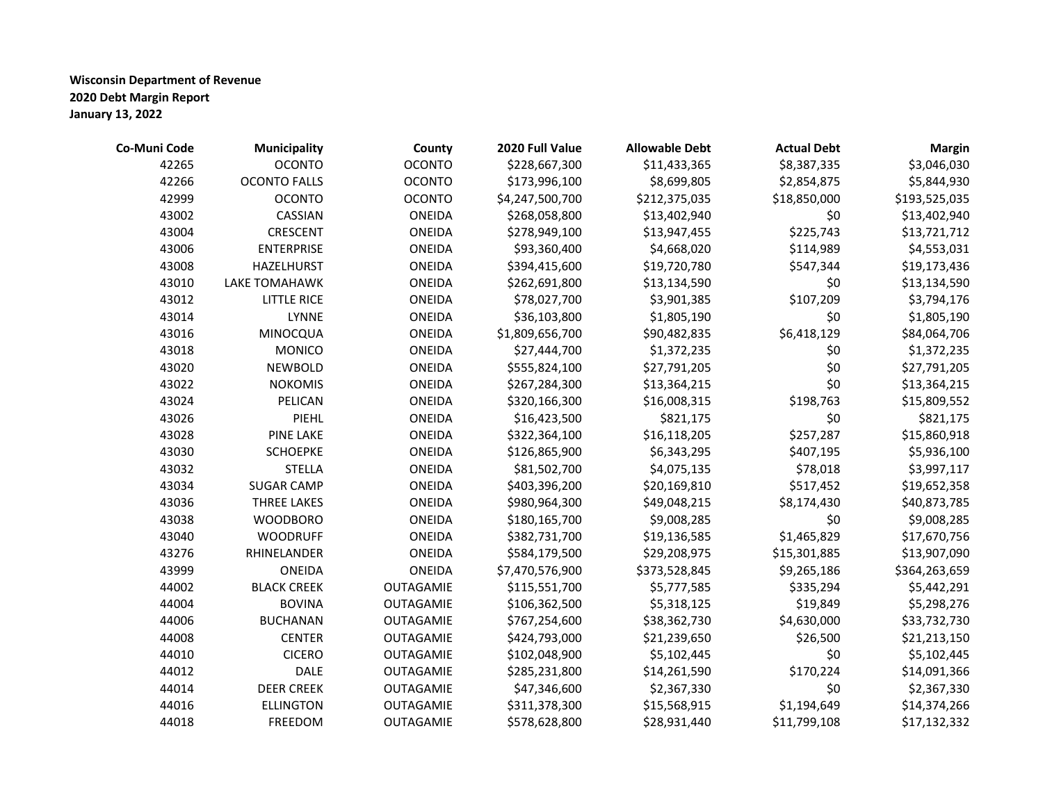| Co-Muni Code | <b>Municipality</b> | County        | 2020 Full Value | <b>Allowable Debt</b> | <b>Actual Debt</b> | <b>Margin</b> |
|--------------|---------------------|---------------|-----------------|-----------------------|--------------------|---------------|
| 42265        | <b>OCONTO</b>       | <b>OCONTO</b> | \$228,667,300   | \$11,433,365          | \$8,387,335        | \$3,046,030   |
| 42266        | <b>OCONTO FALLS</b> | <b>OCONTO</b> | \$173,996,100   | \$8,699,805           | \$2,854,875        | \$5,844,930   |
| 42999        | <b>OCONTO</b>       | <b>OCONTO</b> | \$4,247,500,700 | \$212,375,035         | \$18,850,000       | \$193,525,035 |
| 43002        | CASSIAN             | ONEIDA        | \$268,058,800   | \$13,402,940          | \$0                | \$13,402,940  |
| 43004        | <b>CRESCENT</b>     | <b>ONEIDA</b> | \$278,949,100   | \$13,947,455          | \$225,743          | \$13,721,712  |
| 43006        | <b>ENTERPRISE</b>   | ONEIDA        | \$93,360,400    | \$4,668,020           | \$114,989          | \$4,553,031   |
| 43008        | HAZELHURST          | ONEIDA        | \$394,415,600   | \$19,720,780          | \$547,344          | \$19,173,436  |
| 43010        | LAKE TOMAHAWK       | ONEIDA        | \$262,691,800   | \$13,134,590          | \$0                | \$13,134,590  |
| 43012        | <b>LITTLE RICE</b>  | ONEIDA        | \$78,027,700    | \$3,901,385           | \$107,209          | \$3,794,176   |
| 43014        | <b>LYNNE</b>        | ONEIDA        | \$36,103,800    | \$1,805,190           | \$0                | \$1,805,190   |
| 43016        | MINOCQUA            | ONEIDA        | \$1,809,656,700 | \$90,482,835          | \$6,418,129        | \$84,064,706  |
| 43018        | <b>MONICO</b>       | ONEIDA        | \$27,444,700    | \$1,372,235           | \$0                | \$1,372,235   |
| 43020        | <b>NEWBOLD</b>      | ONEIDA        | \$555,824,100   | \$27,791,205          | \$0                | \$27,791,205  |
| 43022        | <b>NOKOMIS</b>      | ONEIDA        | \$267,284,300   | \$13,364,215          | \$0                | \$13,364,215  |
| 43024        | PELICAN             | ONEIDA        | \$320,166,300   | \$16,008,315          | \$198,763          | \$15,809,552  |
| 43026        | <b>PIEHL</b>        | ONEIDA        | \$16,423,500    | \$821,175             | \$0                | \$821,175     |
| 43028        | <b>PINE LAKE</b>    | ONEIDA        | \$322,364,100   | \$16,118,205          | \$257,287          | \$15,860,918  |
| 43030        | <b>SCHOEPKE</b>     | ONEIDA        | \$126,865,900   | \$6,343,295           | \$407,195          | \$5,936,100   |
| 43032        | <b>STELLA</b>       | ONEIDA        | \$81,502,700    | \$4,075,135           | \$78,018           | \$3,997,117   |
| 43034        | <b>SUGAR CAMP</b>   | ONEIDA        | \$403,396,200   | \$20,169,810          | \$517,452          | \$19,652,358  |
| 43036        | THREE LAKES         | ONEIDA        | \$980,964,300   | \$49,048,215          | \$8,174,430        | \$40,873,785  |
| 43038        | <b>WOODBORO</b>     | ONEIDA        | \$180,165,700   | \$9,008,285           | \$0                | \$9,008,285   |
| 43040        | <b>WOODRUFF</b>     | ONEIDA        | \$382,731,700   | \$19,136,585          | \$1,465,829        | \$17,670,756  |
| 43276        | RHINELANDER         | ONEIDA        | \$584,179,500   | \$29,208,975          | \$15,301,885       | \$13,907,090  |
| 43999        | ONEIDA              | ONEIDA        | \$7,470,576,900 | \$373,528,845         | \$9,265,186        | \$364,263,659 |
| 44002        | <b>BLACK CREEK</b>  | OUTAGAMIE     | \$115,551,700   | \$5,777,585           | \$335,294          | \$5,442,291   |
| 44004        | <b>BOVINA</b>       | OUTAGAMIE     | \$106,362,500   | \$5,318,125           | \$19,849           | \$5,298,276   |
| 44006        | <b>BUCHANAN</b>     | OUTAGAMIE     | \$767,254,600   | \$38,362,730          | \$4,630,000        | \$33,732,730  |
| 44008        | <b>CENTER</b>       | OUTAGAMIE     | \$424,793,000   | \$21,239,650          | \$26,500           | \$21,213,150  |
| 44010        | <b>CICERO</b>       | OUTAGAMIE     | \$102,048,900   | \$5,102,445           | \$0                | \$5,102,445   |
| 44012        | <b>DALE</b>         | OUTAGAMIE     | \$285,231,800   | \$14,261,590          | \$170,224          | \$14,091,366  |
| 44014        | <b>DEER CREEK</b>   | OUTAGAMIE     | \$47,346,600    | \$2,367,330           | \$0                | \$2,367,330   |
| 44016        | <b>ELLINGTON</b>    | OUTAGAMIE     | \$311,378,300   | \$15,568,915          | \$1,194,649        | \$14,374,266  |
| 44018        | <b>FREEDOM</b>      | OUTAGAMIE     | \$578,628,800   | \$28,931,440          | \$11,799,108       | \$17,132,332  |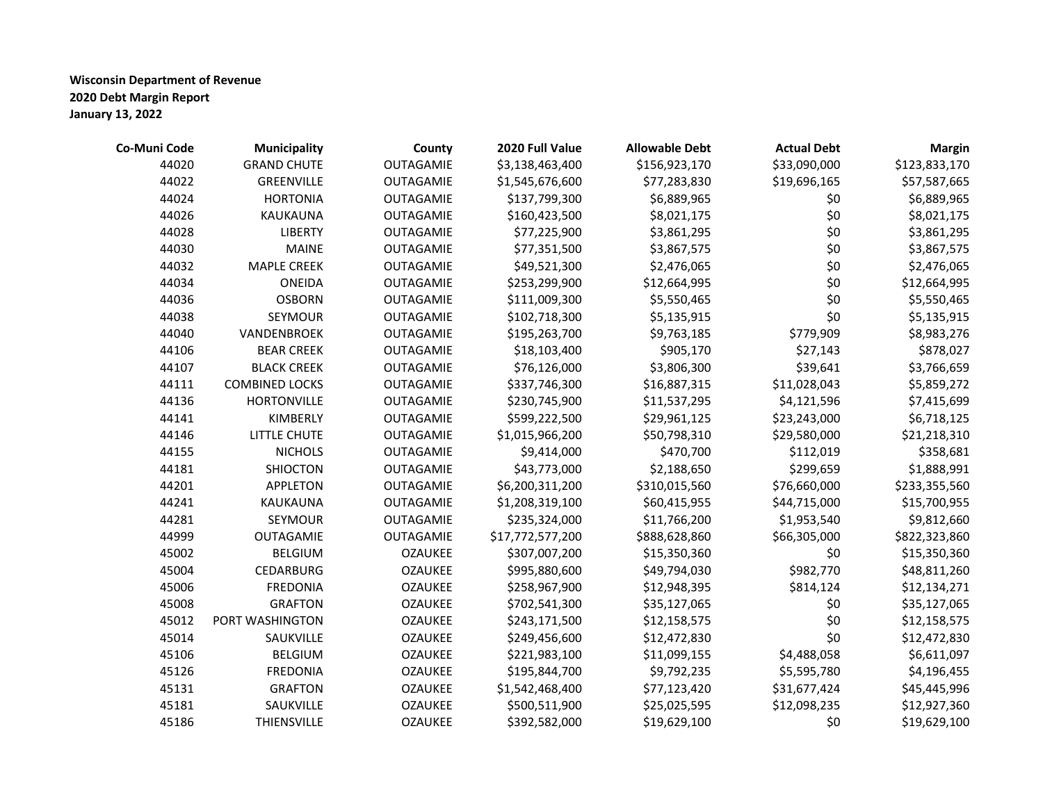| Co-Muni Code | <b>Municipality</b>   | County         | 2020 Full Value  | <b>Allowable Debt</b> | <b>Actual Debt</b> | <b>Margin</b> |
|--------------|-----------------------|----------------|------------------|-----------------------|--------------------|---------------|
| 44020        | <b>GRAND CHUTE</b>    | OUTAGAMIE      | \$3,138,463,400  | \$156,923,170         | \$33,090,000       | \$123,833,170 |
| 44022        | GREENVILLE            | OUTAGAMIE      | \$1,545,676,600  | \$77,283,830          | \$19,696,165       | \$57,587,665  |
| 44024        | <b>HORTONIA</b>       | OUTAGAMIE      | \$137,799,300    | \$6,889,965           | \$0                | \$6,889,965   |
| 44026        | KAUKAUNA              | OUTAGAMIE      | \$160,423,500    | \$8,021,175           | \$0                | \$8,021,175   |
| 44028        | <b>LIBERTY</b>        | OUTAGAMIE      | \$77,225,900     | \$3,861,295           | \$0                | \$3,861,295   |
| 44030        | <b>MAINE</b>          | OUTAGAMIE      | \$77,351,500     | \$3,867,575           | \$0                | \$3,867,575   |
| 44032        | <b>MAPLE CREEK</b>    | OUTAGAMIE      | \$49,521,300     | \$2,476,065           | \$0                | \$2,476,065   |
| 44034        | ONEIDA                | OUTAGAMIE      | \$253,299,900    | \$12,664,995          | \$0                | \$12,664,995  |
| 44036        | <b>OSBORN</b>         | OUTAGAMIE      | \$111,009,300    | \$5,550,465           | \$0                | \$5,550,465   |
| 44038        | SEYMOUR               | OUTAGAMIE      | \$102,718,300    | \$5,135,915           | \$0                | \$5,135,915   |
| 44040        | VANDENBROEK           | OUTAGAMIE      | \$195,263,700    | \$9,763,185           | \$779,909          | \$8,983,276   |
| 44106        | <b>BEAR CREEK</b>     | OUTAGAMIE      | \$18,103,400     | \$905,170             | \$27,143           | \$878,027     |
| 44107        | <b>BLACK CREEK</b>    | OUTAGAMIE      | \$76,126,000     | \$3,806,300           | \$39,641           | \$3,766,659   |
| 44111        | <b>COMBINED LOCKS</b> | OUTAGAMIE      | \$337,746,300    | \$16,887,315          | \$11,028,043       | \$5,859,272   |
| 44136        | <b>HORTONVILLE</b>    | OUTAGAMIE      | \$230,745,900    | \$11,537,295          | \$4,121,596        | \$7,415,699   |
| 44141        | KIMBERLY              | OUTAGAMIE      | \$599,222,500    | \$29,961,125          | \$23,243,000       | \$6,718,125   |
| 44146        | LITTLE CHUTE          | OUTAGAMIE      | \$1,015,966,200  | \$50,798,310          | \$29,580,000       | \$21,218,310  |
| 44155        | <b>NICHOLS</b>        | OUTAGAMIE      | \$9,414,000      | \$470,700             | \$112,019          | \$358,681     |
| 44181        | <b>SHIOCTON</b>       | OUTAGAMIE      | \$43,773,000     | \$2,188,650           | \$299,659          | \$1,888,991   |
| 44201        | <b>APPLETON</b>       | OUTAGAMIE      | \$6,200,311,200  | \$310,015,560         | \$76,660,000       | \$233,355,560 |
| 44241        | KAUKAUNA              | OUTAGAMIE      | \$1,208,319,100  | \$60,415,955          | \$44,715,000       | \$15,700,955  |
| 44281        | SEYMOUR               | OUTAGAMIE      | \$235,324,000    | \$11,766,200          | \$1,953,540        | \$9,812,660   |
| 44999        | OUTAGAMIE             | OUTAGAMIE      | \$17,772,577,200 | \$888,628,860         | \$66,305,000       | \$822,323,860 |
| 45002        | <b>BELGIUM</b>        | <b>OZAUKEE</b> | \$307,007,200    | \$15,350,360          | \$0                | \$15,350,360  |
| 45004        | CEDARBURG             | <b>OZAUKEE</b> | \$995,880,600    | \$49,794,030          | \$982,770          | \$48,811,260  |
| 45006        | <b>FREDONIA</b>       | <b>OZAUKEE</b> | \$258,967,900    | \$12,948,395          | \$814,124          | \$12,134,271  |
| 45008        | <b>GRAFTON</b>        | <b>OZAUKEE</b> | \$702,541,300    | \$35,127,065          | \$0                | \$35,127,065  |
| 45012        | PORT WASHINGTON       | <b>OZAUKEE</b> | \$243,171,500    | \$12,158,575          | \$0                | \$12,158,575  |
| 45014        | SAUKVILLE             | <b>OZAUKEE</b> | \$249,456,600    | \$12,472,830          | \$0                | \$12,472,830  |
| 45106        | <b>BELGIUM</b>        | <b>OZAUKEE</b> | \$221,983,100    | \$11,099,155          | \$4,488,058        | \$6,611,097   |
| 45126        | <b>FREDONIA</b>       | <b>OZAUKEE</b> | \$195,844,700    | \$9,792,235           | \$5,595,780        | \$4,196,455   |
| 45131        | <b>GRAFTON</b>        | <b>OZAUKEE</b> | \$1,542,468,400  | \$77,123,420          | \$31,677,424       | \$45,445,996  |
| 45181        | SAUKVILLE             | <b>OZAUKEE</b> | \$500,511,900    | \$25,025,595          | \$12,098,235       | \$12,927,360  |
| 45186        | THIENSVILLE           | <b>OZAUKEE</b> | \$392,582,000    | \$19,629,100          | \$0                | \$19,629,100  |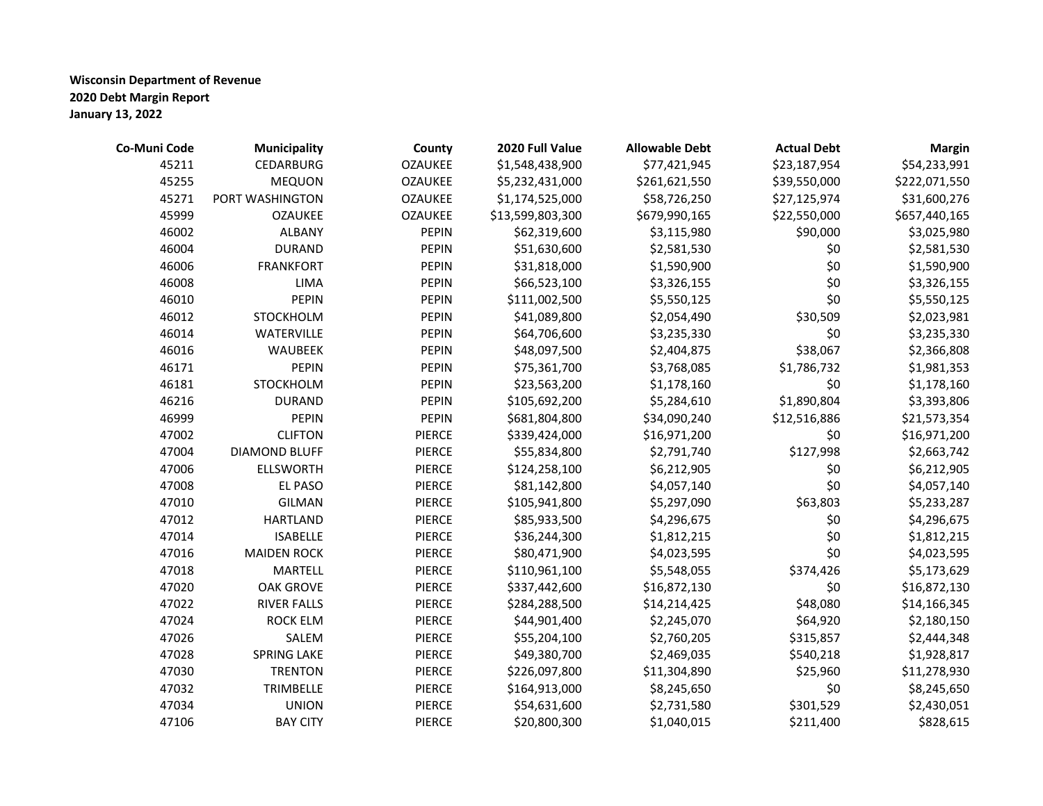| Co-Muni Code | <b>Municipality</b>  | County         | 2020 Full Value  | <b>Allowable Debt</b> | <b>Actual Debt</b> | <b>Margin</b> |
|--------------|----------------------|----------------|------------------|-----------------------|--------------------|---------------|
| 45211        | CEDARBURG            | <b>OZAUKEE</b> | \$1,548,438,900  | \$77,421,945          | \$23,187,954       | \$54,233,991  |
| 45255        | <b>MEQUON</b>        | <b>OZAUKEE</b> | \$5,232,431,000  | \$261,621,550         | \$39,550,000       | \$222,071,550 |
| 45271        | PORT WASHINGTON      | <b>OZAUKEE</b> | \$1,174,525,000  | \$58,726,250          | \$27,125,974       | \$31,600,276  |
| 45999        | <b>OZAUKEE</b>       | <b>OZAUKEE</b> | \$13,599,803,300 | \$679,990,165         | \$22,550,000       | \$657,440,165 |
| 46002        | <b>ALBANY</b>        | <b>PEPIN</b>   | \$62,319,600     | \$3,115,980           | \$90,000           | \$3,025,980   |
| 46004        | <b>DURAND</b>        | <b>PEPIN</b>   | \$51,630,600     | \$2,581,530           | \$0                | \$2,581,530   |
| 46006        | <b>FRANKFORT</b>     | <b>PEPIN</b>   | \$31,818,000     | \$1,590,900           | \$0                | \$1,590,900   |
| 46008        | <b>LIMA</b>          | <b>PEPIN</b>   | \$66,523,100     | \$3,326,155           | \$0                | \$3,326,155   |
| 46010        | <b>PEPIN</b>         | <b>PEPIN</b>   | \$111,002,500    | \$5,550,125           | \$0                | \$5,550,125   |
| 46012        | STOCKHOLM            | <b>PEPIN</b>   | \$41,089,800     | \$2,054,490           | \$30,509           | \$2,023,981   |
| 46014        | WATERVILLE           | <b>PEPIN</b>   | \$64,706,600     | \$3,235,330           | \$0                | \$3,235,330   |
| 46016        | WAUBEEK              | <b>PEPIN</b>   | \$48,097,500     | \$2,404,875           | \$38,067           | \$2,366,808   |
| 46171        | <b>PEPIN</b>         | <b>PEPIN</b>   | \$75,361,700     | \$3,768,085           | \$1,786,732        | \$1,981,353   |
| 46181        | STOCKHOLM            | <b>PEPIN</b>   | \$23,563,200     | \$1,178,160           | \$0                | \$1,178,160   |
| 46216        | <b>DURAND</b>        | <b>PEPIN</b>   | \$105,692,200    | \$5,284,610           | \$1,890,804        | \$3,393,806   |
| 46999        | <b>PEPIN</b>         | <b>PEPIN</b>   | \$681,804,800    | \$34,090,240          | \$12,516,886       | \$21,573,354  |
| 47002        | <b>CLIFTON</b>       | <b>PIERCE</b>  | \$339,424,000    | \$16,971,200          | \$0                | \$16,971,200  |
| 47004        | <b>DIAMOND BLUFF</b> | <b>PIERCE</b>  | \$55,834,800     | \$2,791,740           | \$127,998          | \$2,663,742   |
| 47006        | <b>ELLSWORTH</b>     | <b>PIERCE</b>  | \$124,258,100    | \$6,212,905           | \$0                | \$6,212,905   |
| 47008        | EL PASO              | <b>PIERCE</b>  | \$81,142,800     | \$4,057,140           | \$0                | \$4,057,140   |
| 47010        | <b>GILMAN</b>        | PIERCE         | \$105,941,800    | \$5,297,090           | \$63,803           | \$5,233,287   |
| 47012        | <b>HARTLAND</b>      | PIERCE         | \$85,933,500     | \$4,296,675           | \$0                | \$4,296,675   |
| 47014        | <b>ISABELLE</b>      | <b>PIERCE</b>  | \$36,244,300     | \$1,812,215           | \$0                | \$1,812,215   |
| 47016        | <b>MAIDEN ROCK</b>   | <b>PIERCE</b>  | \$80,471,900     | \$4,023,595           | \$0                | \$4,023,595   |
| 47018        | <b>MARTELL</b>       | <b>PIERCE</b>  | \$110,961,100    | \$5,548,055           | \$374,426          | \$5,173,629   |
| 47020        | <b>OAK GROVE</b>     | <b>PIERCE</b>  | \$337,442,600    | \$16,872,130          | \$0                | \$16,872,130  |
| 47022        | <b>RIVER FALLS</b>   | <b>PIERCE</b>  | \$284,288,500    | \$14,214,425          | \$48,080           | \$14,166,345  |
| 47024        | <b>ROCK ELM</b>      | PIERCE         | \$44,901,400     | \$2,245,070           | \$64,920           | \$2,180,150   |
| 47026        | SALEM                | <b>PIERCE</b>  | \$55,204,100     | \$2,760,205           | \$315,857          | \$2,444,348   |
| 47028        | <b>SPRING LAKE</b>   | <b>PIERCE</b>  | \$49,380,700     | \$2,469,035           | \$540,218          | \$1,928,817   |
| 47030        | <b>TRENTON</b>       | <b>PIERCE</b>  | \$226,097,800    | \$11,304,890          | \$25,960           | \$11,278,930  |
| 47032        | TRIMBELLE            | <b>PIERCE</b>  | \$164,913,000    | \$8,245,650           | \$0                | \$8,245,650   |
| 47034        | <b>UNION</b>         | <b>PIERCE</b>  | \$54,631,600     | \$2,731,580           | \$301,529          | \$2,430,051   |
| 47106        | <b>BAY CITY</b>      | <b>PIERCE</b>  | \$20,800,300     | \$1,040,015           | \$211,400          | \$828,615     |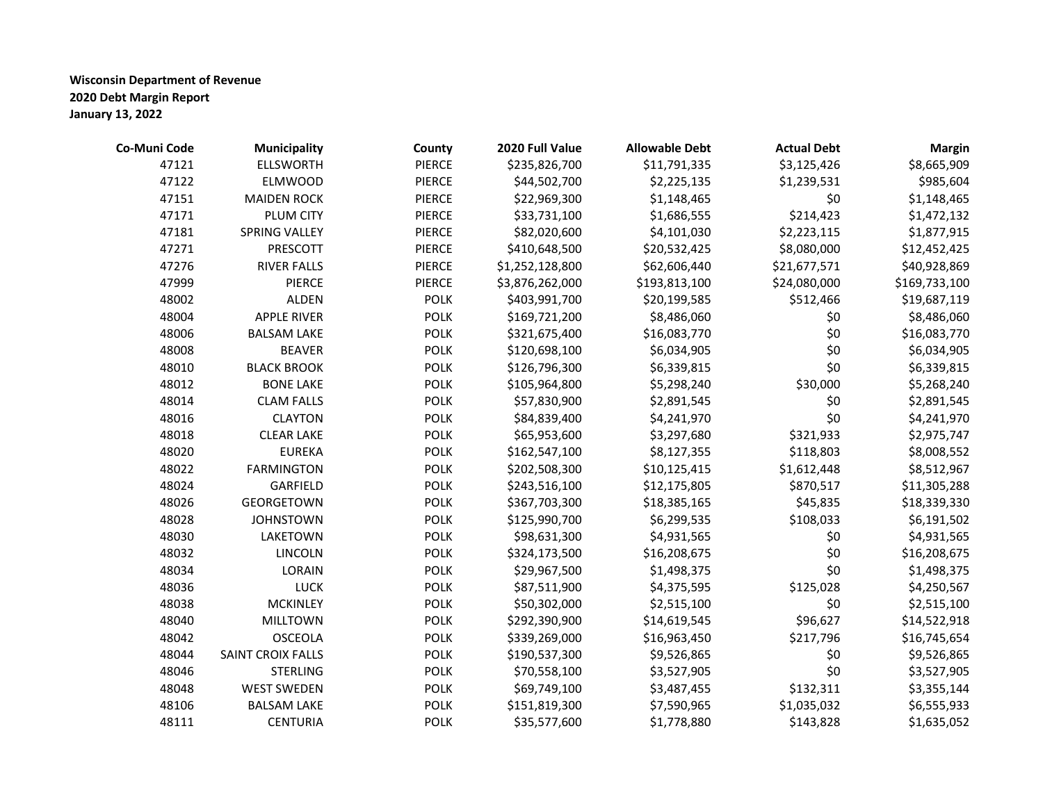| Co-Muni Code | <b>Municipality</b>  | County        | 2020 Full Value | <b>Allowable Debt</b> | <b>Actual Debt</b> | <b>Margin</b> |
|--------------|----------------------|---------------|-----------------|-----------------------|--------------------|---------------|
| 47121        | <b>ELLSWORTH</b>     | <b>PIERCE</b> | \$235,826,700   | \$11,791,335          | \$3,125,426        | \$8,665,909   |
| 47122        | <b>ELMWOOD</b>       | <b>PIERCE</b> | \$44,502,700    | \$2,225,135           | \$1,239,531        | \$985,604     |
| 47151        | <b>MAIDEN ROCK</b>   | <b>PIERCE</b> | \$22,969,300    | \$1,148,465           | \$0                | \$1,148,465   |
| 47171        | PLUM CITY            | <b>PIERCE</b> | \$33,731,100    | \$1,686,555           | \$214,423          | \$1,472,132   |
| 47181        | <b>SPRING VALLEY</b> | <b>PIERCE</b> | \$82,020,600    | \$4,101,030           | \$2,223,115        | \$1,877,915   |
| 47271        | PRESCOTT             | <b>PIERCE</b> | \$410,648,500   | \$20,532,425          | \$8,080,000        | \$12,452,425  |
| 47276        | <b>RIVER FALLS</b>   | <b>PIERCE</b> | \$1,252,128,800 | \$62,606,440          | \$21,677,571       | \$40,928,869  |
| 47999        | PIERCE               | <b>PIERCE</b> | \$3,876,262,000 | \$193,813,100         | \$24,080,000       | \$169,733,100 |
| 48002        | <b>ALDEN</b>         | <b>POLK</b>   | \$403,991,700   | \$20,199,585          | \$512,466          | \$19,687,119  |
| 48004        | <b>APPLE RIVER</b>   | <b>POLK</b>   | \$169,721,200   | \$8,486,060           | \$0                | \$8,486,060   |
| 48006        | <b>BALSAM LAKE</b>   | <b>POLK</b>   | \$321,675,400   | \$16,083,770          | \$0                | \$16,083,770  |
| 48008        | <b>BEAVER</b>        | <b>POLK</b>   | \$120,698,100   | \$6,034,905           | \$0                | \$6,034,905   |
| 48010        | <b>BLACK BROOK</b>   | <b>POLK</b>   | \$126,796,300   | \$6,339,815           | \$0                | \$6,339,815   |
| 48012        | <b>BONE LAKE</b>     | <b>POLK</b>   | \$105,964,800   | \$5,298,240           | \$30,000           | \$5,268,240   |
| 48014        | <b>CLAM FALLS</b>    | <b>POLK</b>   | \$57,830,900    | \$2,891,545           | \$0                | \$2,891,545   |
| 48016        | <b>CLAYTON</b>       | <b>POLK</b>   | \$84,839,400    | \$4,241,970           | \$0                | \$4,241,970   |
| 48018        | <b>CLEAR LAKE</b>    | <b>POLK</b>   | \$65,953,600    | \$3,297,680           | \$321,933          | \$2,975,747   |
| 48020        | <b>EUREKA</b>        | <b>POLK</b>   | \$162,547,100   | \$8,127,355           | \$118,803          | \$8,008,552   |
| 48022        | <b>FARMINGTON</b>    | <b>POLK</b>   | \$202,508,300   | \$10,125,415          | \$1,612,448        | \$8,512,967   |
| 48024        | GARFIELD             | <b>POLK</b>   | \$243,516,100   | \$12,175,805          | \$870,517          | \$11,305,288  |
| 48026        | <b>GEORGETOWN</b>    | <b>POLK</b>   | \$367,703,300   | \$18,385,165          | \$45,835           | \$18,339,330  |
| 48028        | <b>JOHNSTOWN</b>     | <b>POLK</b>   | \$125,990,700   | \$6,299,535           | \$108,033          | \$6,191,502   |
| 48030        | LAKETOWN             | <b>POLK</b>   | \$98,631,300    | \$4,931,565           | \$0                | \$4,931,565   |
| 48032        | <b>LINCOLN</b>       | <b>POLK</b>   | \$324,173,500   | \$16,208,675          | \$0                | \$16,208,675  |
| 48034        | <b>LORAIN</b>        | <b>POLK</b>   | \$29,967,500    | \$1,498,375           | \$0                | \$1,498,375   |
| 48036        | LUCK                 | <b>POLK</b>   | \$87,511,900    | \$4,375,595           | \$125,028          | \$4,250,567   |
| 48038        | <b>MCKINLEY</b>      | <b>POLK</b>   | \$50,302,000    | \$2,515,100           | \$0                | \$2,515,100   |
| 48040        | <b>MILLTOWN</b>      | <b>POLK</b>   | \$292,390,900   | \$14,619,545          | \$96,627           | \$14,522,918  |
| 48042        | <b>OSCEOLA</b>       | <b>POLK</b>   | \$339,269,000   | \$16,963,450          | \$217,796          | \$16,745,654  |
| 48044        | SAINT CROIX FALLS    | <b>POLK</b>   | \$190,537,300   | \$9,526,865           | \$0                | \$9,526,865   |
| 48046        | <b>STERLING</b>      | <b>POLK</b>   | \$70,558,100    | \$3,527,905           | \$0                | \$3,527,905   |
| 48048        | <b>WEST SWEDEN</b>   | <b>POLK</b>   | \$69,749,100    | \$3,487,455           | \$132,311          | \$3,355,144   |
| 48106        | <b>BALSAM LAKE</b>   | <b>POLK</b>   | \$151,819,300   | \$7,590,965           | \$1,035,032        | \$6,555,933   |
| 48111        | <b>CENTURIA</b>      | <b>POLK</b>   | \$35,577,600    | \$1,778,880           | \$143,828          | \$1,635,052   |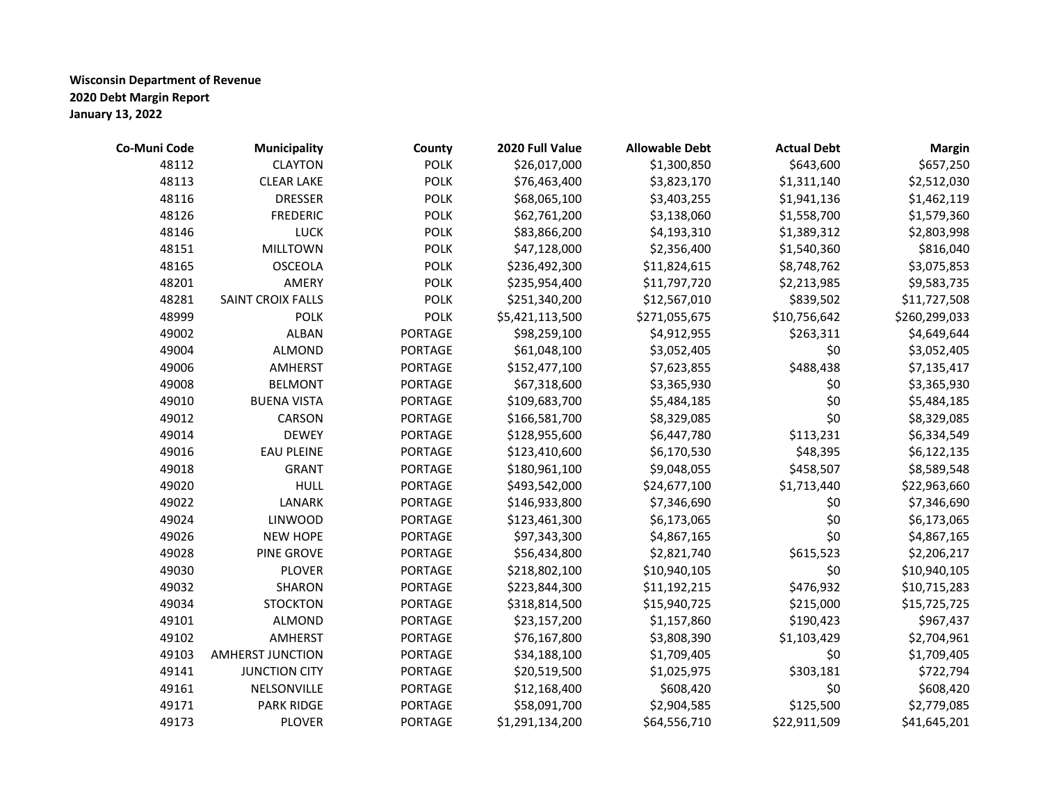| Co-Muni Code | <b>Municipality</b>     | County         | 2020 Full Value | <b>Allowable Debt</b> | <b>Actual Debt</b> | <b>Margin</b> |
|--------------|-------------------------|----------------|-----------------|-----------------------|--------------------|---------------|
| 48112        | <b>CLAYTON</b>          | <b>POLK</b>    | \$26,017,000    | \$1,300,850           | \$643,600          | \$657,250     |
| 48113        | <b>CLEAR LAKE</b>       | <b>POLK</b>    | \$76,463,400    | \$3,823,170           | \$1,311,140        | \$2,512,030   |
| 48116        | <b>DRESSER</b>          | <b>POLK</b>    | \$68,065,100    | \$3,403,255           | \$1,941,136        | \$1,462,119   |
| 48126        | <b>FREDERIC</b>         | <b>POLK</b>    | \$62,761,200    | \$3,138,060           | \$1,558,700        | \$1,579,360   |
| 48146        | <b>LUCK</b>             | <b>POLK</b>    | \$83,866,200    | \$4,193,310           | \$1,389,312        | \$2,803,998   |
| 48151        | <b>MILLTOWN</b>         | <b>POLK</b>    | \$47,128,000    | \$2,356,400           | \$1,540,360        | \$816,040     |
| 48165        | <b>OSCEOLA</b>          | <b>POLK</b>    | \$236,492,300   | \$11,824,615          | \$8,748,762        | \$3,075,853   |
| 48201        | AMERY                   | <b>POLK</b>    | \$235,954,400   | \$11,797,720          | \$2,213,985        | \$9,583,735   |
| 48281        | SAINT CROIX FALLS       | <b>POLK</b>    | \$251,340,200   | \$12,567,010          | \$839,502          | \$11,727,508  |
| 48999        | <b>POLK</b>             | <b>POLK</b>    | \$5,421,113,500 | \$271,055,675         | \$10,756,642       | \$260,299,033 |
| 49002        | <b>ALBAN</b>            | <b>PORTAGE</b> | \$98,259,100    | \$4,912,955           | \$263,311          | \$4,649,644   |
| 49004        | <b>ALMOND</b>           | <b>PORTAGE</b> | \$61,048,100    | \$3,052,405           | \$0                | \$3,052,405   |
| 49006        | AMHERST                 | <b>PORTAGE</b> | \$152,477,100   | \$7,623,855           | \$488,438          | \$7,135,417   |
| 49008        | <b>BELMONT</b>          | <b>PORTAGE</b> | \$67,318,600    | \$3,365,930           | \$0                | \$3,365,930   |
| 49010        | <b>BUENA VISTA</b>      | <b>PORTAGE</b> | \$109,683,700   | \$5,484,185           | \$0                | \$5,484,185   |
| 49012        | CARSON                  | <b>PORTAGE</b> | \$166,581,700   | \$8,329,085           | \$0                | \$8,329,085   |
| 49014        | <b>DEWEY</b>            | <b>PORTAGE</b> | \$128,955,600   | \$6,447,780           | \$113,231          | \$6,334,549   |
| 49016        | <b>EAU PLEINE</b>       | <b>PORTAGE</b> | \$123,410,600   | \$6,170,530           | \$48,395           | \$6,122,135   |
| 49018        | <b>GRANT</b>            | <b>PORTAGE</b> | \$180,961,100   | \$9,048,055           | \$458,507          | \$8,589,548   |
| 49020        | <b>HULL</b>             | <b>PORTAGE</b> | \$493,542,000   | \$24,677,100          | \$1,713,440        | \$22,963,660  |
| 49022        | LANARK                  | PORTAGE        | \$146,933,800   | \$7,346,690           | \$0                | \$7,346,690   |
| 49024        | <b>LINWOOD</b>          | <b>PORTAGE</b> | \$123,461,300   | \$6,173,065           | \$0                | \$6,173,065   |
| 49026        | <b>NEW HOPE</b>         | <b>PORTAGE</b> | \$97,343,300    | \$4,867,165           | \$0                | \$4,867,165   |
| 49028        | <b>PINE GROVE</b>       | <b>PORTAGE</b> | \$56,434,800    | \$2,821,740           | \$615,523          | \$2,206,217   |
| 49030        | <b>PLOVER</b>           | <b>PORTAGE</b> | \$218,802,100   | \$10,940,105          | \$0                | \$10,940,105  |
| 49032        | <b>SHARON</b>           | <b>PORTAGE</b> | \$223,844,300   | \$11,192,215          | \$476,932          | \$10,715,283  |
| 49034        | <b>STOCKTON</b>         | <b>PORTAGE</b> | \$318,814,500   | \$15,940,725          | \$215,000          | \$15,725,725  |
| 49101        | <b>ALMOND</b>           | <b>PORTAGE</b> | \$23,157,200    | \$1,157,860           | \$190,423          | \$967,437     |
| 49102        | <b>AMHERST</b>          | <b>PORTAGE</b> | \$76,167,800    | \$3,808,390           | \$1,103,429        | \$2,704,961   |
| 49103        | <b>AMHERST JUNCTION</b> | <b>PORTAGE</b> | \$34,188,100    | \$1,709,405           | \$0                | \$1,709,405   |
| 49141        | <b>JUNCTION CITY</b>    | <b>PORTAGE</b> | \$20,519,500    | \$1,025,975           | \$303,181          | \$722,794     |
| 49161        | NELSONVILLE             | <b>PORTAGE</b> | \$12,168,400    | \$608,420             | \$0                | \$608,420     |
| 49171        | <b>PARK RIDGE</b>       | <b>PORTAGE</b> | \$58,091,700    | \$2,904,585           | \$125,500          | \$2,779,085   |
| 49173        | <b>PLOVER</b>           | <b>PORTAGE</b> | \$1,291,134,200 | \$64,556,710          | \$22,911,509       | \$41,645,201  |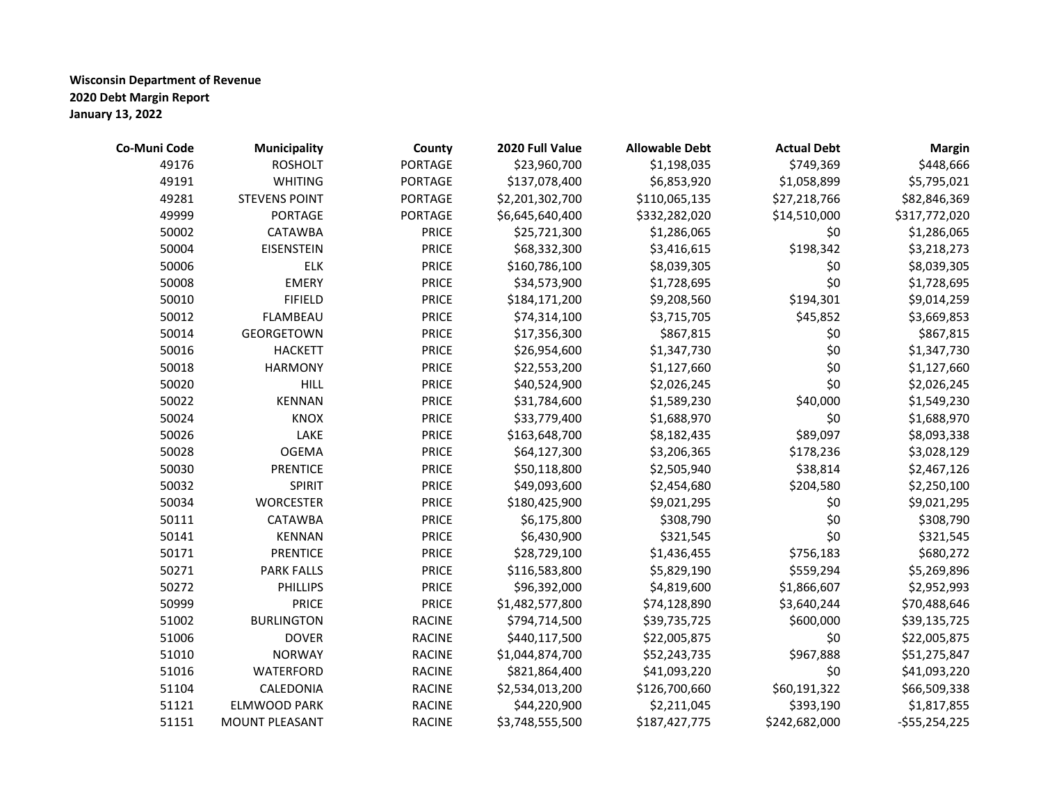| Co-Muni Code | <b>Municipality</b>   | County         | 2020 Full Value | <b>Allowable Debt</b> | <b>Actual Debt</b> | <b>Margin</b>  |
|--------------|-----------------------|----------------|-----------------|-----------------------|--------------------|----------------|
| 49176        | <b>ROSHOLT</b>        | <b>PORTAGE</b> | \$23,960,700    | \$1,198,035           | \$749,369          | \$448,666      |
| 49191        | <b>WHITING</b>        | <b>PORTAGE</b> | \$137,078,400   | \$6,853,920           | \$1,058,899        | \$5,795,021    |
| 49281        | <b>STEVENS POINT</b>  | <b>PORTAGE</b> | \$2,201,302,700 | \$110,065,135         | \$27,218,766       | \$82,846,369   |
| 49999        | PORTAGE               | PORTAGE        | \$6,645,640,400 | \$332,282,020         | \$14,510,000       | \$317,772,020  |
| 50002        | <b>CATAWBA</b>        | <b>PRICE</b>   | \$25,721,300    | \$1,286,065           | \$0                | \$1,286,065    |
| 50004        | <b>EISENSTEIN</b>     | <b>PRICE</b>   | \$68,332,300    | \$3,416,615           | \$198,342          | \$3,218,273    |
| 50006        | <b>ELK</b>            | <b>PRICE</b>   | \$160,786,100   | \$8,039,305           | \$0                | \$8,039,305    |
| 50008        | <b>EMERY</b>          | <b>PRICE</b>   | \$34,573,900    | \$1,728,695           | \$0                | \$1,728,695    |
| 50010        | <b>FIFIELD</b>        | <b>PRICE</b>   | \$184,171,200   | \$9,208,560           | \$194,301          | \$9,014,259    |
| 50012        | <b>FLAMBEAU</b>       | <b>PRICE</b>   | \$74,314,100    | \$3,715,705           | \$45,852           | \$3,669,853    |
| 50014        | <b>GEORGETOWN</b>     | <b>PRICE</b>   | \$17,356,300    | \$867,815             | \$0                | \$867,815      |
| 50016        | <b>HACKETT</b>        | <b>PRICE</b>   | \$26,954,600    | \$1,347,730           | \$0                | \$1,347,730    |
| 50018        | <b>HARMONY</b>        | <b>PRICE</b>   | \$22,553,200    | \$1,127,660           | \$0                | \$1,127,660    |
| 50020        | <b>HILL</b>           | <b>PRICE</b>   | \$40,524,900    | \$2,026,245           | \$0                | \$2,026,245    |
| 50022        | <b>KENNAN</b>         | <b>PRICE</b>   | \$31,784,600    | \$1,589,230           | \$40,000           | \$1,549,230    |
| 50024        | <b>KNOX</b>           | <b>PRICE</b>   | \$33,779,400    | \$1,688,970           | \$0                | \$1,688,970    |
| 50026        | LAKE                  | <b>PRICE</b>   | \$163,648,700   | \$8,182,435           | \$89,097           | \$8,093,338    |
| 50028        | <b>OGEMA</b>          | <b>PRICE</b>   | \$64,127,300    | \$3,206,365           | \$178,236          | \$3,028,129    |
| 50030        | <b>PRENTICE</b>       | <b>PRICE</b>   | \$50,118,800    | \$2,505,940           | \$38,814           | \$2,467,126    |
| 50032        | <b>SPIRIT</b>         | <b>PRICE</b>   | \$49,093,600    | \$2,454,680           | \$204,580          | \$2,250,100    |
| 50034        | <b>WORCESTER</b>      | <b>PRICE</b>   | \$180,425,900   | \$9,021,295           | \$0                | \$9,021,295    |
| 50111        | CATAWBA               | <b>PRICE</b>   | \$6,175,800     | \$308,790             | \$0                | \$308,790      |
| 50141        | <b>KENNAN</b>         | <b>PRICE</b>   | \$6,430,900     | \$321,545             | \$0                | \$321,545      |
| 50171        | <b>PRENTICE</b>       | <b>PRICE</b>   | \$28,729,100    | \$1,436,455           | \$756,183          | \$680,272      |
| 50271        | <b>PARK FALLS</b>     | <b>PRICE</b>   | \$116,583,800   | \$5,829,190           | \$559,294          | \$5,269,896    |
| 50272        | <b>PHILLIPS</b>       | <b>PRICE</b>   | \$96,392,000    | \$4,819,600           | \$1,866,607        | \$2,952,993    |
| 50999        | <b>PRICE</b>          | <b>PRICE</b>   | \$1,482,577,800 | \$74,128,890          | \$3,640,244        | \$70,488,646   |
| 51002        | <b>BURLINGTON</b>     | <b>RACINE</b>  | \$794,714,500   | \$39,735,725          | \$600,000          | \$39,135,725   |
| 51006        | <b>DOVER</b>          | <b>RACINE</b>  | \$440,117,500   | \$22,005,875          | \$0                | \$22,005,875   |
| 51010        | <b>NORWAY</b>         | <b>RACINE</b>  | \$1,044,874,700 | \$52,243,735          | \$967,888          | \$51,275,847   |
| 51016        | <b>WATERFORD</b>      | <b>RACINE</b>  | \$821,864,400   | \$41,093,220          | \$0                | \$41,093,220   |
| 51104        | CALEDONIA             | <b>RACINE</b>  | \$2,534,013,200 | \$126,700,660         | \$60,191,322       | \$66,509,338   |
| 51121        | <b>ELMWOOD PARK</b>   | <b>RACINE</b>  | \$44,220,900    | \$2,211,045           | \$393,190          | \$1,817,855    |
| 51151        | <b>MOUNT PLEASANT</b> | <b>RACINE</b>  | \$3,748,555,500 | \$187,427,775         | \$242,682,000      | $-$55,254,225$ |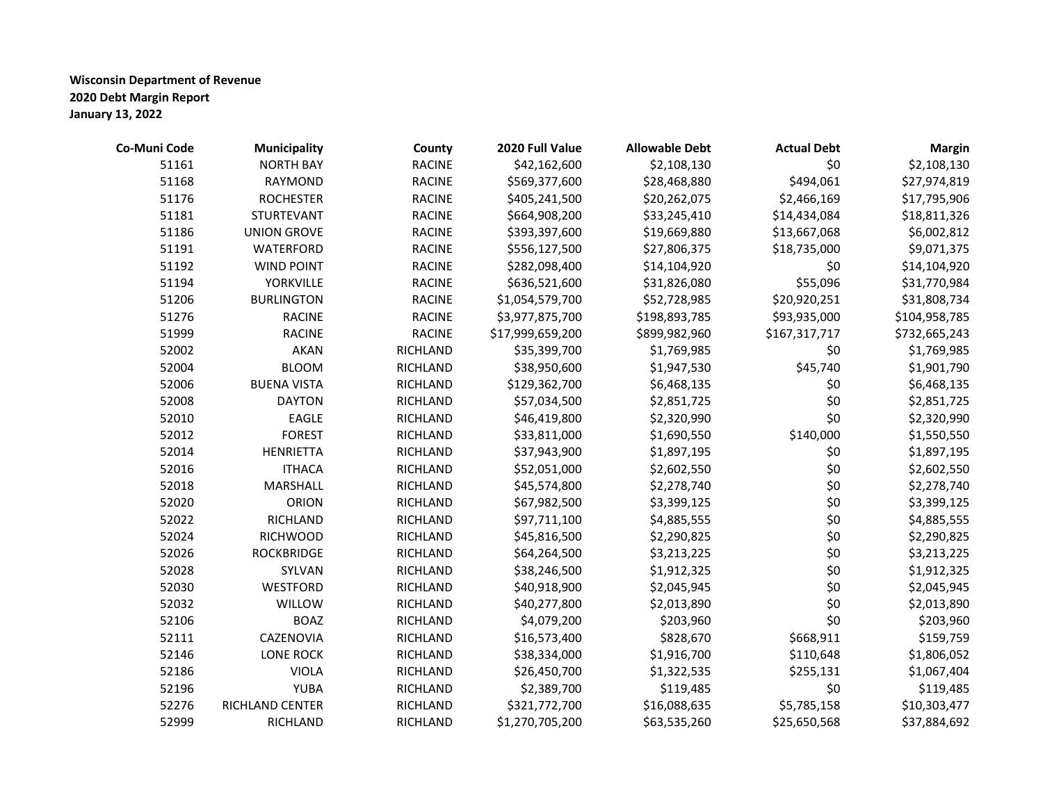| Co-Muni Code | <b>Municipality</b> | County        | 2020 Full Value  | <b>Allowable Debt</b> | <b>Actual Debt</b> | <b>Margin</b> |
|--------------|---------------------|---------------|------------------|-----------------------|--------------------|---------------|
| 51161        | <b>NORTH BAY</b>    | <b>RACINE</b> | \$42,162,600     | \$2,108,130           | \$0                | \$2,108,130   |
| 51168        | <b>RAYMOND</b>      | <b>RACINE</b> | \$569,377,600    | \$28,468,880          | \$494,061          | \$27,974,819  |
| 51176        | <b>ROCHESTER</b>    | <b>RACINE</b> | \$405,241,500    | \$20,262,075          | \$2,466,169        | \$17,795,906  |
| 51181        | <b>STURTEVANT</b>   | <b>RACINE</b> | \$664,908,200    | \$33,245,410          | \$14,434,084       | \$18,811,326  |
| 51186        | <b>UNION GROVE</b>  | <b>RACINE</b> | \$393,397,600    | \$19,669,880          | \$13,667,068       | \$6,002,812   |
| 51191        | WATERFORD           | <b>RACINE</b> | \$556,127,500    | \$27,806,375          | \$18,735,000       | \$9,071,375   |
| 51192        | <b>WIND POINT</b>   | <b>RACINE</b> | \$282,098,400    | \$14,104,920          | \$0                | \$14,104,920  |
| 51194        | <b>YORKVILLE</b>    | <b>RACINE</b> | \$636,521,600    | \$31,826,080          | \$55,096           | \$31,770,984  |
| 51206        | <b>BURLINGTON</b>   | <b>RACINE</b> | \$1,054,579,700  | \$52,728,985          | \$20,920,251       | \$31,808,734  |
| 51276        | <b>RACINE</b>       | <b>RACINE</b> | \$3,977,875,700  | \$198,893,785         | \$93,935,000       | \$104,958,785 |
| 51999        | <b>RACINE</b>       | <b>RACINE</b> | \$17,999,659,200 | \$899,982,960         | \$167,317,717      | \$732,665,243 |
| 52002        | <b>AKAN</b>         | RICHLAND      | \$35,399,700     | \$1,769,985           | \$0                | \$1,769,985   |
| 52004        | <b>BLOOM</b>        | RICHLAND      | \$38,950,600     | \$1,947,530           | \$45,740           | \$1,901,790   |
| 52006        | <b>BUENA VISTA</b>  | RICHLAND      | \$129,362,700    | \$6,468,135           | \$0                | \$6,468,135   |
| 52008        | <b>DAYTON</b>       | RICHLAND      | \$57,034,500     | \$2,851,725           | \$0                | \$2,851,725   |
| 52010        | EAGLE               | RICHLAND      | \$46,419,800     | \$2,320,990           | \$0                | \$2,320,990   |
| 52012        | <b>FOREST</b>       | RICHLAND      | \$33,811,000     | \$1,690,550           | \$140,000          | \$1,550,550   |
| 52014        | <b>HENRIETTA</b>    | RICHLAND      | \$37,943,900     | \$1,897,195           | \$0                | \$1,897,195   |
| 52016        | <b>ITHACA</b>       | RICHLAND      | \$52,051,000     | \$2,602,550           | \$0                | \$2,602,550   |
| 52018        | MARSHALL            | RICHLAND      | \$45,574,800     | \$2,278,740           | \$0                | \$2,278,740   |
| 52020        | ORION               | RICHLAND      | \$67,982,500     | \$3,399,125           | \$0                | \$3,399,125   |
| 52022        | RICHLAND            | RICHLAND      | \$97,711,100     | \$4,885,555           | \$0                | \$4,885,555   |
| 52024        | <b>RICHWOOD</b>     | RICHLAND      | \$45,816,500     | \$2,290,825           | \$0                | \$2,290,825   |
| 52026        | <b>ROCKBRIDGE</b>   | RICHLAND      | \$64,264,500     | \$3,213,225           | \$0                | \$3,213,225   |
| 52028        | SYLVAN              | RICHLAND      | \$38,246,500     | \$1,912,325           | \$0                | \$1,912,325   |
| 52030        | <b>WESTFORD</b>     | RICHLAND      | \$40,918,900     | \$2,045,945           | \$0                | \$2,045,945   |
| 52032        | WILLOW              | RICHLAND      | \$40,277,800     | \$2,013,890           | \$0                | \$2,013,890   |
| 52106        | <b>BOAZ</b>         | RICHLAND      | \$4,079,200      | \$203,960             | \$0                | \$203,960     |
| 52111        | CAZENOVIA           | RICHLAND      | \$16,573,400     | \$828,670             | \$668,911          | \$159,759     |
| 52146        | <b>LONE ROCK</b>    | RICHLAND      | \$38,334,000     | \$1,916,700           | \$110,648          | \$1,806,052   |
| 52186        | <b>VIOLA</b>        | RICHLAND      | \$26,450,700     | \$1,322,535           | \$255,131          | \$1,067,404   |
| 52196        | <b>YUBA</b>         | RICHLAND      | \$2,389,700      | \$119,485             | \$0                | \$119,485     |
| 52276        | RICHLAND CENTER     | RICHLAND      | \$321,772,700    | \$16,088,635          | \$5,785,158        | \$10,303,477  |
| 52999        | RICHLAND            | RICHLAND      | \$1,270,705,200  | \$63,535,260          | \$25,650,568       | \$37,884,692  |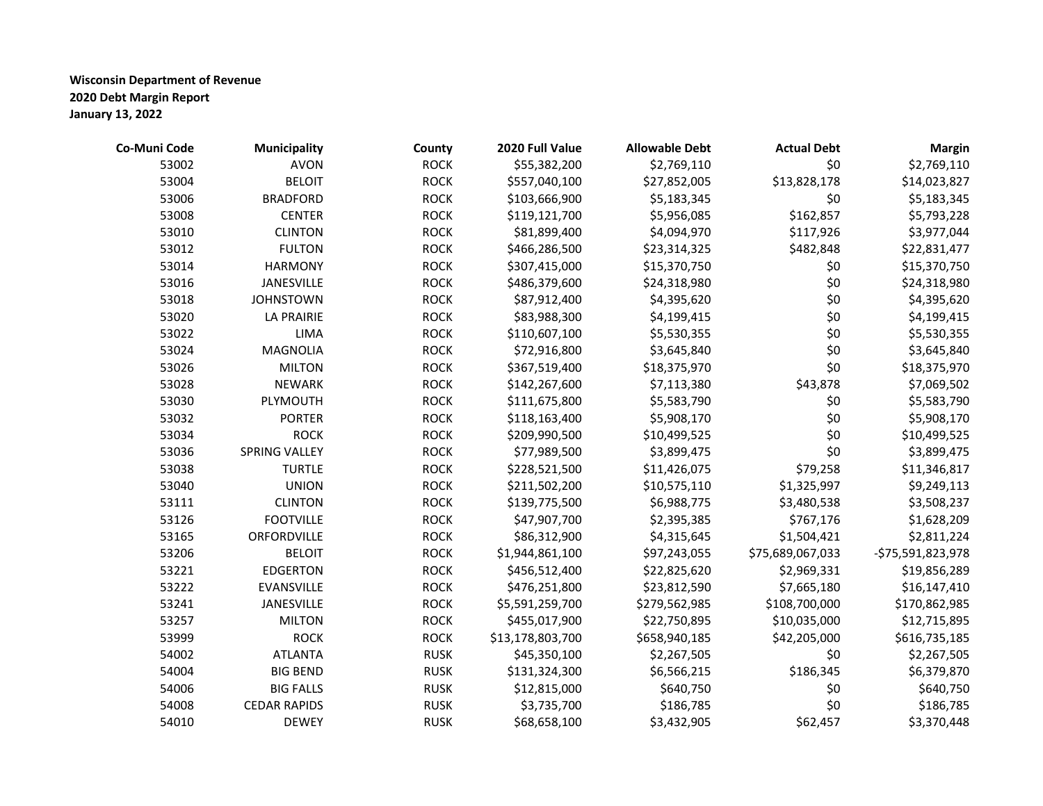| Co-Muni Code | <b>Municipality</b>  | County      | 2020 Full Value  | <b>Allowable Debt</b> | <b>Actual Debt</b> | <b>Margin</b>     |
|--------------|----------------------|-------------|------------------|-----------------------|--------------------|-------------------|
| 53002        | <b>AVON</b>          | <b>ROCK</b> | \$55,382,200     | \$2,769,110           | \$0                | \$2,769,110       |
| 53004        | <b>BELOIT</b>        | <b>ROCK</b> | \$557,040,100    | \$27,852,005          | \$13,828,178       | \$14,023,827      |
| 53006        | <b>BRADFORD</b>      | <b>ROCK</b> | \$103,666,900    | \$5,183,345           | \$0                | \$5,183,345       |
| 53008        | <b>CENTER</b>        | <b>ROCK</b> | \$119,121,700    | \$5,956,085           | \$162,857          | \$5,793,228       |
| 53010        | <b>CLINTON</b>       | <b>ROCK</b> | \$81,899,400     | \$4,094,970           | \$117,926          | \$3,977,044       |
| 53012        | <b>FULTON</b>        | <b>ROCK</b> | \$466,286,500    | \$23,314,325          | \$482,848          | \$22,831,477      |
| 53014        | <b>HARMONY</b>       | <b>ROCK</b> | \$307,415,000    | \$15,370,750          | \$0                | \$15,370,750      |
| 53016        | JANESVILLE           | <b>ROCK</b> | \$486,379,600    | \$24,318,980          | \$0                | \$24,318,980      |
| 53018        | <b>JOHNSTOWN</b>     | <b>ROCK</b> | \$87,912,400     | \$4,395,620           | \$0                | \$4,395,620       |
| 53020        | LA PRAIRIE           | <b>ROCK</b> | \$83,988,300     | \$4,199,415           | \$0                | \$4,199,415       |
| 53022        | LIMA                 | <b>ROCK</b> | \$110,607,100    | \$5,530,355           | \$0                | \$5,530,355       |
| 53024        | <b>MAGNOLIA</b>      | <b>ROCK</b> | \$72,916,800     | \$3,645,840           | \$0                | \$3,645,840       |
| 53026        | <b>MILTON</b>        | <b>ROCK</b> | \$367,519,400    | \$18,375,970          | \$0                | \$18,375,970      |
| 53028        | <b>NEWARK</b>        | <b>ROCK</b> | \$142,267,600    | \$7,113,380           | \$43,878           | \$7,069,502       |
| 53030        | PLYMOUTH             | <b>ROCK</b> | \$111,675,800    | \$5,583,790           | \$0                | \$5,583,790       |
| 53032        | <b>PORTER</b>        | <b>ROCK</b> | \$118,163,400    | \$5,908,170           | \$0                | \$5,908,170       |
| 53034        | <b>ROCK</b>          | <b>ROCK</b> | \$209,990,500    | \$10,499,525          | \$0                | \$10,499,525      |
| 53036        | <b>SPRING VALLEY</b> | <b>ROCK</b> | \$77,989,500     | \$3,899,475           | \$0                | \$3,899,475       |
| 53038        | <b>TURTLE</b>        | <b>ROCK</b> | \$228,521,500    | \$11,426,075          | \$79,258           | \$11,346,817      |
| 53040        | <b>UNION</b>         | <b>ROCK</b> | \$211,502,200    | \$10,575,110          | \$1,325,997        | \$9,249,113       |
| 53111        | <b>CLINTON</b>       | <b>ROCK</b> | \$139,775,500    | \$6,988,775           | \$3,480,538        | \$3,508,237       |
| 53126        | <b>FOOTVILLE</b>     | <b>ROCK</b> | \$47,907,700     | \$2,395,385           | \$767,176          | \$1,628,209       |
| 53165        | ORFORDVILLE          | <b>ROCK</b> | \$86,312,900     | \$4,315,645           | \$1,504,421        | \$2,811,224       |
| 53206        | <b>BELOIT</b>        | <b>ROCK</b> | \$1,944,861,100  | \$97,243,055          | \$75,689,067,033   | -\$75,591,823,978 |
| 53221        | <b>EDGERTON</b>      | <b>ROCK</b> | \$456,512,400    | \$22,825,620          | \$2,969,331        | \$19,856,289      |
| 53222        | EVANSVILLE           | <b>ROCK</b> | \$476,251,800    | \$23,812,590          | \$7,665,180        | \$16,147,410      |
| 53241        | JANESVILLE           | <b>ROCK</b> | \$5,591,259,700  | \$279,562,985         | \$108,700,000      | \$170,862,985     |
| 53257        | <b>MILTON</b>        | <b>ROCK</b> | \$455,017,900    | \$22,750,895          | \$10,035,000       | \$12,715,895      |
| 53999        | <b>ROCK</b>          | <b>ROCK</b> | \$13,178,803,700 | \$658,940,185         | \$42,205,000       | \$616,735,185     |
| 54002        | <b>ATLANTA</b>       | <b>RUSK</b> | \$45,350,100     | \$2,267,505           | \$0                | \$2,267,505       |
| 54004        | <b>BIG BEND</b>      | <b>RUSK</b> | \$131,324,300    | \$6,566,215           | \$186,345          | \$6,379,870       |
| 54006        | <b>BIG FALLS</b>     | <b>RUSK</b> | \$12,815,000     | \$640,750             | \$0                | \$640,750         |
| 54008        | <b>CEDAR RAPIDS</b>  | <b>RUSK</b> | \$3,735,700      | \$186,785             | \$0                | \$186,785         |
| 54010        | <b>DEWEY</b>         | <b>RUSK</b> | \$68,658,100     | \$3,432,905           | \$62,457           | \$3,370,448       |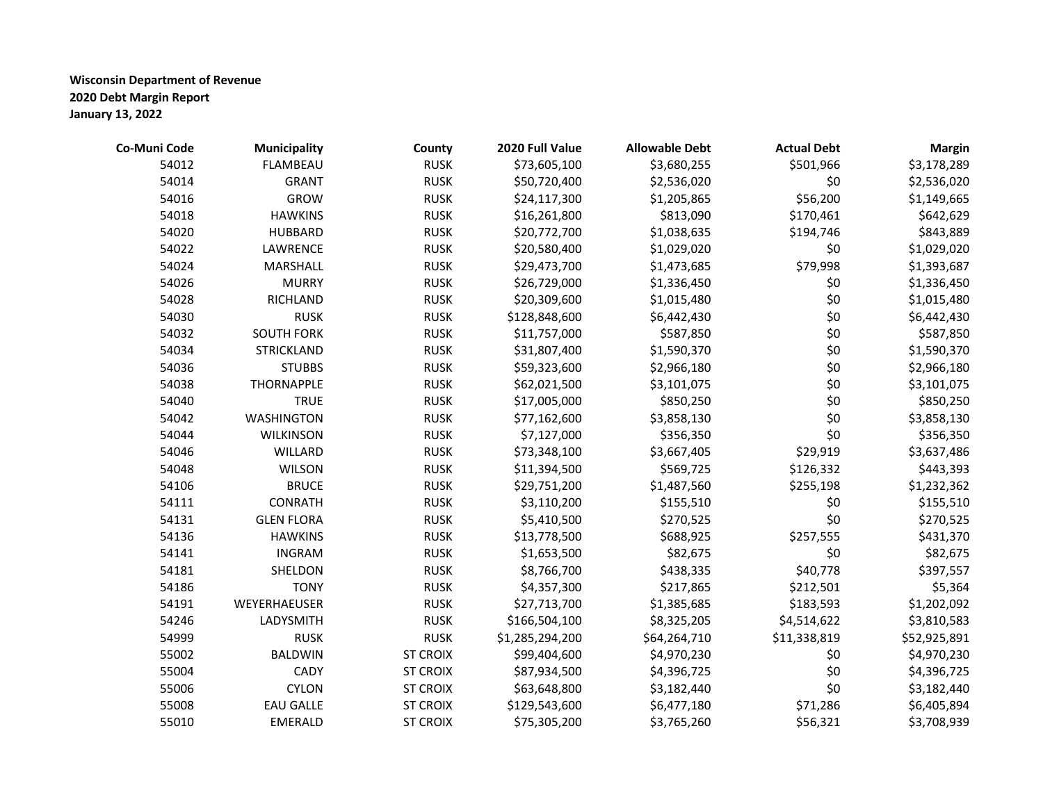| Co-Muni Code | <b>Municipality</b> | County          | 2020 Full Value | <b>Allowable Debt</b> | <b>Actual Debt</b> | <b>Margin</b> |
|--------------|---------------------|-----------------|-----------------|-----------------------|--------------------|---------------|
| 54012        | <b>FLAMBEAU</b>     | <b>RUSK</b>     | \$73,605,100    | \$3,680,255           | \$501,966          | \$3,178,289   |
| 54014        | <b>GRANT</b>        | <b>RUSK</b>     | \$50,720,400    | \$2,536,020           | \$0                | \$2,536,020   |
| 54016        | <b>GROW</b>         | <b>RUSK</b>     | \$24,117,300    | \$1,205,865           | \$56,200           | \$1,149,665   |
| 54018        | <b>HAWKINS</b>      | <b>RUSK</b>     | \$16,261,800    | \$813,090             | \$170,461          | \$642,629     |
| 54020        | <b>HUBBARD</b>      | <b>RUSK</b>     | \$20,772,700    | \$1,038,635           | \$194,746          | \$843,889     |
| 54022        | LAWRENCE            | <b>RUSK</b>     | \$20,580,400    | \$1,029,020           | \$0                | \$1,029,020   |
| 54024        | MARSHALL            | <b>RUSK</b>     | \$29,473,700    | \$1,473,685           | \$79,998           | \$1,393,687   |
| 54026        | <b>MURRY</b>        | <b>RUSK</b>     | \$26,729,000    | \$1,336,450           | \$0                | \$1,336,450   |
| 54028        | RICHLAND            | <b>RUSK</b>     | \$20,309,600    | \$1,015,480           | \$0                | \$1,015,480   |
| 54030        | <b>RUSK</b>         | <b>RUSK</b>     | \$128,848,600   | \$6,442,430           | \$0                | \$6,442,430   |
| 54032        | <b>SOUTH FORK</b>   | <b>RUSK</b>     | \$11,757,000    | \$587,850             | \$0                | \$587,850     |
| 54034        | <b>STRICKLAND</b>   | <b>RUSK</b>     | \$31,807,400    | \$1,590,370           | \$0                | \$1,590,370   |
| 54036        | <b>STUBBS</b>       | <b>RUSK</b>     | \$59,323,600    | \$2,966,180           | \$0                | \$2,966,180   |
| 54038        | <b>THORNAPPLE</b>   | <b>RUSK</b>     | \$62,021,500    | \$3,101,075           | \$0                | \$3,101,075   |
| 54040        | <b>TRUE</b>         | <b>RUSK</b>     | \$17,005,000    | \$850,250             | \$0                | \$850,250     |
| 54042        | <b>WASHINGTON</b>   | <b>RUSK</b>     | \$77,162,600    | \$3,858,130           | \$0                | \$3,858,130   |
| 54044        | <b>WILKINSON</b>    | <b>RUSK</b>     | \$7,127,000     | \$356,350             | \$0                | \$356,350     |
| 54046        | WILLARD             | <b>RUSK</b>     | \$73,348,100    | \$3,667,405           | \$29,919           | \$3,637,486   |
| 54048        | <b>WILSON</b>       | <b>RUSK</b>     | \$11,394,500    | \$569,725             | \$126,332          | \$443,393     |
| 54106        | <b>BRUCE</b>        | <b>RUSK</b>     | \$29,751,200    | \$1,487,560           | \$255,198          | \$1,232,362   |
| 54111        | CONRATH             | <b>RUSK</b>     | \$3,110,200     | \$155,510             | \$0                | \$155,510     |
| 54131        | <b>GLEN FLORA</b>   | <b>RUSK</b>     | \$5,410,500     | \$270,525             | \$0                | \$270,525     |
| 54136        | <b>HAWKINS</b>      | <b>RUSK</b>     | \$13,778,500    | \$688,925             | \$257,555          | \$431,370     |
| 54141        | <b>INGRAM</b>       | <b>RUSK</b>     | \$1,653,500     | \$82,675              | \$0                | \$82,675      |
| 54181        | SHELDON             | <b>RUSK</b>     | \$8,766,700     | \$438,335             | \$40,778           | \$397,557     |
| 54186        | <b>TONY</b>         | <b>RUSK</b>     | \$4,357,300     | \$217,865             | \$212,501          | \$5,364       |
| 54191        | WEYERHAEUSER        | <b>RUSK</b>     | \$27,713,700    | \$1,385,685           | \$183,593          | \$1,202,092   |
| 54246        | LADYSMITH           | <b>RUSK</b>     | \$166,504,100   | \$8,325,205           | \$4,514,622        | \$3,810,583   |
| 54999        | <b>RUSK</b>         | <b>RUSK</b>     | \$1,285,294,200 | \$64,264,710          | \$11,338,819       | \$52,925,891  |
| 55002        | <b>BALDWIN</b>      | <b>ST CROIX</b> | \$99,404,600    | \$4,970,230           | \$0                | \$4,970,230   |
| 55004        | CADY                | <b>ST CROIX</b> | \$87,934,500    | \$4,396,725           | \$0                | \$4,396,725   |
| 55006        | <b>CYLON</b>        | <b>ST CROIX</b> | \$63,648,800    | \$3,182,440           | \$0                | \$3,182,440   |
| 55008        | <b>EAU GALLE</b>    | <b>ST CROIX</b> | \$129,543,600   | \$6,477,180           | \$71,286           | \$6,405,894   |
| 55010        | <b>EMERALD</b>      | <b>ST CROIX</b> | \$75,305,200    | \$3,765,260           | \$56,321           | \$3,708,939   |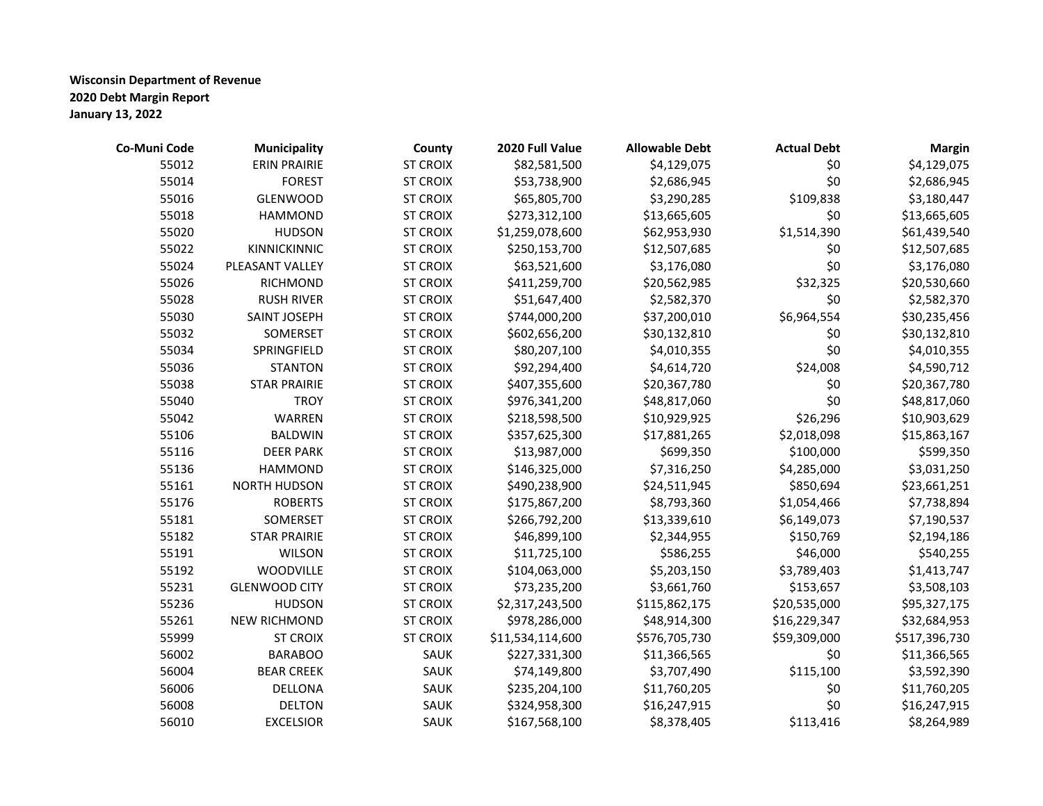| Co-Muni Code | <b>Municipality</b>  | County          | 2020 Full Value  | <b>Allowable Debt</b> | <b>Actual Debt</b> | <b>Margin</b> |
|--------------|----------------------|-----------------|------------------|-----------------------|--------------------|---------------|
| 55012        | <b>ERIN PRAIRIE</b>  | <b>ST CROIX</b> | \$82,581,500     | \$4,129,075           | \$0                | \$4,129,075   |
| 55014        | <b>FOREST</b>        | <b>ST CROIX</b> | \$53,738,900     | \$2,686,945           | \$0                | \$2,686,945   |
| 55016        | <b>GLENWOOD</b>      | <b>ST CROIX</b> | \$65,805,700     | \$3,290,285           | \$109,838          | \$3,180,447   |
| 55018        | <b>HAMMOND</b>       | <b>ST CROIX</b> | \$273,312,100    | \$13,665,605          | \$0                | \$13,665,605  |
| 55020        | <b>HUDSON</b>        | <b>ST CROIX</b> | \$1,259,078,600  | \$62,953,930          | \$1,514,390        | \$61,439,540  |
| 55022        | KINNICKINNIC         | <b>ST CROIX</b> | \$250,153,700    | \$12,507,685          | \$0                | \$12,507,685  |
| 55024        | PLEASANT VALLEY      | <b>ST CROIX</b> | \$63,521,600     | \$3,176,080           | \$0                | \$3,176,080   |
| 55026        | RICHMOND             | <b>ST CROIX</b> | \$411,259,700    | \$20,562,985          | \$32,325           | \$20,530,660  |
| 55028        | <b>RUSH RIVER</b>    | <b>ST CROIX</b> | \$51,647,400     | \$2,582,370           | \$0                | \$2,582,370   |
| 55030        | SAINT JOSEPH         | <b>ST CROIX</b> | \$744,000,200    | \$37,200,010          | \$6,964,554        | \$30,235,456  |
| 55032        | SOMERSET             | <b>ST CROIX</b> | \$602,656,200    | \$30,132,810          | \$0                | \$30,132,810  |
| 55034        | SPRINGFIELD          | <b>ST CROIX</b> | \$80,207,100     | \$4,010,355           | \$0                | \$4,010,355   |
| 55036        | <b>STANTON</b>       | <b>ST CROIX</b> | \$92,294,400     | \$4,614,720           | \$24,008           | \$4,590,712   |
| 55038        | <b>STAR PRAIRIE</b>  | <b>ST CROIX</b> | \$407,355,600    | \$20,367,780          | \$0                | \$20,367,780  |
| 55040        | <b>TROY</b>          | <b>ST CROIX</b> | \$976,341,200    | \$48,817,060          | \$0                | \$48,817,060  |
| 55042        | WARREN               | <b>ST CROIX</b> | \$218,598,500    | \$10,929,925          | \$26,296           | \$10,903,629  |
| 55106        | <b>BALDWIN</b>       | <b>ST CROIX</b> | \$357,625,300    | \$17,881,265          | \$2,018,098        | \$15,863,167  |
| 55116        | <b>DEER PARK</b>     | <b>ST CROIX</b> | \$13,987,000     | \$699,350             | \$100,000          | \$599,350     |
| 55136        | <b>HAMMOND</b>       | <b>ST CROIX</b> | \$146,325,000    | \$7,316,250           | \$4,285,000        | \$3,031,250   |
| 55161        | <b>NORTH HUDSON</b>  | <b>ST CROIX</b> | \$490,238,900    | \$24,511,945          | \$850,694          | \$23,661,251  |
| 55176        | <b>ROBERTS</b>       | <b>ST CROIX</b> | \$175,867,200    | \$8,793,360           | \$1,054,466        | \$7,738,894   |
| 55181        | SOMERSET             | <b>ST CROIX</b> | \$266,792,200    | \$13,339,610          | \$6,149,073        | \$7,190,537   |
| 55182        | <b>STAR PRAIRIE</b>  | <b>ST CROIX</b> | \$46,899,100     | \$2,344,955           | \$150,769          | \$2,194,186   |
| 55191        | <b>WILSON</b>        | <b>ST CROIX</b> | \$11,725,100     | \$586,255             | \$46,000           | \$540,255     |
| 55192        | WOODVILLE            | <b>ST CROIX</b> | \$104,063,000    | \$5,203,150           | \$3,789,403        | \$1,413,747   |
| 55231        | <b>GLENWOOD CITY</b> | <b>ST CROIX</b> | \$73,235,200     | \$3,661,760           | \$153,657          | \$3,508,103   |
| 55236        | <b>HUDSON</b>        | <b>ST CROIX</b> | \$2,317,243,500  | \$115,862,175         | \$20,535,000       | \$95,327,175  |
| 55261        | NEW RICHMOND         | <b>ST CROIX</b> | \$978,286,000    | \$48,914,300          | \$16,229,347       | \$32,684,953  |
| 55999        | <b>ST CROIX</b>      | <b>ST CROIX</b> | \$11,534,114,600 | \$576,705,730         | \$59,309,000       | \$517,396,730 |
| 56002        | <b>BARABOO</b>       | SAUK            | \$227,331,300    | \$11,366,565          | \$0                | \$11,366,565  |
| 56004        | <b>BEAR CREEK</b>    | SAUK            | \$74,149,800     | \$3,707,490           | \$115,100          | \$3,592,390   |
| 56006        | DELLONA              | SAUK            | \$235,204,100    | \$11,760,205          | \$0                | \$11,760,205  |
| 56008        | <b>DELTON</b>        | SAUK            | \$324,958,300    | \$16,247,915          | \$0                | \$16,247,915  |
| 56010        | <b>EXCELSIOR</b>     | SAUK            | \$167,568,100    | \$8,378,405           | \$113,416          | \$8,264,989   |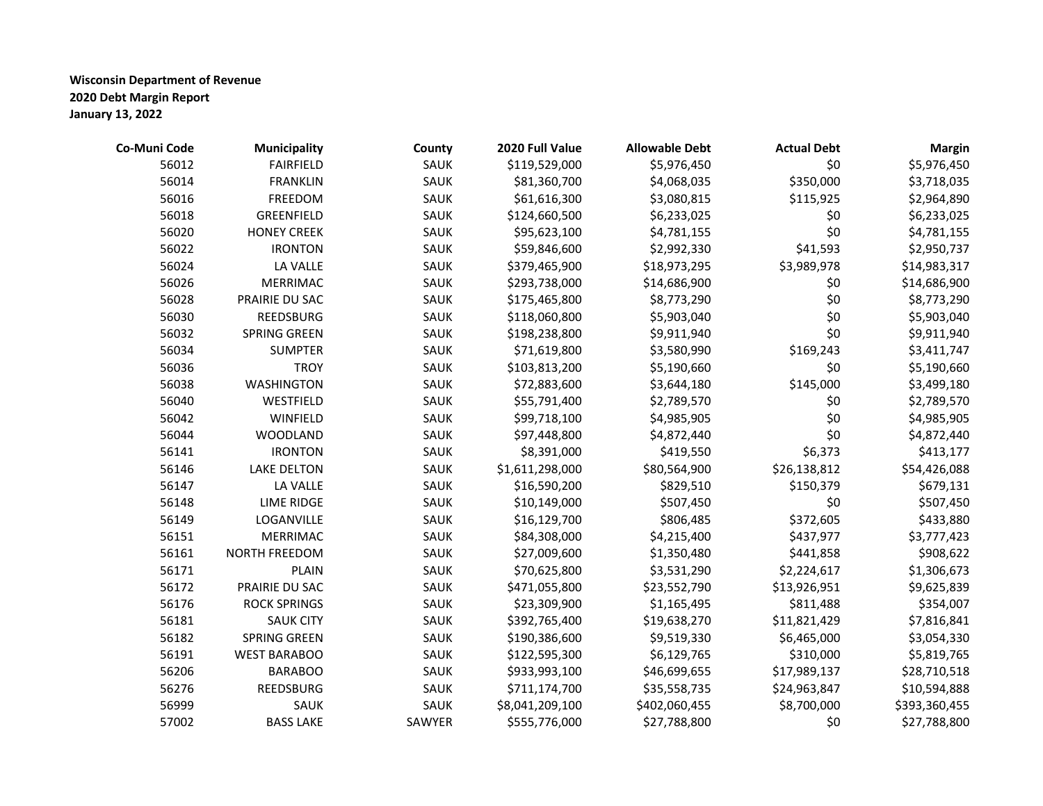| Co-Muni Code | <b>Municipality</b> | County | 2020 Full Value | <b>Allowable Debt</b> | <b>Actual Debt</b> | <b>Margin</b> |
|--------------|---------------------|--------|-----------------|-----------------------|--------------------|---------------|
| 56012        | <b>FAIRFIELD</b>    | SAUK   | \$119,529,000   | \$5,976,450           | \$0                | \$5,976,450   |
| 56014        | <b>FRANKLIN</b>     | SAUK   | \$81,360,700    | \$4,068,035           | \$350,000          | \$3,718,035   |
| 56016        | FREEDOM             | SAUK   | \$61,616,300    | \$3,080,815           | \$115,925          | \$2,964,890   |
| 56018        | GREENFIELD          | SAUK   | \$124,660,500   | \$6,233,025           | \$0                | \$6,233,025   |
| 56020        | <b>HONEY CREEK</b>  | SAUK   | \$95,623,100    | \$4,781,155           | \$0                | \$4,781,155   |
| 56022        | <b>IRONTON</b>      | SAUK   | \$59,846,600    | \$2,992,330           | \$41,593           | \$2,950,737   |
| 56024        | LA VALLE            | SAUK   | \$379,465,900   | \$18,973,295          | \$3,989,978        | \$14,983,317  |
| 56026        | <b>MERRIMAC</b>     | SAUK   | \$293,738,000   | \$14,686,900          | \$0                | \$14,686,900  |
| 56028        | PRAIRIE DU SAC      | SAUK   | \$175,465,800   | \$8,773,290           | \$0                | \$8,773,290   |
| 56030        | REEDSBURG           | SAUK   | \$118,060,800   | \$5,903,040           | \$0                | \$5,903,040   |
| 56032        | <b>SPRING GREEN</b> | SAUK   | \$198,238,800   | \$9,911,940           | \$0                | \$9,911,940   |
| 56034        | <b>SUMPTER</b>      | SAUK   | \$71,619,800    | \$3,580,990           | \$169,243          | \$3,411,747   |
| 56036        | <b>TROY</b>         | SAUK   | \$103,813,200   | \$5,190,660           | \$0                | \$5,190,660   |
| 56038        | <b>WASHINGTON</b>   | SAUK   | \$72,883,600    | \$3,644,180           | \$145,000          | \$3,499,180   |
| 56040        | WESTFIELD           | SAUK   | \$55,791,400    | \$2,789,570           | \$0                | \$2,789,570   |
| 56042        | WINFIELD            | SAUK   | \$99,718,100    | \$4,985,905           | \$0                | \$4,985,905   |
| 56044        | <b>WOODLAND</b>     | SAUK   | \$97,448,800    | \$4,872,440           | \$0                | \$4,872,440   |
| 56141        | <b>IRONTON</b>      | SAUK   | \$8,391,000     | \$419,550             | \$6,373            | \$413,177     |
| 56146        | <b>LAKE DELTON</b>  | SAUK   | \$1,611,298,000 | \$80,564,900          | \$26,138,812       | \$54,426,088  |
| 56147        | LA VALLE            | SAUK   | \$16,590,200    | \$829,510             | \$150,379          | \$679,131     |
| 56148        | <b>LIME RIDGE</b>   | SAUK   | \$10,149,000    | \$507,450             | \$0                | \$507,450     |
| 56149        | LOGANVILLE          | SAUK   | \$16,129,700    | \$806,485             | \$372,605          | \$433,880     |
| 56151        | <b>MERRIMAC</b>     | SAUK   | \$84,308,000    | \$4,215,400           | \$437,977          | \$3,777,423   |
| 56161        | NORTH FREEDOM       | SAUK   | \$27,009,600    | \$1,350,480           | \$441,858          | \$908,622     |
| 56171        | <b>PLAIN</b>        | SAUK   | \$70,625,800    | \$3,531,290           | \$2,224,617        | \$1,306,673   |
| 56172        | PRAIRIE DU SAC      | SAUK   | \$471,055,800   | \$23,552,790          | \$13,926,951       | \$9,625,839   |
| 56176        | <b>ROCK SPRINGS</b> | SAUK   | \$23,309,900    | \$1,165,495           | \$811,488          | \$354,007     |
| 56181        | <b>SAUK CITY</b>    | SAUK   | \$392,765,400   | \$19,638,270          | \$11,821,429       | \$7,816,841   |
| 56182        | <b>SPRING GREEN</b> | SAUK   | \$190,386,600   | \$9,519,330           | \$6,465,000        | \$3,054,330   |
| 56191        | <b>WEST BARABOO</b> | SAUK   | \$122,595,300   | \$6,129,765           | \$310,000          | \$5,819,765   |
| 56206        | <b>BARABOO</b>      | SAUK   | \$933,993,100   | \$46,699,655          | \$17,989,137       | \$28,710,518  |
| 56276        | REEDSBURG           | SAUK   | \$711,174,700   | \$35,558,735          | \$24,963,847       | \$10,594,888  |
| 56999        | SAUK                | SAUK   | \$8,041,209,100 | \$402,060,455         | \$8,700,000        | \$393,360,455 |
| 57002        | <b>BASS LAKE</b>    | SAWYER | \$555,776,000   | \$27,788,800          | \$0                | \$27,788,800  |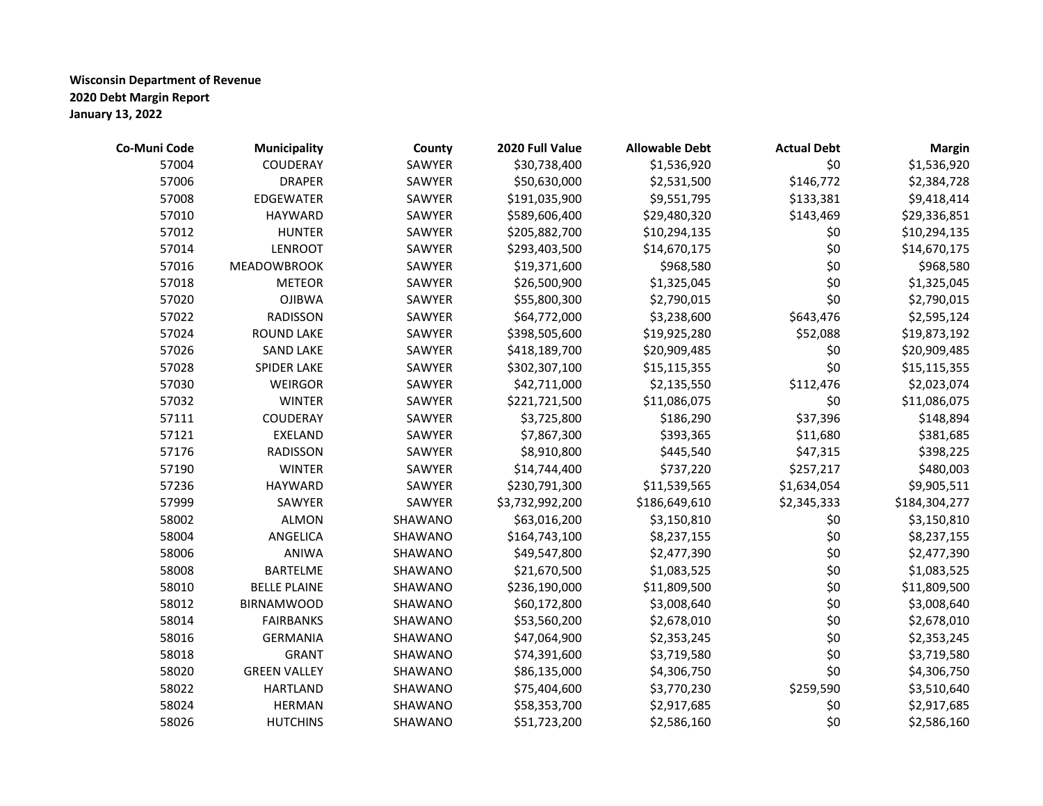| Co-Muni Code | <b>Municipality</b> | County  | 2020 Full Value | <b>Allowable Debt</b> | <b>Actual Debt</b> | <b>Margin</b> |
|--------------|---------------------|---------|-----------------|-----------------------|--------------------|---------------|
| 57004        | COUDERAY            | SAWYER  | \$30,738,400    | \$1,536,920           | \$0                | \$1,536,920   |
| 57006        | <b>DRAPER</b>       | SAWYER  | \$50,630,000    | \$2,531,500           | \$146,772          | \$2,384,728   |
| 57008        | <b>EDGEWATER</b>    | SAWYER  | \$191,035,900   | \$9,551,795           | \$133,381          | \$9,418,414   |
| 57010        | <b>HAYWARD</b>      | SAWYER  | \$589,606,400   | \$29,480,320          | \$143,469          | \$29,336,851  |
| 57012        | <b>HUNTER</b>       | SAWYER  | \$205,882,700   | \$10,294,135          | \$0                | \$10,294,135  |
| 57014        | <b>LENROOT</b>      | SAWYER  | \$293,403,500   | \$14,670,175          | \$0                | \$14,670,175  |
| 57016        | <b>MEADOWBROOK</b>  | SAWYER  | \$19,371,600    | \$968,580             | \$0                | \$968,580     |
| 57018        | <b>METEOR</b>       | SAWYER  | \$26,500,900    | \$1,325,045           | \$0                | \$1,325,045   |
| 57020        | <b>OJIBWA</b>       | SAWYER  | \$55,800,300    | \$2,790,015           | \$0                | \$2,790,015   |
| 57022        | <b>RADISSON</b>     | SAWYER  | \$64,772,000    | \$3,238,600           | \$643,476          | \$2,595,124   |
| 57024        | <b>ROUND LAKE</b>   | SAWYER  | \$398,505,600   | \$19,925,280          | \$52,088           | \$19,873,192  |
| 57026        | <b>SAND LAKE</b>    | SAWYER  | \$418,189,700   | \$20,909,485          | \$0                | \$20,909,485  |
| 57028        | SPIDER LAKE         | SAWYER  | \$302,307,100   | \$15,115,355          | \$0                | \$15,115,355  |
| 57030        | <b>WEIRGOR</b>      | SAWYER  | \$42,711,000    | \$2,135,550           | \$112,476          | \$2,023,074   |
| 57032        | <b>WINTER</b>       | SAWYER  | \$221,721,500   | \$11,086,075          | \$0                | \$11,086,075  |
| 57111        | COUDERAY            | SAWYER  | \$3,725,800     | \$186,290             | \$37,396           | \$148,894     |
| 57121        | <b>EXELAND</b>      | SAWYER  | \$7,867,300     | \$393,365             | \$11,680           | \$381,685     |
| 57176        | <b>RADISSON</b>     | SAWYER  | \$8,910,800     | \$445,540             | \$47,315           | \$398,225     |
| 57190        | <b>WINTER</b>       | SAWYER  | \$14,744,400    | \$737,220             | \$257,217          | \$480,003     |
| 57236        | <b>HAYWARD</b>      | SAWYER  | \$230,791,300   | \$11,539,565          | \$1,634,054        | \$9,905,511   |
| 57999        | SAWYER              | SAWYER  | \$3,732,992,200 | \$186,649,610         | \$2,345,333        | \$184,304,277 |
| 58002        | <b>ALMON</b>        | SHAWANO | \$63,016,200    | \$3,150,810           | \$0                | \$3,150,810   |
| 58004        | ANGELICA            | SHAWANO | \$164,743,100   | \$8,237,155           | \$0                | \$8,237,155   |
| 58006        | ANIWA               | SHAWANO | \$49,547,800    | \$2,477,390           | \$0                | \$2,477,390   |
| 58008        | <b>BARTELME</b>     | SHAWANO | \$21,670,500    | \$1,083,525           | \$0                | \$1,083,525   |
| 58010        | <b>BELLE PLAINE</b> | SHAWANO | \$236,190,000   | \$11,809,500          | \$0                | \$11,809,500  |
| 58012        | <b>BIRNAMWOOD</b>   | SHAWANO | \$60,172,800    | \$3,008,640           | \$0                | \$3,008,640   |
| 58014        | <b>FAIRBANKS</b>    | SHAWANO | \$53,560,200    | \$2,678,010           | \$0                | \$2,678,010   |
| 58016        | <b>GERMANIA</b>     | SHAWANO | \$47,064,900    | \$2,353,245           | \$0                | \$2,353,245   |
| 58018        | <b>GRANT</b>        | SHAWANO | \$74,391,600    | \$3,719,580           | \$0                | \$3,719,580   |
| 58020        | <b>GREEN VALLEY</b> | SHAWANO | \$86,135,000    | \$4,306,750           | \$0                | \$4,306,750   |
| 58022        | <b>HARTLAND</b>     | SHAWANO | \$75,404,600    | \$3,770,230           | \$259,590          | \$3,510,640   |
| 58024        | <b>HERMAN</b>       | SHAWANO | \$58,353,700    | \$2,917,685           | \$0                | \$2,917,685   |
| 58026        | <b>HUTCHINS</b>     | SHAWANO | \$51,723,200    | \$2,586,160           | \$0                | \$2,586,160   |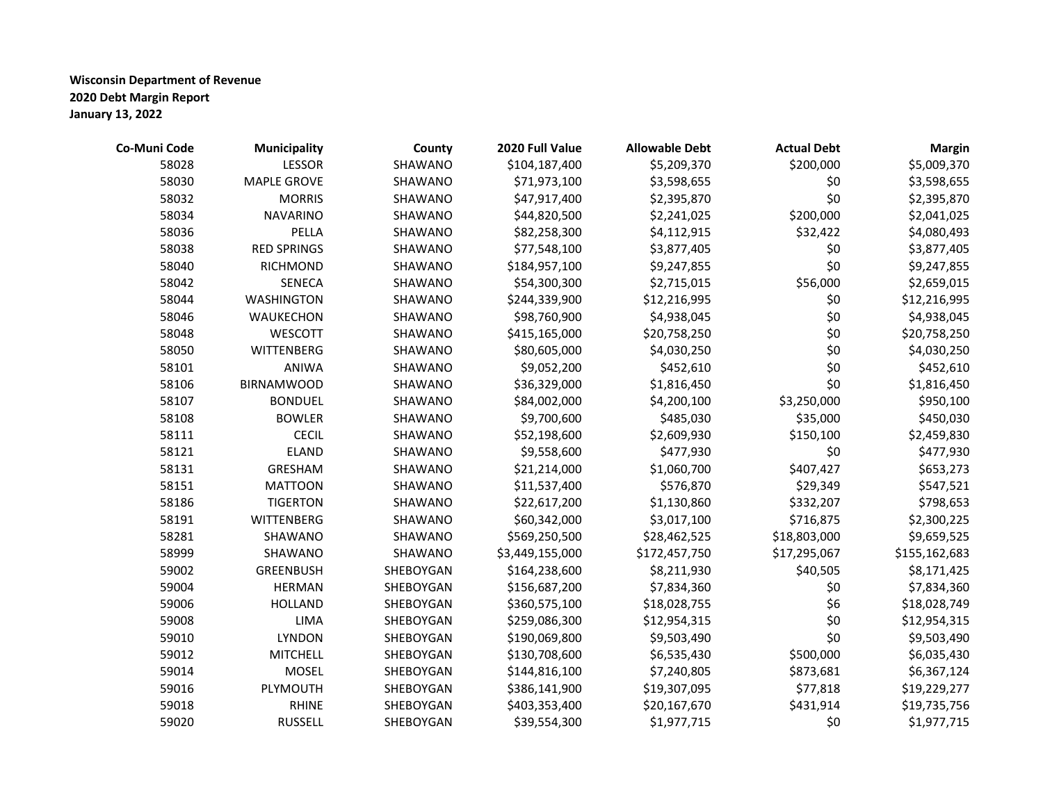| Co-Muni Code | Municipality       | County    | 2020 Full Value | <b>Allowable Debt</b> | <b>Actual Debt</b> | <b>Margin</b> |
|--------------|--------------------|-----------|-----------------|-----------------------|--------------------|---------------|
| 58028        | <b>LESSOR</b>      | SHAWANO   | \$104,187,400   | \$5,209,370           | \$200,000          | \$5,009,370   |
| 58030        | <b>MAPLE GROVE</b> | SHAWANO   | \$71,973,100    | \$3,598,655           | \$0                | \$3,598,655   |
| 58032        | <b>MORRIS</b>      | SHAWANO   | \$47,917,400    | \$2,395,870           | \$0                | \$2,395,870   |
| 58034        | <b>NAVARINO</b>    | SHAWANO   | \$44,820,500    | \$2,241,025           | \$200,000          | \$2,041,025   |
| 58036        | PELLA              | SHAWANO   | \$82,258,300    | \$4,112,915           | \$32,422           | \$4,080,493   |
| 58038        | <b>RED SPRINGS</b> | SHAWANO   | \$77,548,100    | \$3,877,405           | \$0                | \$3,877,405   |
| 58040        | <b>RICHMOND</b>    | SHAWANO   | \$184,957,100   | \$9,247,855           | \$0                | \$9,247,855   |
| 58042        | SENECA             | SHAWANO   | \$54,300,300    | \$2,715,015           | \$56,000           | \$2,659,015   |
| 58044        | <b>WASHINGTON</b>  | SHAWANO   | \$244,339,900   | \$12,216,995          | \$0                | \$12,216,995  |
| 58046        | WAUKECHON          | SHAWANO   | \$98,760,900    | \$4,938,045           | \$0                | \$4,938,045   |
| 58048        | WESCOTT            | SHAWANO   | \$415,165,000   | \$20,758,250          | \$0                | \$20,758,250  |
| 58050        | <b>WITTENBERG</b>  | SHAWANO   | \$80,605,000    | \$4,030,250           | \$0                | \$4,030,250   |
| 58101        | <b>ANIWA</b>       | SHAWANO   | \$9,052,200     | \$452,610             | \$0                | \$452,610     |
| 58106        | <b>BIRNAMWOOD</b>  | SHAWANO   | \$36,329,000    | \$1,816,450           | \$0                | \$1,816,450   |
| 58107        | <b>BONDUEL</b>     | SHAWANO   | \$84,002,000    | \$4,200,100           | \$3,250,000        | \$950,100     |
| 58108        | <b>BOWLER</b>      | SHAWANO   | \$9,700,600     | \$485,030             | \$35,000           | \$450,030     |
| 58111        | <b>CECIL</b>       | SHAWANO   | \$52,198,600    | \$2,609,930           | \$150,100          | \$2,459,830   |
| 58121        | <b>ELAND</b>       | SHAWANO   | \$9,558,600     | \$477,930             | \$0                | \$477,930     |
| 58131        | GRESHAM            | SHAWANO   | \$21,214,000    | \$1,060,700           | \$407,427          | \$653,273     |
| 58151        | <b>MATTOON</b>     | SHAWANO   | \$11,537,400    | \$576,870             | \$29,349           | \$547,521     |
| 58186        | <b>TIGERTON</b>    | SHAWANO   | \$22,617,200    | \$1,130,860           | \$332,207          | \$798,653     |
| 58191        | WITTENBERG         | SHAWANO   | \$60,342,000    | \$3,017,100           | \$716,875          | \$2,300,225   |
| 58281        | SHAWANO            | SHAWANO   | \$569,250,500   | \$28,462,525          | \$18,803,000       | \$9,659,525   |
| 58999        | SHAWANO            | SHAWANO   | \$3,449,155,000 | \$172,457,750         | \$17,295,067       | \$155,162,683 |
| 59002        | <b>GREENBUSH</b>   | SHEBOYGAN | \$164,238,600   | \$8,211,930           | \$40,505           | \$8,171,425   |
| 59004        | <b>HERMAN</b>      | SHEBOYGAN | \$156,687,200   | \$7,834,360           | \$0                | \$7,834,360   |
| 59006        | <b>HOLLAND</b>     | SHEBOYGAN | \$360,575,100   | \$18,028,755          | \$6                | \$18,028,749  |
| 59008        | LIMA               | SHEBOYGAN | \$259,086,300   | \$12,954,315          | \$0                | \$12,954,315  |
| 59010        | <b>LYNDON</b>      | SHEBOYGAN | \$190,069,800   | \$9,503,490           | \$0                | \$9,503,490   |
| 59012        | <b>MITCHELL</b>    | SHEBOYGAN | \$130,708,600   | \$6,535,430           | \$500,000          | \$6,035,430   |
| 59014        | <b>MOSEL</b>       | SHEBOYGAN | \$144,816,100   | \$7,240,805           | \$873,681          | \$6,367,124   |
| 59016        | PLYMOUTH           | SHEBOYGAN | \$386,141,900   | \$19,307,095          | \$77,818           | \$19,229,277  |
| 59018        | <b>RHINE</b>       | SHEBOYGAN | \$403,353,400   | \$20,167,670          | \$431,914          | \$19,735,756  |
| 59020        | <b>RUSSELL</b>     | SHEBOYGAN | \$39,554,300    | \$1,977,715           | \$0                | \$1,977,715   |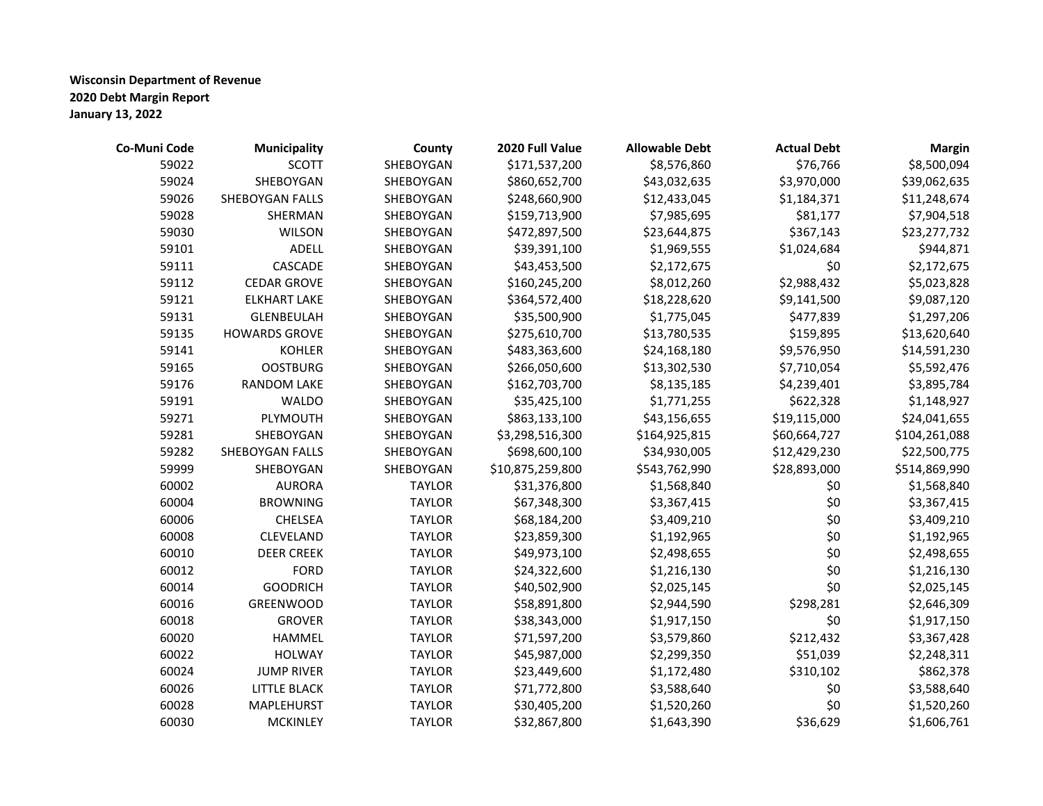| Co-Muni Code | <b>Municipality</b>  | County        | 2020 Full Value  | <b>Allowable Debt</b> | <b>Actual Debt</b> | <b>Margin</b> |
|--------------|----------------------|---------------|------------------|-----------------------|--------------------|---------------|
| 59022        | <b>SCOTT</b>         | SHEBOYGAN     | \$171,537,200    | \$8,576,860           | \$76,766           | \$8,500,094   |
| 59024        | SHEBOYGAN            | SHEBOYGAN     | \$860,652,700    | \$43,032,635          | \$3,970,000        | \$39,062,635  |
| 59026        | SHEBOYGAN FALLS      | SHEBOYGAN     | \$248,660,900    | \$12,433,045          | \$1,184,371        | \$11,248,674  |
| 59028        | SHERMAN              | SHEBOYGAN     | \$159,713,900    | \$7,985,695           | \$81,177           | \$7,904,518   |
| 59030        | <b>WILSON</b>        | SHEBOYGAN     | \$472,897,500    | \$23,644,875          | \$367,143          | \$23,277,732  |
| 59101        | <b>ADELL</b>         | SHEBOYGAN     | \$39,391,100     | \$1,969,555           | \$1,024,684        | \$944,871     |
| 59111        | CASCADE              | SHEBOYGAN     | \$43,453,500     | \$2,172,675           | \$0                | \$2,172,675   |
| 59112        | <b>CEDAR GROVE</b>   | SHEBOYGAN     | \$160,245,200    | \$8,012,260           | \$2,988,432        | \$5,023,828   |
| 59121        | <b>ELKHART LAKE</b>  | SHEBOYGAN     | \$364,572,400    | \$18,228,620          | \$9,141,500        | \$9,087,120   |
| 59131        | <b>GLENBEULAH</b>    | SHEBOYGAN     | \$35,500,900     | \$1,775,045           | \$477,839          | \$1,297,206   |
| 59135        | <b>HOWARDS GROVE</b> | SHEBOYGAN     | \$275,610,700    | \$13,780,535          | \$159,895          | \$13,620,640  |
| 59141        | <b>KOHLER</b>        | SHEBOYGAN     | \$483,363,600    | \$24,168,180          | \$9,576,950        | \$14,591,230  |
| 59165        | <b>OOSTBURG</b>      | SHEBOYGAN     | \$266,050,600    | \$13,302,530          | \$7,710,054        | \$5,592,476   |
| 59176        | <b>RANDOM LAKE</b>   | SHEBOYGAN     | \$162,703,700    | \$8,135,185           | \$4,239,401        | \$3,895,784   |
| 59191        | <b>WALDO</b>         | SHEBOYGAN     | \$35,425,100     | \$1,771,255           | \$622,328          | \$1,148,927   |
| 59271        | PLYMOUTH             | SHEBOYGAN     | \$863,133,100    | \$43,156,655          | \$19,115,000       | \$24,041,655  |
| 59281        | SHEBOYGAN            | SHEBOYGAN     | \$3,298,516,300  | \$164,925,815         | \$60,664,727       | \$104,261,088 |
| 59282        | SHEBOYGAN FALLS      | SHEBOYGAN     | \$698,600,100    | \$34,930,005          | \$12,429,230       | \$22,500,775  |
| 59999        | SHEBOYGAN            | SHEBOYGAN     | \$10,875,259,800 | \$543,762,990         | \$28,893,000       | \$514,869,990 |
| 60002        | <b>AURORA</b>        | <b>TAYLOR</b> | \$31,376,800     | \$1,568,840           | \$0                | \$1,568,840   |
| 60004        | <b>BROWNING</b>      | <b>TAYLOR</b> | \$67,348,300     | \$3,367,415           | \$0                | \$3,367,415   |
| 60006        | CHELSEA              | <b>TAYLOR</b> | \$68,184,200     | \$3,409,210           | \$0                | \$3,409,210   |
| 60008        | CLEVELAND            | <b>TAYLOR</b> | \$23,859,300     | \$1,192,965           | \$0                | \$1,192,965   |
| 60010        | <b>DEER CREEK</b>    | <b>TAYLOR</b> | \$49,973,100     | \$2,498,655           | \$0                | \$2,498,655   |
| 60012        | <b>FORD</b>          | <b>TAYLOR</b> | \$24,322,600     | \$1,216,130           | \$0                | \$1,216,130   |
| 60014        | <b>GOODRICH</b>      | <b>TAYLOR</b> | \$40,502,900     | \$2,025,145           | \$0                | \$2,025,145   |
| 60016        | <b>GREENWOOD</b>     | <b>TAYLOR</b> | \$58,891,800     | \$2,944,590           | \$298,281          | \$2,646,309   |
| 60018        | <b>GROVER</b>        | <b>TAYLOR</b> | \$38,343,000     | \$1,917,150           | \$0                | \$1,917,150   |
| 60020        | <b>HAMMEL</b>        | <b>TAYLOR</b> | \$71,597,200     | \$3,579,860           | \$212,432          | \$3,367,428   |
| 60022        | <b>HOLWAY</b>        | <b>TAYLOR</b> | \$45,987,000     | \$2,299,350           | \$51,039           | \$2,248,311   |
| 60024        | <b>JUMP RIVER</b>    | <b>TAYLOR</b> | \$23,449,600     | \$1,172,480           | \$310,102          | \$862,378     |
| 60026        | <b>LITTLE BLACK</b>  | <b>TAYLOR</b> | \$71,772,800     | \$3,588,640           | \$0                | \$3,588,640   |
| 60028        | MAPLEHURST           | <b>TAYLOR</b> | \$30,405,200     | \$1,520,260           | \$0                | \$1,520,260   |
| 60030        | <b>MCKINLEY</b>      | <b>TAYLOR</b> | \$32,867,800     | \$1,643,390           | \$36,629           | \$1,606,761   |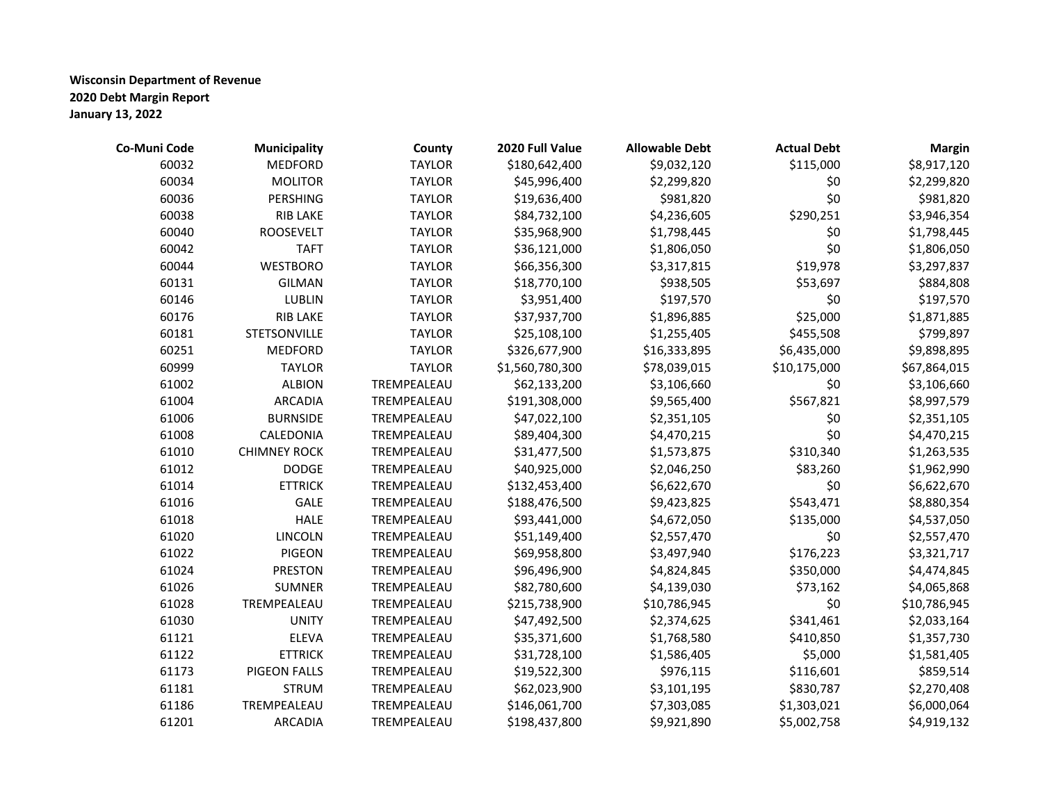| Co-Muni Code | <b>Municipality</b> | County        | 2020 Full Value | <b>Allowable Debt</b> | <b>Actual Debt</b> | <b>Margin</b> |
|--------------|---------------------|---------------|-----------------|-----------------------|--------------------|---------------|
| 60032        | <b>MEDFORD</b>      | <b>TAYLOR</b> | \$180,642,400   | \$9,032,120           | \$115,000          | \$8,917,120   |
| 60034        | <b>MOLITOR</b>      | <b>TAYLOR</b> | \$45,996,400    | \$2,299,820           | \$0                | \$2,299,820   |
| 60036        | PERSHING            | <b>TAYLOR</b> | \$19,636,400    | \$981,820             | \$0                | \$981,820     |
| 60038        | RIB LAKE            | <b>TAYLOR</b> | \$84,732,100    | \$4,236,605           | \$290,251          | \$3,946,354   |
| 60040        | <b>ROOSEVELT</b>    | <b>TAYLOR</b> | \$35,968,900    | \$1,798,445           | \$0                | \$1,798,445   |
| 60042        | <b>TAFT</b>         | <b>TAYLOR</b> | \$36,121,000    | \$1,806,050           | \$0                | \$1,806,050   |
| 60044        | <b>WESTBORO</b>     | <b>TAYLOR</b> | \$66,356,300    | \$3,317,815           | \$19,978           | \$3,297,837   |
| 60131        | <b>GILMAN</b>       | <b>TAYLOR</b> | \$18,770,100    | \$938,505             | \$53,697           | \$884,808     |
| 60146        | <b>LUBLIN</b>       | <b>TAYLOR</b> | \$3,951,400     | \$197,570             | \$0                | \$197,570     |
| 60176        | RIB LAKE            | <b>TAYLOR</b> | \$37,937,700    | \$1,896,885           | \$25,000           | \$1,871,885   |
| 60181        | STETSONVILLE        | <b>TAYLOR</b> | \$25,108,100    | \$1,255,405           | \$455,508          | \$799,897     |
| 60251        | <b>MEDFORD</b>      | <b>TAYLOR</b> | \$326,677,900   | \$16,333,895          | \$6,435,000        | \$9,898,895   |
| 60999        | <b>TAYLOR</b>       | <b>TAYLOR</b> | \$1,560,780,300 | \$78,039,015          | \$10,175,000       | \$67,864,015  |
| 61002        | <b>ALBION</b>       | TREMPEALEAU   | \$62,133,200    | \$3,106,660           | \$0                | \$3,106,660   |
| 61004        | <b>ARCADIA</b>      | TREMPEALEAU   | \$191,308,000   | \$9,565,400           | \$567,821          | \$8,997,579   |
| 61006        | <b>BURNSIDE</b>     | TREMPEALEAU   | \$47,022,100    | \$2,351,105           | \$0                | \$2,351,105   |
| 61008        | CALEDONIA           | TREMPEALEAU   | \$89,404,300    | \$4,470,215           | \$0                | \$4,470,215   |
| 61010        | <b>CHIMNEY ROCK</b> | TREMPEALEAU   | \$31,477,500    | \$1,573,875           | \$310,340          | \$1,263,535   |
| 61012        | <b>DODGE</b>        | TREMPEALEAU   | \$40,925,000    | \$2,046,250           | \$83,260           | \$1,962,990   |
| 61014        | <b>ETTRICK</b>      | TREMPEALEAU   | \$132,453,400   | \$6,622,670           | \$0                | \$6,622,670   |
| 61016        | <b>GALE</b>         | TREMPEALEAU   | \$188,476,500   | \$9,423,825           | \$543,471          | \$8,880,354   |
| 61018        | <b>HALE</b>         | TREMPEALEAU   | \$93,441,000    | \$4,672,050           | \$135,000          | \$4,537,050   |
| 61020        | LINCOLN             | TREMPEALEAU   | \$51,149,400    | \$2,557,470           | \$0                | \$2,557,470   |
| 61022        | <b>PIGEON</b>       | TREMPEALEAU   | \$69,958,800    | \$3,497,940           | \$176,223          | \$3,321,717   |
| 61024        | <b>PRESTON</b>      | TREMPEALEAU   | \$96,496,900    | \$4,824,845           | \$350,000          | \$4,474,845   |
| 61026        | <b>SUMNER</b>       | TREMPEALEAU   | \$82,780,600    | \$4,139,030           | \$73,162           | \$4,065,868   |
| 61028        | TREMPEALEAU         | TREMPEALEAU   | \$215,738,900   | \$10,786,945          | \$0                | \$10,786,945  |
| 61030        | <b>UNITY</b>        | TREMPEALEAU   | \$47,492,500    | \$2,374,625           | \$341,461          | \$2,033,164   |
| 61121        | <b>ELEVA</b>        | TREMPEALEAU   | \$35,371,600    | \$1,768,580           | \$410,850          | \$1,357,730   |
| 61122        | <b>ETTRICK</b>      | TREMPEALEAU   | \$31,728,100    | \$1,586,405           | \$5,000            | \$1,581,405   |
| 61173        | <b>PIGEON FALLS</b> | TREMPEALEAU   | \$19,522,300    | \$976,115             | \$116,601          | \$859,514     |
| 61181        | <b>STRUM</b>        | TREMPEALEAU   | \$62,023,900    | \$3,101,195           | \$830,787          | \$2,270,408   |
| 61186        | TREMPEALEAU         | TREMPEALEAU   | \$146,061,700   | \$7,303,085           | \$1,303,021        | \$6,000,064   |
| 61201        | <b>ARCADIA</b>      | TREMPEALEAU   | \$198,437,800   | \$9,921,890           | \$5,002,758        | \$4,919,132   |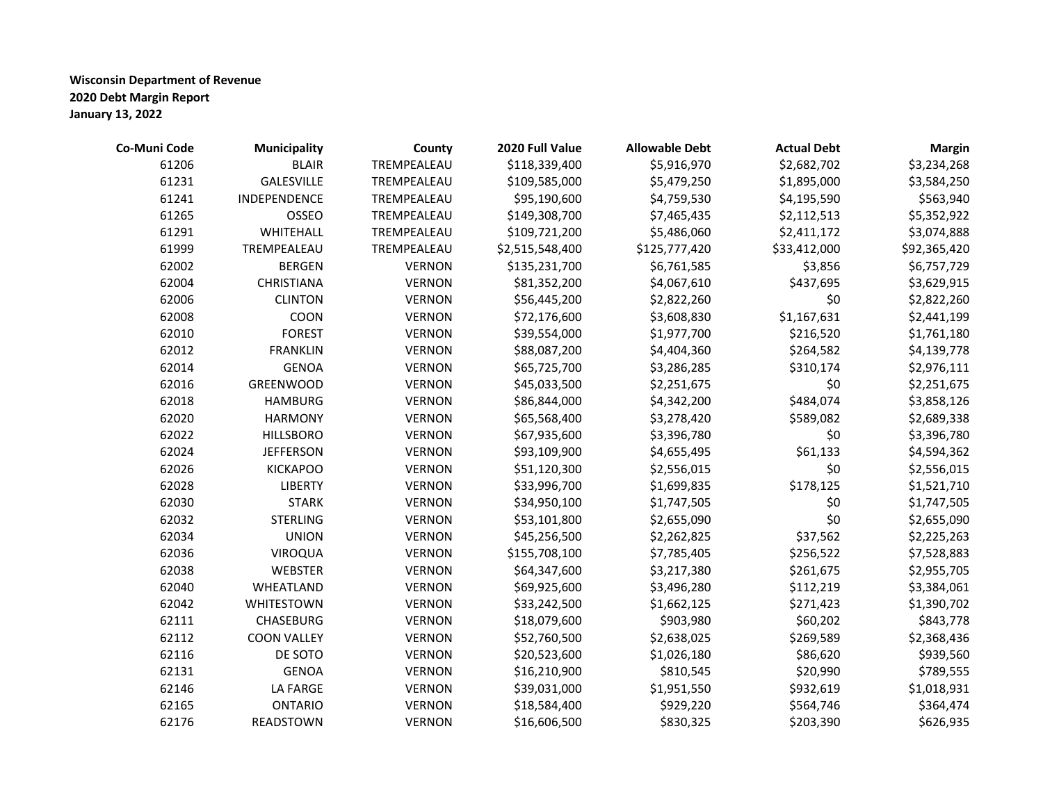| Co-Muni Code | <b>Municipality</b> | County        | 2020 Full Value | <b>Allowable Debt</b> | <b>Actual Debt</b> | <b>Margin</b> |
|--------------|---------------------|---------------|-----------------|-----------------------|--------------------|---------------|
| 61206        | <b>BLAIR</b>        | TREMPEALEAU   | \$118,339,400   | \$5,916,970           | \$2,682,702        | \$3,234,268   |
| 61231        | <b>GALESVILLE</b>   | TREMPEALEAU   | \$109,585,000   | \$5,479,250           | \$1,895,000        | \$3,584,250   |
| 61241        | INDEPENDENCE        | TREMPEALEAU   | \$95,190,600    | \$4,759,530           | \$4,195,590        | \$563,940     |
| 61265        | OSSEO               | TREMPEALEAU   | \$149,308,700   | \$7,465,435           | \$2,112,513        | \$5,352,922   |
| 61291        | WHITEHALL           | TREMPEALEAU   | \$109,721,200   | \$5,486,060           | \$2,411,172        | \$3,074,888   |
| 61999        | TREMPEALEAU         | TREMPEALEAU   | \$2,515,548,400 | \$125,777,420         | \$33,412,000       | \$92,365,420  |
| 62002        | <b>BERGEN</b>       | <b>VERNON</b> | \$135,231,700   | \$6,761,585           | \$3,856            | \$6,757,729   |
| 62004        | CHRISTIANA          | <b>VERNON</b> | \$81,352,200    | \$4,067,610           | \$437,695          | \$3,629,915   |
| 62006        | <b>CLINTON</b>      | <b>VERNON</b> | \$56,445,200    | \$2,822,260           | \$0                | \$2,822,260   |
| 62008        | COON                | <b>VERNON</b> | \$72,176,600    | \$3,608,830           | \$1,167,631        | \$2,441,199   |
| 62010        | <b>FOREST</b>       | <b>VERNON</b> | \$39,554,000    | \$1,977,700           | \$216,520          | \$1,761,180   |
| 62012        | <b>FRANKLIN</b>     | <b>VERNON</b> | \$88,087,200    | \$4,404,360           | \$264,582          | \$4,139,778   |
| 62014        | <b>GENOA</b>        | <b>VERNON</b> | \$65,725,700    | \$3,286,285           | \$310,174          | \$2,976,111   |
| 62016        | GREENWOOD           | <b>VERNON</b> | \$45,033,500    | \$2,251,675           | \$0                | \$2,251,675   |
| 62018        | <b>HAMBURG</b>      | <b>VERNON</b> | \$86,844,000    | \$4,342,200           | \$484,074          | \$3,858,126   |
| 62020        | <b>HARMONY</b>      | <b>VERNON</b> | \$65,568,400    | \$3,278,420           | \$589,082          | \$2,689,338   |
| 62022        | <b>HILLSBORO</b>    | <b>VERNON</b> | \$67,935,600    | \$3,396,780           | \$0                | \$3,396,780   |
| 62024        | <b>JEFFERSON</b>    | <b>VERNON</b> | \$93,109,900    | \$4,655,495           | \$61,133           | \$4,594,362   |
| 62026        | <b>KICKAPOO</b>     | <b>VERNON</b> | \$51,120,300    | \$2,556,015           | \$0                | \$2,556,015   |
| 62028        | <b>LIBERTY</b>      | <b>VERNON</b> | \$33,996,700    | \$1,699,835           | \$178,125          | \$1,521,710   |
| 62030        | <b>STARK</b>        | <b>VERNON</b> | \$34,950,100    | \$1,747,505           | \$0                | \$1,747,505   |
| 62032        | <b>STERLING</b>     | <b>VERNON</b> | \$53,101,800    | \$2,655,090           | \$0                | \$2,655,090   |
| 62034        | <b>UNION</b>        | <b>VERNON</b> | \$45,256,500    | \$2,262,825           | \$37,562           | \$2,225,263   |
| 62036        | <b>VIROQUA</b>      | <b>VERNON</b> | \$155,708,100   | \$7,785,405           | \$256,522          | \$7,528,883   |
| 62038        | WEBSTER             | <b>VERNON</b> | \$64,347,600    | \$3,217,380           | \$261,675          | \$2,955,705   |
| 62040        | WHEATLAND           | <b>VERNON</b> | \$69,925,600    | \$3,496,280           | \$112,219          | \$3,384,061   |
| 62042        | WHITESTOWN          | <b>VERNON</b> | \$33,242,500    | \$1,662,125           | \$271,423          | \$1,390,702   |
| 62111        | CHASEBURG           | <b>VERNON</b> | \$18,079,600    | \$903,980             | \$60,202           | \$843,778     |
| 62112        | <b>COON VALLEY</b>  | <b>VERNON</b> | \$52,760,500    | \$2,638,025           | \$269,589          | \$2,368,436   |
| 62116        | DE SOTO             | <b>VERNON</b> | \$20,523,600    | \$1,026,180           | \$86,620           | \$939,560     |
| 62131        | <b>GENOA</b>        | <b>VERNON</b> | \$16,210,900    | \$810,545             | \$20,990           | \$789,555     |
| 62146        | LA FARGE            | <b>VERNON</b> | \$39,031,000    | \$1,951,550           | \$932,619          | \$1,018,931   |
| 62165        | <b>ONTARIO</b>      | <b>VERNON</b> | \$18,584,400    | \$929,220             | \$564,746          | \$364,474     |
| 62176        | READSTOWN           | <b>VERNON</b> | \$16,606,500    | \$830,325             | \$203,390          | \$626,935     |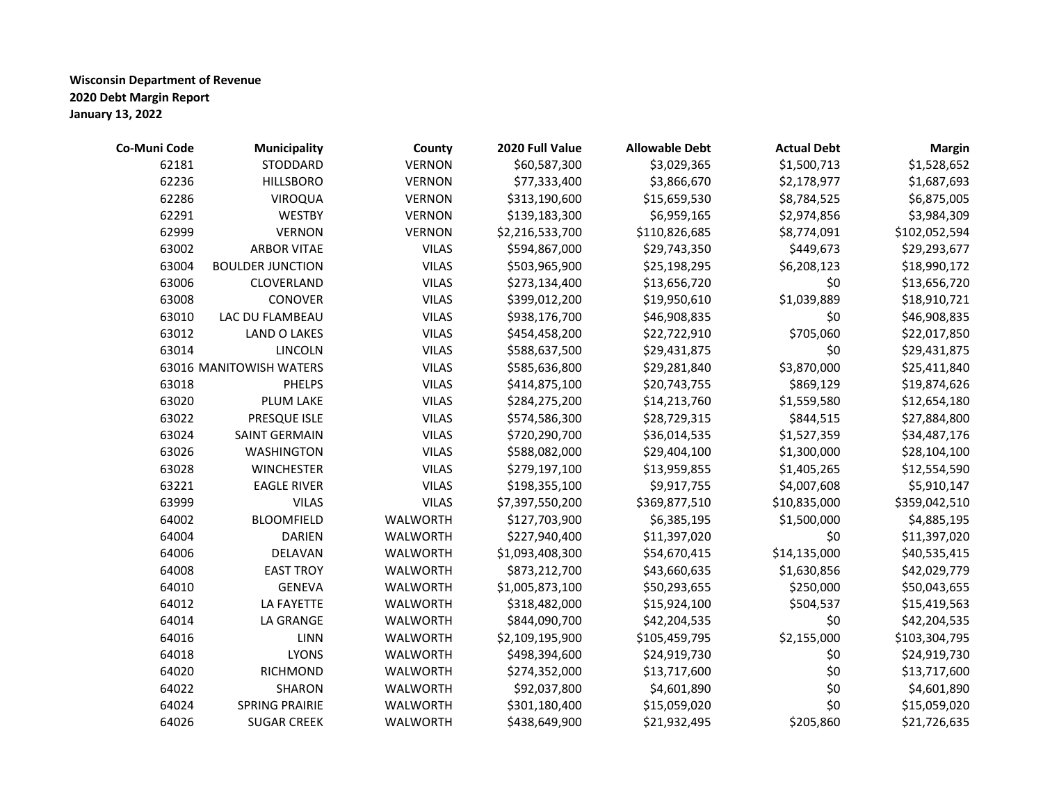| Co-Muni Code | <b>Municipality</b>     | County          | 2020 Full Value | <b>Allowable Debt</b> | <b>Actual Debt</b> | <b>Margin</b> |
|--------------|-------------------------|-----------------|-----------------|-----------------------|--------------------|---------------|
| 62181        | <b>STODDARD</b>         | <b>VERNON</b>   | \$60,587,300    | \$3,029,365           | \$1,500,713        | \$1,528,652   |
| 62236        | <b>HILLSBORO</b>        | <b>VERNON</b>   | \$77,333,400    | \$3,866,670           | \$2,178,977        | \$1,687,693   |
| 62286        | VIROQUA                 | <b>VERNON</b>   | \$313,190,600   | \$15,659,530          | \$8,784,525        | \$6,875,005   |
| 62291        | <b>WESTBY</b>           | <b>VERNON</b>   | \$139,183,300   | \$6,959,165           | \$2,974,856        | \$3,984,309   |
| 62999        | <b>VERNON</b>           | <b>VERNON</b>   | \$2,216,533,700 | \$110,826,685         | \$8,774,091        | \$102,052,594 |
| 63002        | <b>ARBOR VITAE</b>      | <b>VILAS</b>    | \$594,867,000   | \$29,743,350          | \$449,673          | \$29,293,677  |
| 63004        | <b>BOULDER JUNCTION</b> | <b>VILAS</b>    | \$503,965,900   | \$25,198,295          | \$6,208,123        | \$18,990,172  |
| 63006        | CLOVERLAND              | <b>VILAS</b>    | \$273,134,400   | \$13,656,720          | \$0                | \$13,656,720  |
| 63008        | CONOVER                 | <b>VILAS</b>    | \$399,012,200   | \$19,950,610          | \$1,039,889        | \$18,910,721  |
| 63010        | LAC DU FLAMBEAU         | <b>VILAS</b>    | \$938,176,700   | \$46,908,835          | \$0                | \$46,908,835  |
| 63012        | <b>LAND O LAKES</b>     | <b>VILAS</b>    | \$454,458,200   | \$22,722,910          | \$705,060          | \$22,017,850  |
| 63014        | <b>LINCOLN</b>          | <b>VILAS</b>    | \$588,637,500   | \$29,431,875          | \$0                | \$29,431,875  |
|              | 63016 MANITOWISH WATERS | <b>VILAS</b>    | \$585,636,800   | \$29,281,840          | \$3,870,000        | \$25,411,840  |
| 63018        | <b>PHELPS</b>           | <b>VILAS</b>    | \$414,875,100   | \$20,743,755          | \$869,129          | \$19,874,626  |
| 63020        | <b>PLUM LAKE</b>        | <b>VILAS</b>    | \$284,275,200   | \$14,213,760          | \$1,559,580        | \$12,654,180  |
| 63022        | PRESQUE ISLE            | <b>VILAS</b>    | \$574,586,300   | \$28,729,315          | \$844,515          | \$27,884,800  |
| 63024        | <b>SAINT GERMAIN</b>    | <b>VILAS</b>    | \$720,290,700   | \$36,014,535          | \$1,527,359        | \$34,487,176  |
| 63026        | <b>WASHINGTON</b>       | <b>VILAS</b>    | \$588,082,000   | \$29,404,100          | \$1,300,000        | \$28,104,100  |
| 63028        | <b>WINCHESTER</b>       | <b>VILAS</b>    | \$279,197,100   | \$13,959,855          | \$1,405,265        | \$12,554,590  |
| 63221        | <b>EAGLE RIVER</b>      | <b>VILAS</b>    | \$198,355,100   | \$9,917,755           | \$4,007,608        | \$5,910,147   |
| 63999        | <b>VILAS</b>            | <b>VILAS</b>    | \$7,397,550,200 | \$369,877,510         | \$10,835,000       | \$359,042,510 |
| 64002        | <b>BLOOMFIELD</b>       | WALWORTH        | \$127,703,900   | \$6,385,195           | \$1,500,000        | \$4,885,195   |
| 64004        | <b>DARIEN</b>           | WALWORTH        | \$227,940,400   | \$11,397,020          | \$0                | \$11,397,020  |
| 64006        | DELAVAN                 | WALWORTH        | \$1,093,408,300 | \$54,670,415          | \$14,135,000       | \$40,535,415  |
| 64008        | <b>EAST TROY</b>        | WALWORTH        | \$873,212,700   | \$43,660,635          | \$1,630,856        | \$42,029,779  |
| 64010        | <b>GENEVA</b>           | <b>WALWORTH</b> | \$1,005,873,100 | \$50,293,655          | \$250,000          | \$50,043,655  |
| 64012        | LA FAYETTE              | WALWORTH        | \$318,482,000   | \$15,924,100          | \$504,537          | \$15,419,563  |
| 64014        | LA GRANGE               | WALWORTH        | \$844,090,700   | \$42,204,535          | \$0                | \$42,204,535  |
| 64016        | LINN                    | WALWORTH        | \$2,109,195,900 | \$105,459,795         | \$2,155,000        | \$103,304,795 |
| 64018        | <b>LYONS</b>            | WALWORTH        | \$498,394,600   | \$24,919,730          | \$0                | \$24,919,730  |
| 64020        | <b>RICHMOND</b>         | WALWORTH        | \$274,352,000   | \$13,717,600          | \$0                | \$13,717,600  |
| 64022        | <b>SHARON</b>           | WALWORTH        | \$92,037,800    | \$4,601,890           | \$0                | \$4,601,890   |
| 64024        | <b>SPRING PRAIRIE</b>   | WALWORTH        | \$301,180,400   | \$15,059,020          | \$0                | \$15,059,020  |
| 64026        | <b>SUGAR CREEK</b>      | <b>WALWORTH</b> | \$438,649,900   | \$21,932,495          | \$205,860          | \$21,726,635  |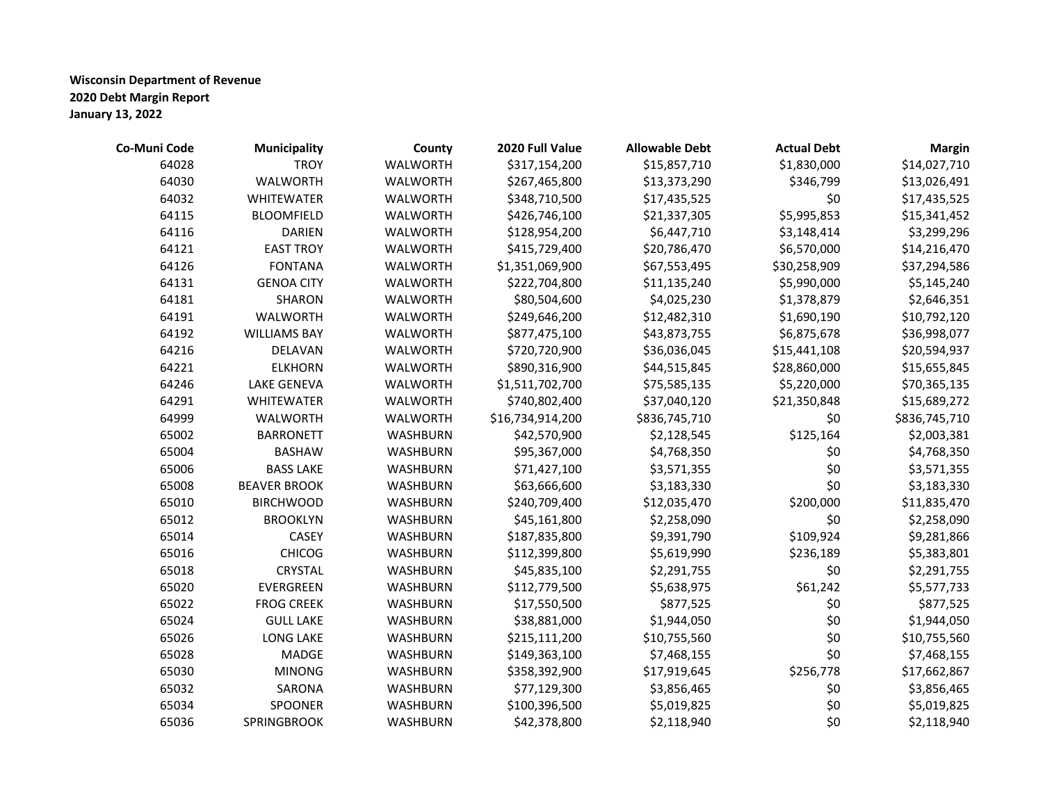| Co-Muni Code | <b>Municipality</b> | County          | 2020 Full Value  | <b>Allowable Debt</b> | <b>Actual Debt</b> | <b>Margin</b> |
|--------------|---------------------|-----------------|------------------|-----------------------|--------------------|---------------|
| 64028        | <b>TROY</b>         | WALWORTH        | \$317,154,200    | \$15,857,710          | \$1,830,000        | \$14,027,710  |
| 64030        | WALWORTH            | WALWORTH        | \$267,465,800    | \$13,373,290          | \$346,799          | \$13,026,491  |
| 64032        | <b>WHITEWATER</b>   | WALWORTH        | \$348,710,500    | \$17,435,525          | \$0                | \$17,435,525  |
| 64115        | <b>BLOOMFIELD</b>   | WALWORTH        | \$426,746,100    | \$21,337,305          | \$5,995,853        | \$15,341,452  |
| 64116        | <b>DARIEN</b>       | <b>WALWORTH</b> | \$128,954,200    | \$6,447,710           | \$3,148,414        | \$3,299,296   |
| 64121        | <b>EAST TROY</b>    | WALWORTH        | \$415,729,400    | \$20,786,470          | \$6,570,000        | \$14,216,470  |
| 64126        | <b>FONTANA</b>      | WALWORTH        | \$1,351,069,900  | \$67,553,495          | \$30,258,909       | \$37,294,586  |
| 64131        | <b>GENOA CITY</b>   | WALWORTH        | \$222,704,800    | \$11,135,240          | \$5,990,000        | \$5,145,240   |
| 64181        | <b>SHARON</b>       | WALWORTH        | \$80,504,600     | \$4,025,230           | \$1,378,879        | \$2,646,351   |
| 64191        | WALWORTH            | WALWORTH        | \$249,646,200    | \$12,482,310          | \$1,690,190        | \$10,792,120  |
| 64192        | <b>WILLIAMS BAY</b> | WALWORTH        | \$877,475,100    | \$43,873,755          | \$6,875,678        | \$36,998,077  |
| 64216        | DELAVAN             | WALWORTH        | \$720,720,900    | \$36,036,045          | \$15,441,108       | \$20,594,937  |
| 64221        | <b>ELKHORN</b>      | WALWORTH        | \$890,316,900    | \$44,515,845          | \$28,860,000       | \$15,655,845  |
| 64246        | LAKE GENEVA         | WALWORTH        | \$1,511,702,700  | \$75,585,135          | \$5,220,000        | \$70,365,135  |
| 64291        | <b>WHITEWATER</b>   | WALWORTH        | \$740,802,400    | \$37,040,120          | \$21,350,848       | \$15,689,272  |
| 64999        | WALWORTH            | WALWORTH        | \$16,734,914,200 | \$836,745,710         | \$0                | \$836,745,710 |
| 65002        | <b>BARRONETT</b>    | WASHBURN        | \$42,570,900     | \$2,128,545           | \$125,164          | \$2,003,381   |
| 65004        | <b>BASHAW</b>       | WASHBURN        | \$95,367,000     | \$4,768,350           | \$0                | \$4,768,350   |
| 65006        | <b>BASS LAKE</b>    | WASHBURN        | \$71,427,100     | \$3,571,355           | \$0                | \$3,571,355   |
| 65008        | <b>BEAVER BROOK</b> | <b>WASHBURN</b> | \$63,666,600     | \$3,183,330           | \$0                | \$3,183,330   |
| 65010        | <b>BIRCHWOOD</b>    | <b>WASHBURN</b> | \$240,709,400    | \$12,035,470          | \$200,000          | \$11,835,470  |
| 65012        | <b>BROOKLYN</b>     | WASHBURN        | \$45,161,800     | \$2,258,090           | \$0                | \$2,258,090   |
| 65014        | CASEY               | WASHBURN        | \$187,835,800    | \$9,391,790           | \$109,924          | \$9,281,866   |
| 65016        | <b>CHICOG</b>       | WASHBURN        | \$112,399,800    | \$5,619,990           | \$236,189          | \$5,383,801   |
| 65018        | CRYSTAL             | <b>WASHBURN</b> | \$45,835,100     | \$2,291,755           | \$0                | \$2,291,755   |
| 65020        | EVERGREEN           | <b>WASHBURN</b> | \$112,779,500    | \$5,638,975           | \$61,242           | \$5,577,733   |
| 65022        | <b>FROG CREEK</b>   | <b>WASHBURN</b> | \$17,550,500     | \$877,525             | \$0                | \$877,525     |
| 65024        | <b>GULL LAKE</b>    | WASHBURN        | \$38,881,000     | \$1,944,050           | \$0                | \$1,944,050   |
| 65026        | <b>LONG LAKE</b>    | WASHBURN        | \$215,111,200    | \$10,755,560          | \$0                | \$10,755,560  |
| 65028        | MADGE               | <b>WASHBURN</b> | \$149,363,100    | \$7,468,155           | \$0                | \$7,468,155   |
| 65030        | <b>MINONG</b>       | <b>WASHBURN</b> | \$358,392,900    | \$17,919,645          | \$256,778          | \$17,662,867  |
| 65032        | SARONA              | WASHBURN        | \$77,129,300     | \$3,856,465           | \$0                | \$3,856,465   |
| 65034        | <b>SPOONER</b>      | WASHBURN        | \$100,396,500    | \$5,019,825           | \$0                | \$5,019,825   |
| 65036        | SPRINGBROOK         | <b>WASHBURN</b> | \$42,378,800     | \$2,118,940           | \$0                | \$2,118,940   |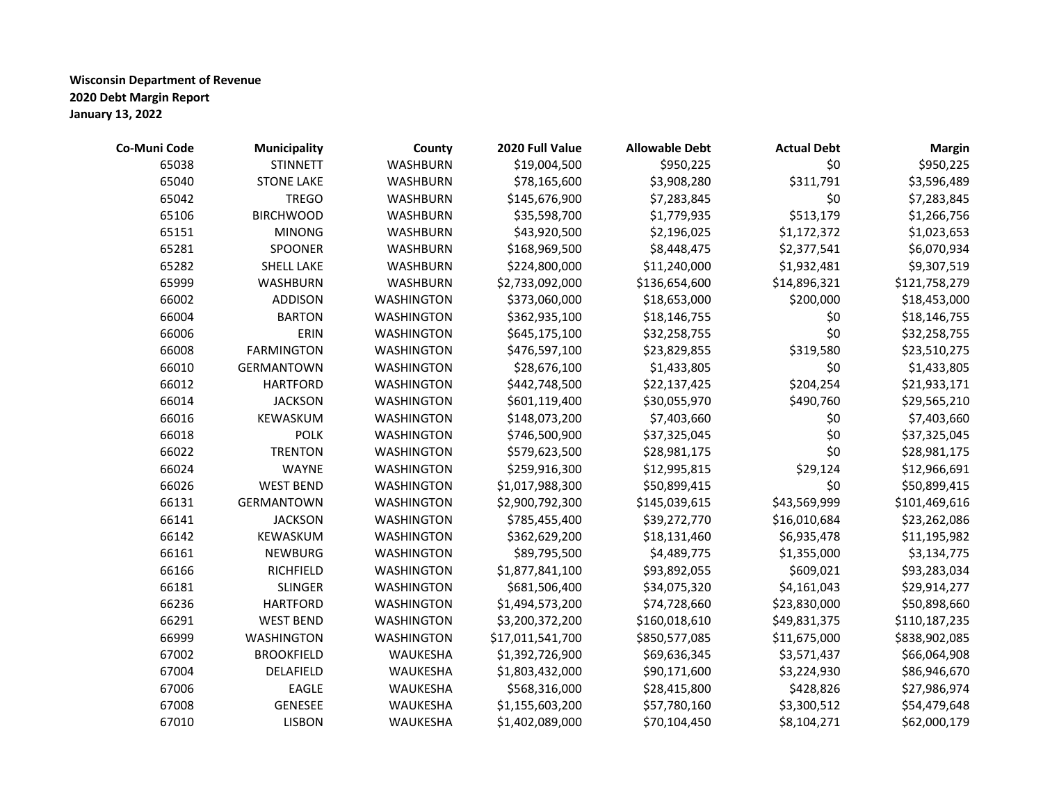| Co-Muni Code | Municipality      | County            | 2020 Full Value  | <b>Allowable Debt</b> | <b>Actual Debt</b> | <b>Margin</b> |
|--------------|-------------------|-------------------|------------------|-----------------------|--------------------|---------------|
| 65038        | <b>STINNETT</b>   | <b>WASHBURN</b>   | \$19,004,500     | \$950,225             | \$0                | \$950,225     |
| 65040        | <b>STONE LAKE</b> | <b>WASHBURN</b>   | \$78,165,600     | \$3,908,280           | \$311,791          | \$3,596,489   |
| 65042        | <b>TREGO</b>      | WASHBURN          | \$145,676,900    | \$7,283,845           | \$0                | \$7,283,845   |
| 65106        | <b>BIRCHWOOD</b>  | WASHBURN          | \$35,598,700     | \$1,779,935           | \$513,179          | \$1,266,756   |
| 65151        | <b>MINONG</b>     | WASHBURN          | \$43,920,500     | \$2,196,025           | \$1,172,372        | \$1,023,653   |
| 65281        | SPOONER           | <b>WASHBURN</b>   | \$168,969,500    | \$8,448,475           | \$2,377,541        | \$6,070,934   |
| 65282        | <b>SHELL LAKE</b> | WASHBURN          | \$224,800,000    | \$11,240,000          | \$1,932,481        | \$9,307,519   |
| 65999        | <b>WASHBURN</b>   | WASHBURN          | \$2,733,092,000  | \$136,654,600         | \$14,896,321       | \$121,758,279 |
| 66002        | <b>ADDISON</b>    | <b>WASHINGTON</b> | \$373,060,000    | \$18,653,000          | \$200,000          | \$18,453,000  |
| 66004        | <b>BARTON</b>     | WASHINGTON        | \$362,935,100    | \$18,146,755          | \$0                | \$18,146,755  |
| 66006        | ERIN              | <b>WASHINGTON</b> | \$645,175,100    | \$32,258,755          | \$0                | \$32,258,755  |
| 66008        | <b>FARMINGTON</b> | <b>WASHINGTON</b> | \$476,597,100    | \$23,829,855          | \$319,580          | \$23,510,275  |
| 66010        | <b>GERMANTOWN</b> | <b>WASHINGTON</b> | \$28,676,100     | \$1,433,805           | \$0                | \$1,433,805   |
| 66012        | <b>HARTFORD</b>   | <b>WASHINGTON</b> | \$442,748,500    | \$22,137,425          | \$204,254          | \$21,933,171  |
| 66014        | <b>JACKSON</b>    | <b>WASHINGTON</b> | \$601,119,400    | \$30,055,970          | \$490,760          | \$29,565,210  |
| 66016        | KEWASKUM          | <b>WASHINGTON</b> | \$148,073,200    | \$7,403,660           | \$0                | \$7,403,660   |
| 66018        | <b>POLK</b>       | <b>WASHINGTON</b> | \$746,500,900    | \$37,325,045          | \$0                | \$37,325,045  |
| 66022        | <b>TRENTON</b>    | <b>WASHINGTON</b> | \$579,623,500    | \$28,981,175          | \$0                | \$28,981,175  |
| 66024        | <b>WAYNE</b>      | <b>WASHINGTON</b> | \$259,916,300    | \$12,995,815          | \$29,124           | \$12,966,691  |
| 66026        | <b>WEST BEND</b>  | <b>WASHINGTON</b> | \$1,017,988,300  | \$50,899,415          | \$0                | \$50,899,415  |
| 66131        | GERMANTOWN        | <b>WASHINGTON</b> | \$2,900,792,300  | \$145,039,615         | \$43,569,999       | \$101,469,616 |
| 66141        | <b>JACKSON</b>    | <b>WASHINGTON</b> | \$785,455,400    | \$39,272,770          | \$16,010,684       | \$23,262,086  |
| 66142        | KEWASKUM          | <b>WASHINGTON</b> | \$362,629,200    | \$18,131,460          | \$6,935,478        | \$11,195,982  |
| 66161        | <b>NEWBURG</b>    | WASHINGTON        | \$89,795,500     | \$4,489,775           | \$1,355,000        | \$3,134,775   |
| 66166        | <b>RICHFIELD</b>  | <b>WASHINGTON</b> | \$1,877,841,100  | \$93,892,055          | \$609,021          | \$93,283,034  |
| 66181        | <b>SLINGER</b>    | <b>WASHINGTON</b> | \$681,506,400    | \$34,075,320          | \$4,161,043        | \$29,914,277  |
| 66236        | <b>HARTFORD</b>   | <b>WASHINGTON</b> | \$1,494,573,200  | \$74,728,660          | \$23,830,000       | \$50,898,660  |
| 66291        | <b>WEST BEND</b>  | <b>WASHINGTON</b> | \$3,200,372,200  | \$160,018,610         | \$49,831,375       | \$110,187,235 |
| 66999        | <b>WASHINGTON</b> | <b>WASHINGTON</b> | \$17,011,541,700 | \$850,577,085         | \$11,675,000       | \$838,902,085 |
| 67002        | <b>BROOKFIELD</b> | WAUKESHA          | \$1,392,726,900  | \$69,636,345          | \$3,571,437        | \$66,064,908  |
| 67004        | DELAFIELD         | WAUKESHA          | \$1,803,432,000  | \$90,171,600          | \$3,224,930        | \$86,946,670  |
| 67006        | <b>EAGLE</b>      | WAUKESHA          | \$568,316,000    | \$28,415,800          | \$428,826          | \$27,986,974  |
| 67008        | <b>GENESEE</b>    | WAUKESHA          | \$1,155,603,200  | \$57,780,160          | \$3,300,512        | \$54,479,648  |
| 67010        | <b>LISBON</b>     | WAUKESHA          | \$1,402,089,000  | \$70,104,450          | \$8,104,271        | \$62,000,179  |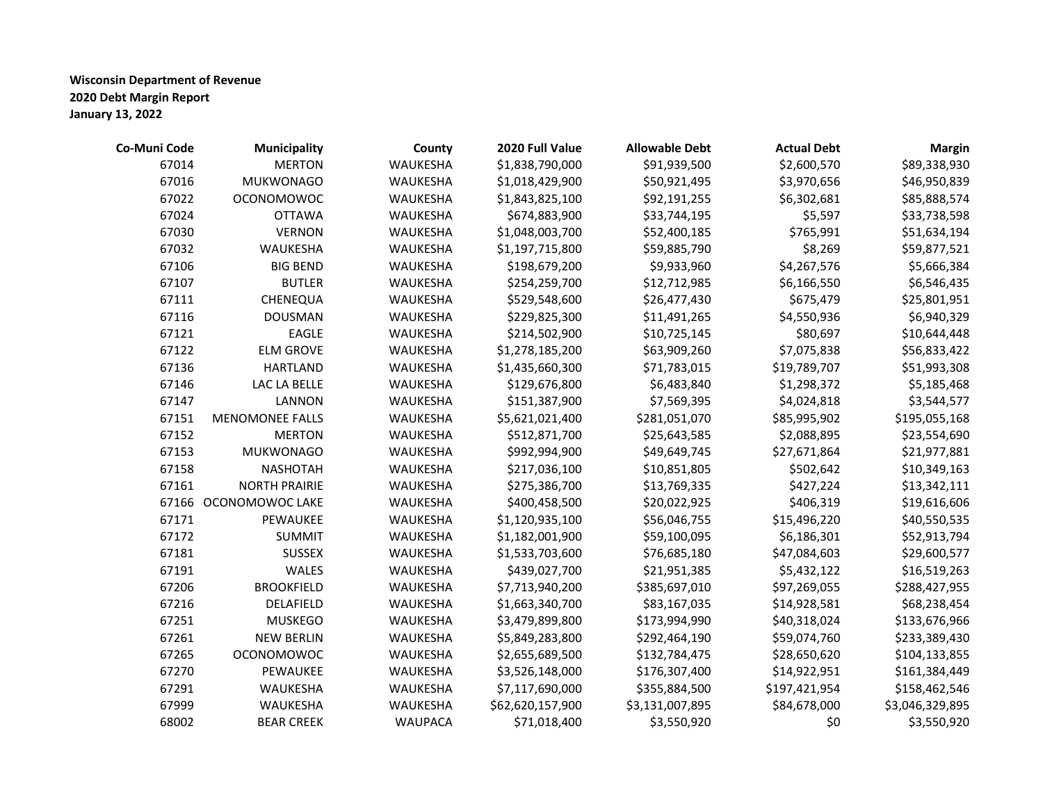| Co-Muni Code | <b>Municipality</b>    | County          | 2020 Full Value  | <b>Allowable Debt</b> | <b>Actual Debt</b> | <b>Margin</b>   |
|--------------|------------------------|-----------------|------------------|-----------------------|--------------------|-----------------|
| 67014        | <b>MERTON</b>          | WAUKESHA        | \$1,838,790,000  | \$91,939,500          | \$2,600,570        | \$89,338,930    |
| 67016        | <b>MUKWONAGO</b>       | WAUKESHA        | \$1,018,429,900  | \$50,921,495          | \$3,970,656        | \$46,950,839    |
| 67022        | <b>OCONOMOWOC</b>      | WAUKESHA        | \$1,843,825,100  | \$92,191,255          | \$6,302,681        | \$85,888,574    |
| 67024        | <b>OTTAWA</b>          | WAUKESHA        | \$674,883,900    | \$33,744,195          | \$5,597            | \$33,738,598    |
| 67030        | <b>VERNON</b>          | WAUKESHA        | \$1,048,003,700  | \$52,400,185          | \$765,991          | \$51,634,194    |
| 67032        | WAUKESHA               | WAUKESHA        | \$1,197,715,800  | \$59,885,790          | \$8,269            | \$59,877,521    |
| 67106        | <b>BIG BEND</b>        | WAUKESHA        | \$198,679,200    | \$9,933,960           | \$4,267,576        | \$5,666,384     |
| 67107        | <b>BUTLER</b>          | WAUKESHA        | \$254,259,700    | \$12,712,985          | \$6,166,550        | \$6,546,435     |
| 67111        | CHENEQUA               | WAUKESHA        | \$529,548,600    | \$26,477,430          | \$675,479          | \$25,801,951    |
| 67116        | <b>DOUSMAN</b>         | WAUKESHA        | \$229,825,300    | \$11,491,265          | \$4,550,936        | \$6,940,329     |
| 67121        | <b>EAGLE</b>           | WAUKESHA        | \$214,502,900    | \$10,725,145          | \$80,697           | \$10,644,448    |
| 67122        | <b>ELM GROVE</b>       | WAUKESHA        | \$1,278,185,200  | \$63,909,260          | \$7,075,838        | \$56,833,422    |
| 67136        | <b>HARTLAND</b>        | WAUKESHA        | \$1,435,660,300  | \$71,783,015          | \$19,789,707       | \$51,993,308    |
| 67146        | LAC LA BELLE           | WAUKESHA        | \$129,676,800    | \$6,483,840           | \$1,298,372        | \$5,185,468     |
| 67147        | <b>LANNON</b>          | WAUKESHA        | \$151,387,900    | \$7,569,395           | \$4,024,818        | \$3,544,577     |
| 67151        | <b>MENOMONEE FALLS</b> | WAUKESHA        | \$5,621,021,400  | \$281,051,070         | \$85,995,902       | \$195,055,168   |
| 67152        | <b>MERTON</b>          | WAUKESHA        | \$512,871,700    | \$25,643,585          | \$2,088,895        | \$23,554,690    |
| 67153        | <b>MUKWONAGO</b>       | <b>WAUKESHA</b> | \$992,994,900    | \$49,649,745          | \$27,671,864       | \$21,977,881    |
| 67158        | <b>NASHOTAH</b>        | WAUKESHA        | \$217,036,100    | \$10,851,805          | \$502,642          | \$10,349,163    |
| 67161        | <b>NORTH PRAIRIE</b>   | WAUKESHA        | \$275,386,700    | \$13,769,335          | \$427,224          | \$13,342,111    |
| 67166        | OCONOMOWOC LAKE        | WAUKESHA        | \$400,458,500    | \$20,022,925          | \$406,319          | \$19,616,606    |
| 67171        | PEWAUKEE               | WAUKESHA        | \$1,120,935,100  | \$56,046,755          | \$15,496,220       | \$40,550,535    |
| 67172        | <b>SUMMIT</b>          | WAUKESHA        | \$1,182,001,900  | \$59,100,095          | \$6,186,301        | \$52,913,794    |
| 67181        | <b>SUSSEX</b>          | WAUKESHA        | \$1,533,703,600  | \$76,685,180          | \$47,084,603       | \$29,600,577    |
| 67191        | WALES                  | WAUKESHA        | \$439,027,700    | \$21,951,385          | \$5,432,122        | \$16,519,263    |
| 67206        | <b>BROOKFIELD</b>      | WAUKESHA        | \$7,713,940,200  | \$385,697,010         | \$97,269,055       | \$288,427,955   |
| 67216        | DELAFIELD              | WAUKESHA        | \$1,663,340,700  | \$83,167,035          | \$14,928,581       | \$68,238,454    |
| 67251        | <b>MUSKEGO</b>         | WAUKESHA        | \$3,479,899,800  | \$173,994,990         | \$40,318,024       | \$133,676,966   |
| 67261        | <b>NEW BERLIN</b>      | WAUKESHA        | \$5,849,283,800  | \$292,464,190         | \$59,074,760       | \$233,389,430   |
| 67265        | <b>OCONOMOWOC</b>      | WAUKESHA        | \$2,655,689,500  | \$132,784,475         | \$28,650,620       | \$104,133,855   |
| 67270        | PEWAUKEE               | WAUKESHA        | \$3,526,148,000  | \$176,307,400         | \$14,922,951       | \$161,384,449   |
| 67291        | WAUKESHA               | WAUKESHA        | \$7,117,690,000  | \$355,884,500         | \$197,421,954      | \$158,462,546   |
| 67999        | WAUKESHA               | WAUKESHA        | \$62,620,157,900 | \$3,131,007,895       | \$84,678,000       | \$3,046,329,895 |
| 68002        | <b>BEAR CREEK</b>      | <b>WAUPACA</b>  | \$71,018,400     | \$3,550,920           | \$0                | \$3,550,920     |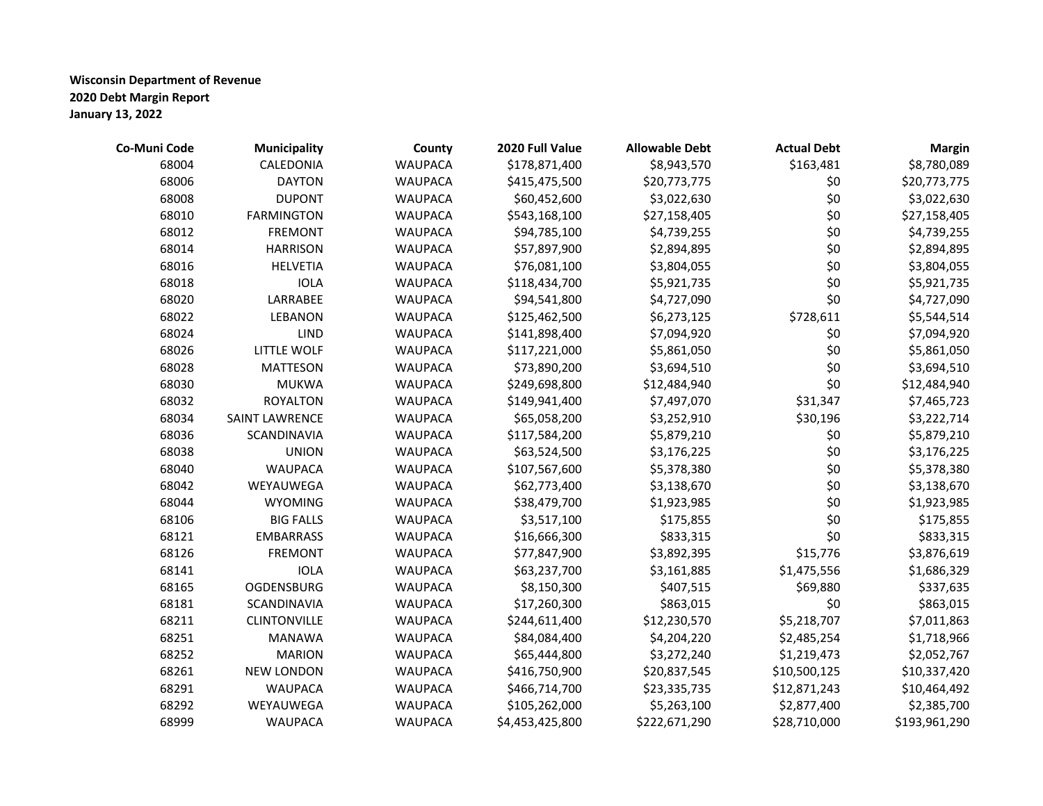| Co-Muni Code | <b>Municipality</b>   | County         | 2020 Full Value | <b>Allowable Debt</b> | <b>Actual Debt</b> | <b>Margin</b> |
|--------------|-----------------------|----------------|-----------------|-----------------------|--------------------|---------------|
| 68004        | CALEDONIA             | <b>WAUPACA</b> | \$178,871,400   | \$8,943,570           | \$163,481          | \$8,780,089   |
| 68006        | <b>DAYTON</b>         | <b>WAUPACA</b> | \$415,475,500   | \$20,773,775          | \$0                | \$20,773,775  |
| 68008        | <b>DUPONT</b>         | <b>WAUPACA</b> | \$60,452,600    | \$3,022,630           | \$0                | \$3,022,630   |
| 68010        | <b>FARMINGTON</b>     | <b>WAUPACA</b> | \$543,168,100   | \$27,158,405          | \$0                | \$27,158,405  |
| 68012        | <b>FREMONT</b>        | <b>WAUPACA</b> | \$94,785,100    | \$4,739,255           | \$0                | \$4,739,255   |
| 68014        | <b>HARRISON</b>       | <b>WAUPACA</b> | \$57,897,900    | \$2,894,895           | \$0                | \$2,894,895   |
| 68016        | <b>HELVETIA</b>       | <b>WAUPACA</b> | \$76,081,100    | \$3,804,055           | \$0                | \$3,804,055   |
| 68018        | <b>IOLA</b>           | <b>WAUPACA</b> | \$118,434,700   | \$5,921,735           | \$0                | \$5,921,735   |
| 68020        | LARRABEE              | <b>WAUPACA</b> | \$94,541,800    | \$4,727,090           | \$0                | \$4,727,090   |
| 68022        | LEBANON               | <b>WAUPACA</b> | \$125,462,500   | \$6,273,125           | \$728,611          | \$5,544,514   |
| 68024        | LIND                  | <b>WAUPACA</b> | \$141,898,400   | \$7,094,920           | \$0                | \$7,094,920   |
| 68026        | <b>LITTLE WOLF</b>    | <b>WAUPACA</b> | \$117,221,000   | \$5,861,050           | \$0                | \$5,861,050   |
| 68028        | <b>MATTESON</b>       | <b>WAUPACA</b> | \$73,890,200    | \$3,694,510           | \$0                | \$3,694,510   |
| 68030        | <b>MUKWA</b>          | <b>WAUPACA</b> | \$249,698,800   | \$12,484,940          | \$0                | \$12,484,940  |
| 68032        | <b>ROYALTON</b>       | <b>WAUPACA</b> | \$149,941,400   | \$7,497,070           | \$31,347           | \$7,465,723   |
| 68034        | <b>SAINT LAWRENCE</b> | <b>WAUPACA</b> | \$65,058,200    | \$3,252,910           | \$30,196           | \$3,222,714   |
| 68036        | SCANDINAVIA           | <b>WAUPACA</b> | \$117,584,200   | \$5,879,210           | \$0                | \$5,879,210   |
| 68038        | <b>UNION</b>          | <b>WAUPACA</b> | \$63,524,500    | \$3,176,225           | \$0                | \$3,176,225   |
| 68040        | <b>WAUPACA</b>        | <b>WAUPACA</b> | \$107,567,600   | \$5,378,380           | \$0                | \$5,378,380   |
| 68042        | WEYAUWEGA             | <b>WAUPACA</b> | \$62,773,400    | \$3,138,670           | \$0                | \$3,138,670   |
| 68044        | <b>WYOMING</b>        | <b>WAUPACA</b> | \$38,479,700    | \$1,923,985           | \$0                | \$1,923,985   |
| 68106        | <b>BIG FALLS</b>      | <b>WAUPACA</b> | \$3,517,100     | \$175,855             | \$0                | \$175,855     |
| 68121        | <b>EMBARRASS</b>      | <b>WAUPACA</b> | \$16,666,300    | \$833,315             | \$0                | \$833,315     |
| 68126        | <b>FREMONT</b>        | <b>WAUPACA</b> | \$77,847,900    | \$3,892,395           | \$15,776           | \$3,876,619   |
| 68141        | <b>IOLA</b>           | <b>WAUPACA</b> | \$63,237,700    | \$3,161,885           | \$1,475,556        | \$1,686,329   |
| 68165        | <b>OGDENSBURG</b>     | <b>WAUPACA</b> | \$8,150,300     | \$407,515             | \$69,880           | \$337,635     |
| 68181        | SCANDINAVIA           | <b>WAUPACA</b> | \$17,260,300    | \$863,015             | \$0                | \$863,015     |
| 68211        | <b>CLINTONVILLE</b>   | <b>WAUPACA</b> | \$244,611,400   | \$12,230,570          | \$5,218,707        | \$7,011,863   |
| 68251        | <b>MANAWA</b>         | <b>WAUPACA</b> | \$84,084,400    | \$4,204,220           | \$2,485,254        | \$1,718,966   |
| 68252        | <b>MARION</b>         | <b>WAUPACA</b> | \$65,444,800    | \$3,272,240           | \$1,219,473        | \$2,052,767   |
| 68261        | <b>NEW LONDON</b>     | <b>WAUPACA</b> | \$416,750,900   | \$20,837,545          | \$10,500,125       | \$10,337,420  |
| 68291        | <b>WAUPACA</b>        | <b>WAUPACA</b> | \$466,714,700   | \$23,335,735          | \$12,871,243       | \$10,464,492  |
| 68292        | WEYAUWEGA             | <b>WAUPACA</b> | \$105,262,000   | \$5,263,100           | \$2,877,400        | \$2,385,700   |
| 68999        | <b>WAUPACA</b>        | <b>WAUPACA</b> | \$4,453,425,800 | \$222,671,290         | \$28,710,000       | \$193,961,290 |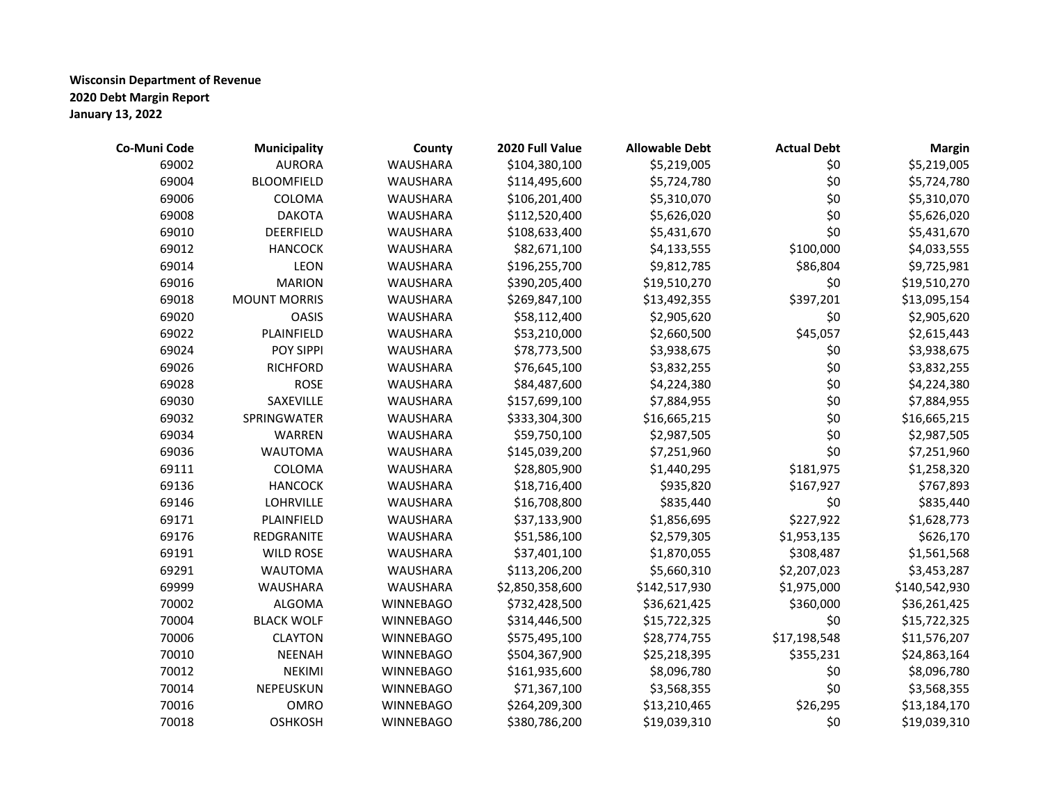| Co-Muni Code | <b>Municipality</b> | County           | 2020 Full Value | <b>Allowable Debt</b> | <b>Actual Debt</b> | <b>Margin</b> |
|--------------|---------------------|------------------|-----------------|-----------------------|--------------------|---------------|
| 69002        | <b>AURORA</b>       | <b>WAUSHARA</b>  | \$104,380,100   | \$5,219,005           | \$0                | \$5,219,005   |
| 69004        | <b>BLOOMFIELD</b>   | <b>WAUSHARA</b>  | \$114,495,600   | \$5,724,780           | \$0                | \$5,724,780   |
| 69006        | COLOMA              | <b>WAUSHARA</b>  | \$106,201,400   | \$5,310,070           | \$0                | \$5,310,070   |
| 69008        | <b>DAKOTA</b>       | <b>WAUSHARA</b>  | \$112,520,400   | \$5,626,020           | \$0                | \$5,626,020   |
| 69010        | DEERFIELD           | <b>WAUSHARA</b>  | \$108,633,400   | \$5,431,670           | \$0                | \$5,431,670   |
| 69012        | <b>HANCOCK</b>      | <b>WAUSHARA</b>  | \$82,671,100    | \$4,133,555           | \$100,000          | \$4,033,555   |
| 69014        | LEON                | <b>WAUSHARA</b>  | \$196,255,700   | \$9,812,785           | \$86,804           | \$9,725,981   |
| 69016        | <b>MARION</b>       | <b>WAUSHARA</b>  | \$390,205,400   | \$19,510,270          | \$0                | \$19,510,270  |
| 69018        | <b>MOUNT MORRIS</b> | <b>WAUSHARA</b>  | \$269,847,100   | \$13,492,355          | \$397,201          | \$13,095,154  |
| 69020        | <b>OASIS</b>        | <b>WAUSHARA</b>  | \$58,112,400    | \$2,905,620           | \$0                | \$2,905,620   |
| 69022        | PLAINFIELD          | <b>WAUSHARA</b>  | \$53,210,000    | \$2,660,500           | \$45,057           | \$2,615,443   |
| 69024        | POY SIPPI           | <b>WAUSHARA</b>  | \$78,773,500    | \$3,938,675           | \$0                | \$3,938,675   |
| 69026        | <b>RICHFORD</b>     | <b>WAUSHARA</b>  | \$76,645,100    | \$3,832,255           | \$0                | \$3,832,255   |
| 69028        | <b>ROSE</b>         | <b>WAUSHARA</b>  | \$84,487,600    | \$4,224,380           | \$0                | \$4,224,380   |
| 69030        | SAXEVILLE           | <b>WAUSHARA</b>  | \$157,699,100   | \$7,884,955           | \$0                | \$7,884,955   |
| 69032        | SPRINGWATER         | <b>WAUSHARA</b>  | \$333,304,300   | \$16,665,215          | \$0                | \$16,665,215  |
| 69034        | WARREN              | <b>WAUSHARA</b>  | \$59,750,100    | \$2,987,505           | \$0                | \$2,987,505   |
| 69036        | <b>WAUTOMA</b>      | <b>WAUSHARA</b>  | \$145,039,200   | \$7,251,960           | \$0                | \$7,251,960   |
| 69111        | COLOMA              | <b>WAUSHARA</b>  | \$28,805,900    | \$1,440,295           | \$181,975          | \$1,258,320   |
| 69136        | <b>HANCOCK</b>      | <b>WAUSHARA</b>  | \$18,716,400    | \$935,820             | \$167,927          | \$767,893     |
| 69146        | <b>LOHRVILLE</b>    | <b>WAUSHARA</b>  | \$16,708,800    | \$835,440             | \$0                | \$835,440     |
| 69171        | PLAINFIELD          | <b>WAUSHARA</b>  | \$37,133,900    | \$1,856,695           | \$227,922          | \$1,628,773   |
| 69176        | REDGRANITE          | <b>WAUSHARA</b>  | \$51,586,100    | \$2,579,305           | \$1,953,135        | \$626,170     |
| 69191        | <b>WILD ROSE</b>    | <b>WAUSHARA</b>  | \$37,401,100    | \$1,870,055           | \$308,487          | \$1,561,568   |
| 69291        | <b>WAUTOMA</b>      | <b>WAUSHARA</b>  | \$113,206,200   | \$5,660,310           | \$2,207,023        | \$3,453,287   |
| 69999        | <b>WAUSHARA</b>     | <b>WAUSHARA</b>  | \$2,850,358,600 | \$142,517,930         | \$1,975,000        | \$140,542,930 |
| 70002        | <b>ALGOMA</b>       | <b>WINNEBAGO</b> | \$732,428,500   | \$36,621,425          | \$360,000          | \$36,261,425  |
| 70004        | <b>BLACK WOLF</b>   | <b>WINNEBAGO</b> | \$314,446,500   | \$15,722,325          | \$0                | \$15,722,325  |
| 70006        | <b>CLAYTON</b>      | <b>WINNEBAGO</b> | \$575,495,100   | \$28,774,755          | \$17,198,548       | \$11,576,207  |
| 70010        | <b>NEENAH</b>       | <b>WINNEBAGO</b> | \$504,367,900   | \$25,218,395          | \$355,231          | \$24,863,164  |
| 70012        | <b>NEKIMI</b>       | <b>WINNEBAGO</b> | \$161,935,600   | \$8,096,780           | \$0                | \$8,096,780   |
| 70014        | NEPEUSKUN           | <b>WINNEBAGO</b> | \$71,367,100    | \$3,568,355           | \$0                | \$3,568,355   |
| 70016        | <b>OMRO</b>         | <b>WINNEBAGO</b> | \$264,209,300   | \$13,210,465          | \$26,295           | \$13,184,170  |
| 70018        | <b>OSHKOSH</b>      | <b>WINNEBAGO</b> | \$380,786,200   | \$19,039,310          | \$0                | \$19,039,310  |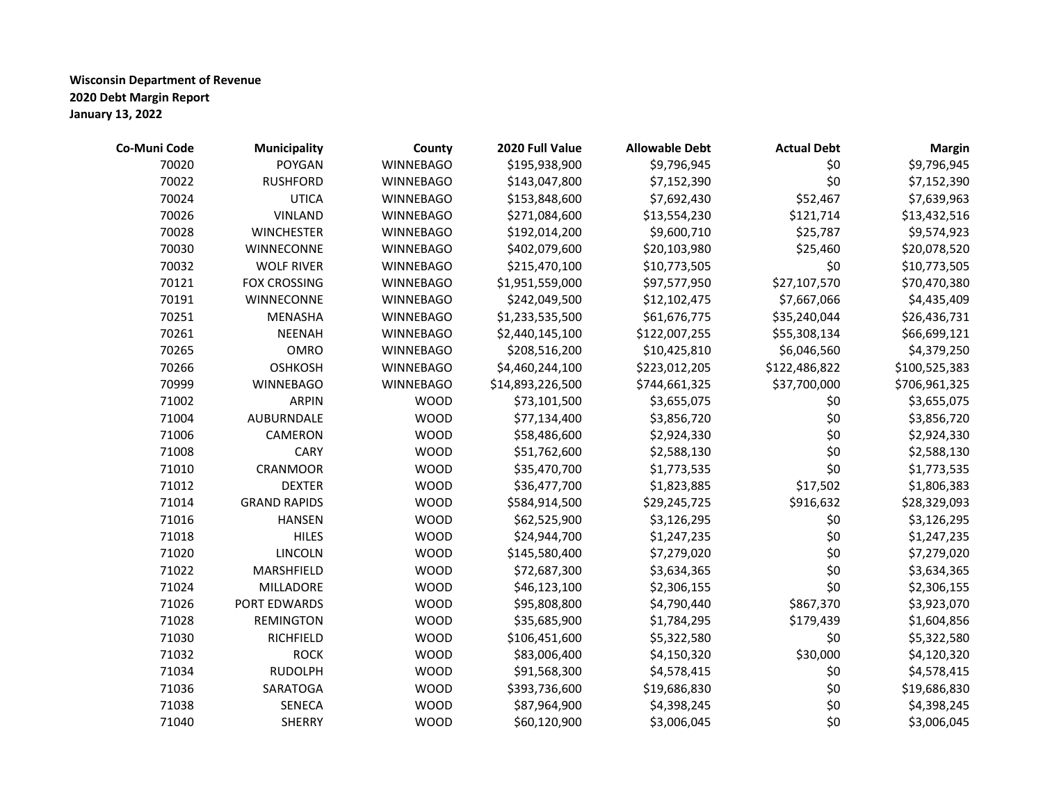| Co-Muni Code | <b>Municipality</b> | County           | 2020 Full Value  | <b>Allowable Debt</b> | <b>Actual Debt</b> | <b>Margin</b> |
|--------------|---------------------|------------------|------------------|-----------------------|--------------------|---------------|
| 70020        | <b>POYGAN</b>       | <b>WINNEBAGO</b> | \$195,938,900    | \$9,796,945           | \$0                | \$9,796,945   |
| 70022        | <b>RUSHFORD</b>     | <b>WINNEBAGO</b> | \$143,047,800    | \$7,152,390           | \$0                | \$7,152,390   |
| 70024        | <b>UTICA</b>        | <b>WINNEBAGO</b> | \$153,848,600    | \$7,692,430           | \$52,467           | \$7,639,963   |
| 70026        | <b>VINLAND</b>      | <b>WINNEBAGO</b> | \$271,084,600    | \$13,554,230          | \$121,714          | \$13,432,516  |
| 70028        | <b>WINCHESTER</b>   | <b>WINNEBAGO</b> | \$192,014,200    | \$9,600,710           | \$25,787           | \$9,574,923   |
| 70030        | WINNECONNE          | <b>WINNEBAGO</b> | \$402,079,600    | \$20,103,980          | \$25,460           | \$20,078,520  |
| 70032        | <b>WOLF RIVER</b>   | <b>WINNEBAGO</b> | \$215,470,100    | \$10,773,505          | \$0                | \$10,773,505  |
| 70121        | <b>FOX CROSSING</b> | <b>WINNEBAGO</b> | \$1,951,559,000  | \$97,577,950          | \$27,107,570       | \$70,470,380  |
| 70191        | WINNECONNE          | <b>WINNEBAGO</b> | \$242,049,500    | \$12,102,475          | \$7,667,066        | \$4,435,409   |
| 70251        | <b>MENASHA</b>      | <b>WINNEBAGO</b> | \$1,233,535,500  | \$61,676,775          | \$35,240,044       | \$26,436,731  |
| 70261        | <b>NEENAH</b>       | <b>WINNEBAGO</b> | \$2,440,145,100  | \$122,007,255         | \$55,308,134       | \$66,699,121  |
| 70265        | <b>OMRO</b>         | <b>WINNEBAGO</b> | \$208,516,200    | \$10,425,810          | \$6,046,560        | \$4,379,250   |
| 70266        | <b>OSHKOSH</b>      | <b>WINNEBAGO</b> | \$4,460,244,100  | \$223,012,205         | \$122,486,822      | \$100,525,383 |
| 70999        | <b>WINNEBAGO</b>    | <b>WINNEBAGO</b> | \$14,893,226,500 | \$744,661,325         | \$37,700,000       | \$706,961,325 |
| 71002        | <b>ARPIN</b>        | <b>WOOD</b>      | \$73,101,500     | \$3,655,075           | \$0                | \$3,655,075   |
| 71004        | <b>AUBURNDALE</b>   | <b>WOOD</b>      | \$77,134,400     | \$3,856,720           | \$0                | \$3,856,720   |
| 71006        | CAMERON             | <b>WOOD</b>      | \$58,486,600     | \$2,924,330           | \$0                | \$2,924,330   |
| 71008        | <b>CARY</b>         | <b>WOOD</b>      | \$51,762,600     | \$2,588,130           | \$0                | \$2,588,130   |
| 71010        | CRANMOOR            | <b>WOOD</b>      | \$35,470,700     | \$1,773,535           | \$0                | \$1,773,535   |
| 71012        | <b>DEXTER</b>       | <b>WOOD</b>      | \$36,477,700     | \$1,823,885           | \$17,502           | \$1,806,383   |
| 71014        | <b>GRAND RAPIDS</b> | <b>WOOD</b>      | \$584,914,500    | \$29,245,725          | \$916,632          | \$28,329,093  |
| 71016        | <b>HANSEN</b>       | <b>WOOD</b>      | \$62,525,900     | \$3,126,295           | \$0                | \$3,126,295   |
| 71018        | <b>HILES</b>        | <b>WOOD</b>      | \$24,944,700     | \$1,247,235           | \$0                | \$1,247,235   |
| 71020        | LINCOLN             | <b>WOOD</b>      | \$145,580,400    | \$7,279,020           | \$0                | \$7,279,020   |
| 71022        | MARSHFIELD          | <b>WOOD</b>      | \$72,687,300     | \$3,634,365           | \$0                | \$3,634,365   |
| 71024        | MILLADORE           | <b>WOOD</b>      | \$46,123,100     | \$2,306,155           | \$0                | \$2,306,155   |
| 71026        | PORT EDWARDS        | <b>WOOD</b>      | \$95,808,800     | \$4,790,440           | \$867,370          | \$3,923,070   |
| 71028        | <b>REMINGTON</b>    | <b>WOOD</b>      | \$35,685,900     | \$1,784,295           | \$179,439          | \$1,604,856   |
| 71030        | RICHFIELD           | <b>WOOD</b>      | \$106,451,600    | \$5,322,580           | \$0                | \$5,322,580   |
| 71032        | <b>ROCK</b>         | <b>WOOD</b>      | \$83,006,400     | \$4,150,320           | \$30,000           | \$4,120,320   |
| 71034        | <b>RUDOLPH</b>      | <b>WOOD</b>      | \$91,568,300     | \$4,578,415           | \$0                | \$4,578,415   |
| 71036        | <b>SARATOGA</b>     | <b>WOOD</b>      | \$393,736,600    | \$19,686,830          | \$0                | \$19,686,830  |
| 71038        | SENECA              | <b>WOOD</b>      | \$87,964,900     | \$4,398,245           | \$0                | \$4,398,245   |
| 71040        | <b>SHERRY</b>       | <b>WOOD</b>      | \$60,120,900     | \$3,006,045           | \$0                | \$3,006,045   |